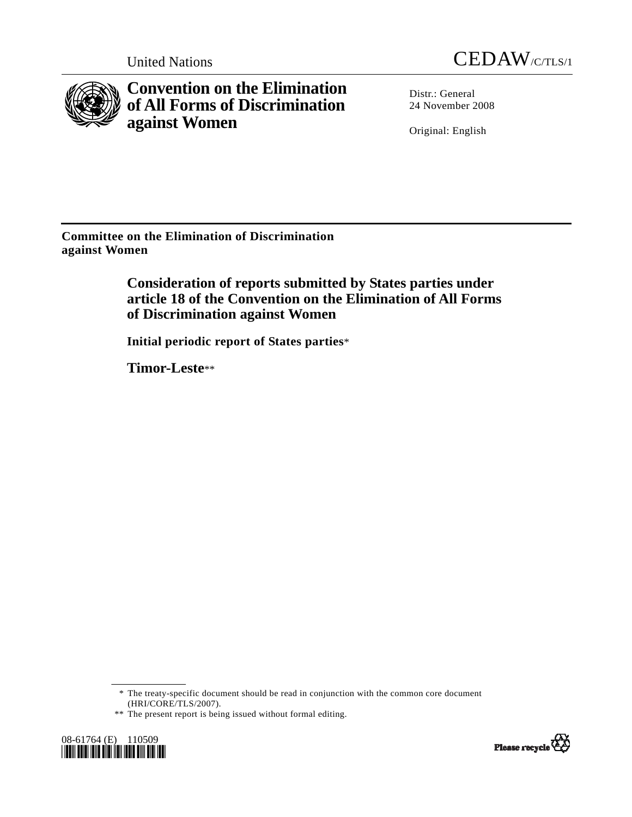



**Convention on the Elimination of All Forms of Discrimination against Women** 

Distr.: General 24 November 2008

Original: English

**Committee on the Elimination of Discrimination against Women** 

> **Consideration of reports submitted by States parties under article 18 of the Convention on the Elimination of All Forms of Discrimination against Women**

 **Initial periodic report of States parties**\*

 **Timor-Leste**\*\*

 \* The treaty-specific document should be read in conjunction with the common core document (HRI/CORE/TLS/2007).

<sup>\*\*</sup> The present report is being issued without formal editing.



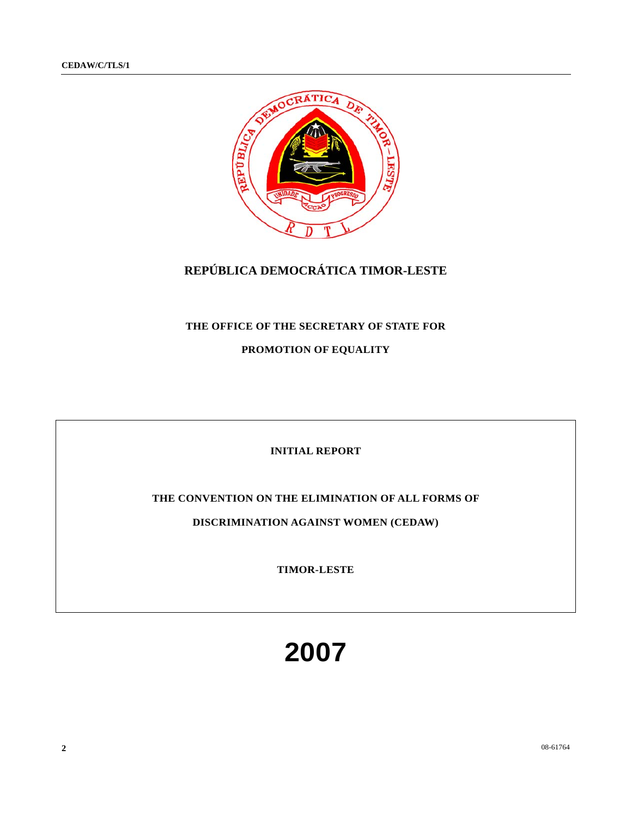

## **REPÚBLICA DEMOCRÁTICA TIMOR-LESTE**

#### **THE OFFICE OF THE SECRETARY OF STATE FOR**

**PROMOTION OF EQUALITY** 

#### **INITIAL REPORT**

#### **THE CONVENTION ON THE ELIMINATION OF ALL FORMS OF**

**DISCRIMINATION AGAINST WOMEN (CEDAW)** 

**TIMOR-LESTE** 

# **2007**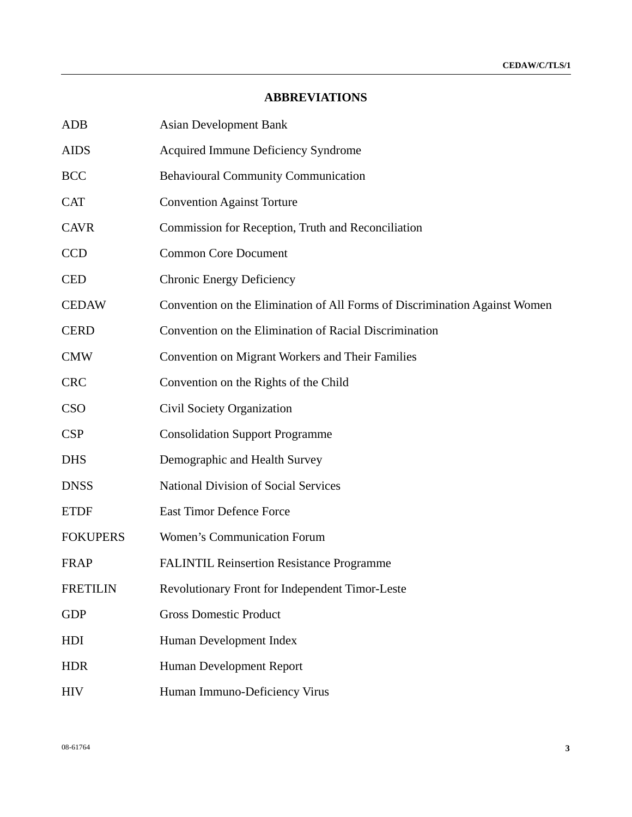## **ABBREVIATIONS**

| <b>ADB</b>      | <b>Asian Development Bank</b>                                              |
|-----------------|----------------------------------------------------------------------------|
| <b>AIDS</b>     | Acquired Immune Deficiency Syndrome                                        |
| <b>BCC</b>      | <b>Behavioural Community Communication</b>                                 |
| <b>CAT</b>      | <b>Convention Against Torture</b>                                          |
| <b>CAVR</b>     | Commission for Reception, Truth and Reconciliation                         |
| <b>CCD</b>      | <b>Common Core Document</b>                                                |
| <b>CED</b>      | <b>Chronic Energy Deficiency</b>                                           |
| <b>CEDAW</b>    | Convention on the Elimination of All Forms of Discrimination Against Women |
| <b>CERD</b>     | Convention on the Elimination of Racial Discrimination                     |
| <b>CMW</b>      | Convention on Migrant Workers and Their Families                           |
| <b>CRC</b>      | Convention on the Rights of the Child                                      |
| <b>CSO</b>      | Civil Society Organization                                                 |
| <b>CSP</b>      | <b>Consolidation Support Programme</b>                                     |
| <b>DHS</b>      | Demographic and Health Survey                                              |
| <b>DNSS</b>     | <b>National Division of Social Services</b>                                |
| <b>ETDF</b>     | <b>East Timor Defence Force</b>                                            |
| <b>FOKUPERS</b> | <b>Women's Communication Forum</b>                                         |
| <b>FRAP</b>     | <b>FALINTIL Reinsertion Resistance Programme</b>                           |
| <b>FRETILIN</b> | Revolutionary Front for Independent Timor-Leste                            |
| <b>GDP</b>      | <b>Gross Domestic Product</b>                                              |
| HDI             | Human Development Index                                                    |
| <b>HDR</b>      | Human Development Report                                                   |
| <b>HIV</b>      | Human Immuno-Deficiency Virus                                              |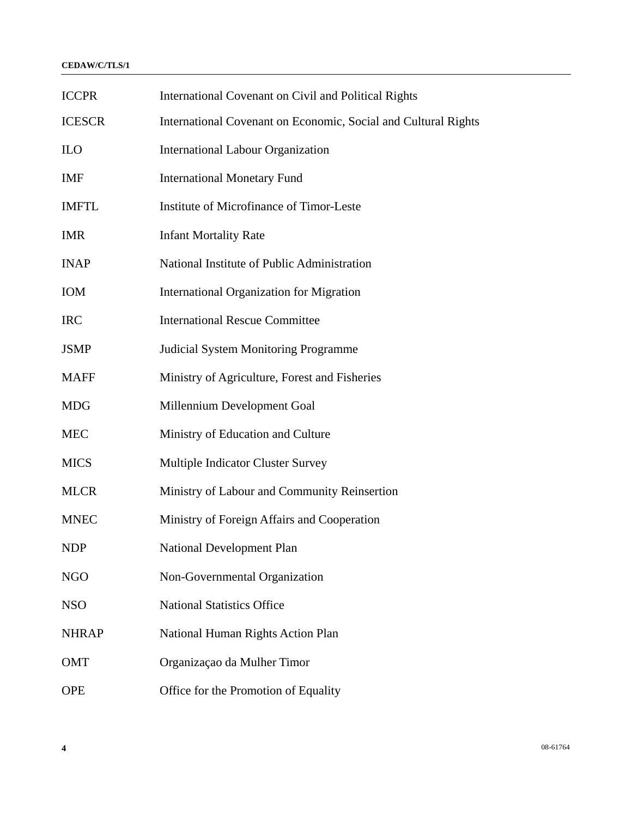#### **CEDAW/C/TLS/1**

| <b>ICCPR</b>  | International Covenant on Civil and Political Rights           |
|---------------|----------------------------------------------------------------|
| <b>ICESCR</b> | International Covenant on Economic, Social and Cultural Rights |
| <b>ILO</b>    | <b>International Labour Organization</b>                       |
| <b>IMF</b>    | <b>International Monetary Fund</b>                             |
| <b>IMFTL</b>  | Institute of Microfinance of Timor-Leste                       |
| <b>IMR</b>    | <b>Infant Mortality Rate</b>                                   |
| <b>INAP</b>   | National Institute of Public Administration                    |
| IOM           | <b>International Organization for Migration</b>                |
| <b>IRC</b>    | <b>International Rescue Committee</b>                          |
| <b>JSMP</b>   | <b>Judicial System Monitoring Programme</b>                    |
| <b>MAFF</b>   | Ministry of Agriculture, Forest and Fisheries                  |
| <b>MDG</b>    | Millennium Development Goal                                    |
| <b>MEC</b>    | Ministry of Education and Culture                              |
| <b>MICS</b>   | <b>Multiple Indicator Cluster Survey</b>                       |
| <b>MLCR</b>   | Ministry of Labour and Community Reinsertion                   |
| <b>MNEC</b>   | Ministry of Foreign Affairs and Cooperation                    |
| <b>NDP</b>    | <b>National Development Plan</b>                               |
| <b>NGO</b>    | Non-Governmental Organization                                  |
| <b>NSO</b>    | <b>National Statistics Office</b>                              |
| <b>NHRAP</b>  | National Human Rights Action Plan                              |
| <b>OMT</b>    | Organização da Mulher Timor                                    |
| <b>OPE</b>    | Office for the Promotion of Equality                           |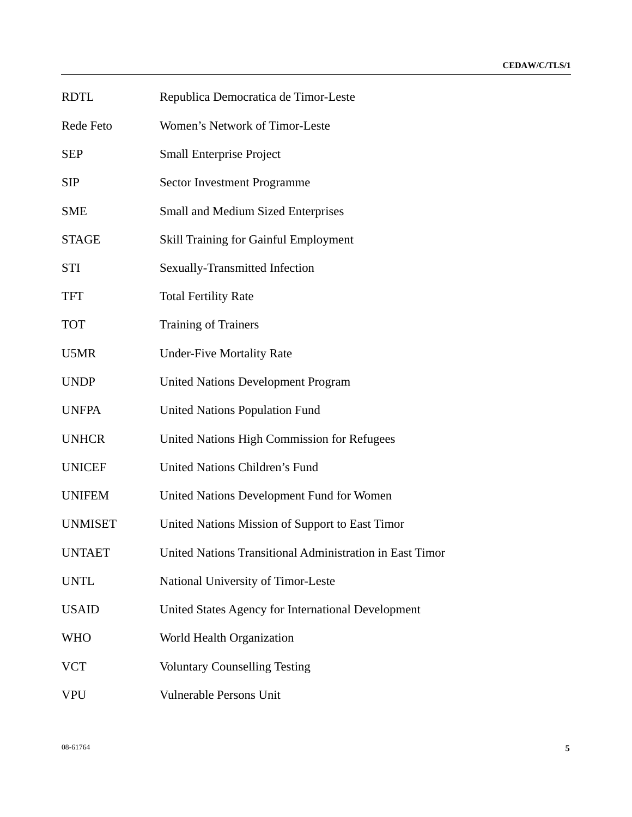| <b>RDTL</b>    | Republica Democratica de Timor-Leste                     |
|----------------|----------------------------------------------------------|
| Rede Feto      | Women's Network of Timor-Leste                           |
| <b>SEP</b>     | <b>Small Enterprise Project</b>                          |
| <b>SIP</b>     | <b>Sector Investment Programme</b>                       |
| <b>SME</b>     | Small and Medium Sized Enterprises                       |
| <b>STAGE</b>   | <b>Skill Training for Gainful Employment</b>             |
| <b>STI</b>     | Sexually-Transmitted Infection                           |
| <b>TFT</b>     | <b>Total Fertility Rate</b>                              |
| <b>TOT</b>     | <b>Training of Trainers</b>                              |
| U5MR           | <b>Under-Five Mortality Rate</b>                         |
| <b>UNDP</b>    | <b>United Nations Development Program</b>                |
| <b>UNFPA</b>   | <b>United Nations Population Fund</b>                    |
| <b>UNHCR</b>   | United Nations High Commission for Refugees              |
| <b>UNICEF</b>  | United Nations Children's Fund                           |
| <b>UNIFEM</b>  | United Nations Development Fund for Women                |
| <b>UNMISET</b> | United Nations Mission of Support to East Timor          |
| <b>UNTAET</b>  | United Nations Transitional Administration in East Timor |
| <b>UNTL</b>    | National University of Timor-Leste                       |
| <b>USAID</b>   | United States Agency for International Development       |
| <b>WHO</b>     | World Health Organization                                |
| <b>VCT</b>     | <b>Voluntary Counselling Testing</b>                     |
| VPU            | Vulnerable Persons Unit                                  |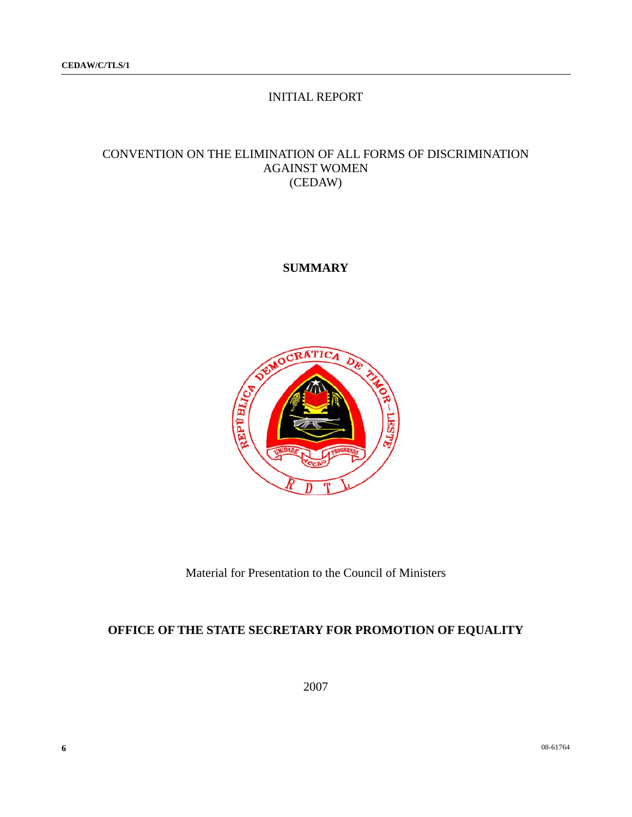## INITIAL REPORT

## CONVENTION ON THE ELIMINATION OF ALL FORMS OF DISCRIMINATION AGAINST WOMEN (CEDAW)

## **SUMMARY**



Material for Presentation to the Council of Ministers

## **OFFICE OF THE STATE SECRETARY FOR PROMOTION OF EQUALITY**

2007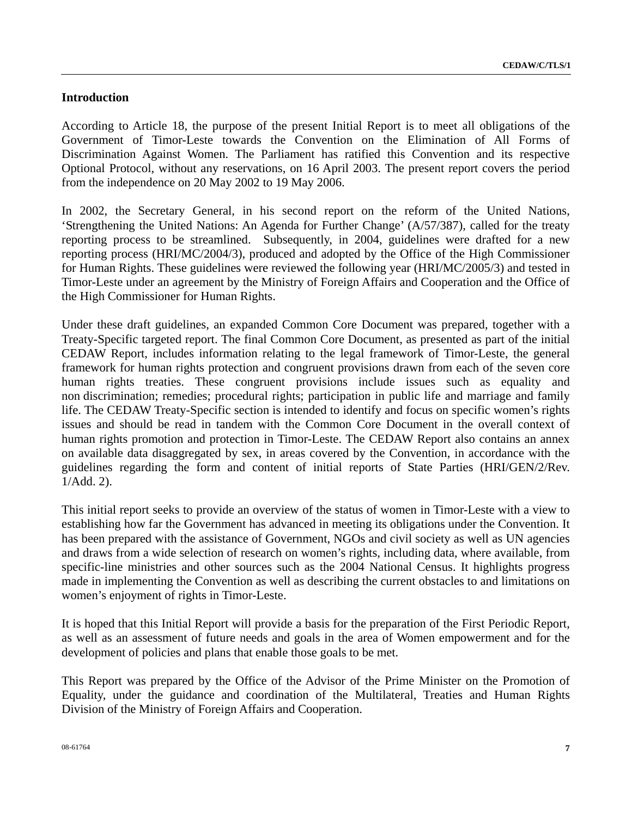#### **Introduction**

According to Article 18, the purpose of the present Initial Report is to meet all obligations of the Government of Timor-Leste towards the Convention on the Elimination of All Forms of Discrimination Against Women. The Parliament has ratified this Convention and its respective Optional Protocol, without any reservations, on 16 April 2003. The present report covers the period from the independence on 20 May 2002 to 19 May 2006.

In 2002, the Secretary General, in his second report on the reform of the United Nations, 'Strengthening the United Nations: An Agenda for Further Change' (A/57/387), called for the treaty reporting process to be streamlined. Subsequently, in 2004, guidelines were drafted for a new reporting process (HRI/MC/2004/3), produced and adopted by the Office of the High Commissioner for Human Rights. These guidelines were reviewed the following year (HRI/MC/2005/3) and tested in Timor-Leste under an agreement by the Ministry of Foreign Affairs and Cooperation and the Office of the High Commissioner for Human Rights.

Under these draft guidelines, an expanded Common Core Document was prepared, together with a Treaty-Specific targeted report. The final Common Core Document, as presented as part of the initial CEDAW Report, includes information relating to the legal framework of Timor-Leste, the general framework for human rights protection and congruent provisions drawn from each of the seven core human rights treaties. These congruent provisions include issues such as equality and non discrimination; remedies; procedural rights; participation in public life and marriage and family life. The CEDAW Treaty-Specific section is intended to identify and focus on specific women's rights issues and should be read in tandem with the Common Core Document in the overall context of human rights promotion and protection in Timor-Leste. The CEDAW Report also contains an annex on available data disaggregated by sex, in areas covered by the Convention, in accordance with the guidelines regarding the form and content of initial reports of State Parties (HRI/GEN/2/Rev. 1/Add. 2).

This initial report seeks to provide an overview of the status of women in Timor-Leste with a view to establishing how far the Government has advanced in meeting its obligations under the Convention. It has been prepared with the assistance of Government, NGOs and civil society as well as UN agencies and draws from a wide selection of research on women's rights, including data, where available, from specific-line ministries and other sources such as the 2004 National Census. It highlights progress made in implementing the Convention as well as describing the current obstacles to and limitations on women's enjoyment of rights in Timor-Leste.

It is hoped that this Initial Report will provide a basis for the preparation of the First Periodic Report, as well as an assessment of future needs and goals in the area of Women empowerment and for the development of policies and plans that enable those goals to be met.

This Report was prepared by the Office of the Advisor of the Prime Minister on the Promotion of Equality, under the guidance and coordination of the Multilateral, Treaties and Human Rights Division of the Ministry of Foreign Affairs and Cooperation.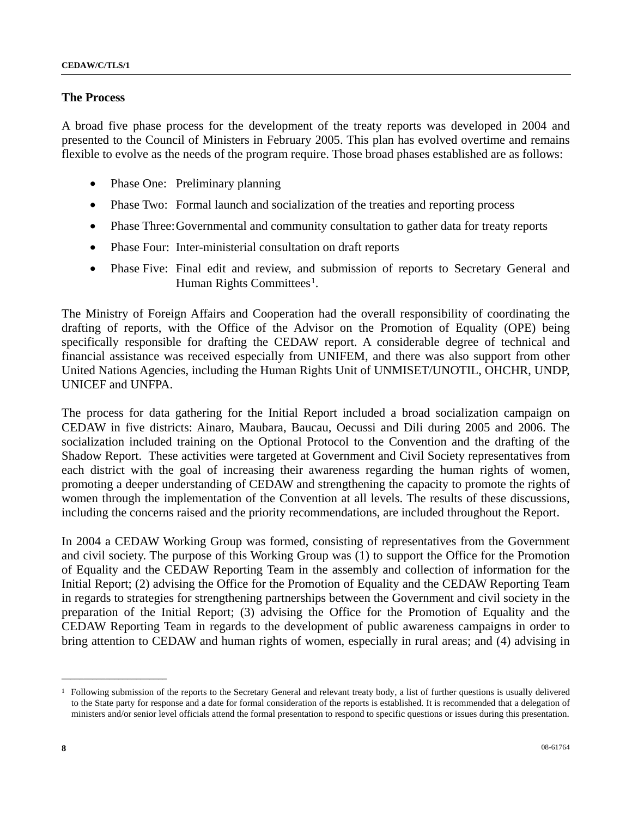#### **The Process**

A broad five phase process for the development of the treaty reports was developed in 2004 and presented to the Council of Ministers in February 2005. This plan has evolved overtime and remains flexible to evolve as the needs of the program require. Those broad phases established are as follows:

- Phase One: Preliminary planning
- Phase Two: Formal launch and socialization of the treaties and reporting process
- Phase Three: Governmental and community consultation to gather data for treaty reports
- Phase Four: Inter-ministerial consultation on draft reports
- Phase Five: Final edit and review, and submission of reports to Secretary General and Human Rights Committees<sup>1</sup>.

The Ministry of Foreign Affairs and Cooperation had the overall responsibility of coordinating the drafting of reports, with the Office of the Advisor on the Promotion of Equality (OPE) being specifically responsible for drafting the CEDAW report. A considerable degree of technical and financial assistance was received especially from UNIFEM, and there was also support from other United Nations Agencies, including the Human Rights Unit of UNMISET/UNOTIL, OHCHR, UNDP, UNICEF and UNFPA.

The process for data gathering for the Initial Report included a broad socialization campaign on CEDAW in five districts: Ainaro, Maubara, Baucau, Oecussi and Dili during 2005 and 2006. The socialization included training on the Optional Protocol to the Convention and the drafting of the Shadow Report. These activities were targeted at Government and Civil Society representatives from each district with the goal of increasing their awareness regarding the human rights of women, promoting a deeper understanding of CEDAW and strengthening the capacity to promote the rights of women through the implementation of the Convention at all levels. The results of these discussions, including the concerns raised and the priority recommendations, are included throughout the Report.

In 2004 a CEDAW Working Group was formed, consisting of representatives from the Government and civil society. The purpose of this Working Group was (1) to support the Office for the Promotion of Equality and the CEDAW Reporting Team in the assembly and collection of information for the Initial Report; (2) advising the Office for the Promotion of Equality and the CEDAW Reporting Team in regards to strategies for strengthening partnerships between the Government and civil society in the preparation of the Initial Report; (3) advising the Office for the Promotion of Equality and the CEDAW Reporting Team in regards to the development of public awareness campaigns in order to bring attention to CEDAW and human rights of women, especially in rural areas; and (4) advising in

<span id="page-7-0"></span> $1$  Following submission of the reports to the Secretary General and relevant treaty body, a list of further questions is usually delivered to the State party for response and a date for formal consideration of the reports is established. It is recommended that a delegation of ministers and/or senior level officials attend the formal presentation to respond to specific questions or issues during this presentation.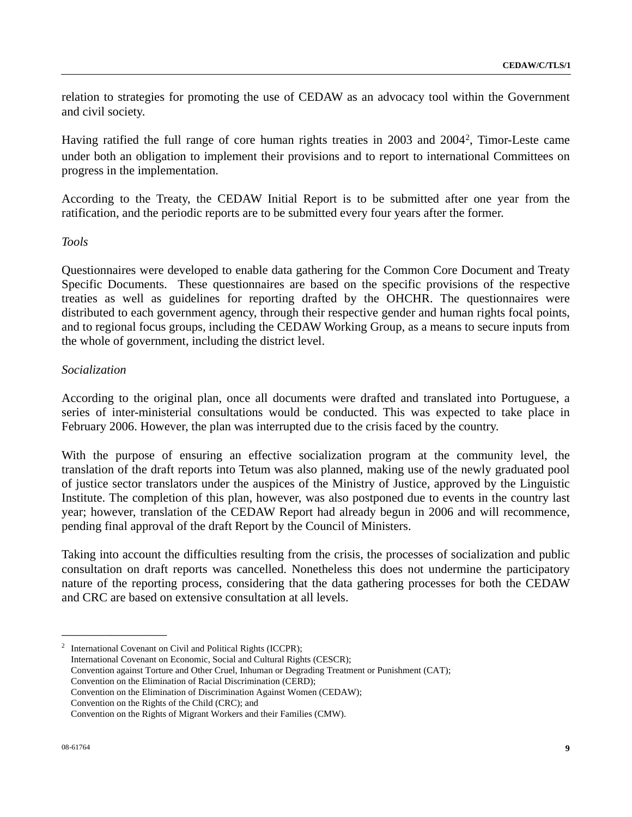relation to strategies for promoting the use of CEDAW as an advocacy tool within the Government and civil society.

Having ratified the full range of core human rights treaties in 2003 and 2004[2](#page-8-0), Timor-Leste came under both an obligation to implement their provisions and to report to international Committees on progress in the implementation.

According to the Treaty, the CEDAW Initial Report is to be submitted after one year from the ratification, and the periodic reports are to be submitted every four years after the former.

#### *Tools*

Questionnaires were developed to enable data gathering for the Common Core Document and Treaty Specific Documents. These questionnaires are based on the specific provisions of the respective treaties as well as guidelines for reporting drafted by the OHCHR. The questionnaires were distributed to each government agency, through their respective gender and human rights focal points, and to regional focus groups, including the CEDAW Working Group, as a means to secure inputs from the whole of government, including the district level.

#### *Socialization*

According to the original plan, once all documents were drafted and translated into Portuguese, a series of inter-ministerial consultations would be conducted. This was expected to take place in February 2006. However, the plan was interrupted due to the crisis faced by the country.

With the purpose of ensuring an effective socialization program at the community level, the translation of the draft reports into Tetum was also planned, making use of the newly graduated pool of justice sector translators under the auspices of the Ministry of Justice, approved by the Linguistic Institute. The completion of this plan, however, was also postponed due to events in the country last year; however, translation of the CEDAW Report had already begun in 2006 and will recommence, pending final approval of the draft Report by the Council of Ministers.

Taking into account the difficulties resulting from the crisis, the processes of socialization and public consultation on draft reports was cancelled. Nonetheless this does not undermine the participatory nature of the reporting process, considering that the data gathering processes for both the CEDAW and CRC are based on extensive consultation at all levels.

<span id="page-8-0"></span><sup>2</sup> International Covenant on Civil and Political Rights (ICCPR); International Covenant on Economic, Social and Cultural Rights (CESCR); Convention against Torture and Other Cruel, Inhuman or Degrading Treatment or Punishment (CAT); Convention on the Elimination of Racial Discrimination (CERD);

Convention on the Elimination of Discrimination Against Women (CEDAW);

Convention on the Rights of the Child (CRC); and

Convention on the Rights of Migrant Workers and their Families (CMW).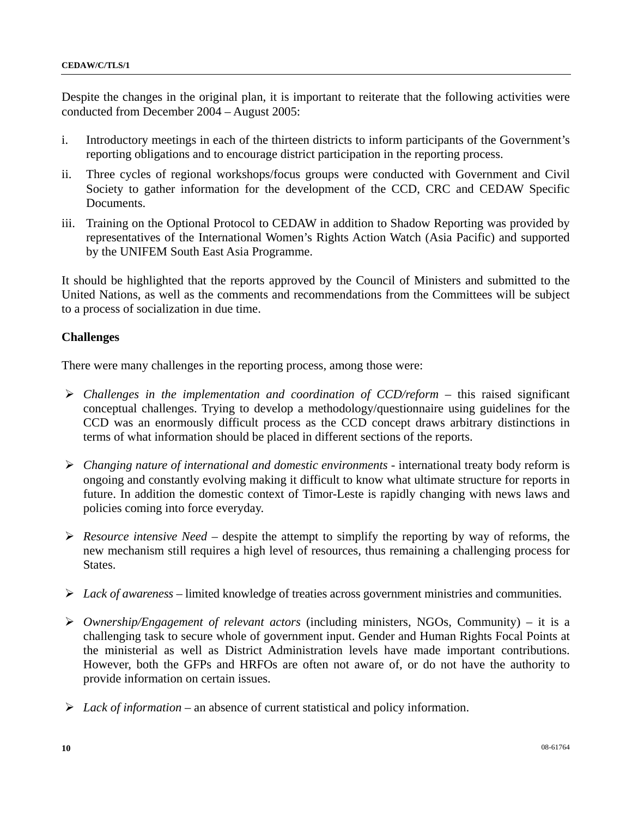Despite the changes in the original plan, it is important to reiterate that the following activities were conducted from December 2004 – August 2005:

- i. Introductory meetings in each of the thirteen districts to inform participants of the Government's reporting obligations and to encourage district participation in the reporting process.
- ii. Three cycles of regional workshops/focus groups were conducted with Government and Civil Society to gather information for the development of the CCD, CRC and CEDAW Specific Documents.
- iii. Training on the Optional Protocol to CEDAW in addition to Shadow Reporting was provided by representatives of the International Women's Rights Action Watch (Asia Pacific) and supported by the UNIFEM South East Asia Programme.

It should be highlighted that the reports approved by the Council of Ministers and submitted to the United Nations, as well as the comments and recommendations from the Committees will be subject to a process of socialization in due time.

#### **Challenges**

There were many challenges in the reporting process, among those were:

- ¾ *Challenges in the implementation and coordination of CCD/reform* this raised significant conceptual challenges. Trying to develop a methodology/questionnaire using guidelines for the CCD was an enormously difficult process as the CCD concept draws arbitrary distinctions in terms of what information should be placed in different sections of the reports.
- ¾ *Changing nature of international and domestic environments* international treaty body reform is ongoing and constantly evolving making it difficult to know what ultimate structure for reports in future. In addition the domestic context of Timor-Leste is rapidly changing with news laws and policies coming into force everyday.
- ¾ *Resource intensive Need*  despite the attempt to simplify the reporting by way of reforms, the new mechanism still requires a high level of resources, thus remaining a challenging process for States.
- ¾ *Lack of awareness* limited knowledge of treaties across government ministries and communities.
- ¾ *Ownership/Engagement of relevant actors* (including ministers, NGOs, Community) it is a challenging task to secure whole of government input. Gender and Human Rights Focal Points at the ministerial as well as District Administration levels have made important contributions. However, both the GFPs and HRFOs are often not aware of, or do not have the authority to provide information on certain issues.
- ¾ *Lack of information* an absence of current statistical and policy information.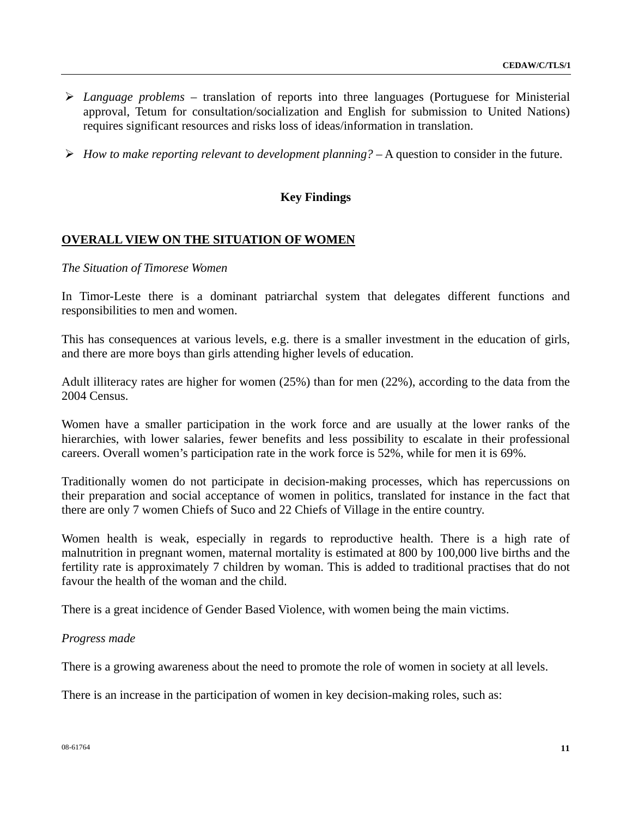- ¾ *Language problems* translation of reports into three languages (Portuguese for Ministerial approval, Tetum for consultation/socialization and English for submission to United Nations) requires significant resources and risks loss of ideas/information in translation.
- ¾ *How to make reporting relevant to development planning?* A question to consider in the future.

#### **Key Findings**

#### **OVERALL VIEW ON THE SITUATION OF WOMEN**

#### *The Situation of Timorese Women*

In Timor-Leste there is a dominant patriarchal system that delegates different functions and responsibilities to men and women.

This has consequences at various levels, e.g. there is a smaller investment in the education of girls, and there are more boys than girls attending higher levels of education.

Adult illiteracy rates are higher for women (25%) than for men (22%), according to the data from the 2004 Census.

Women have a smaller participation in the work force and are usually at the lower ranks of the hierarchies, with lower salaries, fewer benefits and less possibility to escalate in their professional careers. Overall women's participation rate in the work force is 52%, while for men it is 69%.

Traditionally women do not participate in decision-making processes, which has repercussions on their preparation and social acceptance of women in politics, translated for instance in the fact that there are only 7 women Chiefs of Suco and 22 Chiefs of Village in the entire country.

Women health is weak, especially in regards to reproductive health. There is a high rate of malnutrition in pregnant women, maternal mortality is estimated at 800 by 100,000 live births and the fertility rate is approximately 7 children by woman. This is added to traditional practises that do not favour the health of the woman and the child.

There is a great incidence of Gender Based Violence, with women being the main victims.

#### *Progress made*

There is a growing awareness about the need to promote the role of women in society at all levels.

There is an increase in the participation of women in key decision-making roles, such as: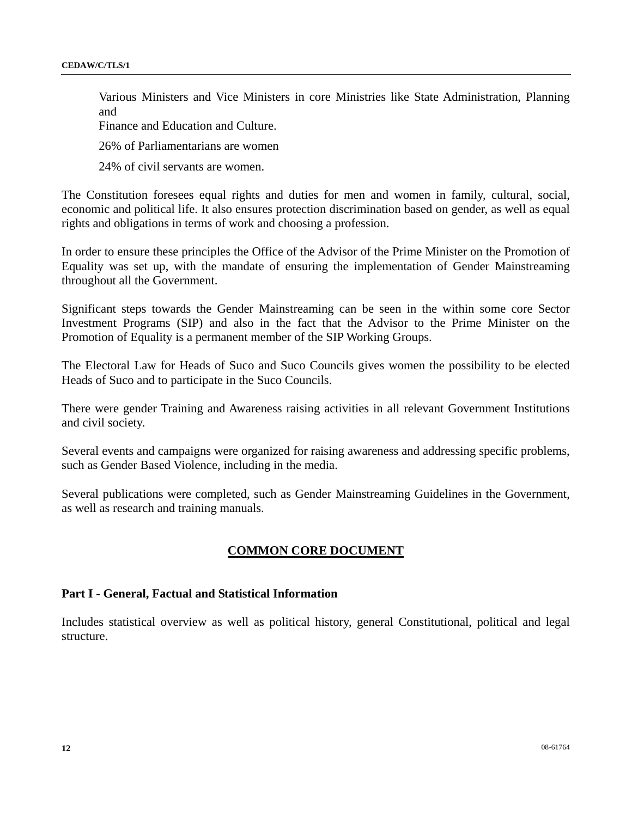Various Ministers and Vice Ministers in core Ministries like State Administration, Planning and

Finance and Education and Culture.

26% of Parliamentarians are women

24% of civil servants are women.

The Constitution foresees equal rights and duties for men and women in family, cultural, social, economic and political life. It also ensures protection discrimination based on gender, as well as equal rights and obligations in terms of work and choosing a profession.

In order to ensure these principles the Office of the Advisor of the Prime Minister on the Promotion of Equality was set up, with the mandate of ensuring the implementation of Gender Mainstreaming throughout all the Government.

Significant steps towards the Gender Mainstreaming can be seen in the within some core Sector Investment Programs (SIP) and also in the fact that the Advisor to the Prime Minister on the Promotion of Equality is a permanent member of the SIP Working Groups.

The Electoral Law for Heads of Suco and Suco Councils gives women the possibility to be elected Heads of Suco and to participate in the Suco Councils.

There were gender Training and Awareness raising activities in all relevant Government Institutions and civil society.

Several events and campaigns were organized for raising awareness and addressing specific problems, such as Gender Based Violence, including in the media.

Several publications were completed, such as Gender Mainstreaming Guidelines in the Government, as well as research and training manuals.

## **COMMON CORE DOCUMENT**

#### **Part I - General, Factual and Statistical Information**

Includes statistical overview as well as political history, general Constitutional, political and legal structure.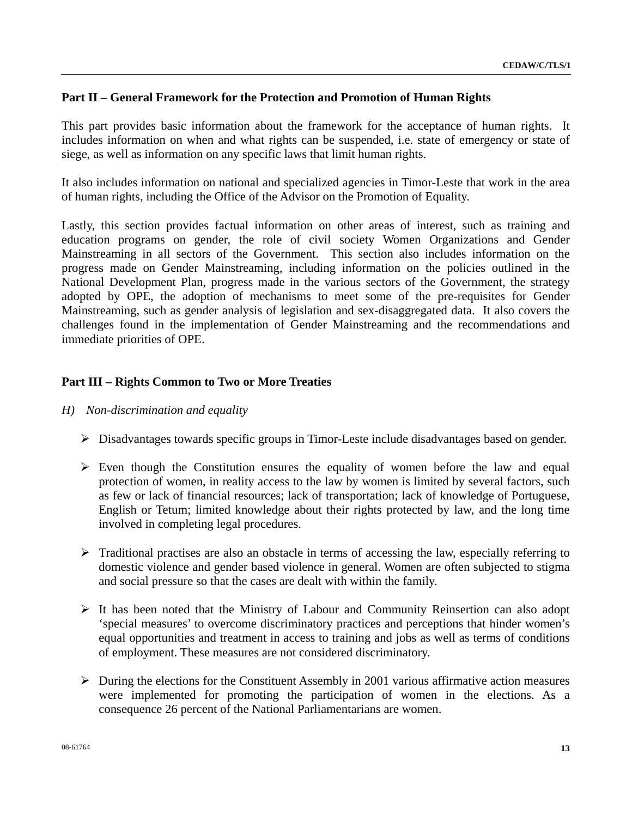## **Part II – General Framework for the Protection and Promotion of Human Rights**

This part provides basic information about the framework for the acceptance of human rights. It includes information on when and what rights can be suspended, i.e. state of emergency or state of siege, as well as information on any specific laws that limit human rights.

It also includes information on national and specialized agencies in Timor-Leste that work in the area of human rights, including the Office of the Advisor on the Promotion of Equality.

Lastly, this section provides factual information on other areas of interest, such as training and education programs on gender, the role of civil society Women Organizations and Gender Mainstreaming in all sectors of the Government. This section also includes information on the progress made on Gender Mainstreaming, including information on the policies outlined in the National Development Plan, progress made in the various sectors of the Government, the strategy adopted by OPE, the adoption of mechanisms to meet some of the pre-requisites for Gender Mainstreaming, such as gender analysis of legislation and sex-disaggregated data. It also covers the challenges found in the implementation of Gender Mainstreaming and the recommendations and immediate priorities of OPE.

#### **Part III – Rights Common to Two or More Treaties**

- *H) Non-discrimination and equality* 
	- $\triangleright$  Disadvantages towards specific groups in Timor-Leste include disadvantages based on gender.
	- $\triangleright$  Even though the Constitution ensures the equality of women before the law and equal protection of women, in reality access to the law by women is limited by several factors, such as few or lack of financial resources; lack of transportation; lack of knowledge of Portuguese, English or Tetum; limited knowledge about their rights protected by law, and the long time involved in completing legal procedures.
	- $\triangleright$  Traditional practises are also an obstacle in terms of accessing the law, especially referring to domestic violence and gender based violence in general. Women are often subjected to stigma and social pressure so that the cases are dealt with within the family.
	- $\triangleright$  It has been noted that the Ministry of Labour and Community Reinsertion can also adopt 'special measures' to overcome discriminatory practices and perceptions that hinder women's equal opportunities and treatment in access to training and jobs as well as terms of conditions of employment. These measures are not considered discriminatory.
	- $\triangleright$  During the elections for the Constituent Assembly in 2001 various affirmative action measures were implemented for promoting the participation of women in the elections. As a consequence 26 percent of the National Parliamentarians are women.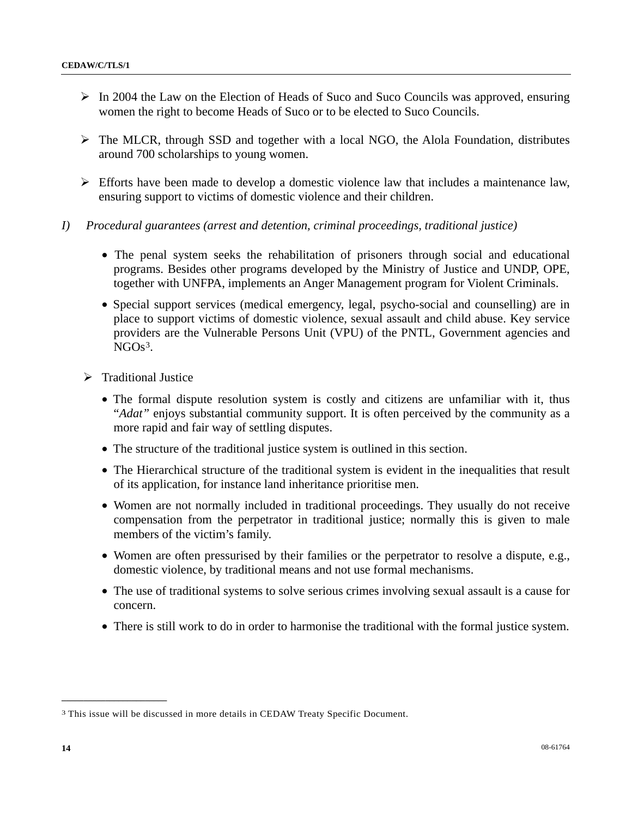- $\triangleright$  In 2004 the Law on the Election of Heads of Suco and Suco Councils was approved, ensuring women the right to become Heads of Suco or to be elected to Suco Councils.
- $\triangleright$  The MLCR, through SSD and together with a local NGO, the Alola Foundation, distributes around 700 scholarships to young women.
- $\triangleright$  Efforts have been made to develop a domestic violence law that includes a maintenance law, ensuring support to victims of domestic violence and their children.
- *I) Procedural guarantees (arrest and detention, criminal proceedings, traditional justice)* 
	- The penal system seeks the rehabilitation of prisoners through social and educational programs. Besides other programs developed by the Ministry of Justice and UNDP, OPE, together with UNFPA, implements an Anger Management program for Violent Criminals.
	- Special support services (medical emergency, legal, psycho-social and counselling) are in place to support victims of domestic violence, sexual assault and child abuse. Key service providers are the Vulnerable Persons Unit (VPU) of the PNTL, Government agencies and  $NGOs<sup>3</sup>$  $NGOs<sup>3</sup>$  $NGOs<sup>3</sup>$ .
	- $\triangleright$  Traditional Justice
		- The formal dispute resolution system is costly and citizens are unfamiliar with it, thus "*Adat"* enjoys substantial community support. It is often perceived by the community as a more rapid and fair way of settling disputes.
		- The structure of the traditional justice system is outlined in this section.
		- The Hierarchical structure of the traditional system is evident in the inequalities that result of its application, for instance land inheritance prioritise men.
		- Women are not normally included in traditional proceedings. They usually do not receive compensation from the perpetrator in traditional justice; normally this is given to male members of the victim's family.
		- Women are often pressurised by their families or the perpetrator to resolve a dispute, e.g., domestic violence, by traditional means and not use formal mechanisms.
		- The use of traditional systems to solve serious crimes involving sexual assault is a cause for concern.
		- There is still work to do in order to harmonise the traditional with the formal justice system.

<span id="page-13-0"></span><sup>3</sup> This issue will be discussed in more details in CEDAW Treaty Specific Document.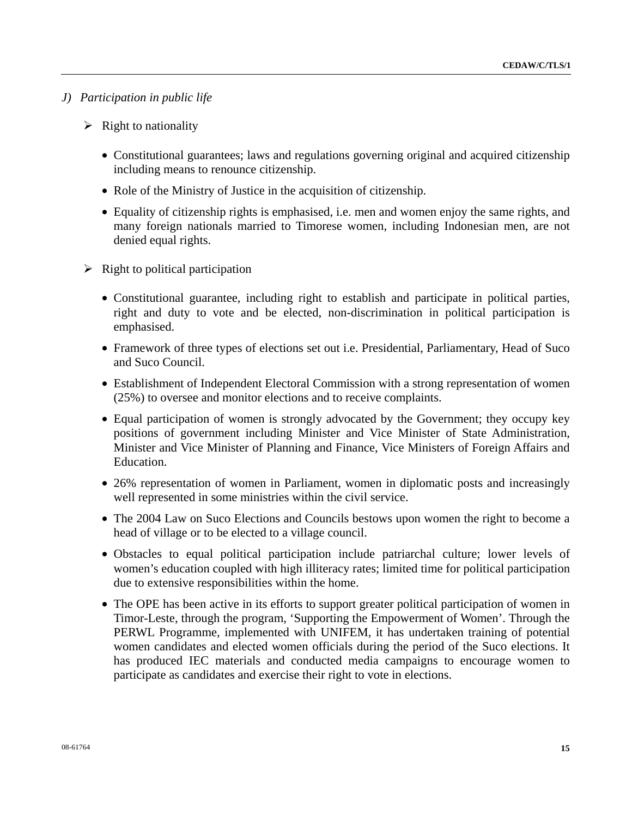#### *J) Participation in public life*

- $\triangleright$  Right to nationality
	- Constitutional guarantees; laws and regulations governing original and acquired citizenship including means to renounce citizenship.
	- Role of the Ministry of Justice in the acquisition of citizenship.
	- Equality of citizenship rights is emphasised, i.e. men and women enjoy the same rights, and many foreign nationals married to Timorese women, including Indonesian men, are not denied equal rights.
- $\triangleright$  Right to political participation
	- Constitutional guarantee, including right to establish and participate in political parties, right and duty to vote and be elected, non-discrimination in political participation is emphasised.
	- Framework of three types of elections set out i.e. Presidential, Parliamentary, Head of Suco and Suco Council.
	- Establishment of Independent Electoral Commission with a strong representation of women (25%) to oversee and monitor elections and to receive complaints.
	- Equal participation of women is strongly advocated by the Government; they occupy key positions of government including Minister and Vice Minister of State Administration, Minister and Vice Minister of Planning and Finance, Vice Ministers of Foreign Affairs and Education.
	- 26% representation of women in Parliament, women in diplomatic posts and increasingly well represented in some ministries within the civil service.
	- The 2004 Law on Suco Elections and Councils bestows upon women the right to become a head of village or to be elected to a village council.
	- Obstacles to equal political participation include patriarchal culture; lower levels of women's education coupled with high illiteracy rates; limited time for political participation due to extensive responsibilities within the home.
	- The OPE has been active in its efforts to support greater political participation of women in Timor-Leste, through the program, 'Supporting the Empowerment of Women'. Through the PERWL Programme, implemented with UNIFEM, it has undertaken training of potential women candidates and elected women officials during the period of the Suco elections. It has produced IEC materials and conducted media campaigns to encourage women to participate as candidates and exercise their right to vote in elections.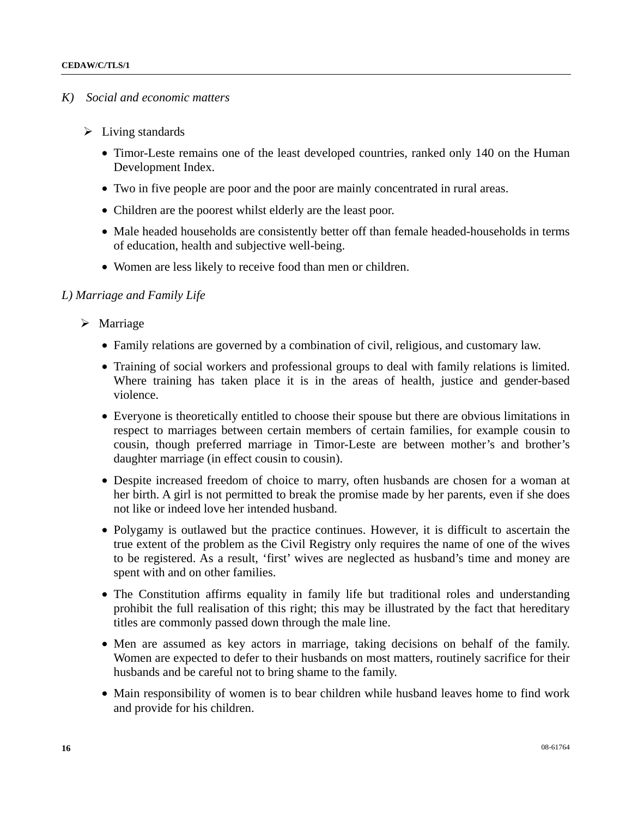#### *K) Social and economic matters*

- $\triangleright$  Living standards
	- Timor-Leste remains one of the least developed countries, ranked only 140 on the Human Development Index.
	- Two in five people are poor and the poor are mainly concentrated in rural areas.
	- Children are the poorest whilst elderly are the least poor.
	- Male headed households are consistently better off than female headed-households in terms of education, health and subjective well-being.
	- Women are less likely to receive food than men or children.

#### *L) Marriage and Family Life*

- $\triangleright$  Marriage
	- Family relations are governed by a combination of civil, religious, and customary law.
	- Training of social workers and professional groups to deal with family relations is limited. Where training has taken place it is in the areas of health, justice and gender-based violence.
	- Everyone is theoretically entitled to choose their spouse but there are obvious limitations in respect to marriages between certain members of certain families, for example cousin to cousin, though preferred marriage in Timor-Leste are between mother's and brother's daughter marriage (in effect cousin to cousin).
	- Despite increased freedom of choice to marry, often husbands are chosen for a woman at her birth. A girl is not permitted to break the promise made by her parents, even if she does not like or indeed love her intended husband.
	- Polygamy is outlawed but the practice continues. However, it is difficult to ascertain the true extent of the problem as the Civil Registry only requires the name of one of the wives to be registered. As a result, 'first' wives are neglected as husband's time and money are spent with and on other families.
	- The Constitution affirms equality in family life but traditional roles and understanding prohibit the full realisation of this right; this may be illustrated by the fact that hereditary titles are commonly passed down through the male line.
	- Men are assumed as key actors in marriage, taking decisions on behalf of the family. Women are expected to defer to their husbands on most matters, routinely sacrifice for their husbands and be careful not to bring shame to the family.
	- Main responsibility of women is to bear children while husband leaves home to find work and provide for his children.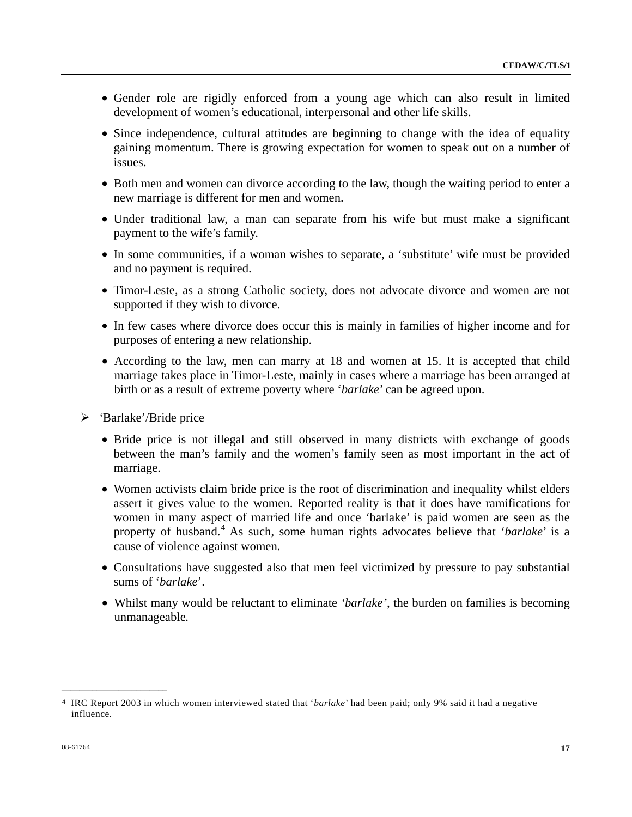- Gender role are rigidly enforced from a young age which can also result in limited development of women's educational, interpersonal and other life skills.
- Since independence, cultural attitudes are beginning to change with the idea of equality gaining momentum. There is growing expectation for women to speak out on a number of issues.
- Both men and women can divorce according to the law, though the waiting period to enter a new marriage is different for men and women.
- Under traditional law, a man can separate from his wife but must make a significant payment to the wife's family.
- In some communities, if a woman wishes to separate, a 'substitute' wife must be provided and no payment is required.
- Timor-Leste, as a strong Catholic society, does not advocate divorce and women are not supported if they wish to divorce.
- In few cases where divorce does occur this is mainly in families of higher income and for purposes of entering a new relationship.
- According to the law, men can marry at 18 and women at 15. It is accepted that child marriage takes place in Timor-Leste, mainly in cases where a marriage has been arranged at birth or as a result of extreme poverty where '*barlake*' can be agreed upon.
- ¾ *'*Barlake'/Bride price
	- Bride price is not illegal and still observed in many districts with exchange of goods between the man's family and the women's family seen as most important in the act of marriage.
	- Women activists claim bride price is the root of discrimination and inequality whilst elders assert it gives value to the women. Reported reality is that it does have ramifications for women in many aspect of married life and once 'barlake' is paid women are seen as the property of husband.<sup>[4](#page-16-0)</sup> As such, some human rights advocates believe that '*barlake*' is a cause of violence against women.
	- Consultations have suggested also that men feel victimized by pressure to pay substantial sums of '*barlake*'.
	- Whilst many would be reluctant to eliminate *'barlake'*, the burden on families is becoming unmanageable*.*

<span id="page-16-0"></span><sup>4</sup> IRC Report 2003 in which women interviewed stated that '*barlake*' had been paid; only 9% said it had a negative influence.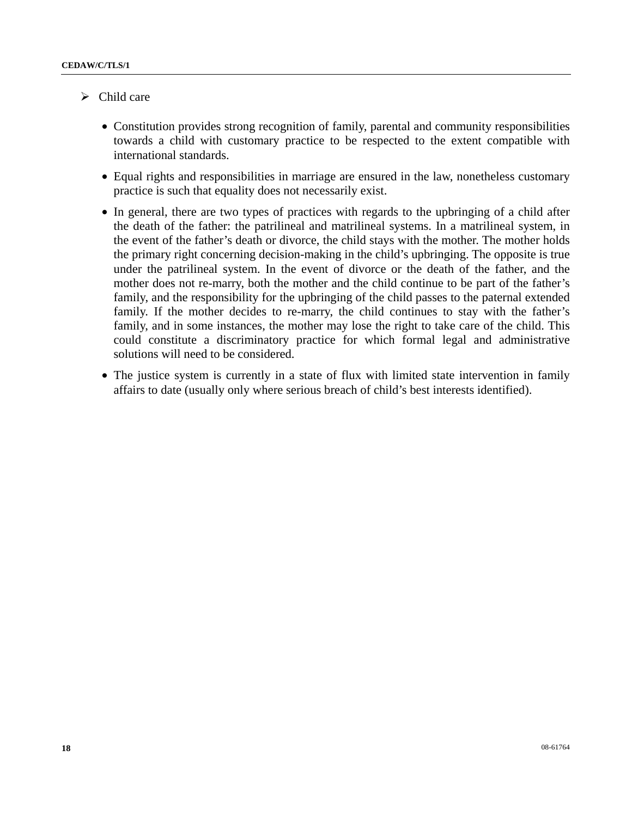- $\triangleright$  Child care
	- Constitution provides strong recognition of family, parental and community responsibilities towards a child with customary practice to be respected to the extent compatible with international standards.
	- Equal rights and responsibilities in marriage are ensured in the law, nonetheless customary practice is such that equality does not necessarily exist.
	- In general, there are two types of practices with regards to the upbringing of a child after the death of the father: the patrilineal and matrilineal systems. In a matrilineal system, in the event of the father's death or divorce, the child stays with the mother. The mother holds the primary right concerning decision-making in the child's upbringing. The opposite is true under the patrilineal system. In the event of divorce or the death of the father, and the mother does not re-marry, both the mother and the child continue to be part of the father's family, and the responsibility for the upbringing of the child passes to the paternal extended family. If the mother decides to re-marry, the child continues to stay with the father's family, and in some instances, the mother may lose the right to take care of the child. This could constitute a discriminatory practice for which formal legal and administrative solutions will need to be considered.
	- The justice system is currently in a state of flux with limited state intervention in family affairs to date (usually only where serious breach of child's best interests identified).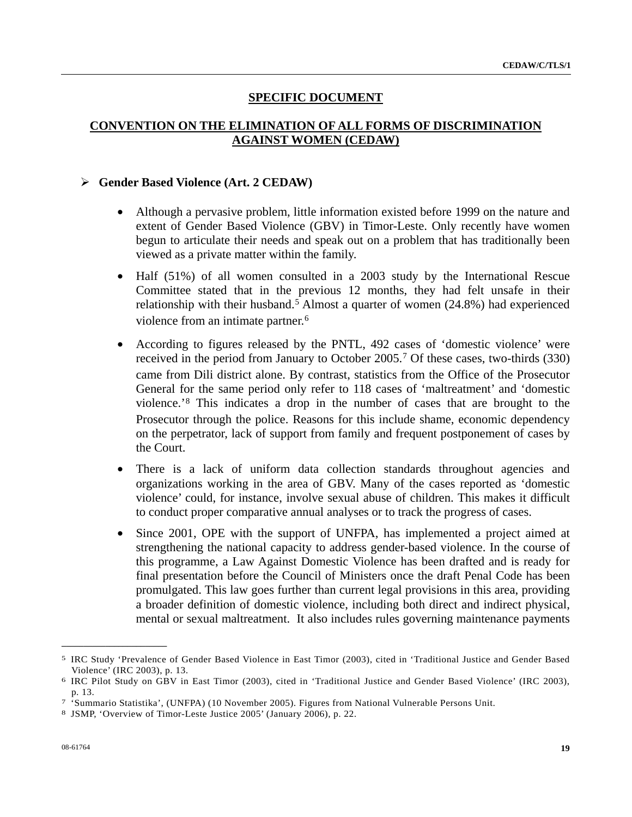## **SPECIFIC DOCUMENT**

## **CONVENTION ON THE ELIMINATION OF ALL FORMS OF DISCRIMINATION AGAINST WOMEN (CEDAW)**

#### ¾ **Gender Based Violence (Art. 2 CEDAW)**

- Although a pervasive problem, little information existed before 1999 on the nature and extent of Gender Based Violence (GBV) in Timor-Leste. Only recently have women begun to articulate their needs and speak out on a problem that has traditionally been viewed as a private matter within the family.
- Half (51%) of all women consulted in a 2003 study by the International Rescue Committee stated that in the previous 12 months, they had felt unsafe in their relationship with their husband.<sup>[5](#page-18-0)</sup> Almost a quarter of women (24.8%) had experienced violence from an intimate partner.<sup>[6](#page-18-1)</sup>
- According to figures released by the PNTL, 492 cases of 'domestic violence' were received in the period from January to October 2005.[7](#page-18-2) Of these cases, two-thirds (330) came from Dili district alone. By contrast, statistics from the Office of the Prosecutor General for the same period only refer to 118 cases of 'maltreatment' and 'domestic violence.'[8](#page-18-3) This indicates a drop in the number of cases that are brought to the Prosecutor through the police. Reasons for this include shame, economic dependency on the perpetrator, lack of support from family and frequent postponement of cases by the Court.
- There is a lack of uniform data collection standards throughout agencies and organizations working in the area of GBV. Many of the cases reported as 'domestic violence' could, for instance, involve sexual abuse of children. This makes it difficult to conduct proper comparative annual analyses or to track the progress of cases.
- Since 2001, OPE with the support of UNFPA, has implemented a project aimed at strengthening the national capacity to address gender-based violence. In the course of this programme, a Law Against Domestic Violence has been drafted and is ready for final presentation before the Council of Ministers once the draft Penal Code has been promulgated. This law goes further than current legal provisions in this area, providing a broader definition of domestic violence, including both direct and indirect physical, mental or sexual maltreatment. It also includes rules governing maintenance payments

<span id="page-18-0"></span><sup>5</sup> IRC Study 'Prevalence of Gender Based Violence in East Timor (2003), cited in 'Traditional Justice and Gender Based Violence' (IRC 2003), p. 13.<br><sup>6</sup> IRC Pilot Study on GBV in East Timor (2003), cited in 'Traditional Justice and Gender Based Violence' (IRC 2003),

<span id="page-18-1"></span>p. 13. 7 'Summario Statistika', (UNFPA) (10 November 2005). Figures from National Vulnerable Persons Unit. 8 JSMP, 'Overview of Timor-Leste Justice 2005' (January 2006), p. 22.

<span id="page-18-2"></span>

<span id="page-18-3"></span>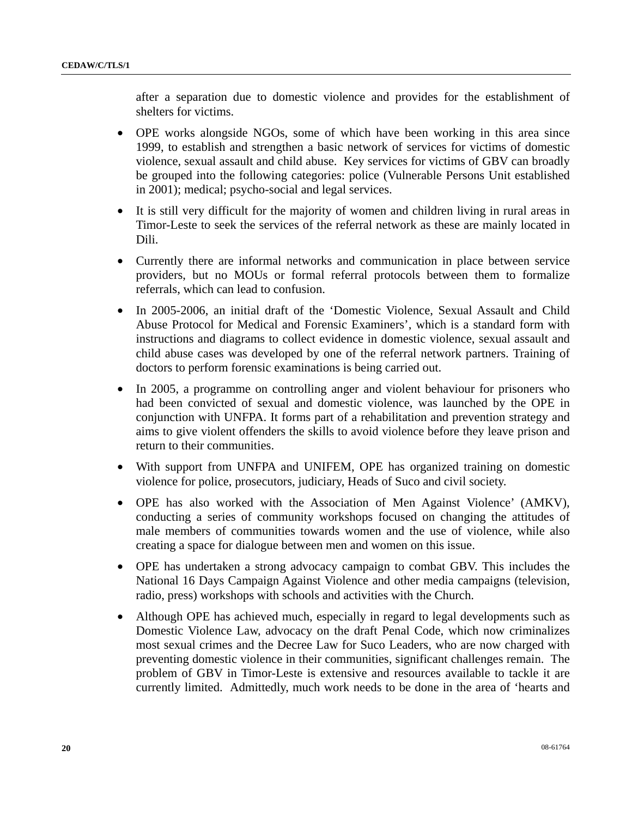after a separation due to domestic violence and provides for the establishment of shelters for victims.

- OPE works alongside NGOs, some of which have been working in this area since 1999, to establish and strengthen a basic network of services for victims of domestic violence, sexual assault and child abuse. Key services for victims of GBV can broadly be grouped into the following categories: police (Vulnerable Persons Unit established in 2001); medical; psycho-social and legal services.
- It is still very difficult for the majority of women and children living in rural areas in Timor-Leste to seek the services of the referral network as these are mainly located in Dili.
- Currently there are informal networks and communication in place between service providers, but no MOUs or formal referral protocols between them to formalize referrals, which can lead to confusion.
- In 2005-2006, an initial draft of the 'Domestic Violence, Sexual Assault and Child Abuse Protocol for Medical and Forensic Examiners', which is a standard form with instructions and diagrams to collect evidence in domestic violence, sexual assault and child abuse cases was developed by one of the referral network partners. Training of doctors to perform forensic examinations is being carried out.
- In 2005, a programme on controlling anger and violent behaviour for prisoners who had been convicted of sexual and domestic violence, was launched by the OPE in conjunction with UNFPA. It forms part of a rehabilitation and prevention strategy and aims to give violent offenders the skills to avoid violence before they leave prison and return to their communities.
- With support from UNFPA and UNIFEM, OPE has organized training on domestic violence for police, prosecutors, judiciary, Heads of Suco and civil society.
- OPE has also worked with the Association of Men Against Violence' (AMKV), conducting a series of community workshops focused on changing the attitudes of male members of communities towards women and the use of violence, while also creating a space for dialogue between men and women on this issue.
- OPE has undertaken a strong advocacy campaign to combat GBV. This includes the National 16 Days Campaign Against Violence and other media campaigns (television, radio, press) workshops with schools and activities with the Church.
- Although OPE has achieved much, especially in regard to legal developments such as Domestic Violence Law, advocacy on the draft Penal Code, which now criminalizes most sexual crimes and the Decree Law for Suco Leaders, who are now charged with preventing domestic violence in their communities, significant challenges remain. The problem of GBV in Timor-Leste is extensive and resources available to tackle it are currently limited. Admittedly, much work needs to be done in the area of 'hearts and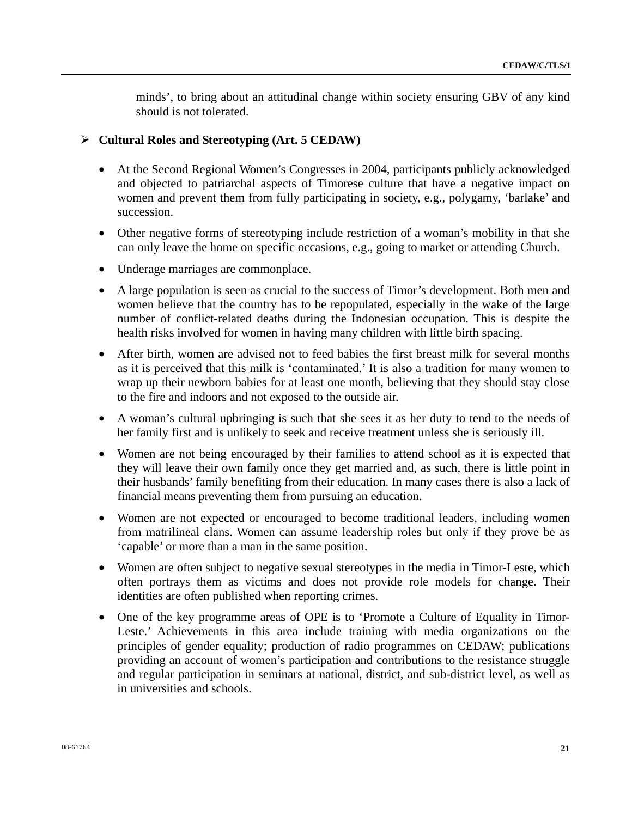minds', to bring about an attitudinal change within society ensuring GBV of any kind should is not tolerated.

#### ¾ **Cultural Roles and Stereotyping (Art. 5 CEDAW)**

- At the Second Regional Women's Congresses in 2004, participants publicly acknowledged and objected to patriarchal aspects of Timorese culture that have a negative impact on women and prevent them from fully participating in society, e.g., polygamy, 'barlake' and succession.
- Other negative forms of stereotyping include restriction of a woman's mobility in that she can only leave the home on specific occasions, e.g., going to market or attending Church.
- Underage marriages are commonplace.
- A large population is seen as crucial to the success of Timor's development. Both men and women believe that the country has to be repopulated, especially in the wake of the large number of conflict-related deaths during the Indonesian occupation. This is despite the health risks involved for women in having many children with little birth spacing.
- After birth, women are advised not to feed babies the first breast milk for several months as it is perceived that this milk is 'contaminated.' It is also a tradition for many women to wrap up their newborn babies for at least one month, believing that they should stay close to the fire and indoors and not exposed to the outside air.
- A woman's cultural upbringing is such that she sees it as her duty to tend to the needs of her family first and is unlikely to seek and receive treatment unless she is seriously ill.
- Women are not being encouraged by their families to attend school as it is expected that they will leave their own family once they get married and, as such, there is little point in their husbands' family benefiting from their education. In many cases there is also a lack of financial means preventing them from pursuing an education.
- Women are not expected or encouraged to become traditional leaders, including women from matrilineal clans. Women can assume leadership roles but only if they prove be as 'capable' or more than a man in the same position.
- Women are often subject to negative sexual stereotypes in the media in Timor-Leste, which often portrays them as victims and does not provide role models for change. Their identities are often published when reporting crimes.
- One of the key programme areas of OPE is to 'Promote a Culture of Equality in Timor-Leste.' Achievements in this area include training with media organizations on the principles of gender equality; production of radio programmes on CEDAW; publications providing an account of women's participation and contributions to the resistance struggle and regular participation in seminars at national, district, and sub-district level, as well as in universities and schools.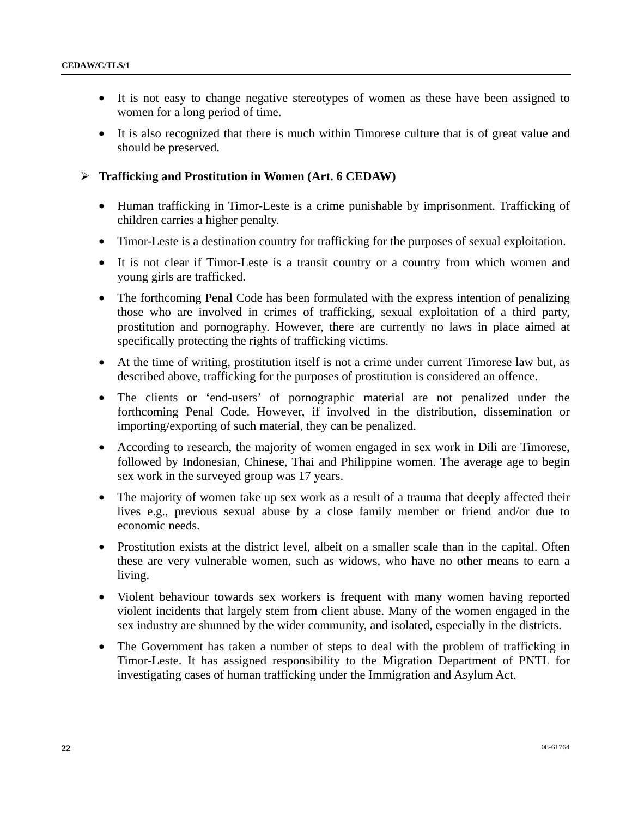- It is not easy to change negative stereotypes of women as these have been assigned to women for a long period of time.
- It is also recognized that there is much within Timorese culture that is of great value and should be preserved.

#### ¾ **Trafficking and Prostitution in Women (Art. 6 CEDAW)**

- Human trafficking in Timor-Leste is a crime punishable by imprisonment. Trafficking of children carries a higher penalty.
- Timor-Leste is a destination country for trafficking for the purposes of sexual exploitation.
- It is not clear if Timor-Leste is a transit country or a country from which women and young girls are trafficked.
- The forthcoming Penal Code has been formulated with the express intention of penalizing those who are involved in crimes of trafficking, sexual exploitation of a third party, prostitution and pornography. However, there are currently no laws in place aimed at specifically protecting the rights of trafficking victims.
- At the time of writing, prostitution itself is not a crime under current Timorese law but, as described above, trafficking for the purposes of prostitution is considered an offence.
- The clients or 'end-users' of pornographic material are not penalized under the forthcoming Penal Code. However, if involved in the distribution, dissemination or importing/exporting of such material, they can be penalized.
- According to research, the majority of women engaged in sex work in Dili are Timorese, followed by Indonesian, Chinese, Thai and Philippine women. The average age to begin sex work in the surveyed group was 17 years.
- The majority of women take up sex work as a result of a trauma that deeply affected their lives e.g., previous sexual abuse by a close family member or friend and/or due to economic needs.
- Prostitution exists at the district level, albeit on a smaller scale than in the capital. Often these are very vulnerable women, such as widows, who have no other means to earn a living.
- Violent behaviour towards sex workers is frequent with many women having reported violent incidents that largely stem from client abuse. Many of the women engaged in the sex industry are shunned by the wider community, and isolated, especially in the districts.
- The Government has taken a number of steps to deal with the problem of trafficking in Timor-Leste. It has assigned responsibility to the Migration Department of PNTL for investigating cases of human trafficking under the Immigration and Asylum Act.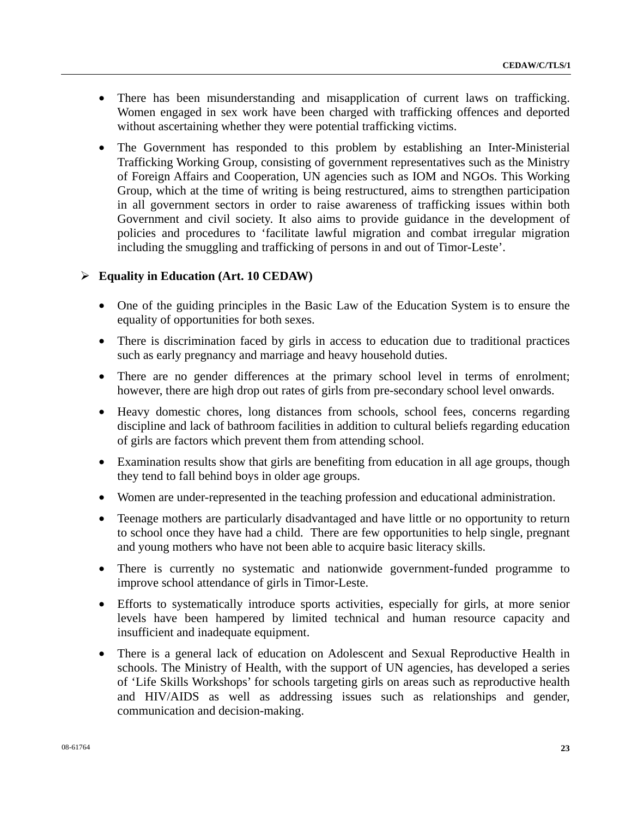- There has been misunderstanding and misapplication of current laws on trafficking. Women engaged in sex work have been charged with trafficking offences and deported without ascertaining whether they were potential trafficking victims.
- The Government has responded to this problem by establishing an Inter-Ministerial Trafficking Working Group, consisting of government representatives such as the Ministry of Foreign Affairs and Cooperation, UN agencies such as IOM and NGOs. This Working Group, which at the time of writing is being restructured, aims to strengthen participation in all government sectors in order to raise awareness of trafficking issues within both Government and civil society. It also aims to provide guidance in the development of policies and procedures to 'facilitate lawful migration and combat irregular migration including the smuggling and trafficking of persons in and out of Timor-Leste'.

## ¾ **Equality in Education (Art. 10 CEDAW)**

- One of the guiding principles in the Basic Law of the Education System is to ensure the equality of opportunities for both sexes.
- There is discrimination faced by girls in access to education due to traditional practices such as early pregnancy and marriage and heavy household duties.
- There are no gender differences at the primary school level in terms of enrolment; however, there are high drop out rates of girls from pre-secondary school level onwards.
- Heavy domestic chores, long distances from schools, school fees, concerns regarding discipline and lack of bathroom facilities in addition to cultural beliefs regarding education of girls are factors which prevent them from attending school.
- Examination results show that girls are benefiting from education in all age groups, though they tend to fall behind boys in older age groups.
- Women are under-represented in the teaching profession and educational administration.
- Teenage mothers are particularly disadvantaged and have little or no opportunity to return to school once they have had a child. There are few opportunities to help single, pregnant and young mothers who have not been able to acquire basic literacy skills.
- There is currently no systematic and nationwide government-funded programme to improve school attendance of girls in Timor-Leste.
- Efforts to systematically introduce sports activities, especially for girls, at more senior levels have been hampered by limited technical and human resource capacity and insufficient and inadequate equipment.
- There is a general lack of education on Adolescent and Sexual Reproductive Health in schools. The Ministry of Health, with the support of UN agencies, has developed a series of 'Life Skills Workshops' for schools targeting girls on areas such as reproductive health and HIV/AIDS as well as addressing issues such as relationships and gender, communication and decision-making.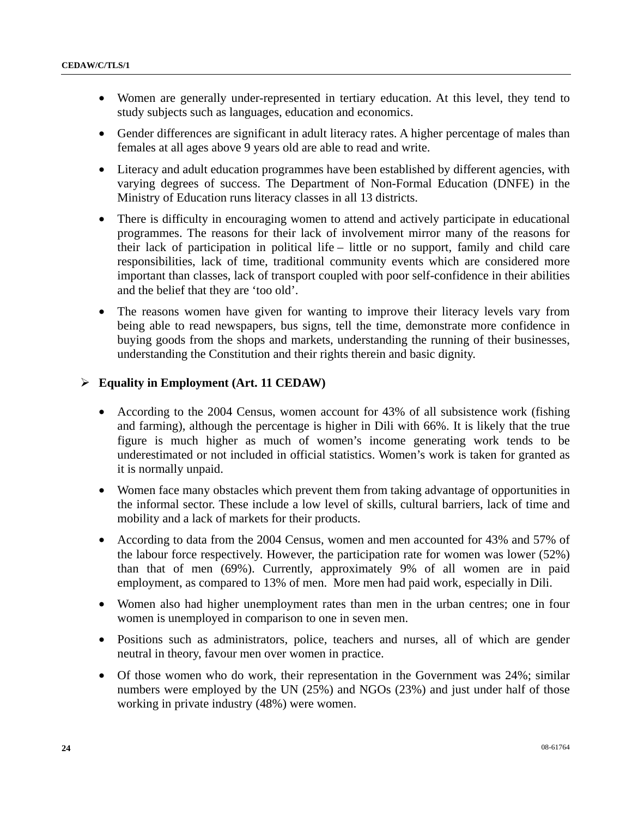- Women are generally under-represented in tertiary education. At this level, they tend to study subjects such as languages, education and economics.
- Gender differences are significant in adult literacy rates. A higher percentage of males than females at all ages above 9 years old are able to read and write.
- Literacy and adult education programmes have been established by different agencies, with varying degrees of success. The Department of Non-Formal Education (DNFE) in the Ministry of Education runs literacy classes in all 13 districts.
- There is difficulty in encouraging women to attend and actively participate in educational programmes. The reasons for their lack of involvement mirror many of the reasons for their lack of participation in political life – little or no support, family and child care responsibilities, lack of time, traditional community events which are considered more important than classes, lack of transport coupled with poor self-confidence in their abilities and the belief that they are 'too old'.
- The reasons women have given for wanting to improve their literacy levels vary from being able to read newspapers, bus signs, tell the time, demonstrate more confidence in buying goods from the shops and markets, understanding the running of their businesses, understanding the Constitution and their rights therein and basic dignity.

## ¾ **Equality in Employment (Art. 11 CEDAW)**

- According to the 2004 Census, women account for 43% of all subsistence work (fishing and farming), although the percentage is higher in Dili with 66%. It is likely that the true figure is much higher as much of women's income generating work tends to be underestimated or not included in official statistics. Women's work is taken for granted as it is normally unpaid.
- Women face many obstacles which prevent them from taking advantage of opportunities in the informal sector. These include a low level of skills, cultural barriers, lack of time and mobility and a lack of markets for their products.
- According to data from the 2004 Census, women and men accounted for 43% and 57% of the labour force respectively. However, the participation rate for women was lower (52%) than that of men (69%). Currently, approximately 9% of all women are in paid employment, as compared to 13% of men. More men had paid work, especially in Dili.
- Women also had higher unemployment rates than men in the urban centres; one in four women is unemployed in comparison to one in seven men.
- Positions such as administrators, police, teachers and nurses, all of which are gender neutral in theory, favour men over women in practice.
- Of those women who do work, their representation in the Government was 24%; similar numbers were employed by the UN (25%) and NGOs (23%) and just under half of those working in private industry (48%) were women.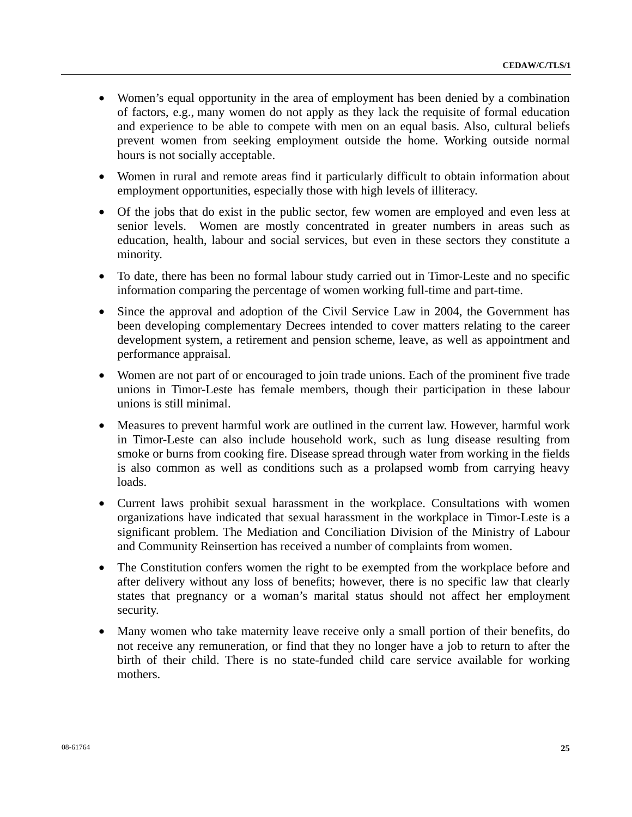- Women's equal opportunity in the area of employment has been denied by a combination of factors, e.g., many women do not apply as they lack the requisite of formal education and experience to be able to compete with men on an equal basis. Also, cultural beliefs prevent women from seeking employment outside the home. Working outside normal hours is not socially acceptable.
- Women in rural and remote areas find it particularly difficult to obtain information about employment opportunities, especially those with high levels of illiteracy.
- Of the jobs that do exist in the public sector, few women are employed and even less at senior levels. Women are mostly concentrated in greater numbers in areas such as education, health, labour and social services, but even in these sectors they constitute a minority.
- To date, there has been no formal labour study carried out in Timor-Leste and no specific information comparing the percentage of women working full-time and part-time.
- Since the approval and adoption of the Civil Service Law in 2004, the Government has been developing complementary Decrees intended to cover matters relating to the career development system, a retirement and pension scheme, leave, as well as appointment and performance appraisal.
- Women are not part of or encouraged to join trade unions. Each of the prominent five trade unions in Timor-Leste has female members, though their participation in these labour unions is still minimal.
- Measures to prevent harmful work are outlined in the current law. However, harmful work in Timor-Leste can also include household work, such as lung disease resulting from smoke or burns from cooking fire. Disease spread through water from working in the fields is also common as well as conditions such as a prolapsed womb from carrying heavy loads.
- Current laws prohibit sexual harassment in the workplace. Consultations with women organizations have indicated that sexual harassment in the workplace in Timor-Leste is a significant problem. The Mediation and Conciliation Division of the Ministry of Labour and Community Reinsertion has received a number of complaints from women.
- The Constitution confers women the right to be exempted from the workplace before and after delivery without any loss of benefits; however, there is no specific law that clearly states that pregnancy or a woman's marital status should not affect her employment security.
- Many women who take maternity leave receive only a small portion of their benefits, do not receive any remuneration, or find that they no longer have a job to return to after the birth of their child. There is no state-funded child care service available for working mothers.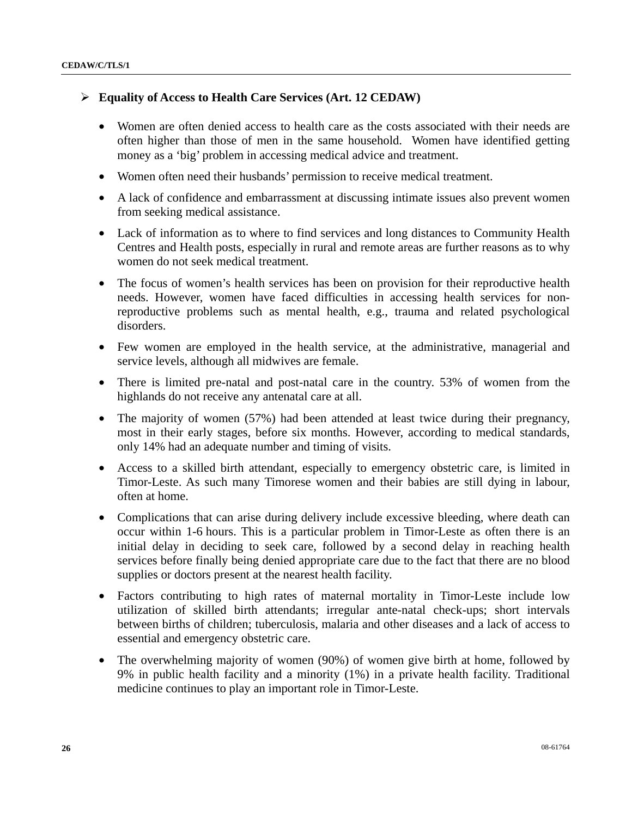## ¾ **Equality of Access to Health Care Services (Art. 12 CEDAW)**

- Women are often denied access to health care as the costs associated with their needs are often higher than those of men in the same household. Women have identified getting money as a 'big' problem in accessing medical advice and treatment.
- Women often need their husbands' permission to receive medical treatment.
- A lack of confidence and embarrassment at discussing intimate issues also prevent women from seeking medical assistance.
- Lack of information as to where to find services and long distances to Community Health Centres and Health posts, especially in rural and remote areas are further reasons as to why women do not seek medical treatment.
- The focus of women's health services has been on provision for their reproductive health needs. However, women have faced difficulties in accessing health services for nonreproductive problems such as mental health, e.g., trauma and related psychological disorders.
- Few women are employed in the health service, at the administrative, managerial and service levels, although all midwives are female.
- There is limited pre-natal and post-natal care in the country. 53% of women from the highlands do not receive any antenatal care at all.
- The majority of women (57%) had been attended at least twice during their pregnancy, most in their early stages, before six months. However, according to medical standards, only 14% had an adequate number and timing of visits.
- Access to a skilled birth attendant, especially to emergency obstetric care, is limited in Timor-Leste. As such many Timorese women and their babies are still dying in labour, often at home.
- Complications that can arise during delivery include excessive bleeding, where death can occur within 1-6 hours. This is a particular problem in Timor-Leste as often there is an initial delay in deciding to seek care, followed by a second delay in reaching health services before finally being denied appropriate care due to the fact that there are no blood supplies or doctors present at the nearest health facility.
- Factors contributing to high rates of maternal mortality in Timor-Leste include low utilization of skilled birth attendants; irregular ante-natal check-ups; short intervals between births of children; tuberculosis, malaria and other diseases and a lack of access to essential and emergency obstetric care.
- The overwhelming majority of women (90%) of women give birth at home, followed by 9% in public health facility and a minority (1%) in a private health facility. Traditional medicine continues to play an important role in Timor-Leste.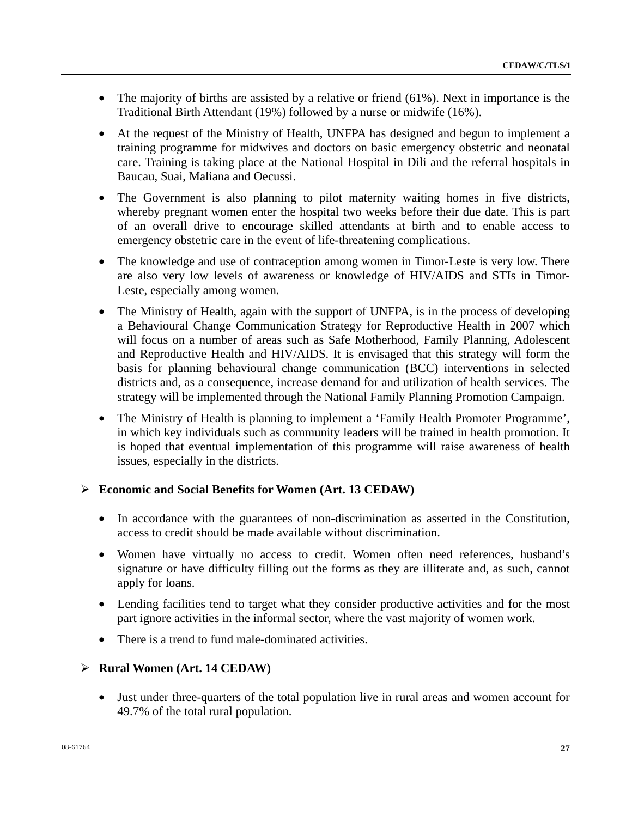- The majority of births are assisted by a relative or friend (61%). Next in importance is the Traditional Birth Attendant (19%) followed by a nurse or midwife (16%).
- At the request of the Ministry of Health, UNFPA has designed and begun to implement a training programme for midwives and doctors on basic emergency obstetric and neonatal care. Training is taking place at the National Hospital in Dili and the referral hospitals in Baucau, Suai, Maliana and Oecussi.
- The Government is also planning to pilot maternity waiting homes in five districts, whereby pregnant women enter the hospital two weeks before their due date. This is part of an overall drive to encourage skilled attendants at birth and to enable access to emergency obstetric care in the event of life-threatening complications.
- The knowledge and use of contraception among women in Timor-Leste is very low. There are also very low levels of awareness or knowledge of HIV/AIDS and STIs in Timor-Leste, especially among women.
- The Ministry of Health, again with the support of UNFPA, is in the process of developing a Behavioural Change Communication Strategy for Reproductive Health in 2007 which will focus on a number of areas such as Safe Motherhood, Family Planning, Adolescent and Reproductive Health and HIV/AIDS. It is envisaged that this strategy will form the basis for planning behavioural change communication (BCC) interventions in selected districts and, as a consequence, increase demand for and utilization of health services. The strategy will be implemented through the National Family Planning Promotion Campaign.
- The Ministry of Health is planning to implement a 'Family Health Promoter Programme', in which key individuals such as community leaders will be trained in health promotion. It is hoped that eventual implementation of this programme will raise awareness of health issues, especially in the districts.

## ¾ **Economic and Social Benefits for Women (Art. 13 CEDAW)**

- In accordance with the guarantees of non-discrimination as asserted in the Constitution, access to credit should be made available without discrimination.
- Women have virtually no access to credit. Women often need references, husband's signature or have difficulty filling out the forms as they are illiterate and, as such, cannot apply for loans.
- Lending facilities tend to target what they consider productive activities and for the most part ignore activities in the informal sector, where the vast majority of women work.
- There is a trend to fund male-dominated activities.

## ¾ **Rural Women (Art. 14 CEDAW)**

• Just under three-quarters of the total population live in rural areas and women account for 49.7% of the total rural population.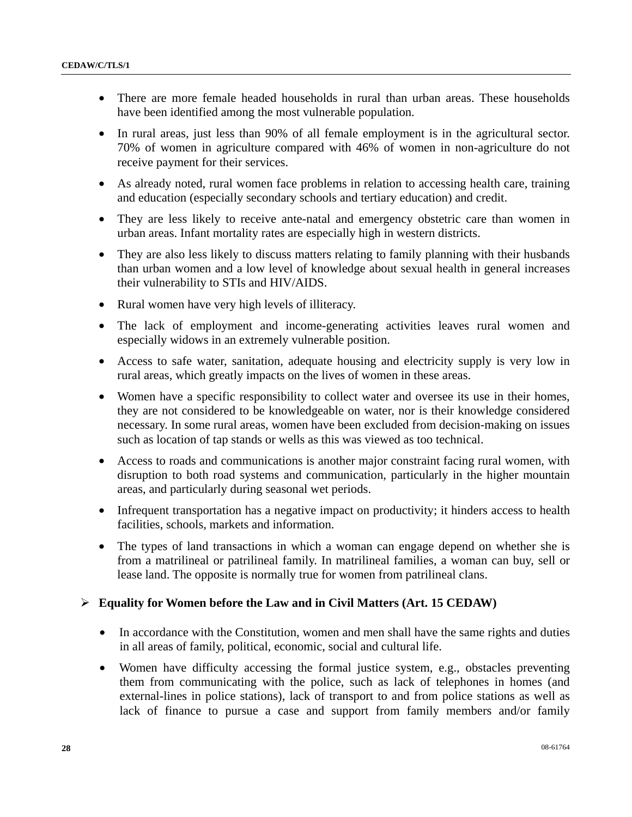- There are more female headed households in rural than urban areas. These households have been identified among the most vulnerable population.
- In rural areas, just less than 90% of all female employment is in the agricultural sector. 70% of women in agriculture compared with 46% of women in non-agriculture do not receive payment for their services.
- As already noted, rural women face problems in relation to accessing health care, training and education (especially secondary schools and tertiary education) and credit.
- They are less likely to receive ante-natal and emergency obstetric care than women in urban areas. Infant mortality rates are especially high in western districts.
- They are also less likely to discuss matters relating to family planning with their husbands than urban women and a low level of knowledge about sexual health in general increases their vulnerability to STIs and HIV/AIDS.
- Rural women have very high levels of illiteracy.
- The lack of employment and income-generating activities leaves rural women and especially widows in an extremely vulnerable position.
- Access to safe water, sanitation, adequate housing and electricity supply is very low in rural areas, which greatly impacts on the lives of women in these areas.
- Women have a specific responsibility to collect water and oversee its use in their homes, they are not considered to be knowledgeable on water, nor is their knowledge considered necessary. In some rural areas, women have been excluded from decision-making on issues such as location of tap stands or wells as this was viewed as too technical.
- Access to roads and communications is another major constraint facing rural women, with disruption to both road systems and communication, particularly in the higher mountain areas, and particularly during seasonal wet periods.
- Infrequent transportation has a negative impact on productivity; it hinders access to health facilities, schools, markets and information.
- The types of land transactions in which a woman can engage depend on whether she is from a matrilineal or patrilineal family. In matrilineal families, a woman can buy, sell or lease land. The opposite is normally true for women from patrilineal clans.

## ¾ **Equality for Women before the Law and in Civil Matters (Art. 15 CEDAW)**

- In accordance with the Constitution, women and men shall have the same rights and duties in all areas of family, political, economic, social and cultural life.
- Women have difficulty accessing the formal justice system, e.g., obstacles preventing them from communicating with the police, such as lack of telephones in homes (and external-lines in police stations), lack of transport to and from police stations as well as lack of finance to pursue a case and support from family members and/or family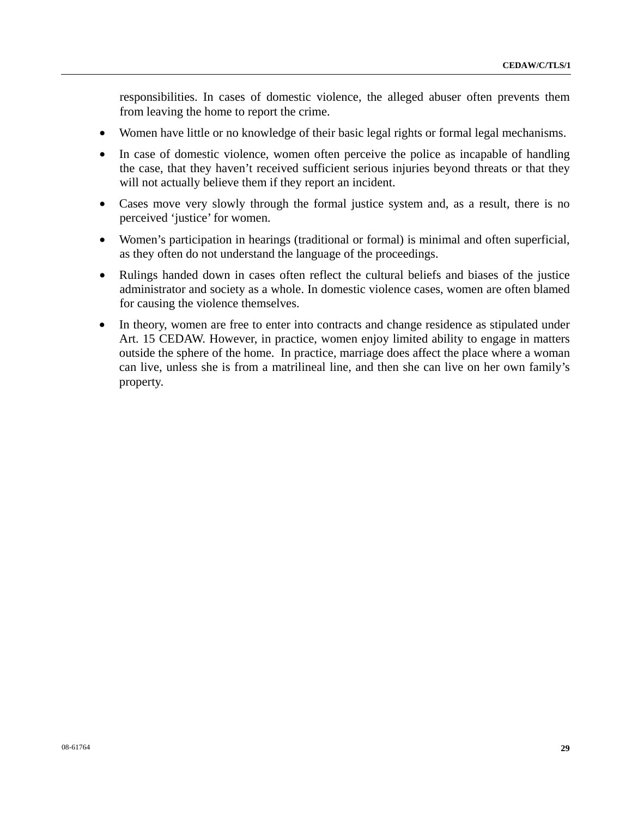responsibilities. In cases of domestic violence, the alleged abuser often prevents them from leaving the home to report the crime.

- Women have little or no knowledge of their basic legal rights or formal legal mechanisms.
- In case of domestic violence, women often perceive the police as incapable of handling the case, that they haven't received sufficient serious injuries beyond threats or that they will not actually believe them if they report an incident.
- Cases move very slowly through the formal justice system and, as a result, there is no perceived 'justice' for women.
- Women's participation in hearings (traditional or formal) is minimal and often superficial, as they often do not understand the language of the proceedings.
- Rulings handed down in cases often reflect the cultural beliefs and biases of the justice administrator and society as a whole. In domestic violence cases, women are often blamed for causing the violence themselves.
- In theory, women are free to enter into contracts and change residence as stipulated under Art. 15 CEDAW. However, in practice, women enjoy limited ability to engage in matters outside the sphere of the home. In practice, marriage does affect the place where a woman can live, unless she is from a matrilineal line, and then she can live on her own family's property.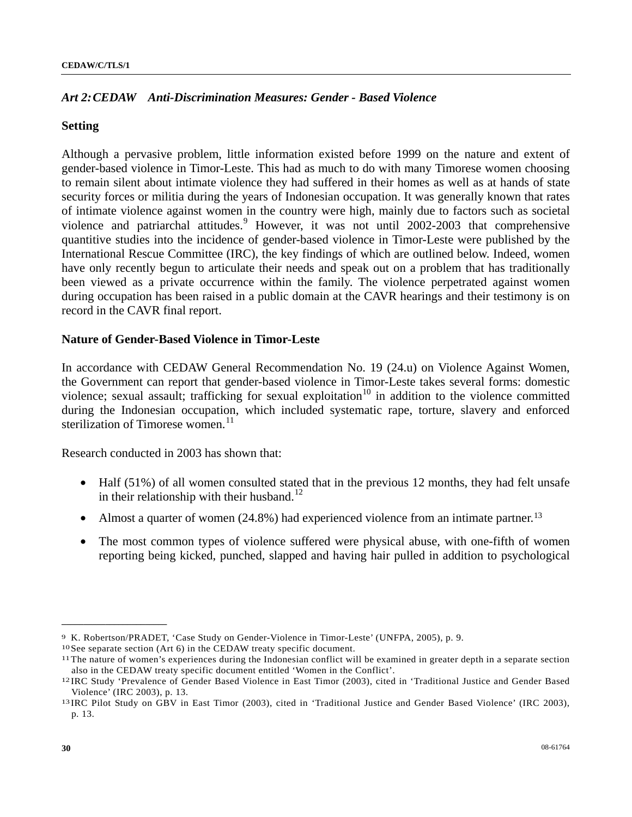## *Art 2: CEDAW Anti-Discrimination Measures: Gender - Based Violence*

#### **Setting**

Although a pervasive problem, little information existed before 1999 on the nature and extent of gender-based violence in Timor-Leste. This had as much to do with many Timorese women choosing to remain silent about intimate violence they had suffered in their homes as well as at hands of state security forces or militia during the years of Indonesian occupation. It was generally known that rates of intimate violence against women in the country were high, mainly due to factors such as societal violence and patriarchal attitudes.<sup>[9](#page-29-0)</sup> However, it was not until 2002-2003 that comprehensive quantitive studies into the incidence of gender-based violence in Timor-Leste were published by the International Rescue Committee (IRC), the key findings of which are outlined below. Indeed, women have only recently begun to articulate their needs and speak out on a problem that has traditionally been viewed as a private occurrence within the family. The violence perpetrated against women during occupation has been raised in a public domain at the CAVR hearings and their testimony is on record in the CAVR final report.

#### **Nature of Gender-Based Violence in Timor-Leste**

In accordance with CEDAW General Recommendation No. 19 (24.u) on Violence Against Women, the Government can report that gender-based violence in Timor-Leste takes several forms: domestic violence; sexual assault; trafficking for sexual exploitation<sup>[1](#page-29-1)0</sup> in addition to the violence committed during the Indonesian occupation, which included systematic rape, torture, slavery and enforced sterilization of Timorese women. $11$ 

Research conducted in 2003 has shown that:

- Half (51%) of all women consulted stated that in the previous 12 months, they had felt unsafe in their relationship with their husband.<sup>[12](#page-29-3)</sup>
- Almost a quarter of women  $(24.8\%)$  had experienced violence from an intimate partner.<sup>[13](#page-29-4)</sup>
- The most common types of violence suffered were physical abuse, with one-fifth of women reporting being kicked, punched, slapped and having hair pulled in addition to psychological

<span id="page-29-0"></span><sup>9</sup> K. Robertson/PRADET, 'Case Study on Gender-Violence in Timor-Leste' (UNFPA, 2005), p. 9.

<span id="page-29-1"></span><sup>10</sup> See separate section (Art 6) in the CEDAW treaty specific document.

<span id="page-29-2"></span><sup>11</sup> The nature of women's experiences during the Indonesian conflict will be examined in greater depth in a separate section also in the CEDAW treaty specific document entitled 'Women in the Conflict'. 12 IRC Study 'Prevalence of Gender Based Violence in East Timor (2003), cited in 'Traditional Justice and Gender Based

<span id="page-29-3"></span>Violence' (IRC 2003), p. 13. 13 IRC Pilot Study on GBV in East Timor (2003), cited in 'Traditional Justice and Gender Based Violence' (IRC 2003),

<span id="page-29-4"></span>p. 13.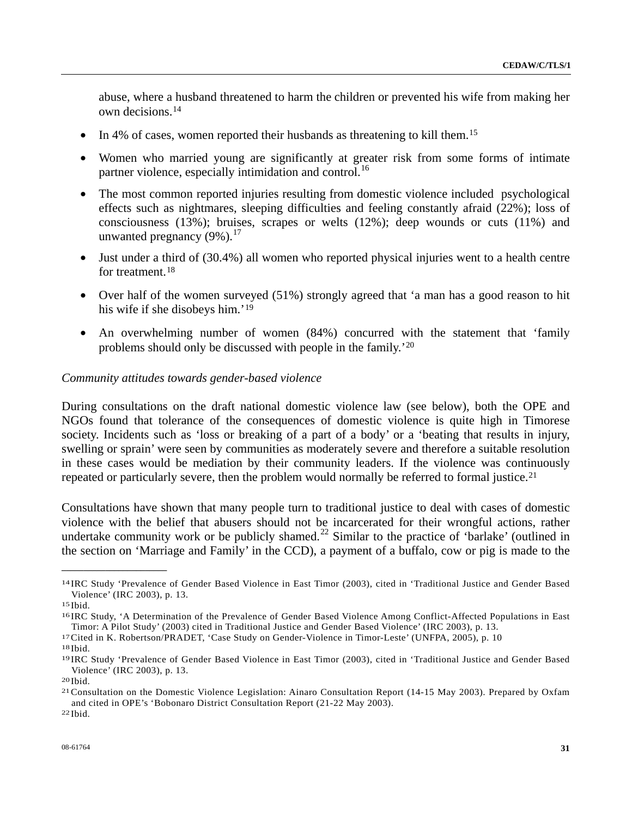abuse, where a husband threatened to harm the children or prevented his wife from making her own decisions.[14](#page-30-0)

- In 4% of cases, women reported their husbands as threatening to kill them.<sup>[15](#page-30-1)</sup>
- Women who married young are significantly at greater risk from some forms of intimate partner violence, especially intimidation and control.<sup>[16](#page-30-2)</sup>
- The most common reported injuries resulting from domestic violence included psychological effects such as nightmares, sleeping difficulties and feeling constantly afraid (22%); loss of consciousness (13%); bruises, scrapes or welts (12%); deep wounds or cuts (11%) and unwanted pregnancy  $(9\%)$ .<sup>[17](#page-30-3)</sup>
- Just under a third of (30.4%) all women who reported physical injuries went to a health centre for treatment.<sup>[18](#page-30-4)</sup>
- Over half of the women surveyed (51%) strongly agreed that 'a man has a good reason to hit his wife if she disobeys him.'[19](#page-30-5)
- An overwhelming number of women (84%) concurred with the statement that 'family problems should only be discussed with people in the family.'[2](#page-30-6)0

#### *Community attitudes towards gender-based violence*

During consultations on the draft national domestic violence law (see below), both the OPE and NGOs found that tolerance of the consequences of domestic violence is quite high in Timorese society. Incidents such as 'loss or breaking of a part of a body' or a 'beating that results in injury, swelling or sprain' were seen by communities as moderately severe and therefore a suitable resolution in these cases would be mediation by their community leaders. If the violence was continuously repeated or particularly severe, then the problem would normally be referred to formal justice.<sup>[2](#page-30-7)1</sup>

Consultations have shown that many people turn to traditional justice to deal with cases of domestic violence with the belief that abusers should not be incarcerated for their wrongful actions, rather undertake community work or be publicly shamed.<sup>[22](#page-30-8)</sup> Similar to the practice of 'barlake' (outlined in the section on 'Marriage and Family' in the CCD), a payment of a buffalo, cow or pig is made to the

<span id="page-30-0"></span><sup>14</sup> IRC Study 'Prevalence of Gender Based Violence in East Timor (2003), cited in 'Traditional Justice and Gender Based Violence' (IRC 2003), p. 13. 15 Ibid.

<span id="page-30-2"></span><span id="page-30-1"></span><sup>16</sup> IRC Study, 'A Determination of the Prevalence of Gender Based Violence Among Conflict-Affected Populations in East Timor: A Pilot Study' (2003) cited in Traditional Justice and Gender Based Violence' (IRC 2003), p. 13. 17 Cited in K. Robertson/PRADET, 'Case Study on Gender-Violence in Timor-Leste' (UNFPA, 2005), p. 10

<span id="page-30-3"></span>

<span id="page-30-4"></span><sup>18</sup> Ibid.

<span id="page-30-5"></span><sup>19</sup> IRC Study 'Prevalence of Gender Based Violence in East Timor (2003), cited in 'Traditional Justice and Gender Based Violence' (IRC 2003), p. 13. 20 Ibid.

<span id="page-30-6"></span>

<span id="page-30-7"></span><sup>21</sup> Consultation on the Domestic Violence Legislation: Ainaro Consultation Report (14-15 May 2003). Prepared by Oxfam and cited in OPE's 'Bobonaro District Consultation Report (21-22 May 2003). 22 Ibid.

<span id="page-30-8"></span>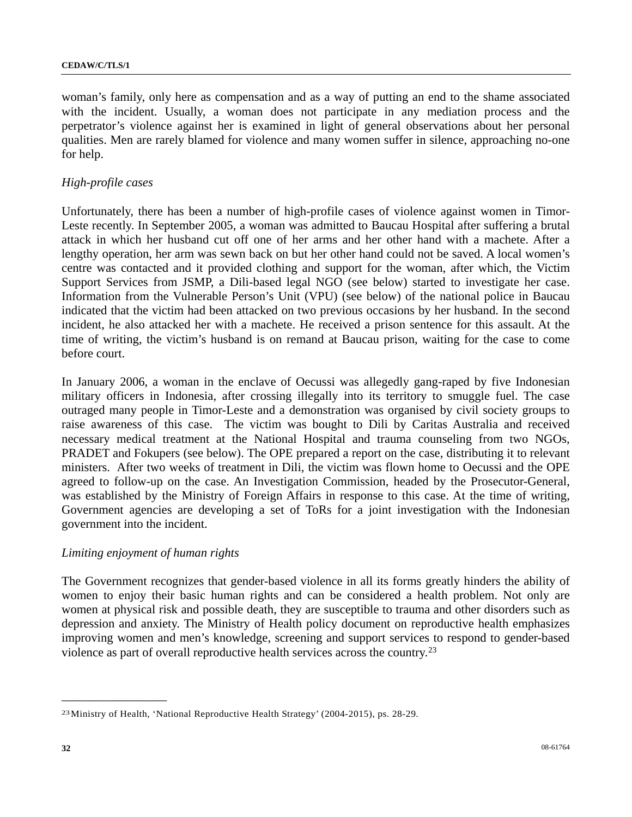woman's family, only here as compensation and as a way of putting an end to the shame associated with the incident. Usually, a woman does not participate in any mediation process and the perpetrator's violence against her is examined in light of general observations about her personal qualities. Men are rarely blamed for violence and many women suffer in silence, approaching no-one for help.

#### *High-profile cases*

Unfortunately, there has been a number of high-profile cases of violence against women in Timor-Leste recently. In September 2005, a woman was admitted to Baucau Hospital after suffering a brutal attack in which her husband cut off one of her arms and her other hand with a machete. After a lengthy operation, her arm was sewn back on but her other hand could not be saved. A local women's centre was contacted and it provided clothing and support for the woman, after which, the Victim Support Services from JSMP, a Dili-based legal NGO (see below) started to investigate her case. Information from the Vulnerable Person's Unit (VPU) (see below) of the national police in Baucau indicated that the victim had been attacked on two previous occasions by her husband. In the second incident, he also attacked her with a machete. He received a prison sentence for this assault. At the time of writing, the victim's husband is on remand at Baucau prison, waiting for the case to come before court.

In January 2006, a woman in the enclave of Oecussi was allegedly gang-raped by five Indonesian military officers in Indonesia, after crossing illegally into its territory to smuggle fuel. The case outraged many people in Timor-Leste and a demonstration was organised by civil society groups to raise awareness of this case. The victim was bought to Dili by Caritas Australia and received necessary medical treatment at the National Hospital and trauma counseling from two NGOs, PRADET and Fokupers (see below). The OPE prepared a report on the case, distributing it to relevant ministers. After two weeks of treatment in Dili, the victim was flown home to Oecussi and the OPE agreed to follow-up on the case. An Investigation Commission, headed by the Prosecutor-General, was established by the Ministry of Foreign Affairs in response to this case. At the time of writing, Government agencies are developing a set of ToRs for a joint investigation with the Indonesian government into the incident.

## *Limiting enjoyment of human rights*

The Government recognizes that gender-based violence in all its forms greatly hinders the ability of women to enjoy their basic human rights and can be considered a health problem. Not only are women at physical risk and possible death, they are susceptible to trauma and other disorders such as depression and anxiety. The Ministry of Health policy document on reproductive health emphasizes improving women and men's knowledge, screening and support services to respond to gender-based violence as part of overall reproductive health services across the country.[2](#page-31-0)3

<span id="page-31-0"></span><sup>23</sup> Ministry of Health, 'National Reproductive Health Strategy' (2004-2015), ps. 28-29.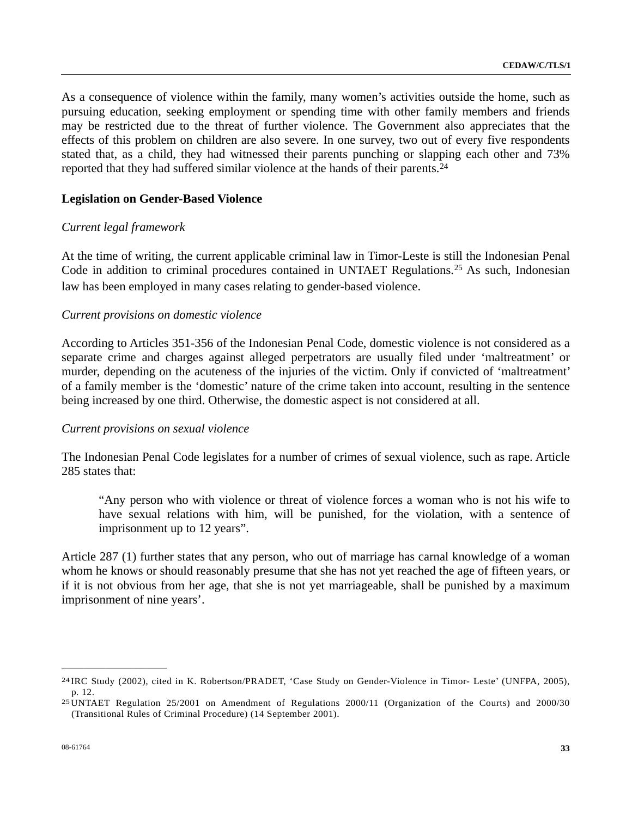As a consequence of violence within the family, many women's activities outside the home, such as pursuing education, seeking employment or spending time with other family members and friends may be restricted due to the threat of further violence. The Government also appreciates that the effects of this problem on children are also severe. In one survey, two out of every five respondents stated that, as a child, they had witnessed their parents punching or slapping each other and 73% reported that they had suffered similar violence at the hands of their parents.[2](#page-32-0)4

#### **Legislation on Gender-Based Violence**

#### *Current legal framework*

At the time of writing, the current applicable criminal law in Timor-Leste is still the Indonesian Penal Code in addition to criminal procedures contained in UNTAET Regulations.[2](#page-32-1)5 As such, Indonesian law has been employed in many cases relating to gender-based violence.

#### *Current provisions on domestic violence*

According to Articles 351-356 of the Indonesian Penal Code, domestic violence is not considered as a separate crime and charges against alleged perpetrators are usually filed under 'maltreatment' or murder, depending on the acuteness of the injuries of the victim. Only if convicted of 'maltreatment' of a family member is the 'domestic' nature of the crime taken into account, resulting in the sentence being increased by one third. Otherwise, the domestic aspect is not considered at all.

#### *Current provisions on sexual violence*

The Indonesian Penal Code legislates for a number of crimes of sexual violence, such as rape. Article 285 states that:

"Any person who with violence or threat of violence forces a woman who is not his wife to have sexual relations with him, will be punished, for the violation, with a sentence of imprisonment up to 12 years".

Article 287 (1) further states that any person, who out of marriage has carnal knowledge of a woman whom he knows or should reasonably presume that she has not yet reached the age of fifteen years, or if it is not obvious from her age, that she is not yet marriageable, shall be punished by a maximum imprisonment of nine years'.

<span id="page-32-0"></span><sup>24</sup> IRC Study (2002), cited in K. Robertson/PRADET, 'Case Study on Gender-Violence in Timor- Leste' (UNFPA, 2005), p. 12. 25 UNTAET Regulation 25/2001 on Amendment of Regulations 2000/11 (Organization of the Courts) and 2000/30

<span id="page-32-1"></span><sup>(</sup>Transitional Rules of Criminal Procedure) (14 September 2001).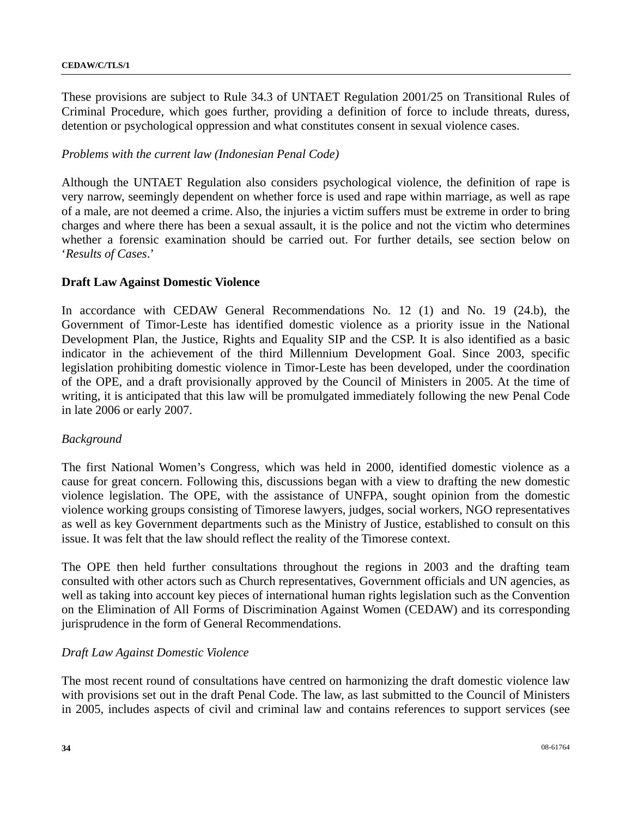These provisions are subject to Rule 34.3 of UNTAET Regulation 2001/25 on Transitional Rules of Criminal Procedure, which goes further, providing a definition of force to include threats, duress, detention or psychological oppression and what constitutes consent in sexual violence cases.

#### *Problems with the current law (Indonesian Penal Code)*

Although the UNTAET Regulation also considers psychological violence, the definition of rape is very narrow, seemingly dependent on whether force is used and rape within marriage, as well as rape of a male, are not deemed a crime. Also, the injuries a victim suffers must be extreme in order to bring charges and where there has been a sexual assault, it is the police and not the victim who determines whether a forensic examination should be carried out. For further details, see section below on '*Results of Cases*.'

#### **Draft Law Against Domestic Violence**

In accordance with CEDAW General Recommendations No. 12 (1) and No. 19 (24.b), the Government of Timor-Leste has identified domestic violence as a priority issue in the National Development Plan, the Justice, Rights and Equality SIP and the CSP. It is also identified as a basic indicator in the achievement of the third Millennium Development Goal. Since 2003, specific legislation prohibiting domestic violence in Timor-Leste has been developed, under the coordination of the OPE, and a draft provisionally approved by the Council of Ministers in 2005. At the time of writing, it is anticipated that this law will be promulgated immediately following the new Penal Code in late 2006 or early 2007.

#### *Background*

The first National Women's Congress, which was held in 2000, identified domestic violence as a cause for great concern. Following this, discussions began with a view to drafting the new domestic violence legislation. The OPE, with the assistance of UNFPA, sought opinion from the domestic violence working groups consisting of Timorese lawyers, judges, social workers, NGO representatives as well as key Government departments such as the Ministry of Justice, established to consult on this issue. It was felt that the law should reflect the reality of the Timorese context.

The OPE then held further consultations throughout the regions in 2003 and the drafting team consulted with other actors such as Church representatives, Government officials and UN agencies, as well as taking into account key pieces of international human rights legislation such as the Convention on the Elimination of All Forms of Discrimination Against Women (CEDAW) and its corresponding jurisprudence in the form of General Recommendations.

#### *Draft Law Against Domestic Violence*

The most recent round of consultations have centred on harmonizing the draft domestic violence law with provisions set out in the draft Penal Code. The law, as last submitted to the Council of Ministers in 2005, includes aspects of civil and criminal law and contains references to support services (see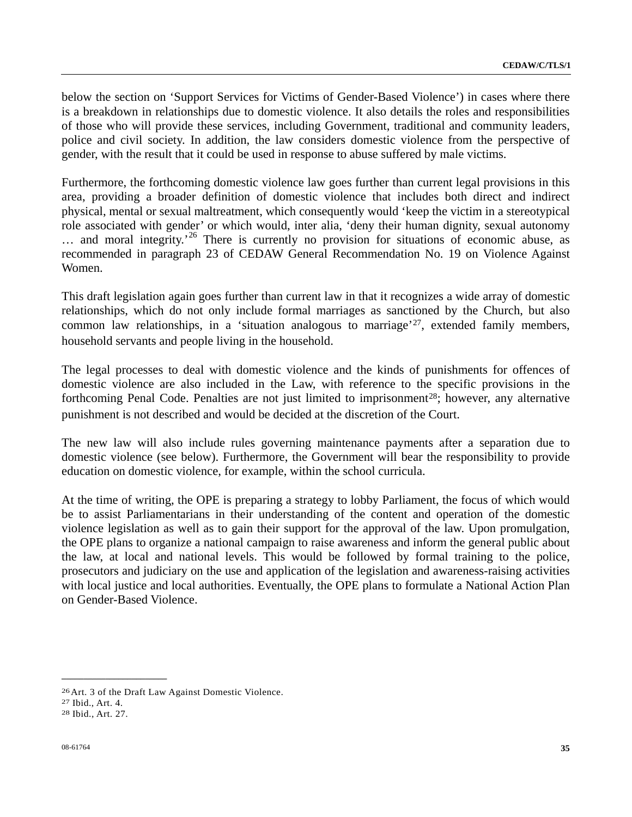below the section on 'Support Services for Victims of Gender-Based Violence') in cases where there is a breakdown in relationships due to domestic violence. It also details the roles and responsibilities of those who will provide these services, including Government, traditional and community leaders, police and civil society. In addition, the law considers domestic violence from the perspective of gender, with the result that it could be used in response to abuse suffered by male victims.

Furthermore, the forthcoming domestic violence law goes further than current legal provisions in this area, providing a broader definition of domestic violence that includes both direct and indirect physical, mental or sexual maltreatment, which consequently would 'keep the victim in a stereotypical role associated with gender' or which would, inter alia, 'deny their human dignity, sexual autonomy ... and moral integrity.<sup>[2](#page-34-0)6</sup> There is currently no provision for situations of economic abuse, as recommended in paragraph 23 of CEDAW General Recommendation No. 19 on Violence Against Women.

This draft legislation again goes further than current law in that it recognizes a wide array of domestic relationships, which do not only include formal marriages as sanctioned by the Church, but also common law relationships, in a 'situation analogous to marriage'<sup>[2](#page-34-1)7</sup>, extended family members, household servants and people living in the household.

The legal processes to deal with domestic violence and the kinds of punishments for offences of domestic violence are also included in the Law, with reference to the specific provisions in the forthcoming Penal Code. Penalties are not just limited to imprisonment<sup>[28](#page-34-2)</sup>; however, any alternative punishment is not described and would be decided at the discretion of the Court.

The new law will also include rules governing maintenance payments after a separation due to domestic violence (see below). Furthermore, the Government will bear the responsibility to provide education on domestic violence, for example, within the school curricula.

At the time of writing, the OPE is preparing a strategy to lobby Parliament, the focus of which would be to assist Parliamentarians in their understanding of the content and operation of the domestic violence legislation as well as to gain their support for the approval of the law. Upon promulgation, the OPE plans to organize a national campaign to raise awareness and inform the general public about the law, at local and national levels. This would be followed by formal training to the police, prosecutors and judiciary on the use and application of the legislation and awareness-raising activities with local justice and local authorities. Eventually, the OPE plans to formulate a National Action Plan on Gender-Based Violence.

<span id="page-34-0"></span><sup>26</sup> Art. 3 of the Draft Law Against Domestic Violence.

<span id="page-34-1"></span><sup>27</sup> Ibid., Art. 4.

<span id="page-34-2"></span><sup>28</sup> Ibid., Art. 27.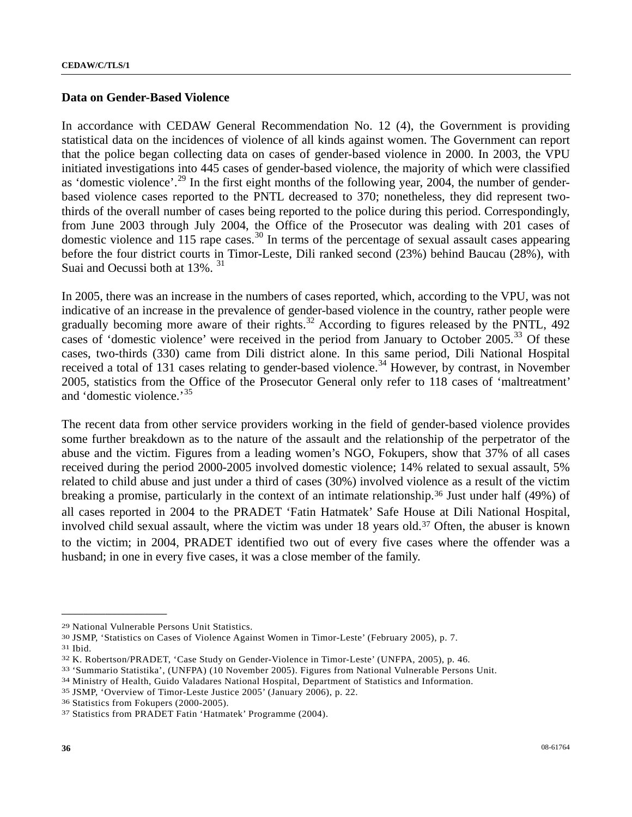#### **Data on Gender-Based Violence**

In accordance with CEDAW General Recommendation No. 12 (4), the Government is providing statistical data on the incidences of violence of all kinds against women. The Government can report that the police began collecting data on cases of gender-based violence in 2000. In 2003, the VPU initiated investigations into 445 cases of gender-based violence, the majority of which were classified as 'domestic violence'.<sup>[2](#page-35-0)9</sup> In the first eight months of the following year, 2004, the number of genderbased violence cases reported to the PNTL decreased to 370; nonetheless, they did represent twothirds of the overall number of cases being reported to the police during this period. Correspondingly, from June 2003 through July 2004, the Office of the Prosecutor was dealing with 201 cases of domestic violence and 115 rape cases.<sup>[3](#page-35-1)0</sup> In terms of the percentage of sexual assault cases appearing before the four district courts in Timor-Leste, Dili ranked second (23%) behind Baucau (28%), with Suai and Oecussi both at 13%. <sup>[31](#page-35-2)</sup>

In 2005, there was an increase in the numbers of cases reported, which, according to the VPU, was not indicative of an increase in the prevalence of gender-based violence in the country, rather people were gradually becoming more aware of their rights.<sup>[32](#page-35-3)</sup> According to figures released by the PNTL,  $492$ cases of 'domestic violence' were received in the period from January to October 2005.<sup>[3](#page-35-4)3</sup> Of these cases, two-thirds (330) came from Dili district alone. In this same period, Dili National Hospital received a total of 131 cases relating to gender-based violence.<sup>[34](#page-35-5)</sup> However, by contrast, in November 2005, statistics from the Office of the Prosecutor General only refer to 118 cases of 'maltreatment' and 'domestic violence.'[35](#page-35-6)

The recent data from other service providers working in the field of gender-based violence provides some further breakdown as to the nature of the assault and the relationship of the perpetrator of the abuse and the victim. Figures from a leading women's NGO, Fokupers, show that 37% of all cases received during the period 2000-2005 involved domestic violence; 14% related to sexual assault, 5% related to child abuse and just under a third of cases (30%) involved violence as a result of the victim breaking a promise, particularly in the context of an intimate relationship.[3](#page-35-7)6 Just under half (49%) of all cases reported in 2004 to the PRADET 'Fatin Hatmatek' Safe House at Dili National Hospital, involved child sexual assault, where the victim was under 18 years old.<sup>[3](#page-35-8)7</sup> Often, the abuser is known to the victim; in 2004, PRADET identified two out of every five cases where the offender was a husband; in one in every five cases, it was a close member of the family.

<span id="page-35-0"></span><sup>29</sup> National Vulnerable Persons Unit Statistics.

<span id="page-35-1"></span><sup>30</sup> JSMP, 'Statistics on Cases of Violence Against Women in Timor-Leste' (February 2005), p. 7.

<span id="page-35-2"></span><sup>31</sup> Ibid.

<span id="page-35-4"></span><span id="page-35-3"></span><sup>&</sup>lt;sup>32</sup> K. Robertson/PRADET, 'Case Study on Gender-Violence in Timor-Leste' (UNFPA, 2005), p. 46.<br><sup>33</sup> 'Summario Statistika', (UNFPA) (10 November 2005). Figures from National Vulnerable Persons Unit.<br><sup>34</sup> Ministry of Health,

<span id="page-35-5"></span>

<span id="page-35-7"></span><span id="page-35-6"></span><sup>36</sup> Statistics from Fokupers (2000-2005).

<span id="page-35-8"></span><sup>37</sup> Statistics from PRADET Fatin 'Hatmatek' Programme (2004).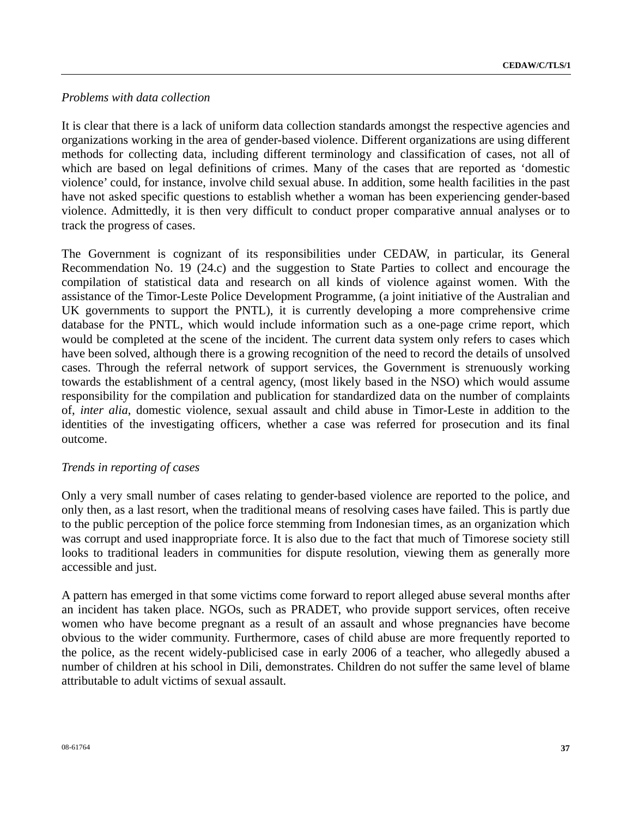## *Problems with data collection*

It is clear that there is a lack of uniform data collection standards amongst the respective agencies and organizations working in the area of gender-based violence. Different organizations are using different methods for collecting data, including different terminology and classification of cases, not all of which are based on legal definitions of crimes. Many of the cases that are reported as 'domestic violence' could, for instance, involve child sexual abuse. In addition, some health facilities in the past have not asked specific questions to establish whether a woman has been experiencing gender-based violence. Admittedly, it is then very difficult to conduct proper comparative annual analyses or to track the progress of cases.

The Government is cognizant of its responsibilities under CEDAW, in particular, its General Recommendation No. 19 (24.c) and the suggestion to State Parties to collect and encourage the compilation of statistical data and research on all kinds of violence against women. With the assistance of the Timor-Leste Police Development Programme, (a joint initiative of the Australian and UK governments to support the PNTL), it is currently developing a more comprehensive crime database for the PNTL, which would include information such as a one-page crime report, which would be completed at the scene of the incident. The current data system only refers to cases which have been solved, although there is a growing recognition of the need to record the details of unsolved cases. Through the referral network of support services, the Government is strenuously working towards the establishment of a central agency, (most likely based in the NSO) which would assume responsibility for the compilation and publication for standardized data on the number of complaints of, *inter alia*, domestic violence, sexual assault and child abuse in Timor-Leste in addition to the identities of the investigating officers, whether a case was referred for prosecution and its final outcome.

# *Trends in reporting of cases*

Only a very small number of cases relating to gender-based violence are reported to the police, and only then, as a last resort, when the traditional means of resolving cases have failed. This is partly due to the public perception of the police force stemming from Indonesian times, as an organization which was corrupt and used inappropriate force. It is also due to the fact that much of Timorese society still looks to traditional leaders in communities for dispute resolution, viewing them as generally more accessible and just.

A pattern has emerged in that some victims come forward to report alleged abuse several months after an incident has taken place. NGOs, such as PRADET, who provide support services, often receive women who have become pregnant as a result of an assault and whose pregnancies have become obvious to the wider community. Furthermore, cases of child abuse are more frequently reported to the police, as the recent widely-publicised case in early 2006 of a teacher, who allegedly abused a number of children at his school in Dili, demonstrates. Children do not suffer the same level of blame attributable to adult victims of sexual assault.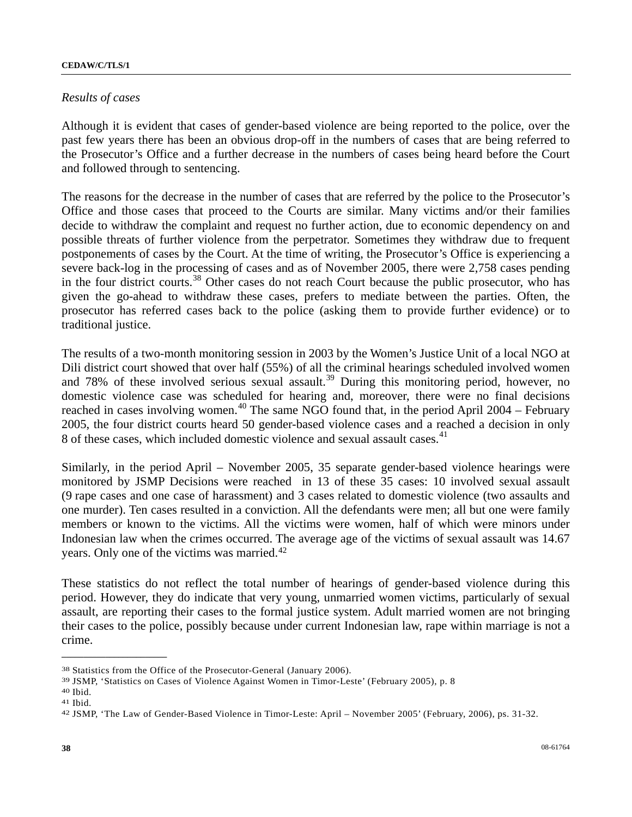### *Results of cases*

Although it is evident that cases of gender-based violence are being reported to the police, over the past few years there has been an obvious drop-off in the numbers of cases that are being referred to the Prosecutor's Office and a further decrease in the numbers of cases being heard before the Court and followed through to sentencing.

The reasons for the decrease in the number of cases that are referred by the police to the Prosecutor's Office and those cases that proceed to the Courts are similar. Many victims and/or their families decide to withdraw the complaint and request no further action, due to economic dependency on and possible threats of further violence from the perpetrator. Sometimes they withdraw due to frequent postponements of cases by the Court. At the time of writing, the Prosecutor's Office is experiencing a severe back-log in the processing of cases and as of November 2005, there were 2,758 cases pending in the four district courts.<sup>[3](#page-37-0)8</sup> Other cases do not reach Court because the public prosecutor, who has given the go-ahead to withdraw these cases, prefers to mediate between the parties. Often, the prosecutor has referred cases back to the police (asking them to provide further evidence) or to traditional justice.

The results of a two-month monitoring session in 2003 by the Women's Justice Unit of a local NGO at Dili district court showed that over half (55%) of all the criminal hearings scheduled involved women and 78% of these involved serious sexual assault.<sup>[3](#page-37-1)9</sup> During this monitoring period, however, no domestic violence case was scheduled for hearing and, moreover, there were no final decisions reached in cases involving women.<sup>[40](#page-37-2)</sup> The same NGO found that, in the period April  $2004$  – February 2005, the four district courts heard 50 gender-based violence cases and a reached a decision in only 8 of these cases, which included domestic violence and sexual assault cases.<sup>[41](#page-37-3)</sup>

Similarly, in the period April – November 2005, 35 separate gender-based violence hearings were monitored by JSMP Decisions were reached in 13 of these 35 cases: 10 involved sexual assault (9 rape cases and one case of harassment) and 3 cases related to domestic violence (two assaults and one murder). Ten cases resulted in a conviction. All the defendants were men; all but one were family members or known to the victims. All the victims were women, half of which were minors under Indonesian law when the crimes occurred. The average age of the victims of sexual assault was 14.67 years. Only one of the victims was married.[42](#page-37-4)

These statistics do not reflect the total number of hearings of gender-based violence during this period. However, they do indicate that very young, unmarried women victims, particularly of sexual assault, are reporting their cases to the formal justice system. Adult married women are not bringing their cases to the police, possibly because under current Indonesian law, rape within marriage is not a crime.

<span id="page-37-0"></span><sup>38</sup> Statistics from the Office of the Prosecutor-General (January 2006).

<span id="page-37-1"></span><sup>39</sup> JSMP, 'Statistics on Cases of Violence Against Women in Timor-Leste' (February 2005), p. 8

<span id="page-37-2"></span><sup>40</sup> Ibid.

<span id="page-37-3"></span><sup>41</sup> Ibid.

<span id="page-37-4"></span><sup>42</sup> JSMP, 'The Law of Gender-Based Violence in Timor-Leste: April – November 2005' (February, 2006), ps. 31-32.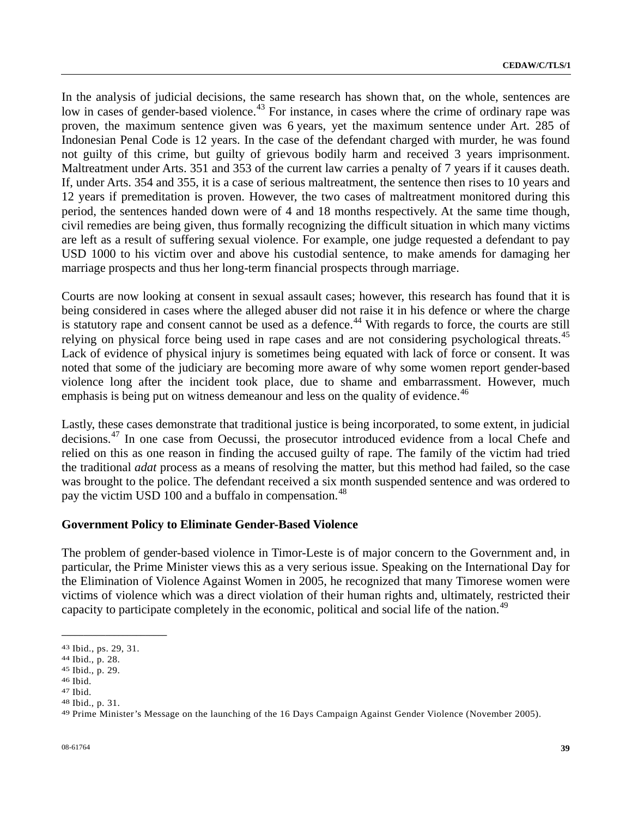In the analysis of judicial decisions, the same research has shown that, on the whole, sentences are low in cases of gender-based violence.<sup>[43](#page-38-0)</sup> For instance, in cases where the crime of ordinary rape was proven, the maximum sentence given was 6 years, yet the maximum sentence under Art. 285 of Indonesian Penal Code is 12 years. In the case of the defendant charged with murder, he was found not guilty of this crime, but guilty of grievous bodily harm and received 3 years imprisonment. Maltreatment under Arts. 351 and 353 of the current law carries a penalty of 7 years if it causes death. If, under Arts. 354 and 355, it is a case of serious maltreatment, the sentence then rises to 10 years and 12 years if premeditation is proven. However, the two cases of maltreatment monitored during this period, the sentences handed down were of 4 and 18 months respectively. At the same time though, civil remedies are being given, thus formally recognizing the difficult situation in which many victims are left as a result of suffering sexual violence. For example, one judge requested a defendant to pay USD 1000 to his victim over and above his custodial sentence, to make amends for damaging her marriage prospects and thus her long-term financial prospects through marriage.

Courts are now looking at consent in sexual assault cases; however, this research has found that it is being considered in cases where the alleged abuser did not raise it in his defence or where the charge is statutory rape and consent cannot be used as a defence.<sup>[44](#page-38-1)</sup> With regards to force, the courts are still relying on physical force being used in rape cases and are not considering psychological threats.<sup>[4](#page-38-2)5</sup> Lack of evidence of physical injury is sometimes being equated with lack of force or consent. It was noted that some of the judiciary are becoming more aware of why some women report gender-based violence long after the incident took place, due to shame and embarrassment. However, much emphasis is being put on witness demeanour and less on the quality of evidence.<sup>[4](#page-38-3)6</sup>

Lastly, these cases demonstrate that traditional justice is being incorporated, to some extent, in judicial decisions.[47](#page-38-4) In one case from Oecussi, the prosecutor introduced evidence from a local Chefe and relied on this as one reason in finding the accused guilty of rape. The family of the victim had tried the traditional *adat* process as a means of resolving the matter, but this method had failed, so the case was brought to the police. The defendant received a six month suspended sentence and was ordered to pay the victim USD 100 and a buffalo in compensation.<sup>[4](#page-38-5)8</sup>

### **Government Policy to Eliminate Gender-Based Violence**

The problem of gender-based violence in Timor-Leste is of major concern to the Government and, in particular, the Prime Minister views this as a very serious issue. Speaking on the International Day for the Elimination of Violence Against Women in 2005, he recognized that many Timorese women were victims of violence which was a direct violation of their human rights and, ultimately, restricted their capacity to participate completely in the economic, political and social life of the nation.<sup>[49](#page-38-6)</sup>

<span id="page-38-0"></span><sup>43</sup> Ibid., ps. 29, 31.

<span id="page-38-1"></span><sup>44</sup> Ibid., p. 28.

<span id="page-38-2"></span><sup>45</sup> Ibid., p. 29.

<span id="page-38-3"></span><sup>46</sup> Ibid.

<span id="page-38-4"></span><sup>47</sup> Ibid.

<span id="page-38-5"></span><sup>48</sup> Ibid., p. 31.

<span id="page-38-6"></span><sup>49</sup> Prime Minister's Message on the launching of the 16 Days Campaign Against Gender Violence (November 2005).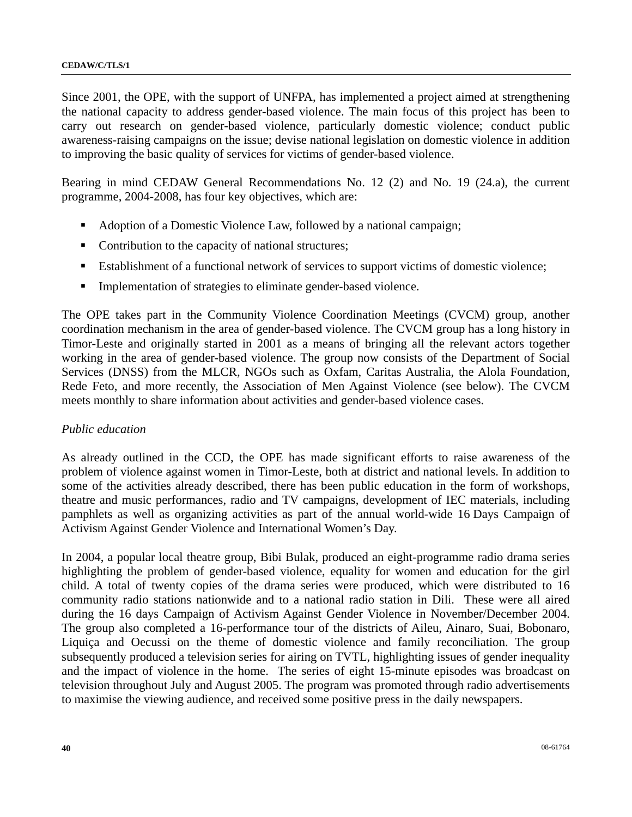Since 2001, the OPE, with the support of UNFPA, has implemented a project aimed at strengthening the national capacity to address gender-based violence. The main focus of this project has been to carry out research on gender-based violence, particularly domestic violence; conduct public awareness-raising campaigns on the issue; devise national legislation on domestic violence in addition to improving the basic quality of services for victims of gender-based violence.

Bearing in mind CEDAW General Recommendations No. 12 (2) and No. 19 (24.a), the current programme, 2004-2008, has four key objectives, which are:

- Adoption of a Domestic Violence Law, followed by a national campaign;
- Contribution to the capacity of national structures;
- Establishment of a functional network of services to support victims of domestic violence;
- Implementation of strategies to eliminate gender-based violence.

The OPE takes part in the Community Violence Coordination Meetings (CVCM) group, another coordination mechanism in the area of gender-based violence. The CVCM group has a long history in Timor-Leste and originally started in 2001 as a means of bringing all the relevant actors together working in the area of gender-based violence. The group now consists of the Department of Social Services (DNSS) from the MLCR, NGOs such as Oxfam, Caritas Australia, the Alola Foundation, Rede Feto, and more recently, the Association of Men Against Violence (see below). The CVCM meets monthly to share information about activities and gender-based violence cases.

### *Public education*

As already outlined in the CCD, the OPE has made significant efforts to raise awareness of the problem of violence against women in Timor-Leste, both at district and national levels. In addition to some of the activities already described, there has been public education in the form of workshops, theatre and music performances, radio and TV campaigns, development of IEC materials, including pamphlets as well as organizing activities as part of the annual world-wide 16 Days Campaign of Activism Against Gender Violence and International Women's Day.

In 2004, a popular local theatre group, Bibi Bulak, produced an eight-programme radio drama series highlighting the problem of gender-based violence, equality for women and education for the girl child. A total of twenty copies of the drama series were produced, which were distributed to 16 community radio stations nationwide and to a national radio station in Dili. These were all aired during the 16 days Campaign of Activism Against Gender Violence in November/December 2004. The group also completed a 16-performance tour of the districts of Aileu, Ainaro, Suai, Bobonaro, Liquiça and Oecussi on the theme of domestic violence and family reconciliation. The group subsequently produced a television series for airing on TVTL, highlighting issues of gender inequality and the impact of violence in the home. The series of eight 15-minute episodes was broadcast on television throughout July and August 2005. The program was promoted through radio advertisements to maximise the viewing audience, and received some positive press in the daily newspapers.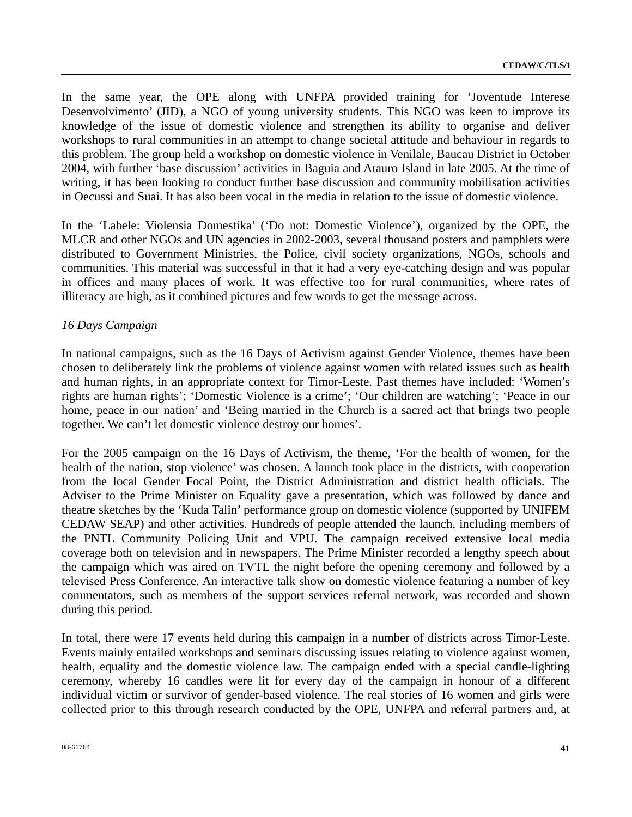In the same year, the OPE along with UNFPA provided training for 'Joventude Interese Desenvolvimento' (JID), a NGO of young university students. This NGO was keen to improve its knowledge of the issue of domestic violence and strengthen its ability to organise and deliver workshops to rural communities in an attempt to change societal attitude and behaviour in regards to this problem. The group held a workshop on domestic violence in Venilale, Baucau District in October 2004, with further 'base discussion' activities in Baguia and Atauro Island in late 2005. At the time of writing, it has been looking to conduct further base discussion and community mobilisation activities in Oecussi and Suai. It has also been vocal in the media in relation to the issue of domestic violence.

In the 'Labele: Violensia Domestika' ('Do not: Domestic Violence'), organized by the OPE, the MLCR and other NGOs and UN agencies in 2002-2003, several thousand posters and pamphlets were distributed to Government Ministries, the Police, civil society organizations, NGOs, schools and communities. This material was successful in that it had a very eye-catching design and was popular in offices and many places of work. It was effective too for rural communities, where rates of illiteracy are high, as it combined pictures and few words to get the message across.

### *16 Days Campaign*

In national campaigns, such as the 16 Days of Activism against Gender Violence, themes have been chosen to deliberately link the problems of violence against women with related issues such as health and human rights, in an appropriate context for Timor-Leste. Past themes have included: 'Women's rights are human rights'; 'Domestic Violence is a crime'; 'Our children are watching'; 'Peace in our home, peace in our nation' and 'Being married in the Church is a sacred act that brings two people together. We can't let domestic violence destroy our homes'.

For the 2005 campaign on the 16 Days of Activism, the theme, 'For the health of women, for the health of the nation, stop violence' was chosen. A launch took place in the districts, with cooperation from the local Gender Focal Point, the District Administration and district health officials. The Adviser to the Prime Minister on Equality gave a presentation, which was followed by dance and theatre sketches by the 'Kuda Talin' performance group on domestic violence (supported by UNIFEM CEDAW SEAP) and other activities. Hundreds of people attended the launch, including members of the PNTL Community Policing Unit and VPU. The campaign received extensive local media coverage both on television and in newspapers. The Prime Minister recorded a lengthy speech about the campaign which was aired on TVTL the night before the opening ceremony and followed by a televised Press Conference. An interactive talk show on domestic violence featuring a number of key commentators, such as members of the support services referral network, was recorded and shown during this period.

In total, there were 17 events held during this campaign in a number of districts across Timor-Leste. Events mainly entailed workshops and seminars discussing issues relating to violence against women, health, equality and the domestic violence law. The campaign ended with a special candle-lighting ceremony, whereby 16 candles were lit for every day of the campaign in honour of a different individual victim or survivor of gender-based violence. The real stories of 16 women and girls were collected prior to this through research conducted by the OPE, UNFPA and referral partners and, at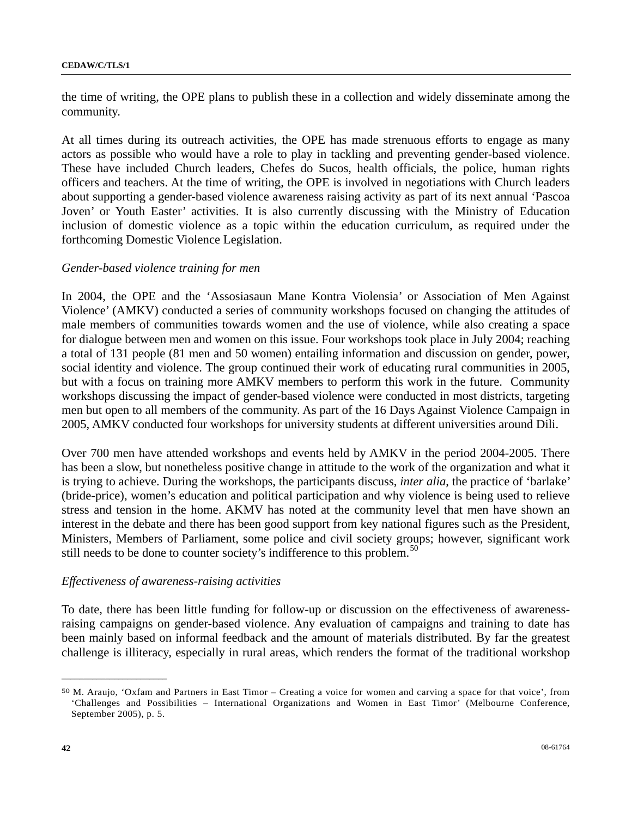the time of writing, the OPE plans to publish these in a collection and widely disseminate among the community.

At all times during its outreach activities, the OPE has made strenuous efforts to engage as many actors as possible who would have a role to play in tackling and preventing gender-based violence. These have included Church leaders, Chefes do Sucos, health officials, the police, human rights officers and teachers. At the time of writing, the OPE is involved in negotiations with Church leaders about supporting a gender-based violence awareness raising activity as part of its next annual 'Pascoa Joven' or Youth Easter' activities. It is also currently discussing with the Ministry of Education inclusion of domestic violence as a topic within the education curriculum, as required under the forthcoming Domestic Violence Legislation.

### *Gender-based violence training for men*

In 2004, the OPE and the 'Assosiasaun Mane Kontra Violensia' or Association of Men Against Violence' (AMKV) conducted a series of community workshops focused on changing the attitudes of male members of communities towards women and the use of violence, while also creating a space for dialogue between men and women on this issue. Four workshops took place in July 2004; reaching a total of 131 people (81 men and 50 women) entailing information and discussion on gender, power, social identity and violence. The group continued their work of educating rural communities in 2005, but with a focus on training more AMKV members to perform this work in the future. Community workshops discussing the impact of gender-based violence were conducted in most districts, targeting men but open to all members of the community. As part of the 16 Days Against Violence Campaign in 2005, AMKV conducted four workshops for university students at different universities around Dili.

Over 700 men have attended workshops and events held by AMKV in the period 2004-2005. There has been a slow, but nonetheless positive change in attitude to the work of the organization and what it is trying to achieve. During the workshops, the participants discuss, *inter alia*, the practice of 'barlake' (bride-price), women's education and political participation and why violence is being used to relieve stress and tension in the home. AKMV has noted at the community level that men have shown an interest in the debate and there has been good support from key national figures such as the President, Ministers, Members of Parliament, some police and civil society groups; however, significant work still needs to be done to counter society's indifference to this problem.<sup>[5](#page-41-0)0</sup>

### *Effectiveness of awareness-raising activities*

To date, there has been little funding for follow-up or discussion on the effectiveness of awarenessraising campaigns on gender-based violence. Any evaluation of campaigns and training to date has been mainly based on informal feedback and the amount of materials distributed. By far the greatest challenge is illiteracy, especially in rural areas, which renders the format of the traditional workshop

<span id="page-41-0"></span><sup>50</sup> M. Araujo, 'Oxfam and Partners in East Timor – Creating a voice for women and carving a space for that voice', from 'Challenges and Possibilities – International Organizations and Women in East Timor' (Melbourne Conference, September 2005), p. 5.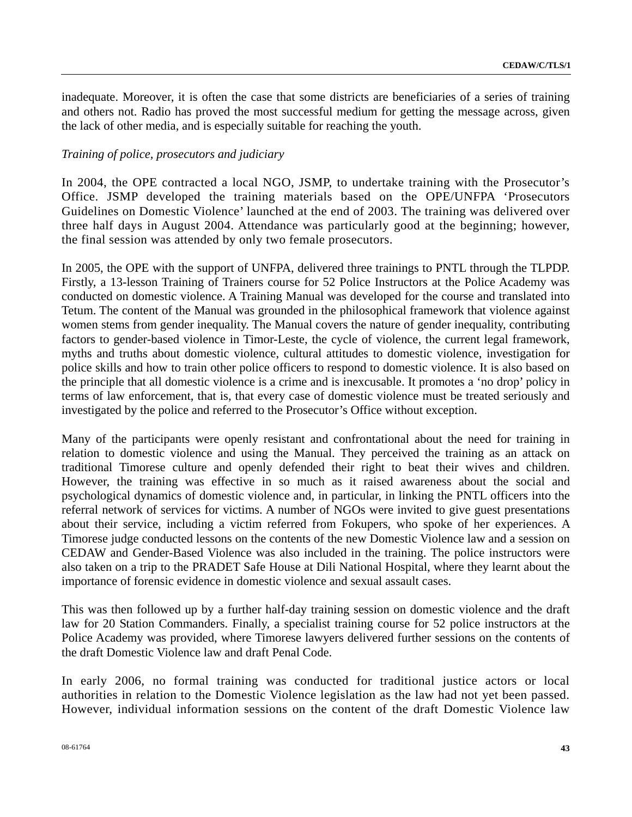inadequate. Moreover, it is often the case that some districts are beneficiaries of a series of training and others not. Radio has proved the most successful medium for getting the message across, given the lack of other media, and is especially suitable for reaching the youth.

### *Training of police, prosecutors and judiciary*

In 2004, the OPE contracted a local NGO, JSMP, to undertake training with the Prosecutor's Office. JSMP developed the training materials based on the OPE/UNFPA 'Prosecutors Guidelines on Domestic Violence' launched at the end of 2003. The training was delivered over three half days in August 2004. Attendance was particularly good at the beginning; however, the final session was attended by only two female prosecutors.

In 2005, the OPE with the support of UNFPA, delivered three trainings to PNTL through the TLPDP. Firstly, a 13-lesson Training of Trainers course for 52 Police Instructors at the Police Academy was conducted on domestic violence. A Training Manual was developed for the course and translated into Tetum. The content of the Manual was grounded in the philosophical framework that violence against women stems from gender inequality. The Manual covers the nature of gender inequality, contributing factors to gender-based violence in Timor-Leste, the cycle of violence, the current legal framework, myths and truths about domestic violence, cultural attitudes to domestic violence, investigation for police skills and how to train other police officers to respond to domestic violence. It is also based on the principle that all domestic violence is a crime and is inexcusable. It promotes a 'no drop' policy in terms of law enforcement, that is, that every case of domestic violence must be treated seriously and investigated by the police and referred to the Prosecutor's Office without exception.

Many of the participants were openly resistant and confrontational about the need for training in relation to domestic violence and using the Manual. They perceived the training as an attack on traditional Timorese culture and openly defended their right to beat their wives and children. However, the training was effective in so much as it raised awareness about the social and psychological dynamics of domestic violence and, in particular, in linking the PNTL officers into the referral network of services for victims. A number of NGOs were invited to give guest presentations about their service, including a victim referred from Fokupers, who spoke of her experiences. A Timorese judge conducted lessons on the contents of the new Domestic Violence law and a session on CEDAW and Gender-Based Violence was also included in the training. The police instructors were also taken on a trip to the PRADET Safe House at Dili National Hospital, where they learnt about the importance of forensic evidence in domestic violence and sexual assault cases.

This was then followed up by a further half-day training session on domestic violence and the draft law for 20 Station Commanders. Finally, a specialist training course for 52 police instructors at the Police Academy was provided, where Timorese lawyers delivered further sessions on the contents of the draft Domestic Violence law and draft Penal Code.

In early 2006, no formal training was conducted for traditional justice actors or local authorities in relation to the Domestic Violence legislation as the law had not yet been passed. However, individual information sessions on the content of the draft Domestic Violence law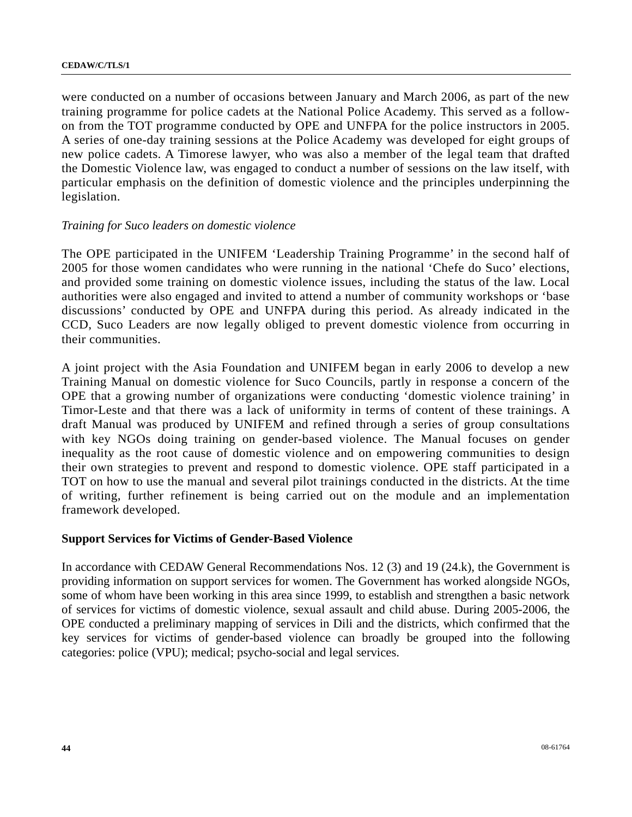were conducted on a number of occasions between January and March 2006, as part of the new training programme for police cadets at the National Police Academy. This served as a followon from the TOT programme conducted by OPE and UNFPA for the police instructors in 2005. A series of one-day training sessions at the Police Academy was developed for eight groups of new police cadets. A Timorese lawyer, who was also a member of the legal team that drafted the Domestic Violence law, was engaged to conduct a number of sessions on the law itself, with particular emphasis on the definition of domestic violence and the principles underpinning the legislation.

### *Training for Suco leaders on domestic violence*

The OPE participated in the UNIFEM 'Leadership Training Programme' in the second half of 2005 for those women candidates who were running in the national 'Chefe do Suco' elections, and provided some training on domestic violence issues, including the status of the law. Local authorities were also engaged and invited to attend a number of community workshops or 'base discussions' conducted by OPE and UNFPA during this period. As already indicated in the CCD, Suco Leaders are now legally obliged to prevent domestic violence from occurring in their communities.

A joint project with the Asia Foundation and UNIFEM began in early 2006 to develop a new Training Manual on domestic violence for Suco Councils, partly in response a concern of the OPE that a growing number of organizations were conducting 'domestic violence training' in Timor-Leste and that there was a lack of uniformity in terms of content of these trainings. A draft Manual was produced by UNIFEM and refined through a series of group consultations with key NGOs doing training on gender-based violence. The Manual focuses on gender inequality as the root cause of domestic violence and on empowering communities to design their own strategies to prevent and respond to domestic violence. OPE staff participated in a TOT on how to use the manual and several pilot trainings conducted in the districts. At the time of writing, further refinement is being carried out on the module and an implementation framework developed.

### **Support Services for Victims of Gender-Based Violence**

In accordance with CEDAW General Recommendations Nos. 12 (3) and 19 (24.k), the Government is providing information on support services for women. The Government has worked alongside NGOs, some of whom have been working in this area since 1999, to establish and strengthen a basic network of services for victims of domestic violence, sexual assault and child abuse. During 2005-2006, the OPE conducted a preliminary mapping of services in Dili and the districts, which confirmed that the key services for victims of gender-based violence can broadly be grouped into the following categories: police (VPU); medical; psycho-social and legal services.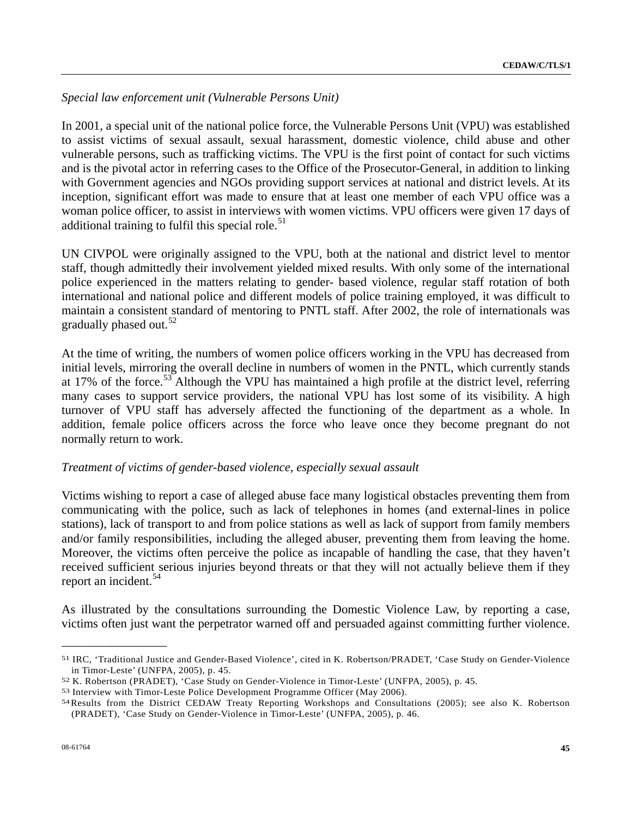# *Special law enforcement unit (Vulnerable Persons Unit)*

In 2001, a special unit of the national police force, the Vulnerable Persons Unit (VPU) was established to assist victims of sexual assault, sexual harassment, domestic violence, child abuse and other vulnerable persons, such as trafficking victims. The VPU is the first point of contact for such victims and is the pivotal actor in referring cases to the Office of the Prosecutor-General, in addition to linking with Government agencies and NGOs providing support services at national and district levels. At its inception, significant effort was made to ensure that at least one member of each VPU office was a woman police officer, to assist in interviews with women victims. VPU officers were given 17 days of additional training to fulfil this special role. $51$  $51$ 

UN CIVPOL were originally assigned to the VPU, both at the national and district level to mentor staff, though admittedly their involvement yielded mixed results. With only some of the international police experienced in the matters relating to gender- based violence, regular staff rotation of both international and national police and different models of police training employed, it was difficult to maintain a consistent standard of mentoring to PNTL staff. After 2002, the role of internationals was gradually phased out. $52$  $52$ 

At the time of writing, the numbers of women police officers working in the VPU has decreased from initial levels, mirroring the overall decline in numbers of women in the PNTL, which currently stands at 17% of the force.<sup>[53](#page-44-2)</sup> Although the VPU has maintained a high profile at the district level, referring many cases to support service providers, the national VPU has lost some of its visibility. A high turnover of VPU staff has adversely affected the functioning of the department as a whole. In addition, female police officers across the force who leave once they become pregnant do not normally return to work.

### *Treatment of victims of gender-based violence, especially sexual assault*

Victims wishing to report a case of alleged abuse face many logistical obstacles preventing them from communicating with the police, such as lack of telephones in homes (and external-lines in police stations), lack of transport to and from police stations as well as lack of support from family members and/or family responsibilities, including the alleged abuser, preventing them from leaving the home. Moreover, the victims often perceive the police as incapable of handling the case, that they haven't received sufficient serious injuries beyond threats or that they will not actually believe them if they report an incident.<sup>[54](#page-44-3)</sup>

As illustrated by the consultations surrounding the Domestic Violence Law, by reporting a case, victims often just want the perpetrator warned off and persuaded against committing further violence.

<span id="page-44-0"></span><sup>51</sup> IRC, 'Traditional Justice and Gender-Based Violence', cited in K. Robertson/PRADET, 'Case Study on Gender-Violence in Timor-Leste' (UNFPA, 2005), p. 45.<br>
52 K. Robertson (PRADET), 'Case Study on Gender-Violence in Timor-Leste' (UNFPA, 2005), p. 45.<br>
53 Interview with Timor-Leste Police Development Programme Officer (May 2006).<br>
54 Resu

<span id="page-44-1"></span>

<span id="page-44-3"></span><span id="page-44-2"></span>

<sup>(</sup>PRADET), 'Case Study on Gender-Violence in Timor-Leste' (UNFPA, 2005), p. 46.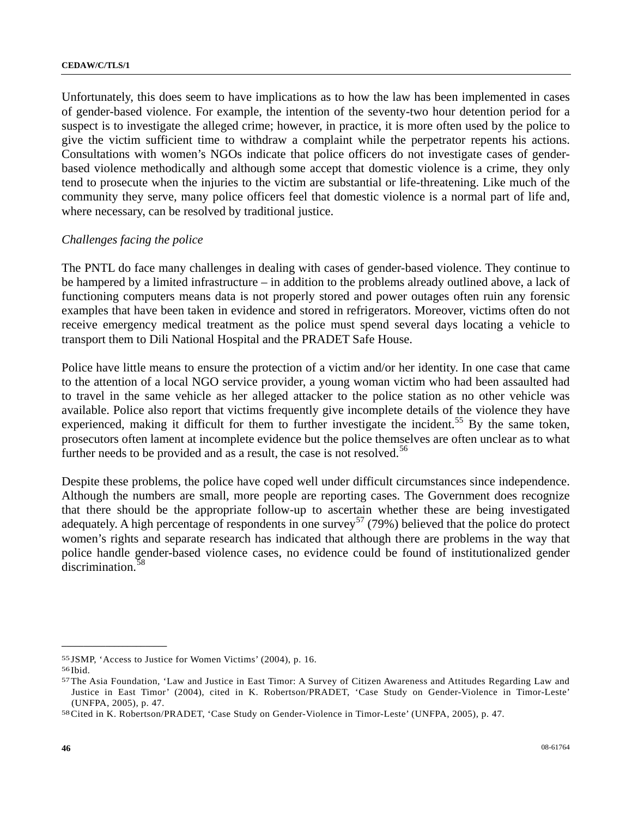Unfortunately, this does seem to have implications as to how the law has been implemented in cases of gender-based violence. For example, the intention of the seventy-two hour detention period for a suspect is to investigate the alleged crime; however, in practice, it is more often used by the police to give the victim sufficient time to withdraw a complaint while the perpetrator repents his actions. Consultations with women's NGOs indicate that police officers do not investigate cases of genderbased violence methodically and although some accept that domestic violence is a crime, they only tend to prosecute when the injuries to the victim are substantial or life-threatening. Like much of the community they serve, many police officers feel that domestic violence is a normal part of life and, where necessary, can be resolved by traditional justice.

## *Challenges facing the police*

The PNTL do face many challenges in dealing with cases of gender-based violence. They continue to be hampered by a limited infrastructure – in addition to the problems already outlined above, a lack of functioning computers means data is not properly stored and power outages often ruin any forensic examples that have been taken in evidence and stored in refrigerators. Moreover, victims often do not receive emergency medical treatment as the police must spend several days locating a vehicle to transport them to Dili National Hospital and the PRADET Safe House.

Police have little means to ensure the protection of a victim and/or her identity. In one case that came to the attention of a local NGO service provider, a young woman victim who had been assaulted had to travel in the same vehicle as her alleged attacker to the police station as no other vehicle was available. Police also report that victims frequently give incomplete details of the violence they have experienced, making it difficult for them to further investigate the incident.<sup>[5](#page-45-0)5</sup> By the same token, prosecutors often lament at incomplete evidence but the police themselves are often unclear as to what further needs to be provided and as a result, the case is not resolved.<sup>[5](#page-45-1)6</sup>

Despite these problems, the police have coped well under difficult circumstances since independence. Although the numbers are small, more people are reporting cases. The Government does recognize that there should be the appropriate follow-up to ascertain whether these are being investigated adequately. A high percentage of respondents in one survey<sup>[5](#page-45-2)7</sup> (79%) believed that the police do protect women's rights and separate research has indicated that although there are problems in the way that police handle gender-based violence cases, no evidence could be found of institutionalized gender discrimination.<sup>[58](#page-45-3)</sup>

<span id="page-45-0"></span><sup>55</sup> JSMP, 'Access to Justice for Women Victims' (2004), p. 16. 56 Ibid.

<span id="page-45-1"></span>

<span id="page-45-2"></span><sup>57</sup> The Asia Foundation, 'Law and Justice in East Timor: A Survey of Citizen Awareness and Attitudes Regarding Law and Justice in East Timor' (2004), cited in K. Robertson/PRADET, 'Case Study on Gender-Violence in Timor-Leste' (UNFPA, 2005), p. 47. 58 Cited in K. Robertson/PRADET, 'Case Study on Gender-Violence in Timor-Leste' (UNFPA, 2005), p. 47.

<span id="page-45-3"></span>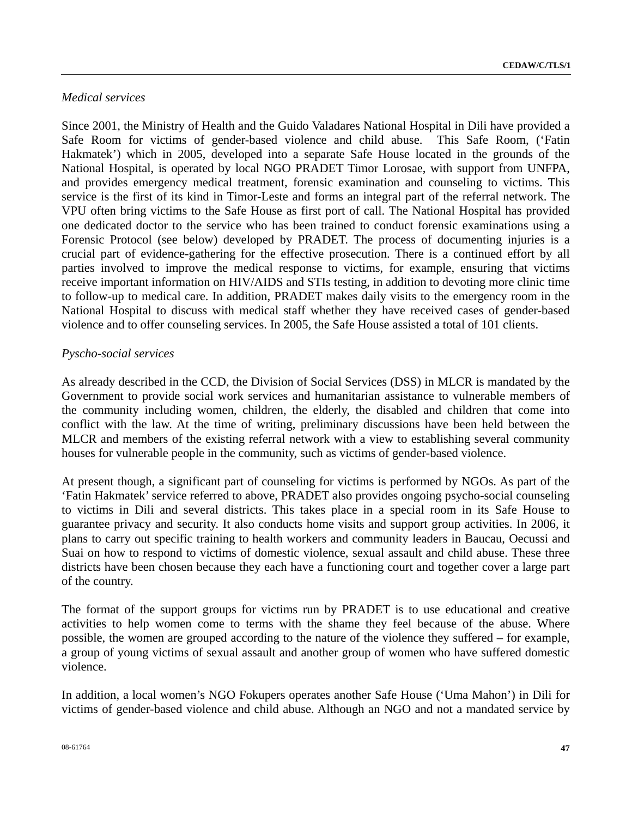# *Medical services*

Since 2001, the Ministry of Health and the Guido Valadares National Hospital in Dili have provided a Safe Room for victims of gender-based violence and child abuse. This Safe Room, ('Fatin Hakmatek') which in 2005, developed into a separate Safe House located in the grounds of the National Hospital, is operated by local NGO PRADET Timor Lorosae, with support from UNFPA, and provides emergency medical treatment, forensic examination and counseling to victims. This service is the first of its kind in Timor-Leste and forms an integral part of the referral network. The VPU often bring victims to the Safe House as first port of call. The National Hospital has provided one dedicated doctor to the service who has been trained to conduct forensic examinations using a Forensic Protocol (see below) developed by PRADET. The process of documenting injuries is a crucial part of evidence-gathering for the effective prosecution. There is a continued effort by all parties involved to improve the medical response to victims, for example, ensuring that victims receive important information on HIV/AIDS and STIs testing, in addition to devoting more clinic time to follow-up to medical care. In addition, PRADET makes daily visits to the emergency room in the National Hospital to discuss with medical staff whether they have received cases of gender-based violence and to offer counseling services. In 2005, the Safe House assisted a total of 101 clients.

# *Pyscho-social services*

As already described in the CCD, the Division of Social Services (DSS) in MLCR is mandated by the Government to provide social work services and humanitarian assistance to vulnerable members of the community including women, children, the elderly, the disabled and children that come into conflict with the law. At the time of writing, preliminary discussions have been held between the MLCR and members of the existing referral network with a view to establishing several community houses for vulnerable people in the community, such as victims of gender-based violence.

At present though, a significant part of counseling for victims is performed by NGOs. As part of the 'Fatin Hakmatek' service referred to above, PRADET also provides ongoing psycho-social counseling to victims in Dili and several districts. This takes place in a special room in its Safe House to guarantee privacy and security. It also conducts home visits and support group activities. In 2006, it plans to carry out specific training to health workers and community leaders in Baucau, Oecussi and Suai on how to respond to victims of domestic violence, sexual assault and child abuse. These three districts have been chosen because they each have a functioning court and together cover a large part of the country.

The format of the support groups for victims run by PRADET is to use educational and creative activities to help women come to terms with the shame they feel because of the abuse. Where possible, the women are grouped according to the nature of the violence they suffered – for example, a group of young victims of sexual assault and another group of women who have suffered domestic violence.

In addition, a local women's NGO Fokupers operates another Safe House ('Uma Mahon') in Dili for victims of gender-based violence and child abuse. Although an NGO and not a mandated service by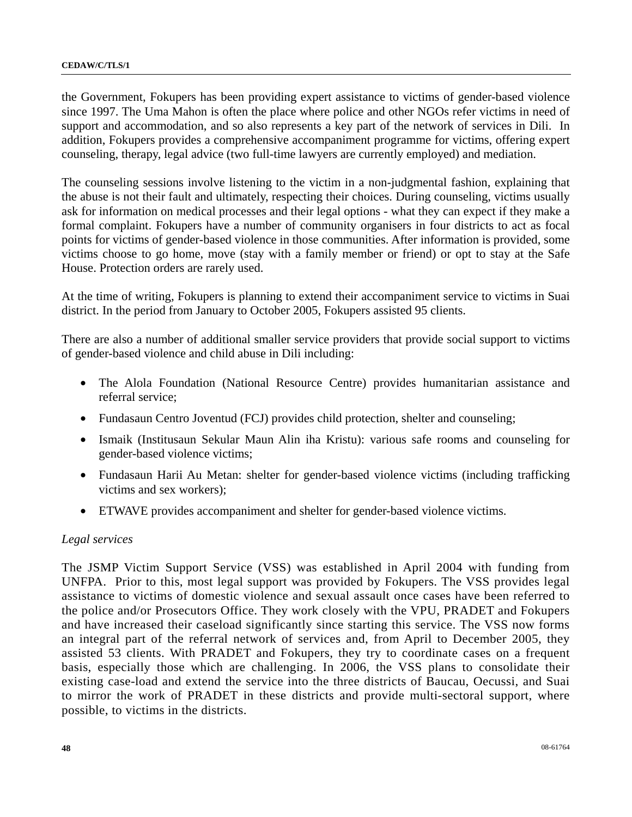the Government, Fokupers has been providing expert assistance to victims of gender-based violence since 1997. The Uma Mahon is often the place where police and other NGOs refer victims in need of support and accommodation, and so also represents a key part of the network of services in Dili. In addition, Fokupers provides a comprehensive accompaniment programme for victims, offering expert counseling, therapy, legal advice (two full-time lawyers are currently employed) and mediation.

The counseling sessions involve listening to the victim in a non-judgmental fashion, explaining that the abuse is not their fault and ultimately, respecting their choices. During counseling, victims usually ask for information on medical processes and their legal options - what they can expect if they make a formal complaint. Fokupers have a number of community organisers in four districts to act as focal points for victims of gender-based violence in those communities. After information is provided, some victims choose to go home, move (stay with a family member or friend) or opt to stay at the Safe House. Protection orders are rarely used.

At the time of writing, Fokupers is planning to extend their accompaniment service to victims in Suai district. In the period from January to October 2005, Fokupers assisted 95 clients.

There are also a number of additional smaller service providers that provide social support to victims of gender-based violence and child abuse in Dili including:

- The Alola Foundation (National Resource Centre) provides humanitarian assistance and referral service;
- Fundasaun Centro Joventud (FCJ) provides child protection, shelter and counseling;
- Ismaik (Institusaun Sekular Maun Alin iha Kristu): various safe rooms and counseling for gender-based violence victims;
- Fundasaun Harii Au Metan: shelter for gender-based violence victims (including trafficking victims and sex workers);
- ETWAVE provides accompaniment and shelter for gender-based violence victims.

### *Legal services*

The JSMP Victim Support Service (VSS) was established in April 2004 with funding from UNFPA. Prior to this, most legal support was provided by Fokupers. The VSS provides legal assistance to victims of domestic violence and sexual assault once cases have been referred to the police and/or Prosecutors Office. They work closely with the VPU, PRADET and Fokupers and have increased their caseload significantly since starting this service. The VSS now forms an integral part of the referral network of services and, from April to December 2005, they assisted 53 clients. With PRADET and Fokupers, they try to coordinate cases on a frequent basis, especially those which are challenging. In 2006, the VSS plans to consolidate their existing case-load and extend the service into the three districts of Baucau, Oecussi, and Suai to mirror the work of PRADET in these districts and provide multi-sectoral support, where possible, to victims in the districts.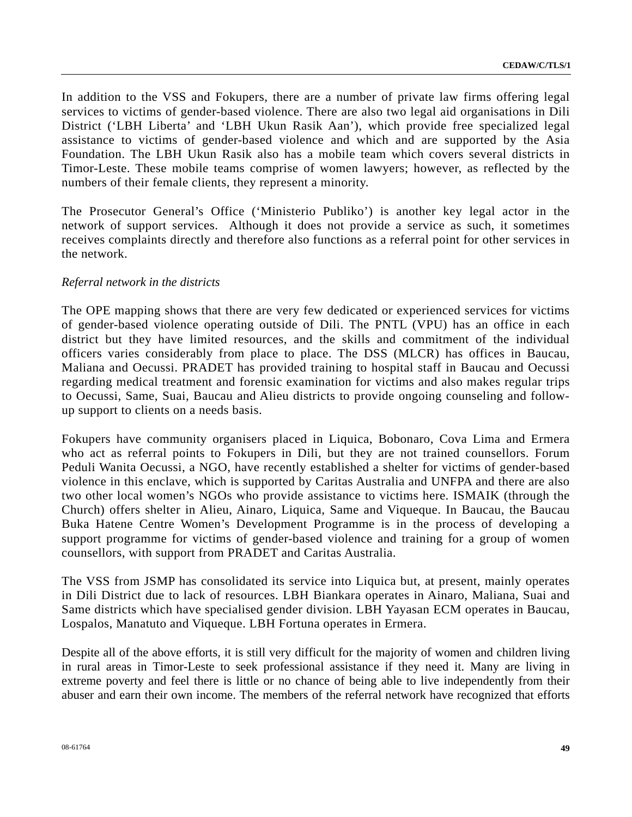In addition to the VSS and Fokupers, there are a number of private law firms offering legal services to victims of gender-based violence. There are also two legal aid organisations in Dili District ('LBH Liberta' and 'LBH Ukun Rasik Aan'), which provide free specialized legal assistance to victims of gender-based violence and which and are supported by the Asia Foundation. The LBH Ukun Rasik also has a mobile team which covers several districts in Timor-Leste. These mobile teams comprise of women lawyers; however, as reflected by the numbers of their female clients, they represent a minority.

The Prosecutor General's Office ('Ministerio Publiko') is another key legal actor in the network of support services. Although it does not provide a service as such, it sometimes receives complaints directly and therefore also functions as a referral point for other services in the network.

## *Referral network in the districts*

The OPE mapping shows that there are very few dedicated or experienced services for victims of gender-based violence operating outside of Dili. The PNTL (VPU) has an office in each district but they have limited resources, and the skills and commitment of the individual officers varies considerably from place to place. The DSS (MLCR) has offices in Baucau, Maliana and Oecussi. PRADET has provided training to hospital staff in Baucau and Oecussi regarding medical treatment and forensic examination for victims and also makes regular trips to Oecussi, Same, Suai, Baucau and Alieu districts to provide ongoing counseling and followup support to clients on a needs basis.

Fokupers have community organisers placed in Liquica, Bobonaro, Cova Lima and Ermera who act as referral points to Fokupers in Dili, but they are not trained counsellors. Forum Peduli Wanita Oecussi, a NGO, have recently established a shelter for victims of gender-based violence in this enclave, which is supported by Caritas Australia and UNFPA and there are also two other local women's NGOs who provide assistance to victims here. ISMAIK (through the Church) offers shelter in Alieu, Ainaro, Liquica, Same and Viqueque. In Baucau, the Baucau Buka Hatene Centre Women's Development Programme is in the process of developing a support programme for victims of gender-based violence and training for a group of women counsellors, with support from PRADET and Caritas Australia.

The VSS from JSMP has consolidated its service into Liquica but, at present, mainly operates in Dili District due to lack of resources. LBH Biankara operates in Ainaro, Maliana, Suai and Same districts which have specialised gender division. LBH Yayasan ECM operates in Baucau, Lospalos, Manatuto and Viqueque. LBH Fortuna operates in Ermera.

Despite all of the above efforts, it is still very difficult for the majority of women and children living in rural areas in Timor-Leste to seek professional assistance if they need it. Many are living in extreme poverty and feel there is little or no chance of being able to live independently from their abuser and earn their own income. The members of the referral network have recognized that efforts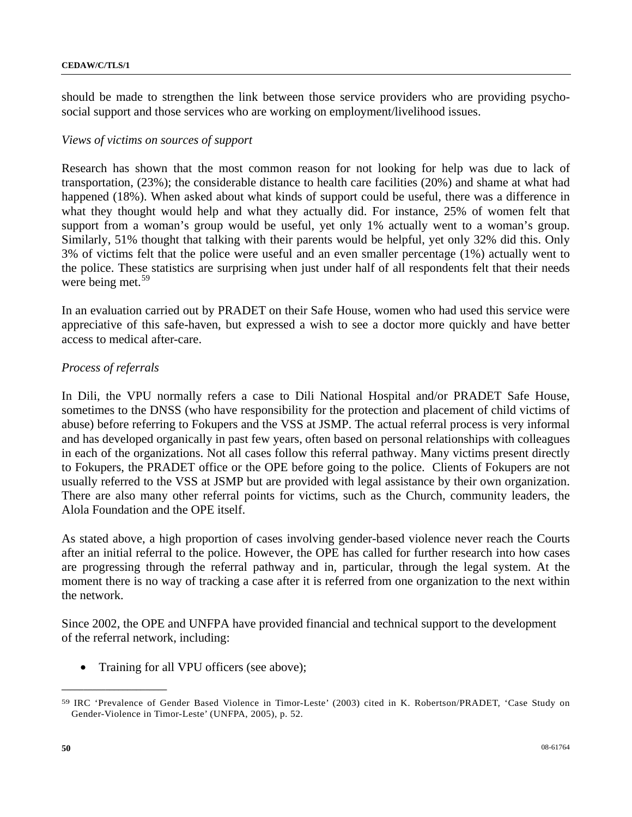should be made to strengthen the link between those service providers who are providing psychosocial support and those services who are working on employment/livelihood issues.

### *Views of victims on sources of support*

Research has shown that the most common reason for not looking for help was due to lack of transportation, (23%); the considerable distance to health care facilities (20%) and shame at what had happened (18%). When asked about what kinds of support could be useful, there was a difference in what they thought would help and what they actually did. For instance, 25% of women felt that support from a woman's group would be useful, yet only 1% actually went to a woman's group. Similarly, 51% thought that talking with their parents would be helpful, yet only 32% did this. Only 3% of victims felt that the police were useful and an even smaller percentage (1%) actually went to the police. These statistics are surprising when just under half of all respondents felt that their needs were being met. $59$  $59$ 

In an evaluation carried out by PRADET on their Safe House, women who had used this service were appreciative of this safe-haven, but expressed a wish to see a doctor more quickly and have better access to medical after-care.

## *Process of referrals*

In Dili, the VPU normally refers a case to Dili National Hospital and/or PRADET Safe House, sometimes to the DNSS (who have responsibility for the protection and placement of child victims of abuse) before referring to Fokupers and the VSS at JSMP. The actual referral process is very informal and has developed organically in past few years, often based on personal relationships with colleagues in each of the organizations. Not all cases follow this referral pathway. Many victims present directly to Fokupers, the PRADET office or the OPE before going to the police. Clients of Fokupers are not usually referred to the VSS at JSMP but are provided with legal assistance by their own organization. There are also many other referral points for victims, such as the Church, community leaders, the Alola Foundation and the OPE itself.

As stated above, a high proportion of cases involving gender-based violence never reach the Courts after an initial referral to the police. However, the OPE has called for further research into how cases are progressing through the referral pathway and in, particular, through the legal system. At the moment there is no way of tracking a case after it is referred from one organization to the next within the network.

Since 2002, the OPE and UNFPA have provided financial and technical support to the development of the referral network, including:

Training for all VPU officers (see above);

<span id="page-49-0"></span><sup>59</sup> IRC 'Prevalence of Gender Based Violence in Timor-Leste' (2003) cited in K. Robertson/PRADET, 'Case Study on Gender-Violence in Timor-Leste' (UNFPA, 2005), p. 52.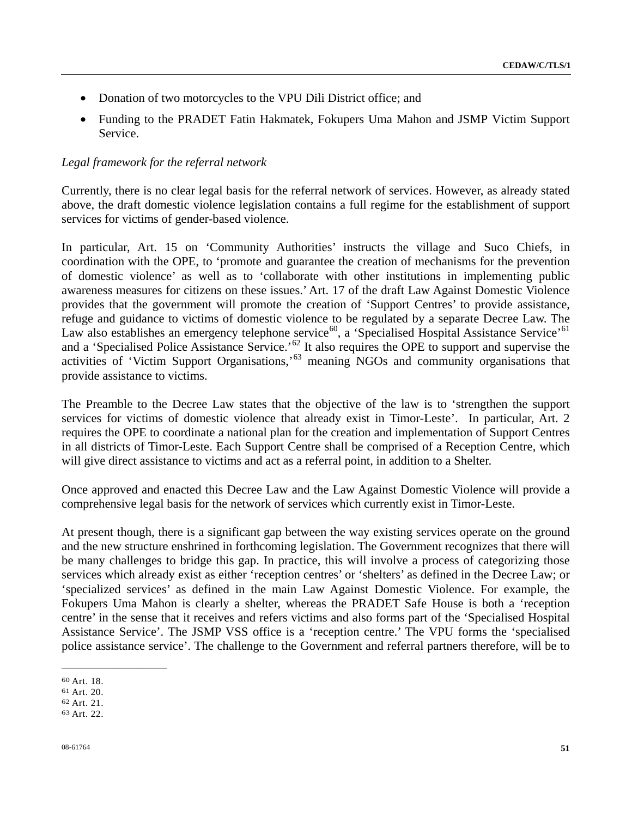- Donation of two motorcycles to the VPU Dili District office; and
- Funding to the PRADET Fatin Hakmatek, Fokupers Uma Mahon and JSMP Victim Support Service.

## *Legal framework for the referral network*

Currently, there is no clear legal basis for the referral network of services. However, as already stated above, the draft domestic violence legislation contains a full regime for the establishment of support services for victims of gender-based violence.

In particular, Art. 15 on 'Community Authorities' instructs the village and Suco Chiefs, in coordination with the OPE, to 'promote and guarantee the creation of mechanisms for the prevention of domestic violence' as well as to 'collaborate with other institutions in implementing public awareness measures for citizens on these issues.' Art. 17 of the draft Law Against Domestic Violence provides that the government will promote the creation of 'Support Centres' to provide assistance, refuge and guidance to victims of domestic violence to be regulated by a separate Decree Law. The Law also establishes an emergency telephone service<sup>[6](#page-50-1)0</sup>, a 'Specialised Hospital Assistance Service'<sup>61</sup> and a 'Specialised Police Assistance Service.'<sup>[6](#page-50-2)2</sup> It also requires the OPE to support and supervise the activities of 'Victim Support Organisations,'[6](#page-50-3)3 meaning NGOs and community organisations that provide assistance to victims.

The Preamble to the Decree Law states that the objective of the law is to 'strengthen the support services for victims of domestic violence that already exist in Timor-Leste'. In particular, Art. 2 requires the OPE to coordinate a national plan for the creation and implementation of Support Centres in all districts of Timor-Leste. Each Support Centre shall be comprised of a Reception Centre, which will give direct assistance to victims and act as a referral point, in addition to a Shelter.

Once approved and enacted this Decree Law and the Law Against Domestic Violence will provide a comprehensive legal basis for the network of services which currently exist in Timor-Leste.

At present though, there is a significant gap between the way existing services operate on the ground and the new structure enshrined in forthcoming legislation. The Government recognizes that there will be many challenges to bridge this gap. In practice, this will involve a process of categorizing those services which already exist as either 'reception centres' or 'shelters' as defined in the Decree Law; or 'specialized services' as defined in the main Law Against Domestic Violence. For example, the Fokupers Uma Mahon is clearly a shelter, whereas the PRADET Safe House is both a 'reception centre' in the sense that it receives and refers victims and also forms part of the 'Specialised Hospital Assistance Service'. The JSMP VSS office is a 'reception centre.' The VPU forms the 'specialised police assistance service'. The challenge to the Government and referral partners therefore, will be to

<span id="page-50-0"></span><sup>60</sup> Art. 18.

<span id="page-50-1"></span><sup>61</sup> Art. 20.

<span id="page-50-2"></span><sup>62</sup> Art. 21.

<span id="page-50-3"></span><sup>63</sup> Art. 22.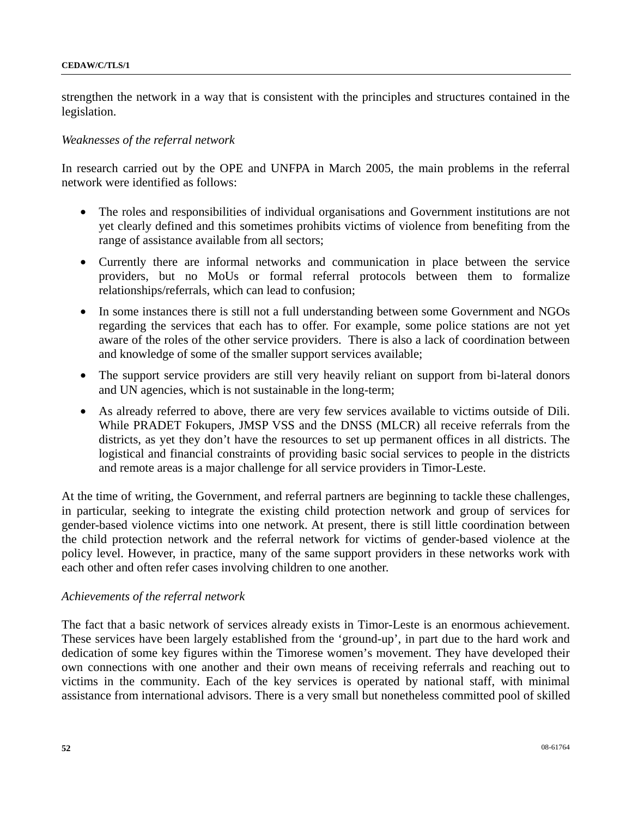strengthen the network in a way that is consistent with the principles and structures contained in the legislation.

### *Weaknesses of the referral network*

In research carried out by the OPE and UNFPA in March 2005, the main problems in the referral network were identified as follows:

- The roles and responsibilities of individual organisations and Government institutions are not yet clearly defined and this sometimes prohibits victims of violence from benefiting from the range of assistance available from all sectors;
- Currently there are informal networks and communication in place between the service providers, but no MoUs or formal referral protocols between them to formalize relationships/referrals, which can lead to confusion;
- In some instances there is still not a full understanding between some Government and NGOs regarding the services that each has to offer. For example, some police stations are not yet aware of the roles of the other service providers. There is also a lack of coordination between and knowledge of some of the smaller support services available;
- The support service providers are still very heavily reliant on support from bi-lateral donors and UN agencies, which is not sustainable in the long-term;
- As already referred to above, there are very few services available to victims outside of Dili. While PRADET Fokupers, JMSP VSS and the DNSS (MLCR) all receive referrals from the districts, as yet they don't have the resources to set up permanent offices in all districts. The logistical and financial constraints of providing basic social services to people in the districts and remote areas is a major challenge for all service providers in Timor-Leste.

At the time of writing, the Government, and referral partners are beginning to tackle these challenges, in particular, seeking to integrate the existing child protection network and group of services for gender-based violence victims into one network. At present, there is still little coordination between the child protection network and the referral network for victims of gender-based violence at the policy level. However, in practice, many of the same support providers in these networks work with each other and often refer cases involving children to one another.

### *Achievements of the referral network*

The fact that a basic network of services already exists in Timor-Leste is an enormous achievement. These services have been largely established from the 'ground-up', in part due to the hard work and dedication of some key figures within the Timorese women's movement. They have developed their own connections with one another and their own means of receiving referrals and reaching out to victims in the community. Each of the key services is operated by national staff, with minimal assistance from international advisors. There is a very small but nonetheless committed pool of skilled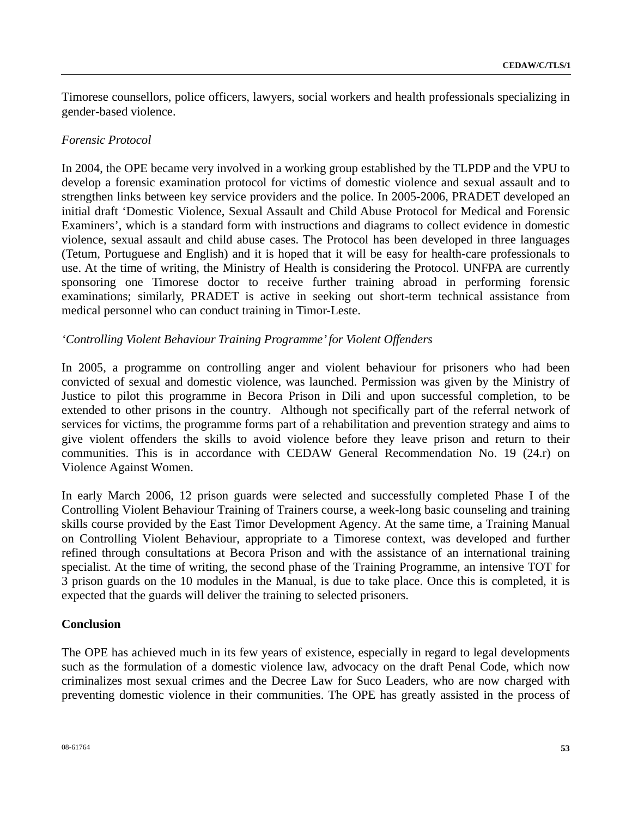Timorese counsellors, police officers, lawyers, social workers and health professionals specializing in gender-based violence.

## *Forensic Protocol*

In 2004, the OPE became very involved in a working group established by the TLPDP and the VPU to develop a forensic examination protocol for victims of domestic violence and sexual assault and to strengthen links between key service providers and the police. In 2005-2006, PRADET developed an initial draft 'Domestic Violence, Sexual Assault and Child Abuse Protocol for Medical and Forensic Examiners', which is a standard form with instructions and diagrams to collect evidence in domestic violence, sexual assault and child abuse cases. The Protocol has been developed in three languages (Tetum, Portuguese and English) and it is hoped that it will be easy for health-care professionals to use. At the time of writing, the Ministry of Health is considering the Protocol. UNFPA are currently sponsoring one Timorese doctor to receive further training abroad in performing forensic examinations; similarly, PRADET is active in seeking out short-term technical assistance from medical personnel who can conduct training in Timor-Leste.

## *'Controlling Violent Behaviour Training Programme' for Violent Offenders*

In 2005, a programme on controlling anger and violent behaviour for prisoners who had been convicted of sexual and domestic violence, was launched. Permission was given by the Ministry of Justice to pilot this programme in Becora Prison in Dili and upon successful completion, to be extended to other prisons in the country. Although not specifically part of the referral network of services for victims, the programme forms part of a rehabilitation and prevention strategy and aims to give violent offenders the skills to avoid violence before they leave prison and return to their communities. This is in accordance with CEDAW General Recommendation No. 19 (24.r) on Violence Against Women.

In early March 2006, 12 prison guards were selected and successfully completed Phase I of the Controlling Violent Behaviour Training of Trainers course, a week-long basic counseling and training skills course provided by the East Timor Development Agency. At the same time, a Training Manual on Controlling Violent Behaviour, appropriate to a Timorese context, was developed and further refined through consultations at Becora Prison and with the assistance of an international training specialist. At the time of writing, the second phase of the Training Programme, an intensive TOT for 3 prison guards on the 10 modules in the Manual, is due to take place. Once this is completed, it is expected that the guards will deliver the training to selected prisoners.

### **Conclusion**

The OPE has achieved much in its few years of existence, especially in regard to legal developments such as the formulation of a domestic violence law, advocacy on the draft Penal Code, which now criminalizes most sexual crimes and the Decree Law for Suco Leaders, who are now charged with preventing domestic violence in their communities. The OPE has greatly assisted in the process of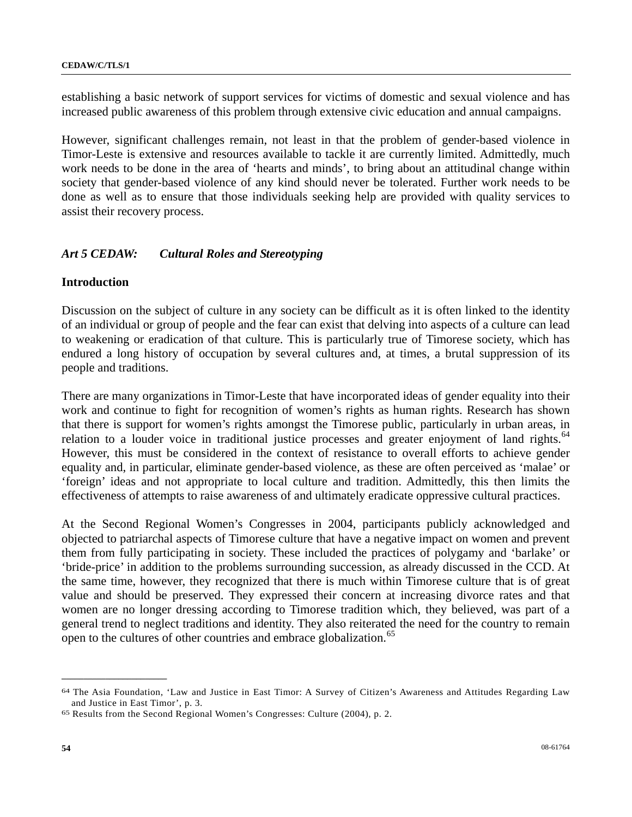establishing a basic network of support services for victims of domestic and sexual violence and has increased public awareness of this problem through extensive civic education and annual campaigns.

However, significant challenges remain, not least in that the problem of gender-based violence in Timor-Leste is extensive and resources available to tackle it are currently limited. Admittedly, much work needs to be done in the area of 'hearts and minds', to bring about an attitudinal change within society that gender-based violence of any kind should never be tolerated. Further work needs to be done as well as to ensure that those individuals seeking help are provided with quality services to assist their recovery process.

# *Art 5 CEDAW: Cultural Roles and Stereotyping*

## **Introduction**

Discussion on the subject of culture in any society can be difficult as it is often linked to the identity of an individual or group of people and the fear can exist that delving into aspects of a culture can lead to weakening or eradication of that culture. This is particularly true of Timorese society, which has endured a long history of occupation by several cultures and, at times, a brutal suppression of its people and traditions.

There are many organizations in Timor-Leste that have incorporated ideas of gender equality into their work and continue to fight for recognition of women's rights as human rights. Research has shown that there is support for women's rights amongst the Timorese public, particularly in urban areas, in relation to a louder voice in traditional justice processes and greater enjoyment of land rights.<sup>[6](#page-53-0)4</sup> However, this must be considered in the context of resistance to overall efforts to achieve gender equality and, in particular, eliminate gender-based violence, as these are often perceived as 'malae' or 'foreign' ideas and not appropriate to local culture and tradition. Admittedly, this then limits the effectiveness of attempts to raise awareness of and ultimately eradicate oppressive cultural practices.

At the Second Regional Women's Congresses in 2004, participants publicly acknowledged and objected to patriarchal aspects of Timorese culture that have a negative impact on women and prevent them from fully participating in society. These included the practices of polygamy and 'barlake' or 'bride-price' in addition to the problems surrounding succession, as already discussed in the CCD. At the same time, however, they recognized that there is much within Timorese culture that is of great value and should be preserved. They expressed their concern at increasing divorce rates and that women are no longer dressing according to Timorese tradition which, they believed, was part of a general trend to neglect traditions and identity. They also reiterated the need for the country to remain open to the cultures of other countries and embrace globalization.<sup>[65](#page-53-1)</sup>

<span id="page-53-0"></span><sup>64</sup> The Asia Foundation, 'Law and Justice in East Timor: A Survey of Citizen's Awareness and Attitudes Regarding Law and Justice in East Timor', p. 3.<br><sup>65</sup> Results from the Second Regional Women's Congresses: Culture (2004), p. 2.

<span id="page-53-1"></span>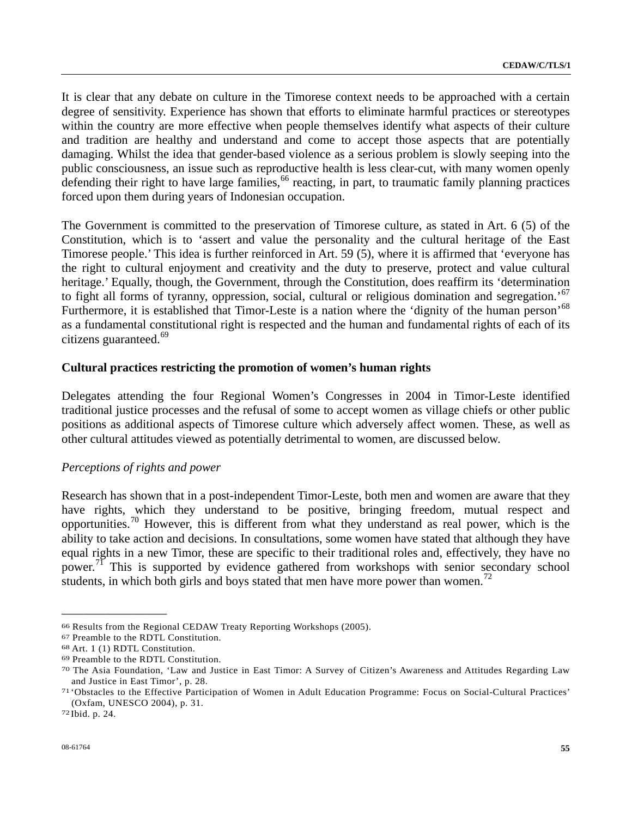It is clear that any debate on culture in the Timorese context needs to be approached with a certain degree of sensitivity. Experience has shown that efforts to eliminate harmful practices or stereotypes within the country are more effective when people themselves identify what aspects of their culture and tradition are healthy and understand and come to accept those aspects that are potentially damaging. Whilst the idea that gender-based violence as a serious problem is slowly seeping into the public consciousness, an issue such as reproductive health is less clear-cut, with many women openly defending their right to have large families,  $^{66}$  $^{66}$  $^{66}$  reacting, in part, to traumatic family planning practices forced upon them during years of Indonesian occupation.

The Government is committed to the preservation of Timorese culture, as stated in Art. 6 (5) of the Constitution, which is to 'assert and value the personality and the cultural heritage of the East Timorese people.' This idea is further reinforced in Art. 59 (5), where it is affirmed that 'everyone has the right to cultural enjoyment and creativity and the duty to preserve, protect and value cultural heritage.' Equally, though, the Government, through the Constitution, does reaffirm its 'determination to fight all forms of tyranny, oppression, social, cultural or religious domination and segregation.<sup>[6](#page-54-1)7</sup> Furthermore, it is established that Timor-Leste is a nation where the 'dignity of the human person'<sup>[6](#page-54-2)8</sup> as a fundamental constitutional right is respected and the human and fundamental rights of each of its citizens guaranteed.<sup>[69](#page-54-3)</sup>

### **Cultural practices restricting the promotion of women's human rights**

Delegates attending the four Regional Women's Congresses in 2004 in Timor-Leste identified traditional justice processes and the refusal of some to accept women as village chiefs or other public positions as additional aspects of Timorese culture which adversely affect women. These, as well as other cultural attitudes viewed as potentially detrimental to women, are discussed below.

#### *Perceptions of rights and power*

Research has shown that in a post-independent Timor-Leste, both men and women are aware that they have rights, which they understand to be positive, bringing freedom, mutual respect and opportunities.[70](#page-54-4) However, this is different from what they understand as real power, which is the ability to take action and decisions. In consultations, some women have stated that although they have equal rights in a new Timor, these are specific to their traditional roles and, effectively, they have no power.<sup>[71](#page-54-5)</sup> This is supported by evidence gathered from workshops with senior secondary school students, in which both girls and boys stated that men have more power than women.<sup>[72](#page-54-6)</sup>

<span id="page-54-0"></span><sup>66</sup> Results from the Regional CEDAW Treaty Reporting Workshops (2005).

<span id="page-54-1"></span><sup>67</sup> Preamble to the RDTL Constitution.

<span id="page-54-2"></span><sup>68</sup> Art. 1 (1) RDTL Constitution.

<span id="page-54-3"></span><sup>69</sup> Preamble to the RDTL Constitution.

<span id="page-54-4"></span><sup>70</sup> The Asia Foundation, 'Law and Justice in East Timor: A Survey of Citizen's Awareness and Attitudes Regarding Law and Justice in East Timor', p. 28. 71 'Obstacles to the Effective Participation of Women in Adult Education Programme: Focus on Social-Cultural Practices'

<span id="page-54-5"></span><sup>(</sup>Oxfam, UNESCO 2004), p. 31. 72 Ibid. p. 24.

<span id="page-54-6"></span>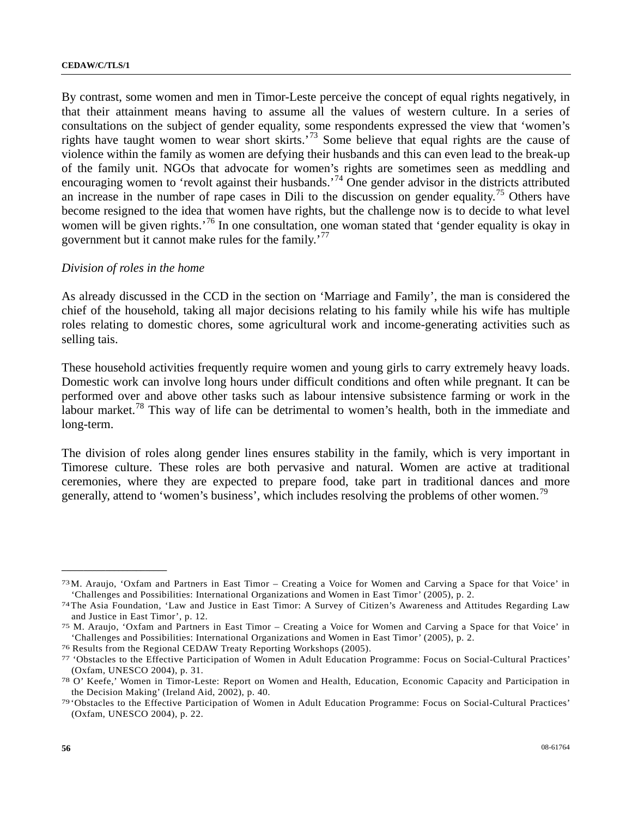By contrast, some women and men in Timor-Leste perceive the concept of equal rights negatively, in that their attainment means having to assume all the values of western culture. In a series of consultations on the subject of gender equality, some respondents expressed the view that 'women's rights have taught women to wear short skirts.'[7](#page-55-0)3 Some believe that equal rights are the cause of violence within the family as women are defying their husbands and this can even lead to the break-up of the family unit. NGOs that advocate for women's rights are sometimes seen as meddling and encouraging women to 'revolt against their husbands.<sup>[7](#page-55-1)4</sup> One gender advisor in the districts attributed an increase in the number of rape cases in Dili to the discussion on gender equality.<sup>[75](#page-55-2)</sup> Others have become resigned to the idea that women have rights, but the challenge now is to decide to what level women will be given rights.<sup>[7](#page-55-3)6</sup> In one consultation, one woman stated that 'gender equality is okay in government but it cannot make rules for the family.'[7](#page-55-4)7

### *Division of roles in the home*

**\_\_\_\_\_\_\_\_\_\_\_\_\_\_\_\_\_\_\_\_\_\_\_\_** 

As already discussed in the CCD in the section on 'Marriage and Family', the man is considered the chief of the household, taking all major decisions relating to his family while his wife has multiple roles relating to domestic chores, some agricultural work and income-generating activities such as selling tais.

These household activities frequently require women and young girls to carry extremely heavy loads. Domestic work can involve long hours under difficult conditions and often while pregnant. It can be performed over and above other tasks such as labour intensive subsistence farming or work in the labour market.<sup>[78](#page-55-5)</sup> This way of life can be detrimental to women's health, both in the immediate and long-term.

The division of roles along gender lines ensures stability in the family, which is very important in Timorese culture. These roles are both pervasive and natural. Women are active at traditional ceremonies, where they are expected to prepare food, take part in traditional dances and more generally, attend to 'women's business', which includes resolving the problems of other women.<sup>19</sup>

<span id="page-55-0"></span><sup>73</sup> M. Araujo, 'Oxfam and Partners in East Timor – Creating a Voice for Women and Carving a Space for that Voice' in 'Challenges and Possibilities: International Organizations and Women in East Timor' (2005), p. 2. 74 The Asia Foundation, 'Law and Justice in East Timor: A Survey of Citizen's Awareness and Attitudes Regarding Law

<span id="page-55-1"></span>and Justice in East Timor', p. 12.<br>75 M. Araujo, 'Oxfam and Partners in East Timor – Creating a Voice for Women and Carving a Space for that Voice' in

<span id="page-55-2"></span><sup>&#</sup>x27;Challenges and Possibilities: International Organizations and Women in East Timor' (2005), p. 2. 76 Results from the Regional CEDAW Treaty Reporting Workshops (2005).

<span id="page-55-3"></span>

<span id="page-55-4"></span><sup>77 &#</sup>x27;Obstacles to the Effective Participation of Women in Adult Education Programme: Focus on Social-Cultural Practices' (Oxfam, UNESCO 2004), p. 31.<br><sup>78</sup> O' Keefe,' Women in Timor-Leste: Report on Women and Health, Education, Economic Capacity and Participation in

<span id="page-55-5"></span>the Decision Making' (Ireland Aid, 2002), p. 40.<br><sup>79</sup> 'Obstacles to the Effective Participation of Women in Adult Education Programme: Focus on Social-Cultural Practices'

<span id="page-55-6"></span><sup>(</sup>Oxfam, UNESCO 2004), p. 22.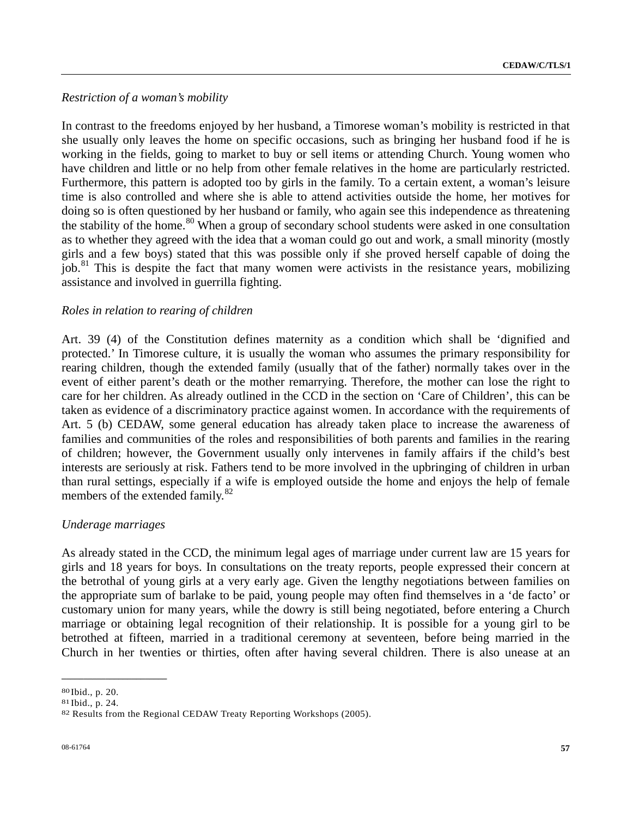# *Restriction of a woman's mobility*

In contrast to the freedoms enjoyed by her husband, a Timorese woman's mobility is restricted in that she usually only leaves the home on specific occasions, such as bringing her husband food if he is working in the fields, going to market to buy or sell items or attending Church. Young women who have children and little or no help from other female relatives in the home are particularly restricted. Furthermore, this pattern is adopted too by girls in the family. To a certain extent, a woman's leisure time is also controlled and where she is able to attend activities outside the home, her motives for doing so is often questioned by her husband or family, who again see this independence as threatening the stability of the home.<sup>[8](#page-56-0)0</sup> When a group of secondary school students were asked in one consultation as to whether they agreed with the idea that a woman could go out and work, a small minority (mostly girls and a few boys) stated that this was possible only if she proved herself capable of doing the job.<sup>[81](#page-56-1)</sup> This is despite the fact that many women were activists in the resistance years, mobilizing assistance and involved in guerrilla fighting.

## *Roles in relation to rearing of children*

Art. 39 (4) of the Constitution defines maternity as a condition which shall be 'dignified and protected.' In Timorese culture, it is usually the woman who assumes the primary responsibility for rearing children, though the extended family (usually that of the father) normally takes over in the event of either parent's death or the mother remarrying. Therefore, the mother can lose the right to care for her children. As already outlined in the CCD in the section on 'Care of Children', this can be taken as evidence of a discriminatory practice against women. In accordance with the requirements of Art. 5 (b) CEDAW, some general education has already taken place to increase the awareness of families and communities of the roles and responsibilities of both parents and families in the rearing of children; however, the Government usually only intervenes in family affairs if the child's best interests are seriously at risk. Fathers tend to be more involved in the upbringing of children in urban than rural settings, especially if a wife is employed outside the home and enjoys the help of female members of the extended family.<sup>[82](#page-56-2)</sup>

# *Underage marriages*

As already stated in the CCD, the minimum legal ages of marriage under current law are 15 years for girls and 18 years for boys. In consultations on the treaty reports, people expressed their concern at the betrothal of young girls at a very early age. Given the lengthy negotiations between families on the appropriate sum of barlake to be paid, young people may often find themselves in a 'de facto' or customary union for many years, while the dowry is still being negotiated, before entering a Church marriage or obtaining legal recognition of their relationship. It is possible for a young girl to be betrothed at fifteen, married in a traditional ceremony at seventeen, before being married in the Church in her twenties or thirties, often after having several children. There is also unease at an

<span id="page-56-0"></span><sup>80</sup> Ibid., p. 20.

<span id="page-56-1"></span><sup>81</sup> Ibid., p. 24.

<span id="page-56-2"></span><sup>82</sup> Results from the Regional CEDAW Treaty Reporting Workshops (2005).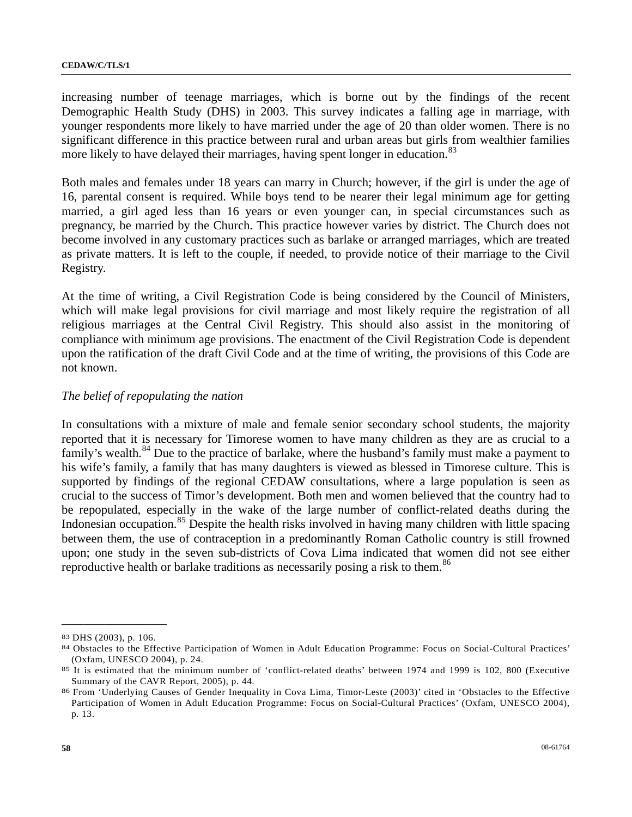increasing number of teenage marriages, which is borne out by the findings of the recent Demographic Health Study (DHS) in 2003. This survey indicates a falling age in marriage, with younger respondents more likely to have married under the age of 20 than older women. There is no significant difference in this practice between rural and urban areas but girls from wealthier families more likely to have delayed their marriages, having spent longer in education.<sup>[83](#page-57-0)</sup>

Both males and females under 18 years can marry in Church; however, if the girl is under the age of 16, parental consent is required. While boys tend to be nearer their legal minimum age for getting married, a girl aged less than 16 years or even younger can, in special circumstances such as pregnancy, be married by the Church. This practice however varies by district. The Church does not become involved in any customary practices such as barlake or arranged marriages, which are treated as private matters. It is left to the couple, if needed, to provide notice of their marriage to the Civil Registry.

At the time of writing, a Civil Registration Code is being considered by the Council of Ministers, which will make legal provisions for civil marriage and most likely require the registration of all religious marriages at the Central Civil Registry. This should also assist in the monitoring of compliance with minimum age provisions. The enactment of the Civil Registration Code is dependent upon the ratification of the draft Civil Code and at the time of writing, the provisions of this Code are not known.

### *The belief of repopulating the nation*

In consultations with a mixture of male and female senior secondary school students, the majority reported that it is necessary for Timorese women to have many children as they are as crucial to a family's wealth.<sup>[84](#page-57-1)</sup> Due to the practice of barlake, where the husband's family must make a payment to his wife's family, a family that has many daughters is viewed as blessed in Timorese culture. This is supported by findings of the regional CEDAW consultations, where a large population is seen as crucial to the success of Timor's development. Both men and women believed that the country had to be repopulated, especially in the wake of the large number of conflict-related deaths during the Indonesian occupation.<sup>[85](#page-57-2)</sup> Despite the health risks involved in having many children with little spacing between them, the use of contraception in a predominantly Roman Catholic country is still frowned upon; one study in the seven sub-districts of Cova Lima indicated that women did not see either reproductive health or barlake traditions as necessarily posing a risk to them.<sup>[86](#page-57-3)</sup>

<span id="page-57-0"></span><sup>83</sup> DHS (2003), p. 106.

<span id="page-57-1"></span><sup>84</sup> Obstacles to the Effective Participation of Women in Adult Education Programme: Focus on Social-Cultural Practices' (Oxfam, UNESCO 2004), p. 24. 85 It is estimated that the minimum number of 'conflict-related deaths' between 1974 and 1999 is 102, 800 (Executive

<span id="page-57-2"></span>Summary of the CAVR Report, 2005), p. 44.<br><sup>86</sup> From 'Underlying Causes of Gender Inequality in Cova Lima, Timor-Leste (2003)' cited in 'Obstacles to the Effective

<span id="page-57-3"></span>Participation of Women in Adult Education Programme: Focus on Social-Cultural Practices' (Oxfam, UNESCO 2004), p. 13.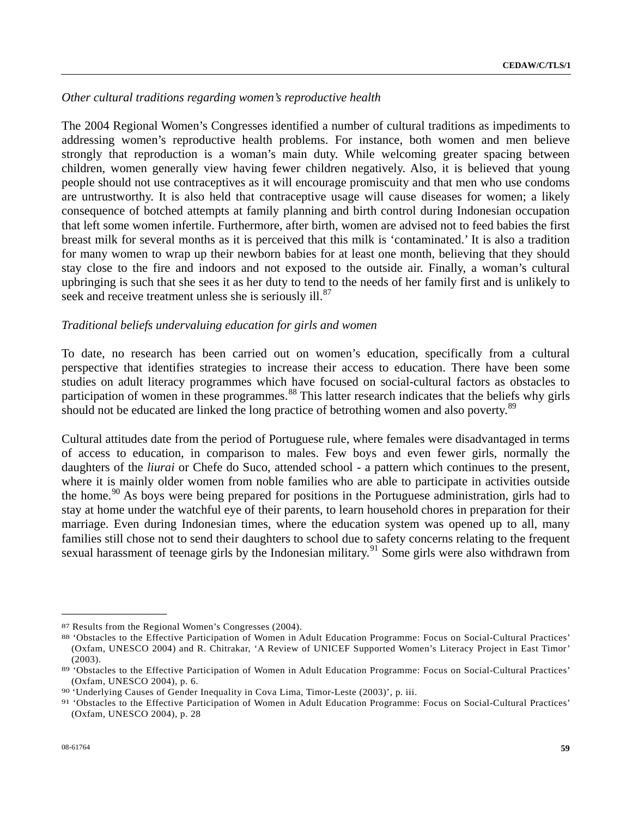## *Other cultural traditions regarding women's reproductive health*

The 2004 Regional Women's Congresses identified a number of cultural traditions as impediments to addressing women's reproductive health problems. For instance, both women and men believe strongly that reproduction is a woman's main duty. While welcoming greater spacing between children, women generally view having fewer children negatively. Also, it is believed that young people should not use contraceptives as it will encourage promiscuity and that men who use condoms are untrustworthy. It is also held that contraceptive usage will cause diseases for women; a likely consequence of botched attempts at family planning and birth control during Indonesian occupation that left some women infertile. Furthermore, after birth, women are advised not to feed babies the first breast milk for several months as it is perceived that this milk is 'contaminated.' It is also a tradition for many women to wrap up their newborn babies for at least one month, believing that they should stay close to the fire and indoors and not exposed to the outside air. Finally, a woman's cultural upbringing is such that she sees it as her duty to tend to the needs of her family first and is unlikely to seek and receive treatment unless she is seriously ill.<sup>[8](#page-58-0)7</sup>

## *Traditional beliefs undervaluing education for girls and women*

To date, no research has been carried out on women's education, specifically from a cultural perspective that identifies strategies to increase their access to education. There have been some studies on adult literacy programmes which have focused on social-cultural factors as obstacles to participation of women in these programmes.<sup>[88](#page-58-1)</sup> This latter research indicates that the beliefs why girls should not be educated are linked the long practice of betrothing women and also poverty.<sup>[8](#page-58-2)9</sup>

Cultural attitudes date from the period of Portuguese rule, where females were disadvantaged in terms of access to education, in comparison to males. Few boys and even fewer girls, normally the daughters of the *liurai* or Chefe do Suco, attended school - a pattern which continues to the present, where it is mainly older women from noble families who are able to participate in activities outside the home.<sup>[9](#page-58-3)0</sup> As boys were being prepared for positions in the Portuguese administration, girls had to stay at home under the watchful eye of their parents, to learn household chores in preparation for their marriage. Even during Indonesian times, where the education system was opened up to all, many families still chose not to send their daughters to school due to safety concerns relating to the frequent sexual harassment of teenage girls by the Indonesian military.<sup>[91](#page-58-4)</sup> Some girls were also withdrawn from

<span id="page-58-0"></span><sup>87</sup> Results from the Regional Women's Congresses (2004).

<span id="page-58-1"></span><sup>88 &#</sup>x27;Obstacles to the Effective Participation of Women in Adult Education Programme: Focus on Social-Cultural Practices' (Oxfam, UNESCO 2004) and R. Chitrakar, 'A Review of UNICEF Supported Women's Literacy Project in East Timor' (2003). 89 'Obstacles to the Effective Participation of Women in Adult Education Programme: Focus on Social-Cultural Practices'

<span id="page-58-2"></span><sup>(</sup>Oxfam, UNESCO 2004), p. 6. 90 'Underlying Causes of Gender Inequality in Cova Lima, Timor-Leste (2003)', p. iii.

<span id="page-58-4"></span><span id="page-58-3"></span><sup>91 &#</sup>x27;Obstacles to the Effective Participation of Women in Adult Education Programme: Focus on Social-Cultural Practices' (Oxfam, UNESCO 2004), p. 28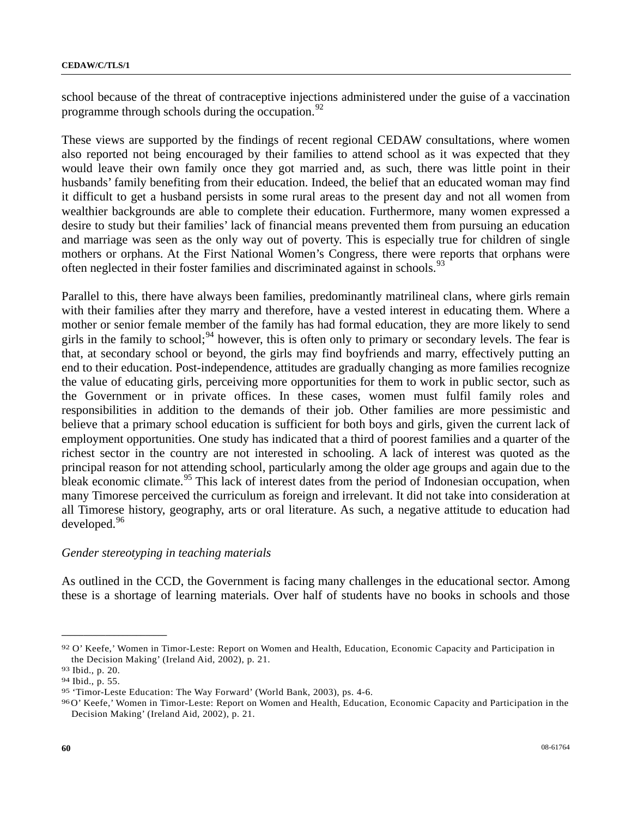school because of the threat of contraceptive injections administered under the guise of a vaccination programme through schools during the occupation.  $92$ 

These views are supported by the findings of recent regional CEDAW consultations, where women also reported not being encouraged by their families to attend school as it was expected that they would leave their own family once they got married and, as such, there was little point in their husbands' family benefiting from their education. Indeed, the belief that an educated woman may find it difficult to get a husband persists in some rural areas to the present day and not all women from wealthier backgrounds are able to complete their education. Furthermore, many women expressed a desire to study but their families' lack of financial means prevented them from pursuing an education and marriage was seen as the only way out of poverty. This is especially true for children of single mothers or orphans. At the First National Women's Congress, there were reports that orphans were often neglected in their foster families and discriminated against in schools.<sup>[9](#page-59-1)3</sup>

Parallel to this, there have always been families, predominantly matrilineal clans, where girls remain with their families after they marry and therefore, have a vested interest in educating them. Where a mother or senior female member of the family has had formal education, they are more likely to send girls in the family to school;  $94$  $94$  however, this is often only to primary or secondary levels. The fear is that, at secondary school or beyond, the girls may find boyfriends and marry, effectively putting an end to their education. Post-independence, attitudes are gradually changing as more families recognize the value of educating girls, perceiving more opportunities for them to work in public sector, such as the Government or in private offices. In these cases, women must fulfil family roles and responsibilities in addition to the demands of their job. Other families are more pessimistic and believe that a primary school education is sufficient for both boys and girls, given the current lack of employment opportunities. One study has indicated that a third of poorest families and a quarter of the richest sector in the country are not interested in schooling. A lack of interest was quoted as the principal reason for not attending school, particularly among the older age groups and again due to the bleak economic climate.<sup>[9](#page-59-3)5</sup> This lack of interest dates from the period of Indonesian occupation, when many Timorese perceived the curriculum as foreign and irrelevant. It did not take into consideration at all Timorese history, geography, arts or oral literature. As such, a negative attitude to education had developed.<sup>[96](#page-59-4)</sup>

### *Gender stereotyping in teaching materials*

As outlined in the CCD, the Government is facing many challenges in the educational sector. Among these is a shortage of learning materials. Over half of students have no books in schools and those

<span id="page-59-0"></span><sup>92</sup> O' Keefe,' Women in Timor-Leste: Report on Women and Health, Education, Economic Capacity and Participation in the Decision Making' (Ireland Aid, 2002), p. 21. 93 Ibid., p. 20.

<span id="page-59-1"></span>

<span id="page-59-2"></span><sup>94</sup> Ibid., p. 55.

<span id="page-59-3"></span><sup>95 &#</sup>x27;Timor-Leste Education: The Way Forward' (World Bank, 2003), ps. 4-6.

<span id="page-59-4"></span><sup>96</sup> O' Keefe,' Women in Timor-Leste: Report on Women and Health, Education, Economic Capacity and Participation in the Decision Making' (Ireland Aid, 2002), p. 21.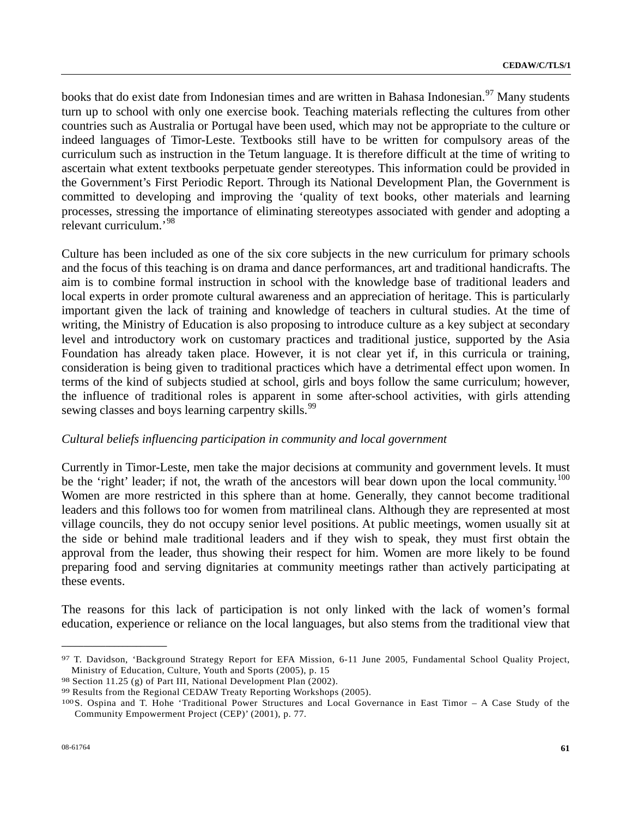books that do exist date from Indonesian times and are written in Bahasa Indonesian.<sup>[97](#page-60-0)</sup> Many students turn up to school with only one exercise book. Teaching materials reflecting the cultures from other countries such as Australia or Portugal have been used, which may not be appropriate to the culture or indeed languages of Timor-Leste. Textbooks still have to be written for compulsory areas of the curriculum such as instruction in the Tetum language. It is therefore difficult at the time of writing to ascertain what extent textbooks perpetuate gender stereotypes. This information could be provided in the Government's First Periodic Report. Through its National Development Plan, the Government is committed to developing and improving the 'quality of text books, other materials and learning processes, stressing the importance of eliminating stereotypes associated with gender and adopting a relevant curriculum.'[98](#page-60-1)

Culture has been included as one of the six core subjects in the new curriculum for primary schools and the focus of this teaching is on drama and dance performances, art and traditional handicrafts. The aim is to combine formal instruction in school with the knowledge base of traditional leaders and local experts in order promote cultural awareness and an appreciation of heritage. This is particularly important given the lack of training and knowledge of teachers in cultural studies. At the time of writing, the Ministry of Education is also proposing to introduce culture as a key subject at secondary level and introductory work on customary practices and traditional justice, supported by the Asia Foundation has already taken place. However, it is not clear yet if, in this curricula or training, consideration is being given to traditional practices which have a detrimental effect upon women. In terms of the kind of subjects studied at school, girls and boys follow the same curriculum; however, the influence of traditional roles is apparent in some after-school activities, with girls attending sewing classes and boys learning carpentry skills.<sup>[99](#page-60-2)</sup>

### *Cultural beliefs influencing participation in community and local government*

Currently in Timor-Leste, men take the major decisions at community and government levels. It must be the 'right' leader; if not, the wrath of the ancestors will bear down upon the local community.<sup>[1](#page-60-3)00</sup> Women are more restricted in this sphere than at home. Generally, they cannot become traditional leaders and this follows too for women from matrilineal clans. Although they are represented at most village councils, they do not occupy senior level positions. At public meetings, women usually sit at the side or behind male traditional leaders and if they wish to speak, they must first obtain the approval from the leader, thus showing their respect for him. Women are more likely to be found preparing food and serving dignitaries at community meetings rather than actively participating at these events.

The reasons for this lack of participation is not only linked with the lack of women's formal education, experience or reliance on the local languages, but also stems from the traditional view that

<span id="page-60-0"></span><sup>97</sup> T. Davidson, 'Background Strategy Report for EFA Mission, 6-11 June 2005, Fundamental School Quality Project, Ministry of Education, Culture, Youth and Sports (2005), p. 15 98 Section 11.25 (g) of Part III, National Development Plan (2002).

<span id="page-60-1"></span>

<span id="page-60-2"></span><sup>99</sup> Results from the Regional CEDAW Treaty Reporting Workshops (2005).

<span id="page-60-3"></span><sup>100</sup> S. Ospina and T. Hohe 'Traditional Power Structures and Local Governance in East Timor – A Case Study of the Community Empowerment Project (CEP)' (2001), p. 77.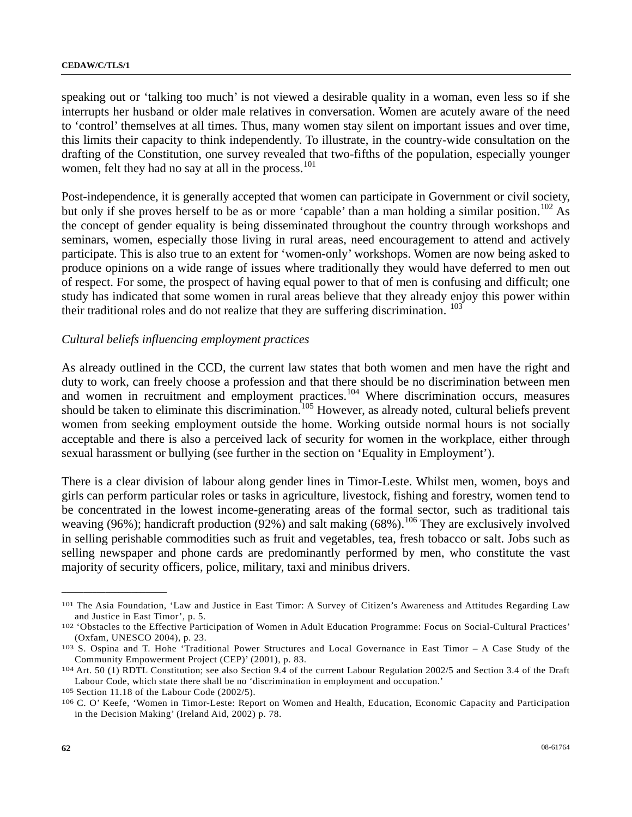speaking out or 'talking too much' is not viewed a desirable quality in a woman, even less so if she interrupts her husband or older male relatives in conversation. Women are acutely aware of the need to 'control' themselves at all times. Thus, many women stay silent on important issues and over time, this limits their capacity to think independently. To illustrate, in the country-wide consultation on the drafting of the Constitution, one survey revealed that two-fifths of the population, especially younger women, felt they had no say at all in the process.<sup>[1](#page-61-0)01</sup>

Post-independence, it is generally accepted that women can participate in Government or civil society, but only if she proves herself to be as or more 'capable' than a man holding a similar position.<sup>[10](#page-61-1)2</sup> As the concept of gender equality is being disseminated throughout the country through workshops and seminars, women, especially those living in rural areas, need encouragement to attend and actively participate. This is also true to an extent for 'women-only' workshops. Women are now being asked to produce opinions on a wide range of issues where traditionally they would have deferred to men out of respect. For some, the prospect of having equal power to that of men is confusing and difficult; one study has indicated that some women in rural areas believe that they already enjoy this power within their traditional roles and do not realize that they are suffering discrimination. <sup>[1](#page-61-2)03</sup>

### *Cultural beliefs influencing employment practices*

As already outlined in the CCD, the current law states that both women and men have the right and duty to work, can freely choose a profession and that there should be no discrimination between men and women in recruitment and employment practices.<sup>[1](#page-61-3)04</sup> Where discrimination occurs, measures should be taken to eliminate this discrimination.<sup>[1](#page-61-4)05</sup> However, as already noted, cultural beliefs prevent women from seeking employment outside the home. Working outside normal hours is not socially acceptable and there is also a perceived lack of security for women in the workplace, either through sexual harassment or bullying (see further in the section on 'Equality in Employment').

There is a clear division of labour along gender lines in Timor-Leste. Whilst men, women, boys and girls can perform particular roles or tasks in agriculture, livestock, fishing and forestry, women tend to be concentrated in the lowest income-generating areas of the formal sector, such as traditional tais weaving (96%); handicraft production (92%) and salt making (68%).<sup>[1](#page-61-5)06</sup> They are exclusively involved in selling perishable commodities such as fruit and vegetables, tea, fresh tobacco or salt. Jobs such as selling newspaper and phone cards are predominantly performed by men, who constitute the vast majority of security officers, police, military, taxi and minibus drivers.

<span id="page-61-4"></span>

<span id="page-61-0"></span><sup>101</sup> The Asia Foundation, 'Law and Justice in East Timor: A Survey of Citizen's Awareness and Attitudes Regarding Law and Justice in East Timor', p. 5.<br><sup>102</sup> 'Obstacles to the Effective Participation of Women in Adult Education Programme: Focus on Social-Cultural Practices'

<span id="page-61-1"></span><sup>(</sup>Oxfam, UNESCO 2004), p. 23. 103 S. Ospina and T. Hohe 'Traditional Power Structures and Local Governance in East Timor – A Case Study of the

<span id="page-61-2"></span>Community Empowerment Project (CEP)' (2001), p. 83. 104 Art. 50 (1) RDTL Constitution; see also Section 9.4 of the current Labour Regulation 2002/5 and Section 3.4 of the Draft

<span id="page-61-3"></span>Labour Code, which state there shall be no 'discrimination in employment and occupation.'<br>
<sup>105</sup> Section 11.18 of the Labour Code (2002/5).<br>
<sup>106</sup> C. O' Keefe, 'Women in Timor-Leste: Report on Women and Health, Education,

<span id="page-61-5"></span>in the Decision Making' (Ireland Aid, 2002) p. 78.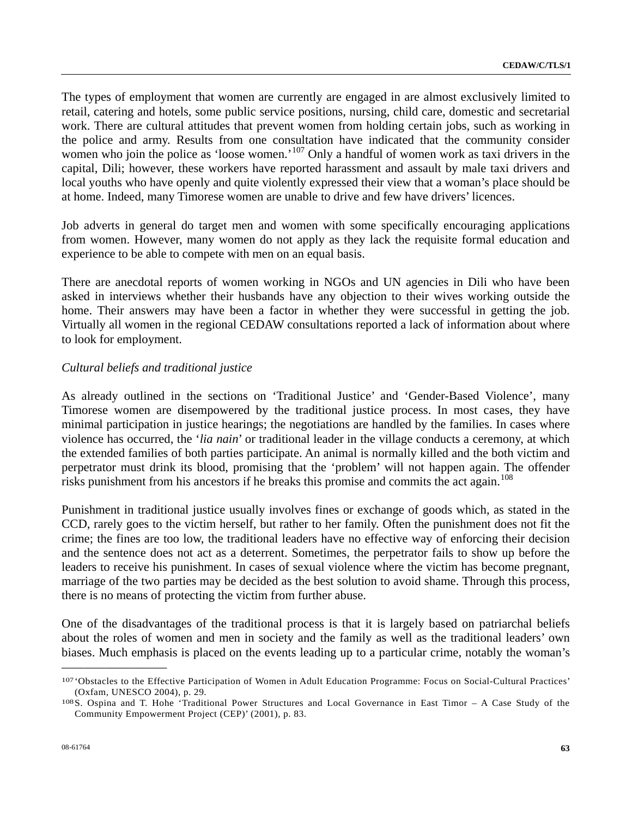The types of employment that women are currently are engaged in are almost exclusively limited to retail, catering and hotels, some public service positions, nursing, child care, domestic and secretarial work. There are cultural attitudes that prevent women from holding certain jobs, such as working in the police and army. Results from one consultation have indicated that the community consider women who join the police as 'loose women.'<sup>[1](#page-62-0)07</sup> Only a handful of women work as taxi drivers in the capital, Dili; however, these workers have reported harassment and assault by male taxi drivers and local youths who have openly and quite violently expressed their view that a woman's place should be at home. Indeed, many Timorese women are unable to drive and few have drivers' licences.

Job adverts in general do target men and women with some specifically encouraging applications from women. However, many women do not apply as they lack the requisite formal education and experience to be able to compete with men on an equal basis.

There are anecdotal reports of women working in NGOs and UN agencies in Dili who have been asked in interviews whether their husbands have any objection to their wives working outside the home. Their answers may have been a factor in whether they were successful in getting the job. Virtually all women in the regional CEDAW consultations reported a lack of information about where to look for employment.

## *Cultural beliefs and traditional justice*

As already outlined in the sections on 'Traditional Justice' and 'Gender-Based Violence', many Timorese women are disempowered by the traditional justice process. In most cases, they have minimal participation in justice hearings; the negotiations are handled by the families. In cases where violence has occurred, the '*lia nain*' or traditional leader in the village conducts a ceremony, at which the extended families of both parties participate. An animal is normally killed and the both victim and perpetrator must drink its blood, promising that the 'problem' will not happen again. The offender risks punishment from his ancestors if he breaks this promise and commits the act again.<sup>[1](#page-62-1)08</sup>

Punishment in traditional justice usually involves fines or exchange of goods which, as stated in the CCD, rarely goes to the victim herself, but rather to her family. Often the punishment does not fit the crime; the fines are too low, the traditional leaders have no effective way of enforcing their decision and the sentence does not act as a deterrent. Sometimes, the perpetrator fails to show up before the leaders to receive his punishment. In cases of sexual violence where the victim has become pregnant, marriage of the two parties may be decided as the best solution to avoid shame. Through this process, there is no means of protecting the victim from further abuse.

One of the disadvantages of the traditional process is that it is largely based on patriarchal beliefs about the roles of women and men in society and the family as well as the traditional leaders' own biases. Much emphasis is placed on the events leading up to a particular crime, notably the woman's

<span id="page-62-0"></span><sup>107 &#</sup>x27;Obstacles to the Effective Participation of Women in Adult Education Programme: Focus on Social-Cultural Practices' (Oxfam, UNESCO 2004), p. 29. 108 S. Ospina and T. Hohe 'Traditional Power Structures and Local Governance in East Timor – A Case Study of the

<span id="page-62-1"></span>Community Empowerment Project (CEP)' (2001), p. 83.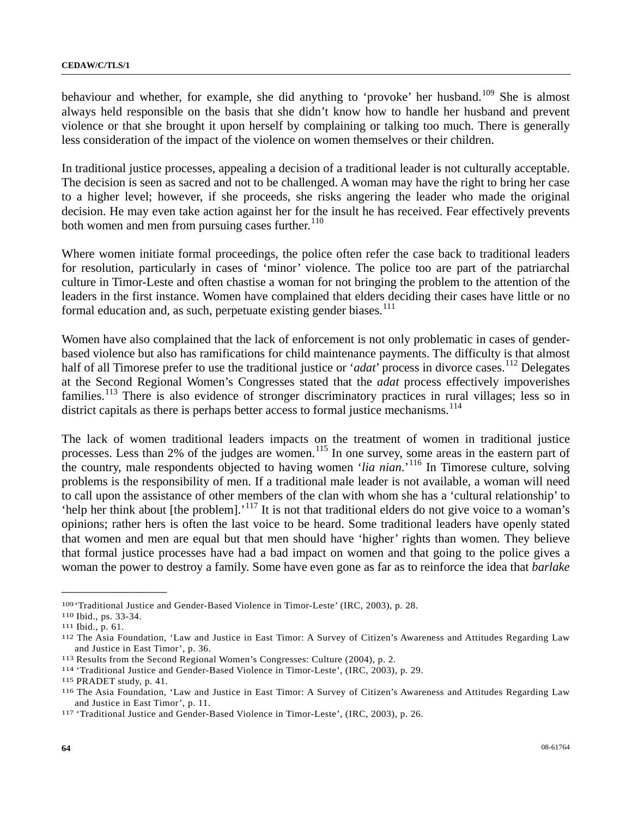behaviour and whether, for example, she did anything to 'provoke' her husband.<sup>[1](#page-63-0)09</sup> She is almost always held responsible on the basis that she didn't know how to handle her husband and prevent violence or that she brought it upon herself by complaining or talking too much. There is generally less consideration of the impact of the violence on women themselves or their children.

In traditional justice processes, appealing a decision of a traditional leader is not culturally acceptable. The decision is seen as sacred and not to be challenged. A woman may have the right to bring her case to a higher level; however, if she proceeds, she risks angering the leader who made the original decision. He may even take action against her for the insult he has received. Fear effectively prevents both women and men from pursuing cases further. $110$  $110$ 

Where women initiate formal proceedings, the police often refer the case back to traditional leaders for resolution, particularly in cases of 'minor' violence. The police too are part of the patriarchal culture in Timor-Leste and often chastise a woman for not bringing the problem to the attention of the leaders in the first instance. Women have complained that elders deciding their cases have little or no formal education and, as such, perpetuate existing gender biases. $111$  $111$ 

Women have also complained that the lack of enforcement is not only problematic in cases of genderbased violence but also has ramifications for child maintenance payments. The difficulty is that almost half of all Timorese prefer to use the traditional justice or '*adat*' process in divorce cases.<sup>[11](#page-63-3)2</sup> Delegates at the Second Regional Women's Congresses stated that the *adat* process effectively impoverishes families.<sup>[11](#page-63-4)3</sup> There is also evidence of stronger discriminatory practices in rural villages; less so in district capitals as there is perhaps better access to formal justice mechanisms.<sup>[11](#page-63-5)4</sup>

The lack of women traditional leaders impacts on the treatment of women in traditional justice processes. Less than 2% of the judges are women.<sup>[11](#page-63-6)5</sup> In one survey, some areas in the eastern part of the country, male respondents objected to having women '*lia nian*.'[11](#page-63-7)6 In Timorese culture, solving problems is the responsibility of men. If a traditional male leader is not available, a woman will need to call upon the assistance of other members of the clan with whom she has a 'cultural relationship' to 'help her think about [the problem].'[11](#page-63-8)7 It is not that traditional elders do not give voice to a woman's opinions; rather hers is often the last voice to be heard. Some traditional leaders have openly stated that women and men are equal but that men should have 'higher' rights than women. They believe that formal justice processes have had a bad impact on women and that going to the police gives a woman the power to destroy a family. Some have even gone as far as to reinforce the idea that *barlake*

<span id="page-63-1"></span>

<span id="page-63-3"></span><span id="page-63-2"></span>

<span id="page-63-0"></span><sup>&</sup>lt;sup>109</sup> 'Traditional Justice and Gender-Based Violence in Timor-Leste' (IRC, 2003), p. 28.<br><sup>110</sup> Ibid., ps. 33-34.<br><sup>111</sup> Ibid., p. 61.<br><sup>112</sup> The Asia Foundation, 'Law and Justice in East Timor: A Survey of Citizen's Awarenes and Justice in East Timor', p. 36.<br>
<sup>113</sup> Results from the Second Regional Women's Congresses: Culture (2004), p. 2.<br>
<sup>114</sup> 'Traditional Justice and Gender-Based Violence in Timor-Leste', (IRC, 2003), p. 29.<br>
<sup>115</sup> PRADET

<span id="page-63-4"></span>

<span id="page-63-5"></span>

<span id="page-63-6"></span>

<span id="page-63-7"></span>and Justice in East Timor', p. 11.<br><sup>117</sup> 'Traditional Justice and Gender-Based Violence in Timor-Leste', (IRC, 2003), p. 26.

<span id="page-63-8"></span>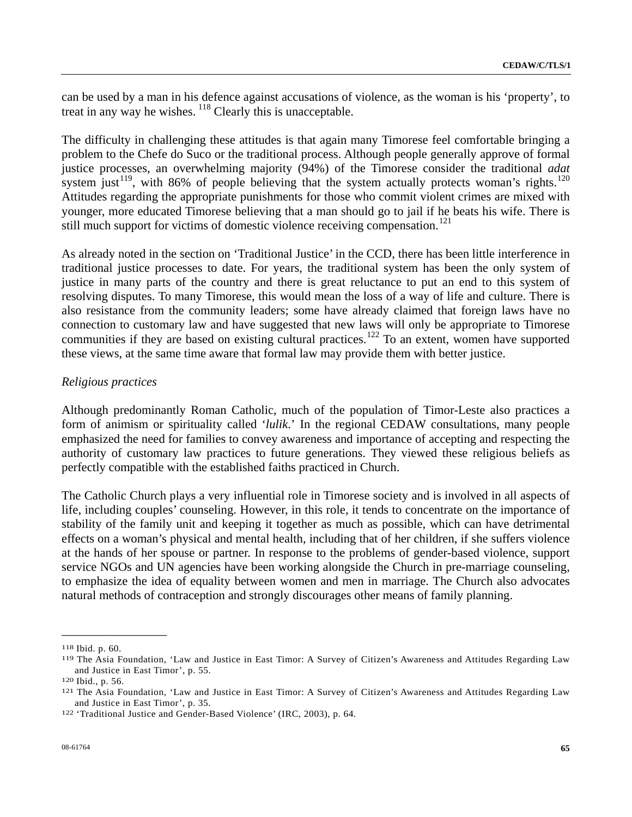can be used by a man in his defence against accusations of violence, as the woman is his 'property', to treat in any way he wishes.  $118$  $118$  Clearly this is unacceptable.

The difficulty in challenging these attitudes is that again many Timorese feel comfortable bringing a problem to the Chefe do Suco or the traditional process. Although people generally approve of formal justice processes, an overwhelming majority (94%) of the Timorese consider the traditional *adat* system just<sup>[1](#page-64-2)19</sup>, with 86% of people believing that the system actually protects woman's rights.<sup>120</sup> Attitudes regarding the appropriate punishments for those who commit violent crimes are mixed with younger, more educated Timorese believing that a man should go to jail if he beats his wife. There is still much support for victims of domestic violence receiving compensation.<sup>[12](#page-64-3)1</sup>

As already noted in the section on 'Traditional Justice' in the CCD, there has been little interference in traditional justice processes to date. For years, the traditional system has been the only system of justice in many parts of the country and there is great reluctance to put an end to this system of resolving disputes. To many Timorese, this would mean the loss of a way of life and culture. There is also resistance from the community leaders; some have already claimed that foreign laws have no connection to customary law and have suggested that new laws will only be appropriate to Timorese communities if they are based on existing cultural practices.<sup>[12](#page-64-4)2</sup> To an extent, women have supported these views, at the same time aware that formal law may provide them with better justice.

### *Religious practices*

Although predominantly Roman Catholic, much of the population of Timor-Leste also practices a form of animism or spirituality called '*lulik*.' In the regional CEDAW consultations, many people emphasized the need for families to convey awareness and importance of accepting and respecting the authority of customary law practices to future generations. They viewed these religious beliefs as perfectly compatible with the established faiths practiced in Church.

The Catholic Church plays a very influential role in Timorese society and is involved in all aspects of life, including couples' counseling. However, in this role, it tends to concentrate on the importance of stability of the family unit and keeping it together as much as possible, which can have detrimental effects on a woman's physical and mental health, including that of her children, if she suffers violence at the hands of her spouse or partner. In response to the problems of gender-based violence, support service NGOs and UN agencies have been working alongside the Church in pre-marriage counseling, to emphasize the idea of equality between women and men in marriage. The Church also advocates natural methods of contraception and strongly discourages other means of family planning.

<span id="page-64-1"></span><span id="page-64-0"></span><sup>118</sup> Ibid. p. 60.<br><sup>119</sup> The Asia Foundation, 'Law and Justice in East Timor: A Survey of Citizen's Awareness and Attitudes Regarding Law and Justice in East Timor', p. 55.<br><sup>120</sup> Ibid., p. 56.<br><sup>121</sup> The Asia Foundation, 'Law and Justice in East Timor: A Survey of Citizen's Awareness and Attitudes Regarding Law

<span id="page-64-2"></span>

<span id="page-64-3"></span>and Justice in East Timor', p. 35. 122 'Traditional Justice and Gender-Based Violence' (IRC, 2003), p. 64.

<span id="page-64-4"></span>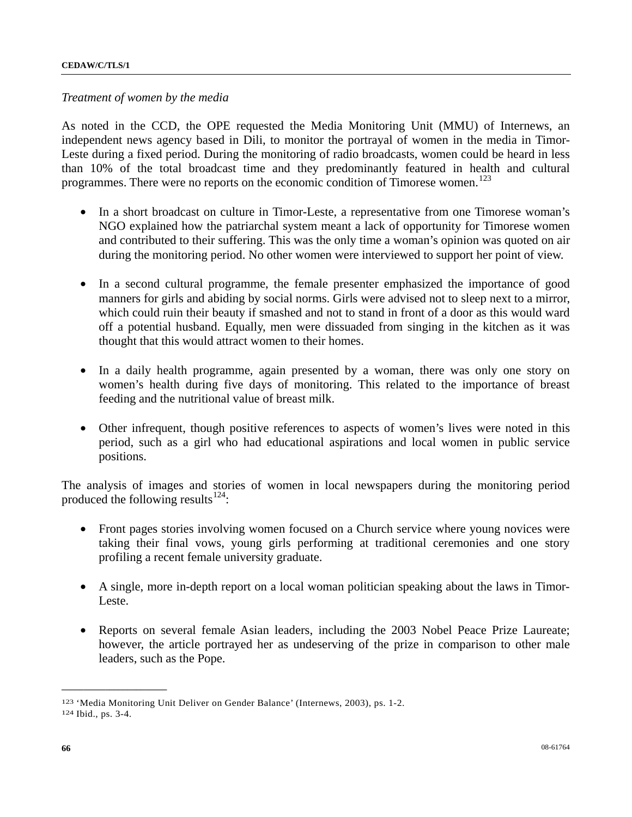#### *Treatment of women by the media*

As noted in the CCD, the OPE requested the Media Monitoring Unit (MMU) of Internews, an independent news agency based in Dili, to monitor the portrayal of women in the media in Timor-Leste during a fixed period. During the monitoring of radio broadcasts, women could be heard in less than 10% of the total broadcast time and they predominantly featured in health and cultural programmes. There were no reports on the economic condition of Timorese women.<sup>[1](#page-65-0)23</sup>

- In a short broadcast on culture in Timor-Leste, a representative from one Timorese woman's NGO explained how the patriarchal system meant a lack of opportunity for Timorese women and contributed to their suffering. This was the only time a woman's opinion was quoted on air during the monitoring period. No other women were interviewed to support her point of view.
- In a second cultural programme, the female presenter emphasized the importance of good manners for girls and abiding by social norms. Girls were advised not to sleep next to a mirror, which could ruin their beauty if smashed and not to stand in front of a door as this would ward off a potential husband. Equally, men were dissuaded from singing in the kitchen as it was thought that this would attract women to their homes.
- In a daily health programme, again presented by a woman, there was only one story on women's health during five days of monitoring. This related to the importance of breast feeding and the nutritional value of breast milk.
- Other infrequent, though positive references to aspects of women's lives were noted in this period, such as a girl who had educational aspirations and local women in public service positions.

The analysis of images and stories of women in local newspapers during the monitoring period produced the following results $^{124}$  $^{124}$  $^{124}$ :

- Front pages stories involving women focused on a Church service where young novices were taking their final vows, young girls performing at traditional ceremonies and one story profiling a recent female university graduate.
- A single, more in-depth report on a local woman politician speaking about the laws in Timor-Leste.
- Reports on several female Asian leaders, including the 2003 Nobel Peace Prize Laureate; however, the article portrayed her as undeserving of the prize in comparison to other male leaders, such as the Pope.

<span id="page-65-1"></span><span id="page-65-0"></span><sup>123 &#</sup>x27;Media Monitoring Unit Deliver on Gender Balance' (Internews, 2003), ps. 1-2. 124 Ibid., ps. 3-4.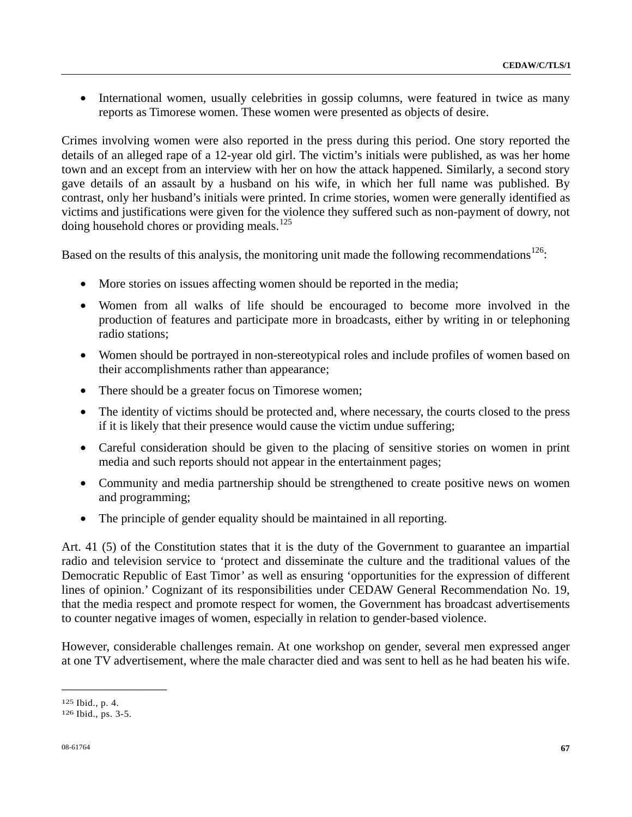• International women, usually celebrities in gossip columns, were featured in twice as many reports as Timorese women. These women were presented as objects of desire.

Crimes involving women were also reported in the press during this period. One story reported the details of an alleged rape of a 12-year old girl. The victim's initials were published, as was her home town and an except from an interview with her on how the attack happened. Similarly, a second story gave details of an assault by a husband on his wife, in which her full name was published. By contrast, only her husband's initials were printed. In crime stories, women were generally identified as victims and justifications were given for the violence they suffered such as non-payment of dowry, not doing household chores or providing meals.<sup>[12](#page-66-0)5</sup>

Based on the results of this analysis, the monitoring unit made the following recommendations<sup>[12](#page-66-1)6</sup>:

- More stories on issues affecting women should be reported in the media;
- Women from all walks of life should be encouraged to become more involved in the production of features and participate more in broadcasts, either by writing in or telephoning radio stations;
- Women should be portrayed in non-stereotypical roles and include profiles of women based on their accomplishments rather than appearance;
- There should be a greater focus on Timorese women;
- The identity of victims should be protected and, where necessary, the courts closed to the press if it is likely that their presence would cause the victim undue suffering;
- Careful consideration should be given to the placing of sensitive stories on women in print media and such reports should not appear in the entertainment pages;
- Community and media partnership should be strengthened to create positive news on women and programming;
- The principle of gender equality should be maintained in all reporting.

Art. 41 (5) of the Constitution states that it is the duty of the Government to guarantee an impartial radio and television service to 'protect and disseminate the culture and the traditional values of the Democratic Republic of East Timor' as well as ensuring 'opportunities for the expression of different lines of opinion.' Cognizant of its responsibilities under CEDAW General Recommendation No. 19, that the media respect and promote respect for women, the Government has broadcast advertisements to counter negative images of women, especially in relation to gender-based violence.

However, considerable challenges remain. At one workshop on gender, several men expressed anger at one TV advertisement, where the male character died and was sent to hell as he had beaten his wife.

<span id="page-66-0"></span><sup>125</sup> Ibid., p. 4. 126 Ibid., ps. 3-5.

<span id="page-66-1"></span>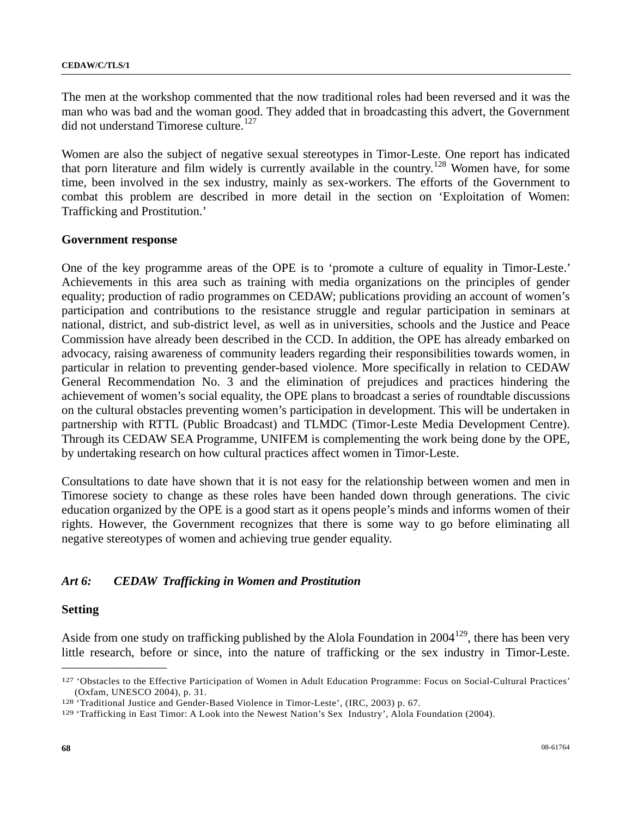The men at the workshop commented that the now traditional roles had been reversed and it was the man who was bad and the woman good. They added that in broadcasting this advert, the Government did not understand Timorese culture.<sup>[12](#page-67-0)7</sup>

Women are also the subject of negative sexual stereotypes in Timor-Leste. One report has indicated that porn literature and film widely is currently available in the country.<sup>[12](#page-67-1)8</sup> Women have, for some time, been involved in the sex industry, mainly as sex-workers. The efforts of the Government to combat this problem are described in more detail in the section on 'Exploitation of Women: Trafficking and Prostitution.'

#### **Government response**

One of the key programme areas of the OPE is to 'promote a culture of equality in Timor-Leste.' Achievements in this area such as training with media organizations on the principles of gender equality; production of radio programmes on CEDAW; publications providing an account of women's participation and contributions to the resistance struggle and regular participation in seminars at national, district, and sub-district level, as well as in universities, schools and the Justice and Peace Commission have already been described in the CCD. In addition, the OPE has already embarked on advocacy, raising awareness of community leaders regarding their responsibilities towards women, in particular in relation to preventing gender-based violence. More specifically in relation to CEDAW General Recommendation No. 3 and the elimination of prejudices and practices hindering the achievement of women's social equality, the OPE plans to broadcast a series of roundtable discussions on the cultural obstacles preventing women's participation in development. This will be undertaken in partnership with RTTL (Public Broadcast) and TLMDC (Timor-Leste Media Development Centre). Through its CEDAW SEA Programme, UNIFEM is complementing the work being done by the OPE, by undertaking research on how cultural practices affect women in Timor-Leste.

Consultations to date have shown that it is not easy for the relationship between women and men in Timorese society to change as these roles have been handed down through generations. The civic education organized by the OPE is a good start as it opens people's minds and informs women of their rights. However, the Government recognizes that there is some way to go before eliminating all negative stereotypes of women and achieving true gender equality.

## *Art 6: CEDAW Trafficking in Women and Prostitution*

#### **Setting**

**\_\_\_\_\_\_\_\_\_\_\_\_\_\_\_\_\_\_\_\_\_\_\_\_** 

Aside from one study on trafficking published by the Alola Foundation in  $2004^{129}$  $2004^{129}$  $2004^{129}$ , there has been very little research, before or since, into the nature of trafficking or the sex industry in Timor-Leste.

<span id="page-67-0"></span><sup>127 &#</sup>x27;Obstacles to the Effective Participation of Women in Adult Education Programme: Focus on Social-Cultural Practices' (Oxfam, UNESCO 2004), p. 31.<br><sup>128</sup> 'Traditional Justice and Gender-Based Violence in Timor-Leste', (IRC, 2003) p. 67.<br><sup>129</sup> 'Trafficking in East Timor: A Look into the Newest Nation's Sex Industry', Alola Foundation (2004)

<span id="page-67-1"></span>

<span id="page-67-2"></span>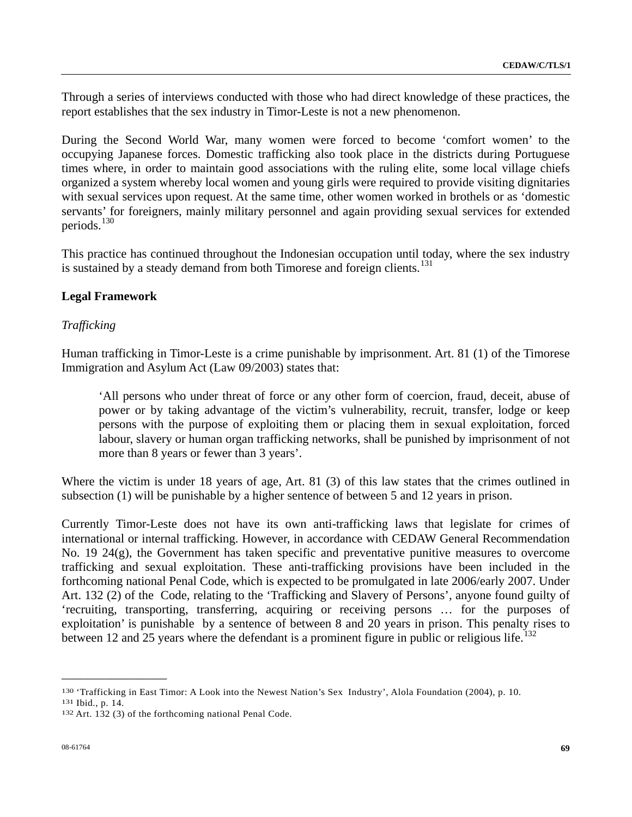Through a series of interviews conducted with those who had direct knowledge of these practices, the report establishes that the sex industry in Timor-Leste is not a new phenomenon.

During the Second World War, many women were forced to become 'comfort women' to the occupying Japanese forces. Domestic trafficking also took place in the districts during Portuguese times where, in order to maintain good associations with the ruling elite, some local village chiefs organized a system whereby local women and young girls were required to provide visiting dignitaries with sexual services upon request. At the same time, other women worked in brothels or as 'domestic servants' for foreigners, mainly military personnel and again providing sexual services for extended periods. $130$  $130$ 

This practice has continued throughout the Indonesian occupation until today, where the sex industry is sustained by a steady demand from both Timorese and foreign clients.<sup>[13](#page-68-1)1</sup>

## **Legal Framework**

## *Trafficking*

Human trafficking in Timor-Leste is a crime punishable by imprisonment. Art. 81 (1) of the Timorese Immigration and Asylum Act (Law 09/2003) states that:

'All persons who under threat of force or any other form of coercion, fraud, deceit, abuse of power or by taking advantage of the victim's vulnerability, recruit, transfer, lodge or keep persons with the purpose of exploiting them or placing them in sexual exploitation, forced labour, slavery or human organ trafficking networks, shall be punished by imprisonment of not more than 8 years or fewer than 3 years'.

Where the victim is under 18 years of age, Art. 81 (3) of this law states that the crimes outlined in subsection (1) will be punishable by a higher sentence of between 5 and 12 years in prison.

Currently Timor-Leste does not have its own anti-trafficking laws that legislate for crimes of international or internal trafficking. However, in accordance with CEDAW General Recommendation No. 19 24(g), the Government has taken specific and preventative punitive measures to overcome trafficking and sexual exploitation. These anti-trafficking provisions have been included in the forthcoming national Penal Code, which is expected to be promulgated in late 2006/early 2007. Under Art. 132 (2) of the Code, relating to the 'Trafficking and Slavery of Persons', anyone found guilty of 'recruiting, transporting, transferring, acquiring or receiving persons … for the purposes of exploitation' is punishable by a sentence of between 8 and 20 years in prison. This penalty rises to between 12 and 25 years where the defendant is a prominent figure in public or religious life.<sup>[13](#page-68-2)2</sup>

<span id="page-68-1"></span><span id="page-68-0"></span><sup>130 &#</sup>x27;Trafficking in East Timor: A Look into the Newest Nation's Sex Industry', Alola Foundation (2004), p. 10.<br>131 Ibid., p. 14.<br>132 Art. 132 (3) of the forthcoming national Penal Code.

<span id="page-68-2"></span>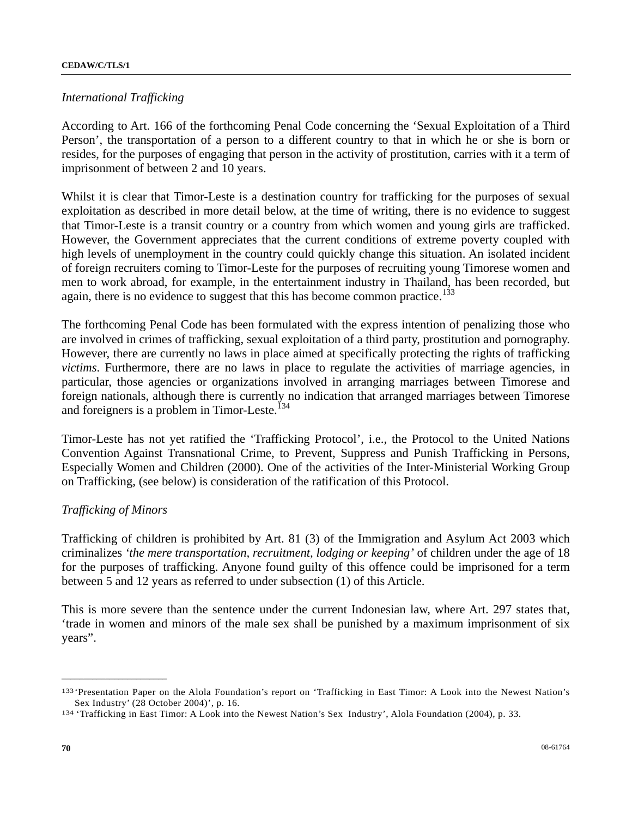### *International Trafficking*

According to Art. 166 of the forthcoming Penal Code concerning the 'Sexual Exploitation of a Third Person', the transportation of a person to a different country to that in which he or she is born or resides, for the purposes of engaging that person in the activity of prostitution, carries with it a term of imprisonment of between 2 and 10 years.

Whilst it is clear that Timor-Leste is a destination country for trafficking for the purposes of sexual exploitation as described in more detail below, at the time of writing, there is no evidence to suggest that Timor-Leste is a transit country or a country from which women and young girls are trafficked. However, the Government appreciates that the current conditions of extreme poverty coupled with high levels of unemployment in the country could quickly change this situation. An isolated incident of foreign recruiters coming to Timor-Leste for the purposes of recruiting young Timorese women and men to work abroad, for example, in the entertainment industry in Thailand, has been recorded, but again, there is no evidence to suggest that this has become common practice.<sup>[13](#page-69-0)3</sup>

The forthcoming Penal Code has been formulated with the express intention of penalizing those who are involved in crimes of trafficking, sexual exploitation of a third party, prostitution and pornography. However, there are currently no laws in place aimed at specifically protecting the rights of trafficking *victims*. Furthermore, there are no laws in place to regulate the activities of marriage agencies, in particular, those agencies or organizations involved in arranging marriages between Timorese and foreign nationals, although there is currently no indication that arranged marriages between Timorese and foreigners is a problem in Timor-Leste.<sup>[1](#page-69-1)34</sup>

Timor-Leste has not yet ratified the 'Trafficking Protocol', i.e., the Protocol to the United Nations Convention Against Transnational Crime, to Prevent, Suppress and Punish Trafficking in Persons, Especially Women and Children (2000). One of the activities of the Inter-Ministerial Working Group on Trafficking, (see below) is consideration of the ratification of this Protocol.

# *Trafficking of Minors*

**\_\_\_\_\_\_\_\_\_\_\_\_\_\_\_\_\_\_\_\_\_\_\_\_** 

Trafficking of children is prohibited by Art. 81 (3) of the Immigration and Asylum Act 2003 which criminalizes *'the mere transportation, recruitment, lodging or keeping'* of children under the age of 18 for the purposes of trafficking. Anyone found guilty of this offence could be imprisoned for a term between 5 and 12 years as referred to under subsection (1) of this Article.

This is more severe than the sentence under the current Indonesian law, where Art. 297 states that, 'trade in women and minors of the male sex shall be punished by a maximum imprisonment of six years".

<span id="page-69-0"></span><sup>133 &#</sup>x27;Presentation Paper on the Alola Foundation's report on 'Trafficking in East Timor: A Look into the Newest Nation's Sex Industry' (28 October 2004)', p. 16.<br>
<sup>134</sup> 'Trafficking in East Timor: A Look into the Newest Nation's Sex Industry', Alola Foundation (2004), p. 33.

<span id="page-69-1"></span>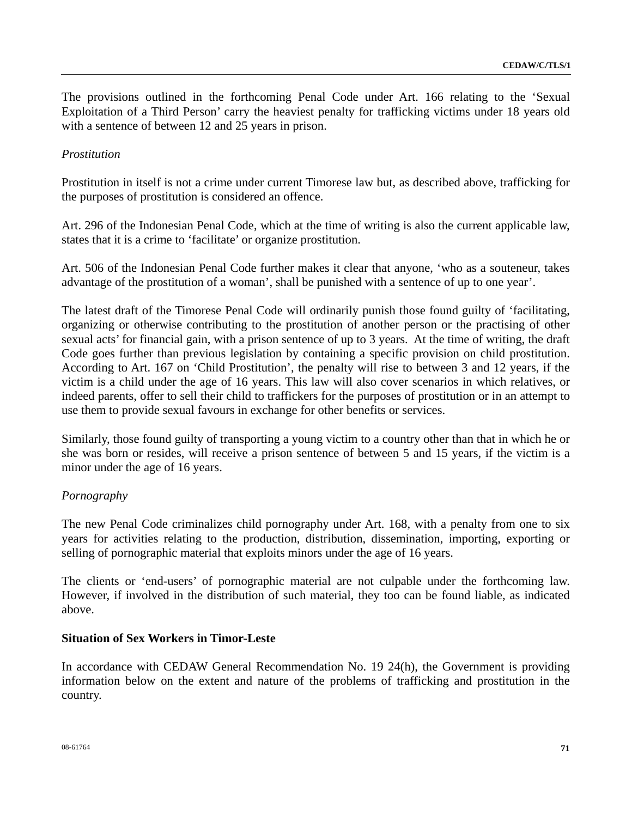The provisions outlined in the forthcoming Penal Code under Art. 166 relating to the 'Sexual Exploitation of a Third Person' carry the heaviest penalty for trafficking victims under 18 years old with a sentence of between 12 and 25 years in prison.

# *Prostitution*

Prostitution in itself is not a crime under current Timorese law but, as described above, trafficking for the purposes of prostitution is considered an offence.

Art. 296 of the Indonesian Penal Code, which at the time of writing is also the current applicable law, states that it is a crime to 'facilitate' or organize prostitution.

Art. 506 of the Indonesian Penal Code further makes it clear that anyone, 'who as a souteneur, takes advantage of the prostitution of a woman', shall be punished with a sentence of up to one year'.

The latest draft of the Timorese Penal Code will ordinarily punish those found guilty of 'facilitating, organizing or otherwise contributing to the prostitution of another person or the practising of other sexual acts' for financial gain, with a prison sentence of up to 3 years. At the time of writing, the draft Code goes further than previous legislation by containing a specific provision on child prostitution. According to Art. 167 on 'Child Prostitution', the penalty will rise to between 3 and 12 years, if the victim is a child under the age of 16 years. This law will also cover scenarios in which relatives, or indeed parents, offer to sell their child to traffickers for the purposes of prostitution or in an attempt to use them to provide sexual favours in exchange for other benefits or services.

Similarly, those found guilty of transporting a young victim to a country other than that in which he or she was born or resides, will receive a prison sentence of between 5 and 15 years, if the victim is a minor under the age of 16 years.

# *Pornography*

The new Penal Code criminalizes child pornography under Art. 168, with a penalty from one to six years for activities relating to the production, distribution, dissemination, importing, exporting or selling of pornographic material that exploits minors under the age of 16 years.

The clients or 'end-users' of pornographic material are not culpable under the forthcoming law. However, if involved in the distribution of such material, they too can be found liable, as indicated above.

### **Situation of Sex Workers in Timor-Leste**

In accordance with CEDAW General Recommendation No. 19 24(h), the Government is providing information below on the extent and nature of the problems of trafficking and prostitution in the country.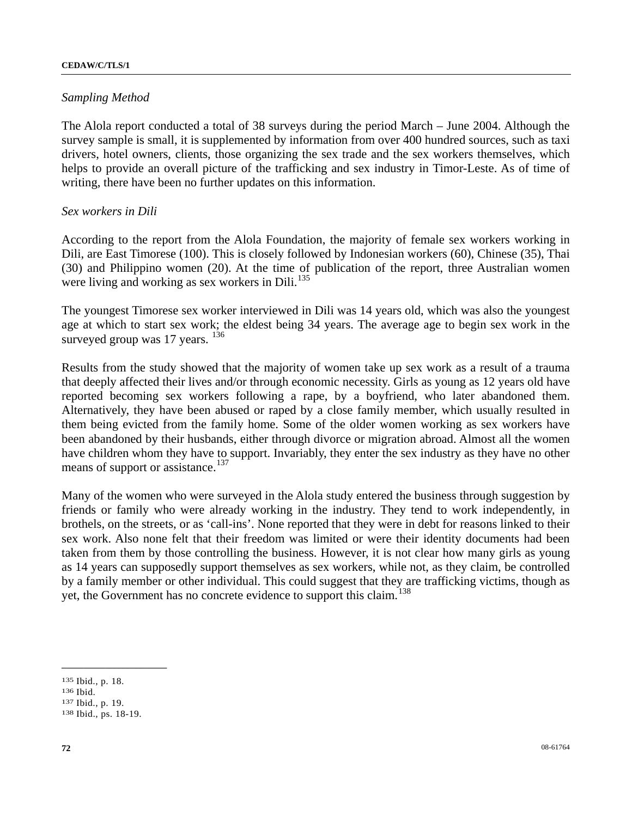### *Sampling Method*

The Alola report conducted a total of 38 surveys during the period March – June 2004. Although the survey sample is small, it is supplemented by information from over 400 hundred sources, such as taxi drivers, hotel owners, clients, those organizing the sex trade and the sex workers themselves, which helps to provide an overall picture of the trafficking and sex industry in Timor-Leste. As of time of writing, there have been no further updates on this information.

### *Sex workers in Dili*

According to the report from the Alola Foundation, the majority of female sex workers working in Dili, are East Timorese (100). This is closely followed by Indonesian workers (60), Chinese (35), Thai (30) and Philippino women (20). At the time of publication of the report, three Australian women were living and working as sex workers in Dili. $135$  $135$ 

The youngest Timorese sex worker interviewed in Dili was 14 years old, which was also the youngest age at which to start sex work; the eldest being 34 years. The average age to begin sex work in the surveyed group was 17 years.  $136$  $136$ 

Results from the study showed that the majority of women take up sex work as a result of a trauma that deeply affected their lives and/or through economic necessity. Girls as young as 12 years old have reported becoming sex workers following a rape, by a boyfriend, who later abandoned them. Alternatively, they have been abused or raped by a close family member, which usually resulted in them being evicted from the family home. Some of the older women working as sex workers have been abandoned by their husbands, either through divorce or migration abroad. Almost all the women have children whom they have to support. Invariably, they enter the sex industry as they have no other means of support or assistance.<sup>[13](#page-71-2)7</sup>

Many of the women who were surveyed in the Alola study entered the business through suggestion by friends or family who were already working in the industry. They tend to work independently, in brothels, on the streets, or as 'call-ins'. None reported that they were in debt for reasons linked to their sex work. Also none felt that their freedom was limited or were their identity documents had been taken from them by those controlling the business. However, it is not clear how many girls as young as 14 years can supposedly support themselves as sex workers, while not, as they claim, be controlled by a family member or other individual. This could suggest that they are trafficking victims, though as yet, the Government has no concrete evidence to support this claim.<sup>[1](#page-71-3)38</sup>

<span id="page-71-2"></span>

<span id="page-71-1"></span><span id="page-71-0"></span><sup>135</sup> Ibid., p. 18. 136 Ibid. 137 Ibid., p. 19. 138 Ibid., ps. 18-19.

<span id="page-71-3"></span>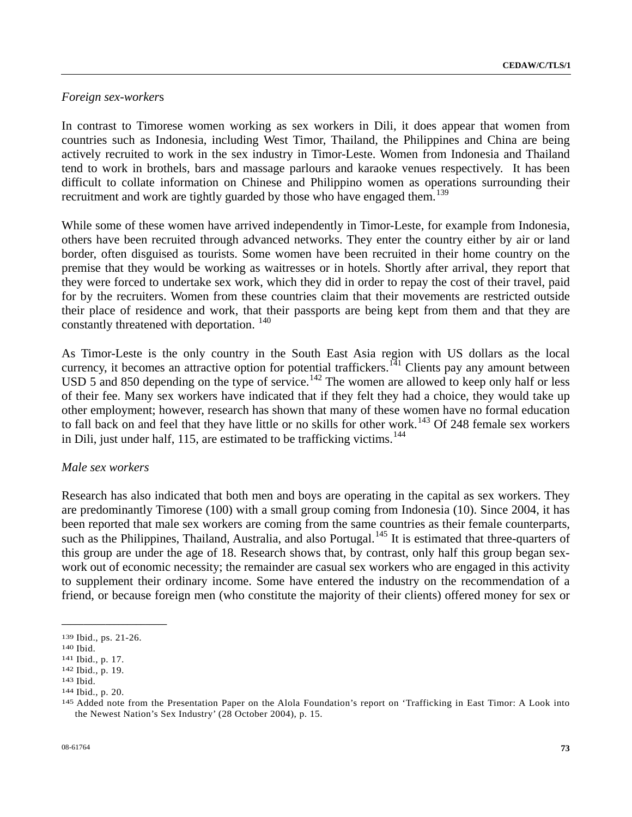## *Foreign sex-worker*s

In contrast to Timorese women working as sex workers in Dili, it does appear that women from countries such as Indonesia, including West Timor, Thailand, the Philippines and China are being actively recruited to work in the sex industry in Timor-Leste. Women from Indonesia and Thailand tend to work in brothels, bars and massage parlours and karaoke venues respectively. It has been difficult to collate information on Chinese and Philippino women as operations surrounding their recruitment and work are tightly guarded by those who have engaged them.<sup>[13](#page-72-0)9</sup>

While some of these women have arrived independently in Timor-Leste, for example from Indonesia, others have been recruited through advanced networks. They enter the country either by air or land border, often disguised as tourists. Some women have been recruited in their home country on the premise that they would be working as waitresses or in hotels. Shortly after arrival, they report that they were forced to undertake sex work, which they did in order to repay the cost of their travel, paid for by the recruiters. Women from these countries claim that their movements are restricted outside their place of residence and work, that their passports are being kept from them and that they are constantly threatened with deportation.<sup>[14](#page-72-1)0</sup>

As Timor-Leste is the only country in the South East Asia region with US dollars as the local currency, it becomes an attractive option for potential traffickers.<sup>[1](#page-72-2)41</sup> Clients pay any amount between USD 5 and 850 depending on the type of service.<sup>[1](#page-72-3)42</sup> The women are allowed to keep only half or less of their fee. Many sex workers have indicated that if they felt they had a choice, they would take up other employment; however, research has shown that many of these women have no formal education to fall back on and feel that they have little or no skills for other work.<sup>[14](#page-72-4)3</sup> Of 248 female sex workers in Dili, just under half, [1](#page-72-5)15, are estimated to be trafficking victims. $144$ 

## *Male sex workers*

Research has also indicated that both men and boys are operating in the capital as sex workers. They are predominantly Timorese (100) with a small group coming from Indonesia (10). Since 2004, it has been reported that male sex workers are coming from the same countries as their female counterparts, such as the Philippines, Thailand, Australia, and also Portugal.<sup>[14](#page-72-6)5</sup> It is estimated that three-quarters of this group are under the age of 18. Research shows that, by contrast, only half this group began sexwork out of economic necessity; the remainder are casual sex workers who are engaged in this activity to supplement their ordinary income. Some have entered the industry on the recommendation of a friend, or because foreign men (who constitute the majority of their clients) offered money for sex or

<span id="page-72-1"></span>

<span id="page-72-2"></span>

<span id="page-72-4"></span><span id="page-72-3"></span>

<span id="page-72-6"></span><span id="page-72-5"></span>

<span id="page-72-0"></span><sup>139</sup> Ibid., ps. 21-26.<br>
140 Ibid.<br>
141 Ibid., p. 17.<br>
142 Ibid., p. 19.<br>
143 Ibid.<br>
144 Ibid., p. 20.<br>
145 Added note from the Presentation Paper on the Alola Foundation's report on 'Trafficking in East Timor: A Look into the Newest Nation's Sex Industry' (28 October 2004), p. 15.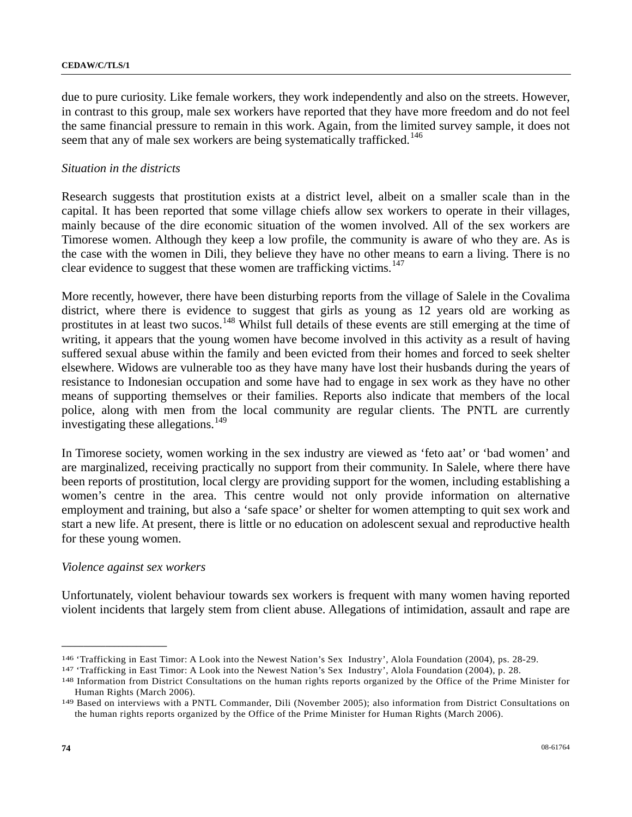due to pure curiosity. Like female workers, they work independently and also on the streets. However, in contrast to this group, male sex workers have reported that they have more freedom and do not feel the same financial pressure to remain in this work. Again, from the limited survey sample, it does not seem that any of male sex workers are being systematically trafficked.<sup>[14](#page-73-0)6</sup>

## *Situation in the districts*

Research suggests that prostitution exists at a district level, albeit on a smaller scale than in the capital. It has been reported that some village chiefs allow sex workers to operate in their villages, mainly because of the dire economic situation of the women involved. All of the sex workers are Timorese women. Although they keep a low profile, the community is aware of who they are. As is the case with the women in Dili, they believe they have no other means to earn a living. There is no clear evidence to suggest that these women are trafficking victims.<sup>[14](#page-73-1)7</sup>

More recently, however, there have been disturbing reports from the village of Salele in the Covalima district, where there is evidence to suggest that girls as young as 12 years old are working as prostitutes in at least two sucos.<sup>[14](#page-73-2)8</sup> Whilst full details of these events are still emerging at the time of writing, it appears that the young women have become involved in this activity as a result of having suffered sexual abuse within the family and been evicted from their homes and forced to seek shelter elsewhere. Widows are vulnerable too as they have many have lost their husbands during the years of resistance to Indonesian occupation and some have had to engage in sex work as they have no other means of supporting themselves or their families. Reports also indicate that members of the local police, along with men from the local community are regular clients. The PNTL are currently investigating these allegations.<sup>[14](#page-73-3)9</sup>

In Timorese society, women working in the sex industry are viewed as 'feto aat' or 'bad women' and are marginalized, receiving practically no support from their community. In Salele, where there have been reports of prostitution, local clergy are providing support for the women, including establishing a women's centre in the area. This centre would not only provide information on alternative employment and training, but also a 'safe space' or shelter for women attempting to quit sex work and start a new life. At present, there is little or no education on adolescent sexual and reproductive health for these young women.

## *Violence against sex workers*

**\_\_\_\_\_\_\_\_\_\_\_\_\_\_\_\_\_\_\_\_\_\_\_\_** 

Unfortunately, violent behaviour towards sex workers is frequent with many women having reported violent incidents that largely stem from client abuse. Allegations of intimidation, assault and rape are

<span id="page-73-2"></span><span id="page-73-1"></span>

<span id="page-73-0"></span><sup>&</sup>lt;sup>146</sup> 'Trafficking in East Timor: A Look into the Newest Nation's Sex Industry', Alola Foundation (2004), ps. 28-29.<br><sup>147</sup> 'Trafficking in East Timor: A Look into the Newest Nation's Sex Industry', Alola Foundation (2004), Human Rights (March 2006). 149 Based on interviews with a PNTL Commander, Dili (November 2005); also information from District Consultations on

<span id="page-73-3"></span>the human rights reports organized by the Office of the Prime Minister for Human Rights (March 2006).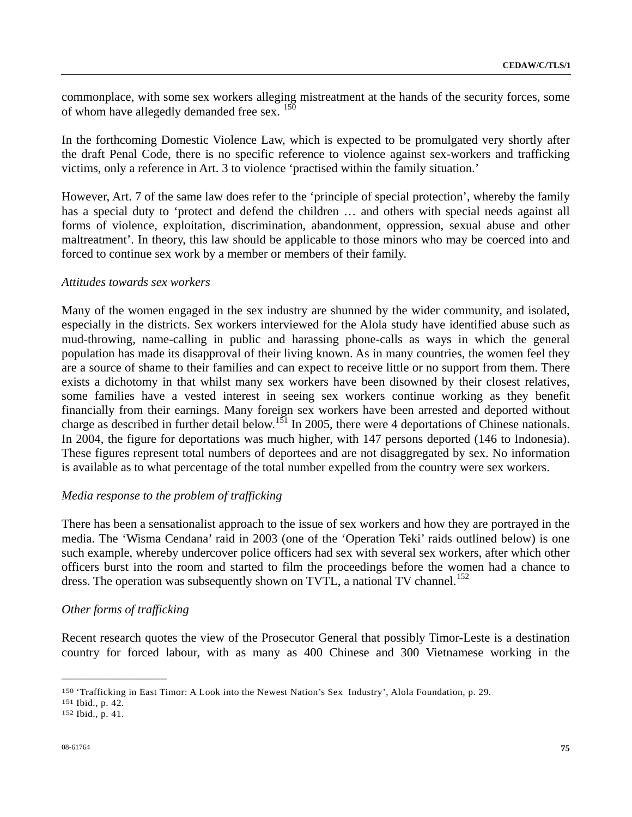commonplace, with some sex workers alleging mistreatment at the hands of the security forces, some of whom have allegedly demanded free sex. <sup>[15](#page-74-0)0</sup>

In the forthcoming Domestic Violence Law, which is expected to be promulgated very shortly after the draft Penal Code, there is no specific reference to violence against sex-workers and trafficking victims, only a reference in Art. 3 to violence 'practised within the family situation.'

However, Art. 7 of the same law does refer to the 'principle of special protection', whereby the family has a special duty to 'protect and defend the children ... and others with special needs against all forms of violence, exploitation, discrimination, abandonment, oppression, sexual abuse and other maltreatment'. In theory, this law should be applicable to those minors who may be coerced into and forced to continue sex work by a member or members of their family.

#### *Attitudes towards sex workers*

Many of the women engaged in the sex industry are shunned by the wider community, and isolated, especially in the districts. Sex workers interviewed for the Alola study have identified abuse such as mud-throwing, name-calling in public and harassing phone-calls as ways in which the general population has made its disapproval of their living known. As in many countries, the women feel they are a source of shame to their families and can expect to receive little or no support from them. There exists a dichotomy in that whilst many sex workers have been disowned by their closest relatives, some families have a vested interest in seeing sex workers continue working as they benefit financially from their earnings. Many foreign sex workers have been arrested and deported without charge as described in further detail below.<sup>[1](#page-74-1)51</sup> In 2005, there were 4 deportations of Chinese nationals. In 2004, the figure for deportations was much higher, with 147 persons deported (146 to Indonesia). These figures represent total numbers of deportees and are not disaggregated by sex. No information is available as to what percentage of the total number expelled from the country were sex workers.

#### *Media response to the problem of trafficking*

There has been a sensationalist approach to the issue of sex workers and how they are portrayed in the media. The 'Wisma Cendana' raid in 2003 (one of the 'Operation Teki' raids outlined below) is one such example, whereby undercover police officers had sex with several sex workers, after which other officers burst into the room and started to film the proceedings before the women had a chance to dress. The operation was subsequently shown on TVTL, a national TV channel.<sup>[15](#page-74-2)2</sup>

#### *Other forms of trafficking*

**\_\_\_\_\_\_\_\_\_\_\_\_\_\_\_\_\_\_\_\_\_\_\_\_** 

Recent research quotes the view of the Prosecutor General that possibly Timor-Leste is a destination country for forced labour, with as many as 400 Chinese and 300 Vietnamese working in the

<span id="page-74-1"></span><span id="page-74-0"></span><sup>150 &#</sup>x27;Trafficking in East Timor: A Look into the Newest Nation's Sex Industry', Alola Foundation, p. 29. 151 Ibid., p. 42.<br>152 Ibid., p. 41.

<span id="page-74-2"></span>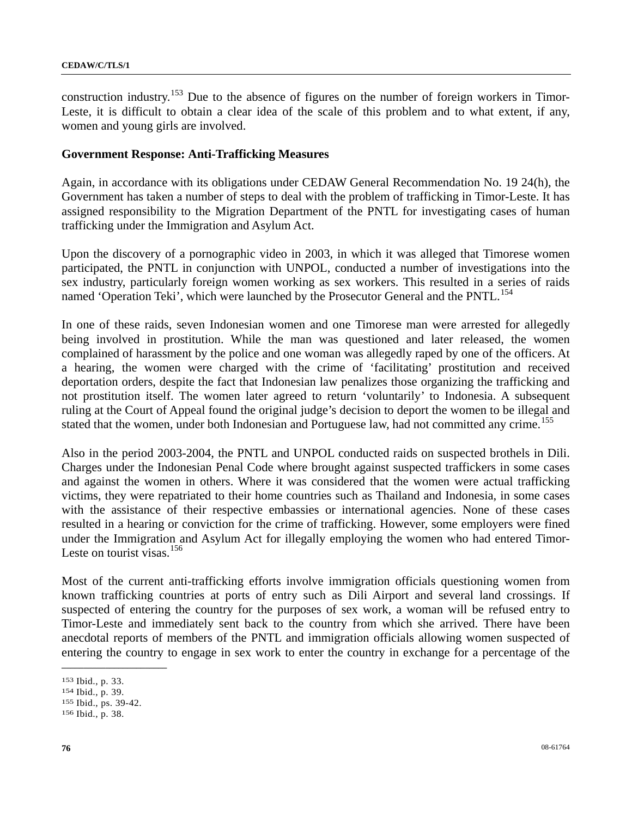construction industry.<sup>[15](#page-75-0)3</sup> Due to the absence of figures on the number of foreign workers in Timor-Leste, it is difficult to obtain a clear idea of the scale of this problem and to what extent, if any, women and young girls are involved.

## **Government Response: Anti-Trafficking Measures**

Again, in accordance with its obligations under CEDAW General Recommendation No. 19 24(h), the Government has taken a number of steps to deal with the problem of trafficking in Timor-Leste. It has assigned responsibility to the Migration Department of the PNTL for investigating cases of human trafficking under the Immigration and Asylum Act.

Upon the discovery of a pornographic video in 2003, in which it was alleged that Timorese women participated, the PNTL in conjunction with UNPOL, conducted a number of investigations into the sex industry, particularly foreign women working as sex workers. This resulted in a series of raids named 'Operation Teki', which were launched by the Prosecutor General and the PNTL.<sup>[1](#page-75-1)54</sup>

In one of these raids, seven Indonesian women and one Timorese man were arrested for allegedly being involved in prostitution. While the man was questioned and later released, the women complained of harassment by the police and one woman was allegedly raped by one of the officers. At a hearing, the women were charged with the crime of 'facilitating' prostitution and received deportation orders, despite the fact that Indonesian law penalizes those organizing the trafficking and not prostitution itself. The women later agreed to return 'voluntarily' to Indonesia. A subsequent ruling at the Court of Appeal found the original judge's decision to deport the women to be illegal and stated that the women, under both Indonesian and Portuguese law, had not committed any crime.<sup>[1](#page-75-2)55</sup>

Also in the period 2003-2004, the PNTL and UNPOL conducted raids on suspected brothels in Dili. Charges under the Indonesian Penal Code where brought against suspected traffickers in some cases and against the women in others. Where it was considered that the women were actual trafficking victims, they were repatriated to their home countries such as Thailand and Indonesia, in some cases with the assistance of their respective embassies or international agencies. None of these cases resulted in a hearing or conviction for the crime of trafficking. However, some employers were fined under the Immigration and Asylum Act for illegally employing the women who had entered Timor-Leste on tourist visas. $156$  $156$ 

Most of the current anti-trafficking efforts involve immigration officials questioning women from known trafficking countries at ports of entry such as Dili Airport and several land crossings. If suspected of entering the country for the purposes of sex work, a woman will be refused entry to Timor-Leste and immediately sent back to the country from which she arrived. There have been anecdotal reports of members of the PNTL and immigration officials allowing women suspected of entering the country to engage in sex work to enter the country in exchange for a percentage of the

<span id="page-75-2"></span>

<span id="page-75-1"></span><span id="page-75-0"></span><sup>153</sup> Ibid., p. 33. 154 Ibid., p. 39. 155 Ibid., ps. 39-42. 156 Ibid., p. 38.

<span id="page-75-3"></span>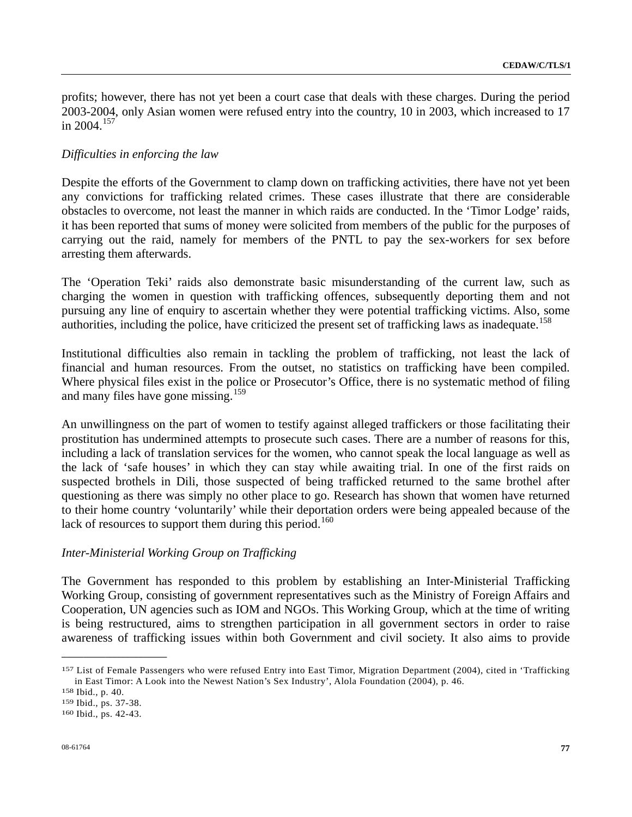profits; however, there has not yet been a court case that deals with these charges. During the period 2003-2004, only Asian women were refused entry into the country, 10 in 2003, which increased to 17 in 2004.<sup>[15](#page-76-0)7</sup>

## *Difficulties in enforcing the law*

Despite the efforts of the Government to clamp down on trafficking activities, there have not yet been any convictions for trafficking related crimes. These cases illustrate that there are considerable obstacles to overcome, not least the manner in which raids are conducted. In the 'Timor Lodge' raids, it has been reported that sums of money were solicited from members of the public for the purposes of carrying out the raid, namely for members of the PNTL to pay the sex-workers for sex before arresting them afterwards.

The 'Operation Teki' raids also demonstrate basic misunderstanding of the current law, such as charging the women in question with trafficking offences, subsequently deporting them and not pursuing any line of enquiry to ascertain whether they were potential trafficking victims. Also, some authorities, including the police, have criticized the present set of trafficking laws as inadequate.<sup>[1](#page-76-1)58</sup>

Institutional difficulties also remain in tackling the problem of trafficking, not least the lack of financial and human resources. From the outset, no statistics on trafficking have been compiled. Where physical files exist in the police or Prosecutor's Office, there is no systematic method of filing and many files have gone missing.<sup>[1](#page-76-2)59</sup>

An unwillingness on the part of women to testify against alleged traffickers or those facilitating their prostitution has undermined attempts to prosecute such cases. There are a number of reasons for this, including a lack of translation services for the women, who cannot speak the local language as well as the lack of 'safe houses' in which they can stay while awaiting trial. In one of the first raids on suspected brothels in Dili, those suspected of being trafficked returned to the same brothel after questioning as there was simply no other place to go. Research has shown that women have returned to their home country 'voluntarily' while their deportation orders were being appealed because of the lack of resources to support them during this period.<sup>[1](#page-76-3)60</sup>

## *Inter-Ministerial Working Group on Trafficking*

The Government has responded to this problem by establishing an Inter-Ministerial Trafficking Working Group, consisting of government representatives such as the Ministry of Foreign Affairs and Cooperation, UN agencies such as IOM and NGOs. This Working Group, which at the time of writing is being restructured, aims to strengthen participation in all government sectors in order to raise awareness of trafficking issues within both Government and civil society. It also aims to provide

<span id="page-76-0"></span><sup>157</sup> List of Female Passengers who were refused Entry into East Timor, Migration Department (2004), cited in 'Trafficking in East Timor: A Look into the Newest Nation's Sex Industry', Alola Foundation (2004), p. 46. <sup>158</sup> Ibid., ps. 37-38.<br><sup>159</sup> Ibid., ps. 37-38. <sup>160</sup> Ibid., ps. 42-43.

<span id="page-76-1"></span>

<span id="page-76-2"></span>

<span id="page-76-3"></span>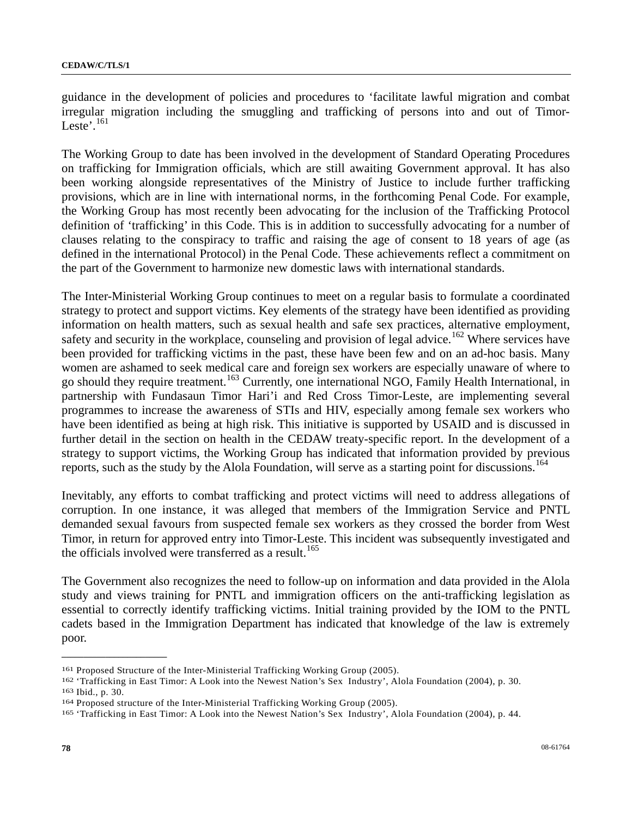guidance in the development of policies and procedures to 'facilitate lawful migration and combat irregular migration including the smuggling and trafficking of persons into and out of Timor-Leste'. $161$  $161$ 

The Working Group to date has been involved in the development of Standard Operating Procedures on trafficking for Immigration officials, which are still awaiting Government approval. It has also been working alongside representatives of the Ministry of Justice to include further trafficking provisions, which are in line with international norms, in the forthcoming Penal Code. For example, the Working Group has most recently been advocating for the inclusion of the Trafficking Protocol definition of 'trafficking' in this Code. This is in addition to successfully advocating for a number of clauses relating to the conspiracy to traffic and raising the age of consent to 18 years of age (as defined in the international Protocol) in the Penal Code. These achievements reflect a commitment on the part of the Government to harmonize new domestic laws with international standards.

The Inter-Ministerial Working Group continues to meet on a regular basis to formulate a coordinated strategy to protect and support victims. Key elements of the strategy have been identified as providing information on health matters, such as sexual health and safe sex practices, alternative employment, safety and security in the workplace, counseling and provision of legal advice.<sup>[16](#page-77-1)2</sup> Where services have been provided for trafficking victims in the past, these have been few and on an ad-hoc basis. Many women are ashamed to seek medical care and foreign sex workers are especially unaware of where to go should they require treatment.[16](#page-77-2)3 Currently, one international NGO, Family Health International, in partnership with Fundasaun Timor Hari'i and Red Cross Timor-Leste, are implementing several programmes to increase the awareness of STIs and HIV, especially among female sex workers who have been identified as being at high risk. This initiative is supported by USAID and is discussed in further detail in the section on health in the CEDAW treaty-specific report. In the development of a strategy to support victims, the Working Group has indicated that information provided by previous reports, such as the study by the Alola Foundation, will serve as a starting point for discussions.<sup>[1](#page-77-3)64</sup>

Inevitably, any efforts to combat trafficking and protect victims will need to address allegations of corruption. In one instance, it was alleged that members of the Immigration Service and PNTL demanded sexual favours from suspected female sex workers as they crossed the border from West Timor, in return for approved entry into Timor-Leste. This incident was subsequently investigated and the officials involved were transferred as a result.<sup>[1](#page-77-4)65</sup>

The Government also recognizes the need to follow-up on information and data provided in the Alola study and views training for PNTL and immigration officers on the anti-trafficking legislation as essential to correctly identify trafficking victims. Initial training provided by the IOM to the PNTL cadets based in the Immigration Department has indicated that knowledge of the law is extremely poor.

<span id="page-77-1"></span><span id="page-77-0"></span><sup>&</sup>lt;sup>161</sup> Proposed Structure of the Inter-Ministerial Trafficking Working Group (2005).<br><sup>162</sup> 'Trafficking in East Timor: A Look into the Newest Nation's Sex Industry', Alola Foundation (2004), p. 30.<br><sup>163</sup> Ibid., p. 30.<br><sup>164</sup>

<span id="page-77-3"></span><span id="page-77-2"></span>

<span id="page-77-4"></span>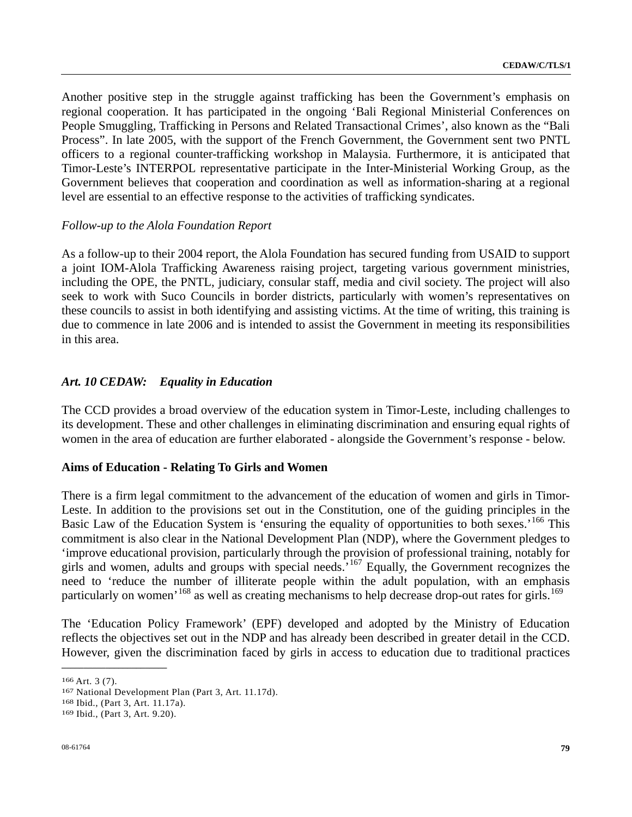Another positive step in the struggle against trafficking has been the Government's emphasis on regional cooperation. It has participated in the ongoing 'Bali Regional Ministerial Conferences on People Smuggling, Trafficking in Persons and Related Transactional Crimes', also known as the "Bali Process". In late 2005, with the support of the French Government, the Government sent two PNTL officers to a regional counter-trafficking workshop in Malaysia. Furthermore, it is anticipated that Timor-Leste's INTERPOL representative participate in the Inter-Ministerial Working Group, as the Government believes that cooperation and coordination as well as information-sharing at a regional level are essential to an effective response to the activities of trafficking syndicates.

## *Follow-up to the Alola Foundation Report*

As a follow-up to their 2004 report, the Alola Foundation has secured funding from USAID to support a joint IOM-Alola Trafficking Awareness raising project, targeting various government ministries, including the OPE, the PNTL, judiciary, consular staff, media and civil society. The project will also seek to work with Suco Councils in border districts, particularly with women's representatives on these councils to assist in both identifying and assisting victims. At the time of writing, this training is due to commence in late 2006 and is intended to assist the Government in meeting its responsibilities in this area.

## *Art. 10 CEDAW: Equality in Education*

The CCD provides a broad overview of the education system in Timor-Leste, including challenges to its development. These and other challenges in eliminating discrimination and ensuring equal rights of women in the area of education are further elaborated - alongside the Government's response - below.

## **Aims of Education - Relating To Girls and Women**

There is a firm legal commitment to the advancement of the education of women and girls in Timor-Leste. In addition to the provisions set out in the Constitution, one of the guiding principles in the Basic Law of the Education System is 'ensuring the equality of opportunities to both sexes.'<sup>[1](#page-78-0)66</sup> This commitment is also clear in the National Development Plan (NDP), where the Government pledges to 'improve educational provision, particularly through the provision of professional training, notably for girls and women, adults and groups with special needs.<sup>[16](#page-78-1)7</sup> Equally, the Government recognizes the need to 'reduce the number of illiterate people within the adult population, with an emphasis particularly on women'<sup>[16](#page-78-3)8</sup> as well as creating mechanisms to help decrease drop-out rates for girls.<sup>169</sup>

The 'Education Policy Framework' (EPF) developed and adopted by the Ministry of Education reflects the objectives set out in the NDP and has already been described in greater detail in the CCD. However, given the discrimination faced by girls in access to education due to traditional practices

<span id="page-78-1"></span><span id="page-78-0"></span><sup>166</sup> Art. 3 (7).<br>
167 National Development Plan (Part 3, Art. 11.17d).<br>
168 Ibid., (Part 3, Art. 11.17a).<br>
169 Ibid., (Part 3, Art. 9.20).

<span id="page-78-2"></span>

<span id="page-78-3"></span>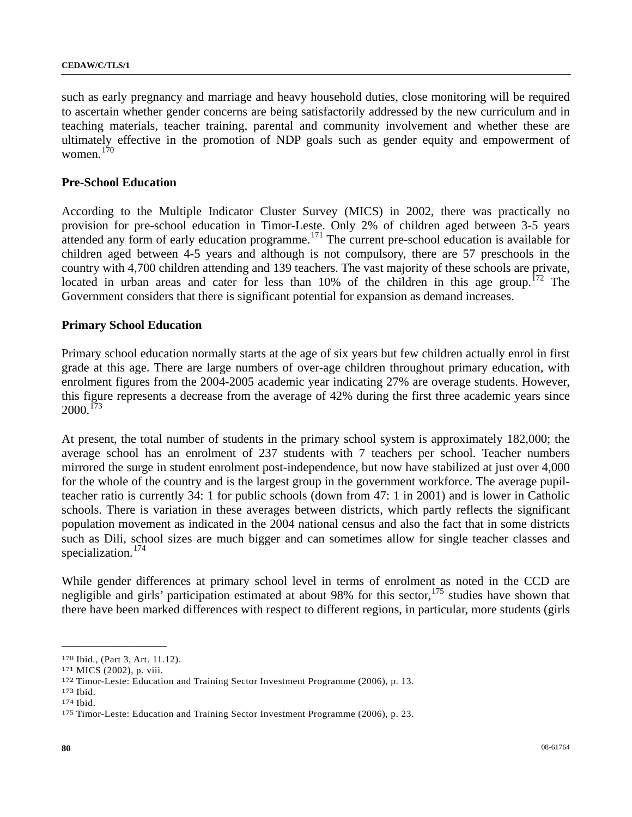#### **CEDAW/C/TLS/1**

such as early pregnancy and marriage and heavy household duties, close monitoring will be required to ascertain whether gender concerns are being satisfactorily addressed by the new curriculum and in teaching materials, teacher training, parental and community involvement and whether these are ultimately effective in the promotion of NDP goals such as gender equity and empowerment of women.[17](#page-79-0)0

## **Pre-School Education**

According to the Multiple Indicator Cluster Survey (MICS) in 2002, there was practically no provision for pre-school education in Timor-Leste. Only 2% of children aged between 3-5 years attended any form of early education programme.<sup>[1](#page-79-1)71</sup> The current pre-school education is available for children aged between 4-5 years and although is not compulsory, there are 57 preschools in the country with 4,700 children attending and 139 teachers. The vast majority of these schools are private, located in urban areas and cater for less than  $10\%$  $10\%$  of the children in this age group.<sup>172</sup> The Government considers that there is significant potential for expansion as demand increases.

#### **Primary School Education**

Primary school education normally starts at the age of six years but few children actually enrol in first grade at this age. There are large numbers of over-age children throughout primary education, with enrolment figures from the 2004-2005 academic year indicating 27% are overage students. However, this figure represents a decrease from the average of 42% during the first three academic years since  $2000$ .<sup>[1](#page-79-3)73</sup>

At present, the total number of students in the primary school system is approximately 182,000; the average school has an enrolment of 237 students with 7 teachers per school. Teacher numbers mirrored the surge in student enrolment post-independence, but now have stabilized at just over 4,000 for the whole of the country and is the largest group in the government workforce. The average pupilteacher ratio is currently 34: 1 for public schools (down from 47: 1 in 2001) and is lower in Catholic schools. There is variation in these averages between districts, which partly reflects the significant population movement as indicated in the 2004 national census and also the fact that in some districts such as Dili, school sizes are much bigger and can sometimes allow for single teacher classes and specialization.<sup>[1](#page-79-4)74</sup>

While gender differences at primary school level in terms of enrolment as noted in the CCD are negligible and girls' participation estimated at about 98% for this sector,  $175$  $175$  studies have shown that there have been marked differences with respect to different regions, in particular, more students (girls

<span id="page-79-2"></span><span id="page-79-1"></span>

<span id="page-79-0"></span><sup>&</sup>lt;sup>170</sup> Ibid., (Part 3, Art. 11.12).<br><sup>171</sup> MICS (2002), p. viii.<br><sup>172</sup> Timor-Leste: Education and Training Sector Investment Programme (2006), p. 13.<br><sup>173</sup> Ibid.<br><sup>174</sup> Ibid.

<span id="page-79-3"></span>

<span id="page-79-4"></span>

<span id="page-79-5"></span>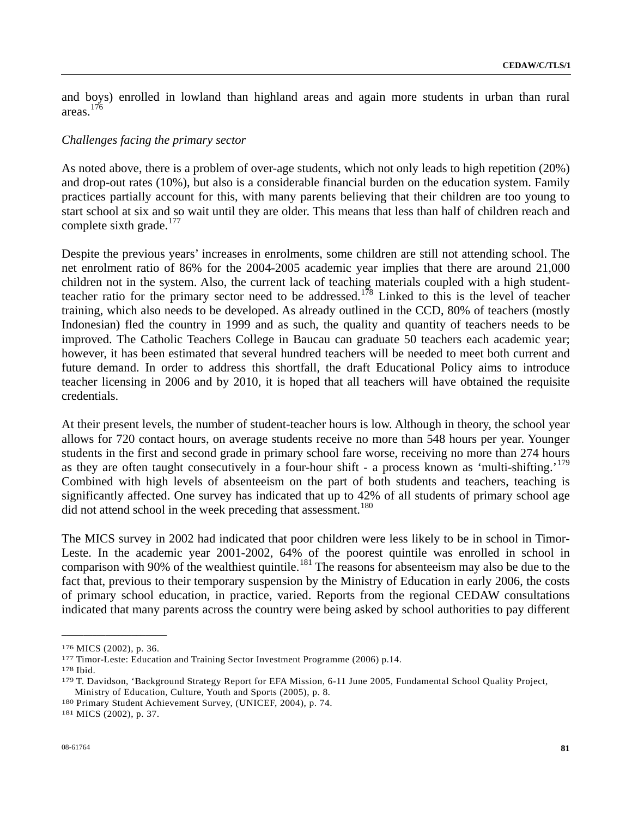and boys) enrolled in lowland than highland areas and again more students in urban than rural areas.[17](#page-80-0)6

#### *Challenges facing the primary sector*

As noted above, there is a problem of over-age students, which not only leads to high repetition (20%) and drop-out rates (10%), but also is a considerable financial burden on the education system. Family practices partially account for this, with many parents believing that their children are too young to start school at six and so wait until they are older. This means that less than half of children reach and complete sixth grade. $177$  $177$ 

Despite the previous years' increases in enrolments, some children are still not attending school. The net enrolment ratio of 86% for the 2004-2005 academic year implies that there are around 21,000 children not in the system. Also, the current lack of teaching materials coupled with a high studentteacher ratio for the primary sector need to be addressed.[17](#page-80-2)8 Linked to this is the level of teacher training, which also needs to be developed. As already outlined in the CCD, 80% of teachers (mostly Indonesian) fled the country in 1999 and as such, the quality and quantity of teachers needs to be improved. The Catholic Teachers College in Baucau can graduate 50 teachers each academic year; however, it has been estimated that several hundred teachers will be needed to meet both current and future demand. In order to address this shortfall, the draft Educational Policy aims to introduce teacher licensing in 2006 and by 2010, it is hoped that all teachers will have obtained the requisite credentials.

At their present levels, the number of student-teacher hours is low. Although in theory, the school year allows for 720 contact hours, on average students receive no more than 548 hours per year. Younger students in the first and second grade in primary school fare worse, receiving no more than 274 hours as they are often taught consecutively in a four-hour shift - a process known as 'multi-shifting.'<sup>[1](#page-80-3)79</sup> Combined with high levels of absenteeism on the part of both students and teachers, teaching is significantly affected. One survey has indicated that up to 42% of all students of primary school age did not attend school in the week preceding that assessment.<sup>[18](#page-80-4)0</sup>

The MICS survey in 2002 had indicated that poor children were less likely to be in school in Timor-Leste. In the academic year 2001-2002, 64% of the poorest quintile was enrolled in school in comparison with 90% of the wealthiest quintile.<sup>[18](#page-80-5)1</sup> The reasons for absenteeism may also be due to the fact that, previous to their temporary suspension by the Ministry of Education in early 2006, the costs of primary school education, in practice, varied. Reports from the regional CEDAW consultations indicated that many parents across the country were being asked by school authorities to pay different

**\_\_\_\_\_\_\_\_\_\_\_\_\_\_\_\_\_\_\_\_\_\_\_\_** 

<span id="page-80-3"></span><span id="page-80-2"></span>

<span id="page-80-1"></span><span id="page-80-0"></span><sup>&</sup>lt;sup>176</sup> MICS (2002), p. 36.<br><sup>177</sup> Timor-Leste: Education and Training Sector Investment Programme (2006) p.14.<br><sup>178</sup> Ibid.<br><sup>179</sup> T. Davidson, 'Background Strategy Report for EFA Mission, 6-11 June 2005, Fundamental School Qu Ministry of Education, Culture, Youth and Sports (2005), p. 8. 180 Primary Student Achievement Survey, (UNICEF, 2004), p. 74. 181 MICS (2002), p. 37.

<span id="page-80-5"></span><span id="page-80-4"></span>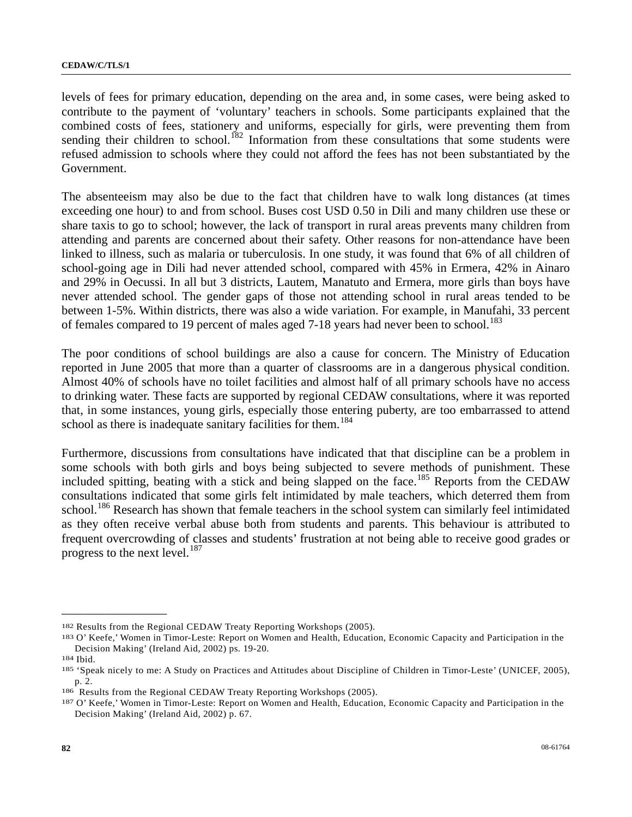levels of fees for primary education, depending on the area and, in some cases, were being asked to contribute to the payment of 'voluntary' teachers in schools. Some participants explained that the combined costs of fees, stationery and uniforms, especially for girls, were preventing them from sending their children to school.<sup>[18](#page-81-0)2</sup> Information from these consultations that some students were refused admission to schools where they could not afford the fees has not been substantiated by the Government.

The absenteeism may also be due to the fact that children have to walk long distances (at times exceeding one hour) to and from school. Buses cost USD 0.50 in Dili and many children use these or share taxis to go to school; however, the lack of transport in rural areas prevents many children from attending and parents are concerned about their safety. Other reasons for non-attendance have been linked to illness, such as malaria or tuberculosis. In one study, it was found that 6% of all children of school-going age in Dili had never attended school, compared with 45% in Ermera, 42% in Ainaro and 29% in Oecussi. In all but 3 districts, Lautem, Manatuto and Ermera, more girls than boys have never attended school. The gender gaps of those not attending school in rural areas tended to be between 1-5%. Within districts, there was also a wide variation. For example, in Manufahi, 33 percent of females compared to 19 percent of males aged 7-[18](#page-81-1) years had never been to school.<sup>183</sup>

The poor conditions of school buildings are also a cause for concern. The Ministry of Education reported in June 2005 that more than a quarter of classrooms are in a dangerous physical condition. Almost 40% of schools have no toilet facilities and almost half of all primary schools have no access to drinking water. These facts are supported by regional CEDAW consultations, where it was reported that, in some instances, young girls, especially those entering puberty, are too embarrassed to attend school as there is inadequate sanitary facilities for them.<sup>[18](#page-81-2)4</sup>

Furthermore, discussions from consultations have indicated that that discipline can be a problem in some schools with both girls and boys being subjected to severe methods of punishment. These included spitting, beating with a stick and being slapped on the face.<sup>[1](#page-81-3)85</sup> Reports from the CEDAW consultations indicated that some girls felt intimidated by male teachers, which deterred them from school.<sup>[18](#page-81-4)6</sup> Research has shown that female teachers in the school system can similarly feel intimidated as they often receive verbal abuse both from students and parents. This behaviour is attributed to frequent overcrowding of classes and students' frustration at not being able to receive good grades or progress to the next level. $^{187}$  $^{187}$  $^{187}$ 

<span id="page-81-1"></span><span id="page-81-0"></span><sup>&</sup>lt;sup>182</sup> Results from the Regional CEDAW Treaty Reporting Workshops (2005).<br><sup>183</sup> O' Keefe,' Women in Timor-Leste: Report on Women and Health, Education, Economic Capacity and Participation in the Decision Making' (Ireland Aid, 2002) ps. 19-20.<br>
<sup>184</sup> Ibid.<br>
<sup>185</sup> 'Speak nicely to me: A Study on Practices and Attitudes about Discipline of Children in Timor-Leste' (UNICEF, 2005),

<span id="page-81-3"></span><span id="page-81-2"></span>p. 2.<br><sup>186</sup> Results from the Regional CEDAW Treaty Reporting Workshops (2005).<br><sup>187</sup> O' Keefe,' Women in Timor-Leste: Report on Women and Health, Education, Economic Capacity and Participation in the

<span id="page-81-4"></span>

<span id="page-81-5"></span>Decision Making' (Ireland Aid, 2002) p. 67.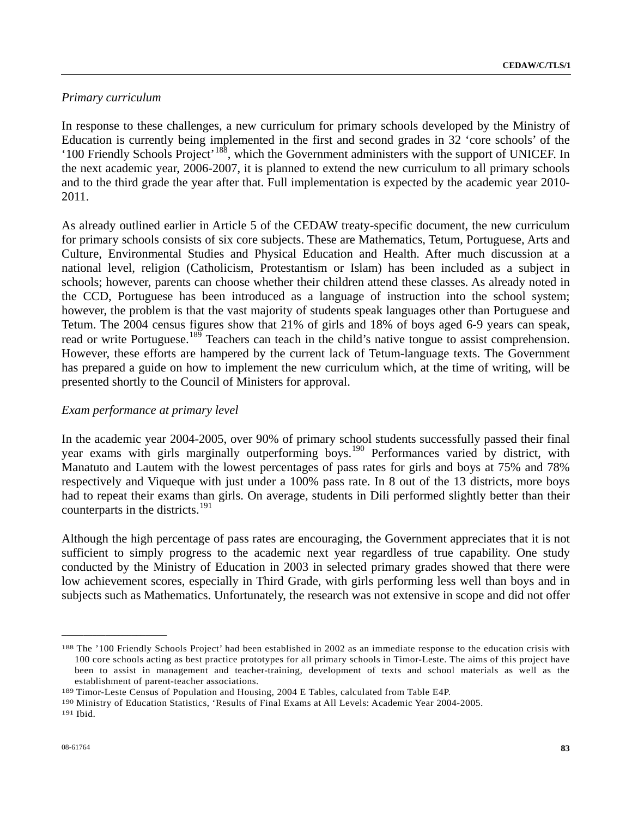## *Primary curriculum*

In response to these challenges, a new curriculum for primary schools developed by the Ministry of Education is currently being implemented in the first and second grades in 32 'core schools' of the '100 Friendly Schools Project'[18](#page-82-0)8, which the Government administers with the support of UNICEF. In the next academic year, 2006-2007, it is planned to extend the new curriculum to all primary schools and to the third grade the year after that. Full implementation is expected by the academic year 2010- 2011.

As already outlined earlier in Article 5 of the CEDAW treaty-specific document, the new curriculum for primary schools consists of six core subjects. These are Mathematics, Tetum, Portuguese, Arts and Culture, Environmental Studies and Physical Education and Health. After much discussion at a national level, religion (Catholicism, Protestantism or Islam) has been included as a subject in schools; however, parents can choose whether their children attend these classes. As already noted in the CCD, Portuguese has been introduced as a language of instruction into the school system; however, the problem is that the vast majority of students speak languages other than Portuguese and Tetum. The 2004 census figures show that 21% of girls and 18% of boys aged 6-9 years can speak, read or write Portuguese.<sup>[18](#page-82-1)9</sup> Teachers can teach in the child's native tongue to assist comprehension. However, these efforts are hampered by the current lack of Tetum-language texts. The Government has prepared a guide on how to implement the new curriculum which, at the time of writing, will be presented shortly to the Council of Ministers for approval.

## *Exam performance at primary level*

In the academic year 2004-2005, over 90% of primary school students successfully passed their final year exams with girls marginally outperforming boys.<sup>[1](#page-82-2)90</sup> Performances varied by district, with Manatuto and Lautem with the lowest percentages of pass rates for girls and boys at 75% and 78% respectively and Viqueque with just under a 100% pass rate. In 8 out of the 13 districts, more boys had to repeat their exams than girls. On average, students in Dili performed slightly better than their counterparts in the districts.<sup>[19](#page-82-3)1</sup>

Although the high percentage of pass rates are encouraging, the Government appreciates that it is not sufficient to simply progress to the academic next year regardless of true capability. One study conducted by the Ministry of Education in 2003 in selected primary grades showed that there were low achievement scores, especially in Third Grade, with girls performing less well than boys and in subjects such as Mathematics. Unfortunately, the research was not extensive in scope and did not offer

<span id="page-82-0"></span><sup>188</sup> The '100 Friendly Schools Project' had been established in 2002 as an immediate response to the education crisis with 100 core schools acting as best practice prototypes for all primary schools in Timor-Leste. The aims of this project have been to assist in management and teacher-training, development of texts and school materials as well as the establishment of parent-teacher associations.<br>
<sup>189</sup> Timor-Leste Census of Population and Housing, 2004 E Tables, calculated from Table E4P.<br>
<sup>190</sup> Ministry of Education Statistics, 'Results of Final Exams at All Levels: A

<span id="page-82-1"></span>

<span id="page-82-2"></span>

<span id="page-82-3"></span>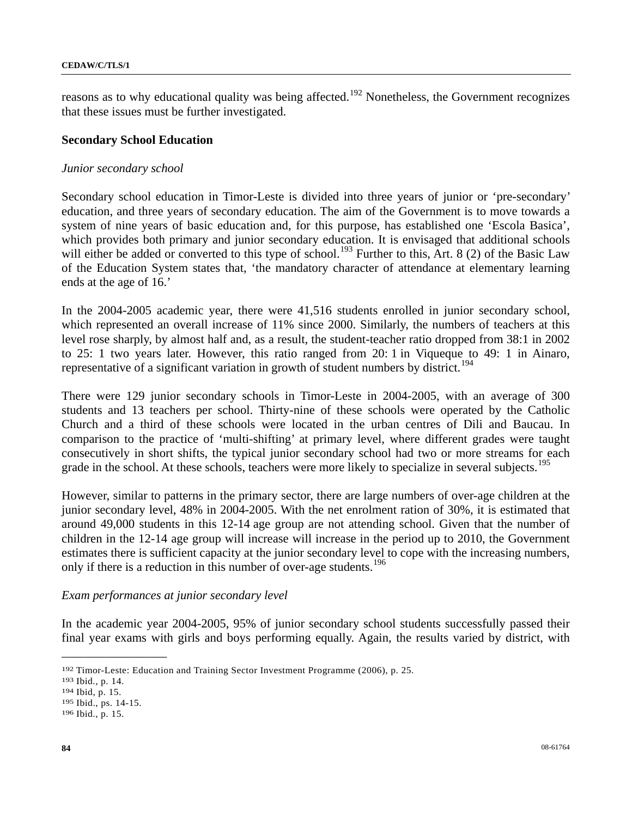reasons as to why educational quality was being affected.<sup>[1](#page-83-0)92</sup> Nonetheless, the Government recognizes that these issues must be further investigated.

## **Secondary School Education**

## *Junior secondary school*

Secondary school education in Timor-Leste is divided into three years of junior or 'pre-secondary' education, and three years of secondary education. The aim of the Government is to move towards a system of nine years of basic education and, for this purpose, has established one 'Escola Basica', which provides both primary and junior secondary education. It is envisaged that additional schools will either be added or converted to this type of school.<sup>[19](#page-83-1)3</sup> Further to this, Art. 8 (2) of the Basic Law of the Education System states that, 'the mandatory character of attendance at elementary learning ends at the age of 16.'

In the 2004-2005 academic year, there were 41,516 students enrolled in junior secondary school, which represented an overall increase of 11% since 2000. Similarly, the numbers of teachers at this level rose sharply, by almost half and, as a result, the student-teacher ratio dropped from 38:1 in 2002 to 25: 1 two years later. However, this ratio ranged from 20: 1 in Viqueque to 49: 1 in Ainaro, representative of a significant variation in growth of student numbers by district.<sup>[19](#page-83-2)4</sup>

There were 129 junior secondary schools in Timor-Leste in 2004-2005, with an average of 300 students and 13 teachers per school. Thirty-nine of these schools were operated by the Catholic Church and a third of these schools were located in the urban centres of Dili and Baucau. In comparison to the practice of 'multi-shifting' at primary level, where different grades were taught consecutively in short shifts, the typical junior secondary school had two or more streams for each grade in the school. At these schools, teachers were more likely to specialize in several subjects.<sup>[1](#page-83-3)95</sup>

However, similar to patterns in the primary sector, there are large numbers of over-age children at the junior secondary level, 48% in 2004-2005. With the net enrolment ration of 30%, it is estimated that around 49,000 students in this 12-14 age group are not attending school. Given that the number of children in the 12-14 age group will increase will increase in the period up to 2010, the Government estimates there is sufficient capacity at the junior secondary level to cope with the increasing numbers, only if there is a reduction in this number of over-age students.<sup>[19](#page-83-4)6</sup>

## *Exam performances at junior secondary level*

In the academic year 2004-2005, 95% of junior secondary school students successfully passed their final year exams with girls and boys performing equally. Again, the results varied by district, with

<span id="page-83-1"></span><span id="page-83-0"></span><sup>192</sup> Timor-Leste: Education and Training Sector Investment Programme (2006), p. 25. 193 Ibid., p. 14. 15. 195 Ibid., ps. 14-15. 196 Ibid., p. 15.

<span id="page-83-2"></span>

<span id="page-83-3"></span>

<span id="page-83-4"></span>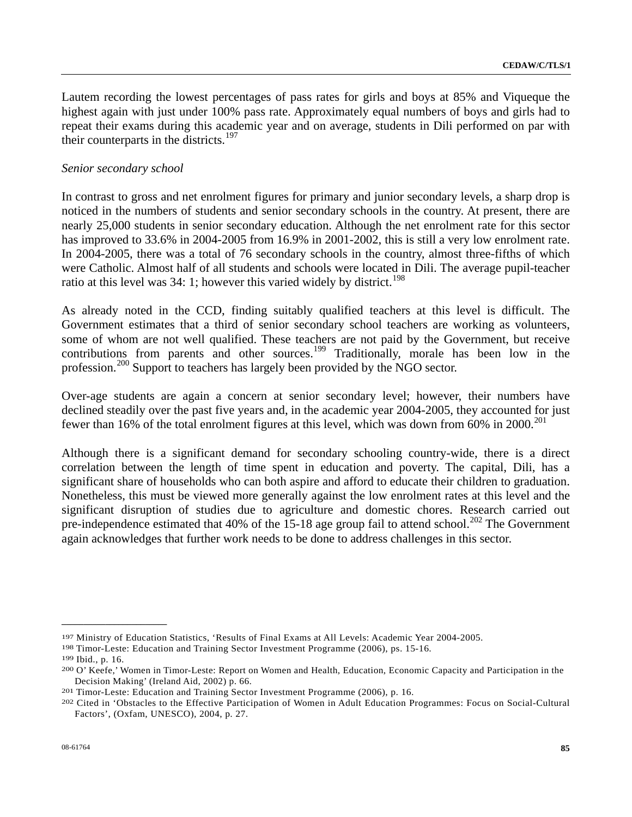Lautem recording the lowest percentages of pass rates for girls and boys at 85% and Viqueque the highest again with just under 100% pass rate. Approximately equal numbers of boys and girls had to repeat their exams during this academic year and on average, students in Dili performed on par with their counterparts in the districts.<sup>[19](#page-84-0)7</sup>

#### *Senior secondary school*

In contrast to gross and net enrolment figures for primary and junior secondary levels, a sharp drop is noticed in the numbers of students and senior secondary schools in the country. At present, there are nearly 25,000 students in senior secondary education. Although the net enrolment rate for this sector has improved to 33.6% in 2004-2005 from 16.9% in 2001-2002, this is still a very low enrolment rate. In 2004-2005, there was a total of 76 secondary schools in the country, almost three-fifths of which were Catholic. Almost half of all students and schools were located in Dili. The average pupil-teacher ratio at this level was  $34: 1$ ; however this varied widely by district.<sup>[19](#page-84-1)8</sup>

As already noted in the CCD, finding suitably qualified teachers at this level is difficult. The Government estimates that a third of senior secondary school teachers are working as volunteers, some of whom are not well qualified. These teachers are not paid by the Government, but receive contributions from parents and other sources.<sup>[19](#page-84-2)9</sup> Traditionally, morale has been low in the profession.<sup>[2](#page-84-3)00</sup> Support to teachers has largely been provided by the NGO sector.

Over-age students are again a concern at senior secondary level; however, their numbers have declined steadily over the past five years and, in the academic year 2004-2005, they accounted for just fewer than 16% of the total enrolment figures at this level, which was down from 60% in  $2000$  $2000$ .<sup>201</sup>

Although there is a significant demand for secondary schooling country-wide, there is a direct correlation between the length of time spent in education and poverty. The capital, Dili, has a significant share of households who can both aspire and afford to educate their children to graduation. Nonetheless, this must be viewed more generally against the low enrolment rates at this level and the significant disruption of studies due to agriculture and domestic chores. Research carried out pre-independence estimated that 40% of the  $15-18$  age group fail to attend school.<sup>[20](#page-84-5)2</sup> The Government again acknowledges that further work needs to be done to address challenges in this sector.

<span id="page-84-3"></span><span id="page-84-2"></span>

<span id="page-84-1"></span><span id="page-84-0"></span><sup>&</sup>lt;sup>197</sup> Ministry of Education Statistics, 'Results of Final Exams at All Levels: Academic Year 2004-2005.<br><sup>198</sup> Timor-Leste: Education and Training Sector Investment Programme (2006), ps. 15-16.<br><sup>199</sup> Ibid., p. 16.<br><sup>200</sup> O' Decision Making' (Ireland Aid, 2002) p. 66.<br>201 Timor-Leste: Education and Training Sector Investment Programme (2006), p. 16.<br>202 Cited in 'Obstacles to the Effective Participation of Women in Adult Education Programmes:

<span id="page-84-4"></span>

<span id="page-84-5"></span>Factors', (Oxfam, UNESCO), 2004, p. 27.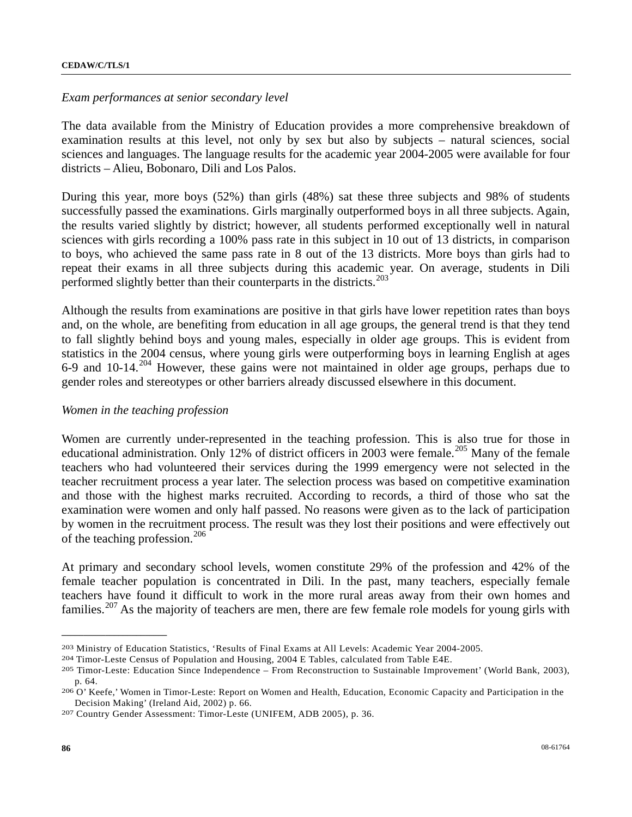#### *Exam performances at senior secondary level*

The data available from the Ministry of Education provides a more comprehensive breakdown of examination results at this level, not only by sex but also by subjects – natural sciences, social sciences and languages. The language results for the academic year 2004-2005 were available for four districts – Alieu, Bobonaro, Dili and Los Palos.

During this year, more boys (52%) than girls (48%) sat these three subjects and 98% of students successfully passed the examinations. Girls marginally outperformed boys in all three subjects. Again, the results varied slightly by district; however, all students performed exceptionally well in natural sciences with girls recording a 100% pass rate in this subject in 10 out of 13 districts, in comparison to boys, who achieved the same pass rate in 8 out of the 13 districts. More boys than girls had to repeat their exams in all three subjects during this academic year. On average, students in Dili performed slightly better than their counterparts in the districts.<sup>[20](#page-85-0)3</sup>

Although the results from examinations are positive in that girls have lower repetition rates than boys and, on the whole, are benefiting from education in all age groups, the general trend is that they tend to fall slightly behind boys and young males, especially in older age groups. This is evident from statistics in the 2004 census, where young girls were outperforming boys in learning English at ages 6-9 and 10-14.[20](#page-85-1)4 However, these gains were not maintained in older age groups, perhaps due to gender roles and stereotypes or other barriers already discussed elsewhere in this document.

#### *Women in the teaching profession*

Women are currently under-represented in the teaching profession. This is also true for those in educational administration. Only 12% of district officers in [20](#page-85-2)03 were female.<sup>205</sup> Many of the female teachers who had volunteered their services during the 1999 emergency were not selected in the teacher recruitment process a year later. The selection process was based on competitive examination and those with the highest marks recruited. According to records, a third of those who sat the examination were women and only half passed. No reasons were given as to the lack of participation by women in the recruitment process. The result was they lost their positions and were effectively out of the teaching profession.[20](#page-85-3)6

At primary and secondary school levels, women constitute 29% of the profession and 42% of the female teacher population is concentrated in Dili. In the past, many teachers, especially female teachers have found it difficult to work in the more rural areas away from their own homes and families.<sup>[20](#page-85-4)7</sup> As the majority of teachers are men, there are few female role models for young girls with

<span id="page-85-2"></span><span id="page-85-1"></span>

<span id="page-85-0"></span><sup>&</sup>lt;sup>203</sup> Ministry of Education Statistics, 'Results of Final Exams at All Levels: Academic Year 2004-2005.<br><sup>204</sup> Timor-Leste Census of Population and Housing, 2004 E Tables, calculated from Table E4E.<br><sup>205</sup> Timor-Leste: Educa p. 64.<br><sup>206</sup> O' Keefe,' Women in Timor-Leste: Report on Women and Health, Education, Economic Capacity and Participation in the

<span id="page-85-3"></span>Decision Making' (Ireland Aid, 2002) p. 66. 207 Country Gender Assessment: Timor-Leste (UNIFEM, ADB 2005), p. 36.

<span id="page-85-4"></span>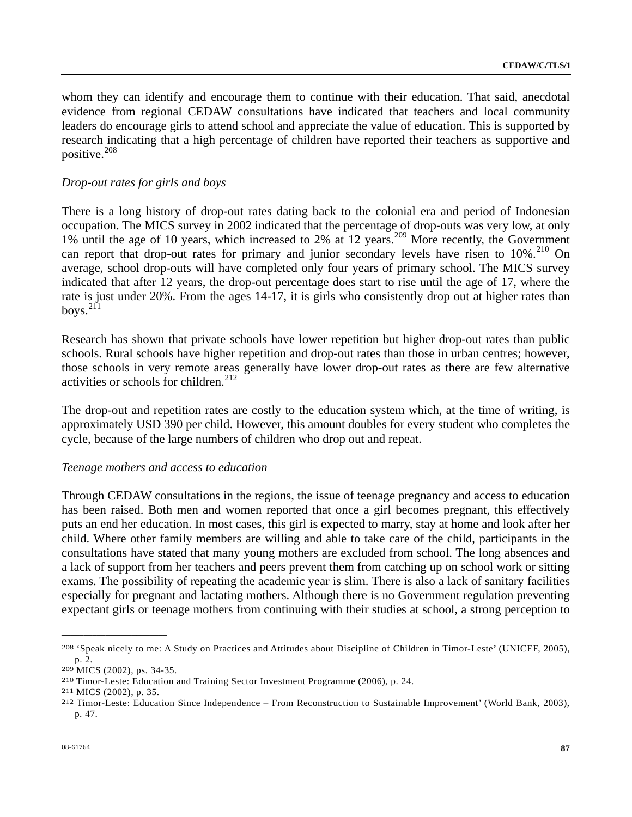whom they can identify and encourage them to continue with their education. That said, anecdotal evidence from regional CEDAW consultations have indicated that teachers and local community leaders do encourage girls to attend school and appreciate the value of education. This is supported by research indicating that a high percentage of children have reported their teachers as supportive and positive.[2](#page-86-0)08

## *Drop-out rates for girls and boys*

There is a long history of drop-out rates dating back to the colonial era and period of Indonesian occupation. The MICS survey in 2002 indicated that the percentage of drop-outs was very low, at only 1% until the age of 10 years, which increased to [2](#page-86-1)% at 12 years.<sup>209</sup> More recently, the Government can report that drop-out rates for primary and junior secondary levels have risen to 10%.<sup>[21](#page-86-2)0</sup> On average, school drop-outs will have completed only four years of primary school. The MICS survey indicated that after 12 years, the drop-out percentage does start to rise until the age of 17, where the rate is just under 20%. From the ages 14-17, it is girls who consistently drop out at higher rates than boys. $211$  $211$ 

Research has shown that private schools have lower repetition but higher drop-out rates than public schools. Rural schools have higher repetition and drop-out rates than those in urban centres; however, those schools in very remote areas generally have lower drop-out rates as there are few alternative activities or schools for children.<sup>[21](#page-86-4)2</sup>

The drop-out and repetition rates are costly to the education system which, at the time of writing, is approximately USD 390 per child. However, this amount doubles for every student who completes the cycle, because of the large numbers of children who drop out and repeat.

#### *Teenage mothers and access to education*

Through CEDAW consultations in the regions, the issue of teenage pregnancy and access to education has been raised. Both men and women reported that once a girl becomes pregnant, this effectively puts an end her education. In most cases, this girl is expected to marry, stay at home and look after her child. Where other family members are willing and able to take care of the child, participants in the consultations have stated that many young mothers are excluded from school. The long absences and a lack of support from her teachers and peers prevent them from catching up on school work or sitting exams. The possibility of repeating the academic year is slim. There is also a lack of sanitary facilities especially for pregnant and lactating mothers. Although there is no Government regulation preventing expectant girls or teenage mothers from continuing with their studies at school, a strong perception to

<span id="page-86-4"></span><span id="page-86-3"></span>

<span id="page-86-0"></span><sup>208 &#</sup>x27;Speak nicely to me: A Study on Practices and Attitudes about Discipline of Children in Timor-Leste' (UNICEF, 2005),

<span id="page-86-2"></span>

<span id="page-86-1"></span><sup>&</sup>lt;sup>209</sup> MICS (2002), ps. 34-35.<br><sup>210</sup> Timor-Leste: Education and Training Sector Investment Programme (2006), p. 24.<br><sup>211</sup> MICS (2002), p. 35.<br><sup>212</sup> Timor-Leste: Education Since Independence – From Reconstruction to Sustaina p. 47.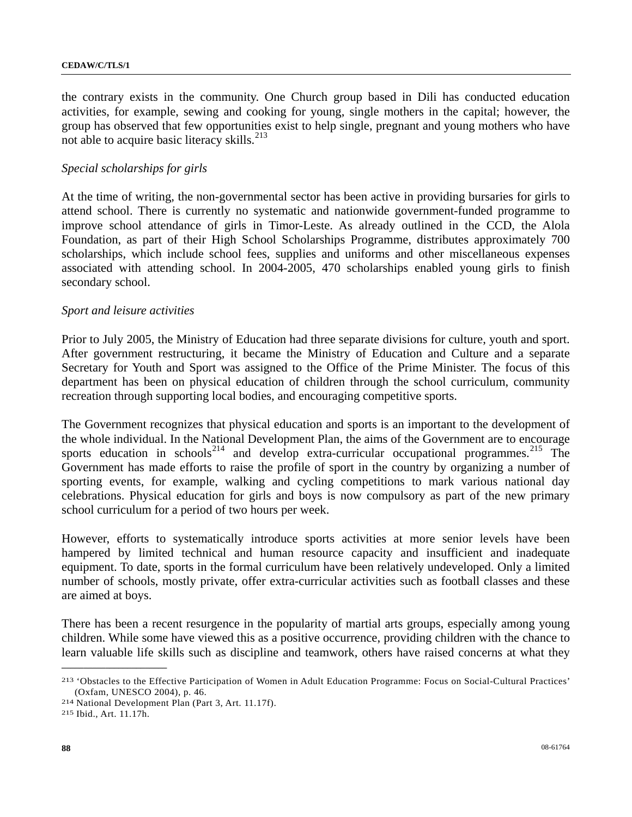the contrary exists in the community. One Church group based in Dili has conducted education activities, for example, sewing and cooking for young, single mothers in the capital; however, the group has observed that few opportunities exist to help single, pregnant and young mothers who have not able to acquire basic literacy skills. $^{213}$  $^{213}$  $^{213}$ 

## *Special scholarships for girls*

At the time of writing, the non-governmental sector has been active in providing bursaries for girls to attend school. There is currently no systematic and nationwide government-funded programme to improve school attendance of girls in Timor-Leste. As already outlined in the CCD, the Alola Foundation, as part of their High School Scholarships Programme, distributes approximately 700 scholarships, which include school fees, supplies and uniforms and other miscellaneous expenses associated with attending school. In 2004-2005, 470 scholarships enabled young girls to finish secondary school.

## *Sport and leisure activities*

Prior to July 2005, the Ministry of Education had three separate divisions for culture, youth and sport. After government restructuring, it became the Ministry of Education and Culture and a separate Secretary for Youth and Sport was assigned to the Office of the Prime Minister. The focus of this department has been on physical education of children through the school curriculum, community recreation through supporting local bodies, and encouraging competitive sports.

The Government recognizes that physical education and sports is an important to the development of the whole individual. In the National Development Plan, the aims of the Government are to encourage sports education in schools<sup>[21](#page-87-2)4</sup> and develop extra-curricular occupational programmes.<sup>215</sup> The Government has made efforts to raise the profile of sport in the country by organizing a number of sporting events, for example, walking and cycling competitions to mark various national day celebrations. Physical education for girls and boys is now compulsory as part of the new primary school curriculum for a period of two hours per week.

However, efforts to systematically introduce sports activities at more senior levels have been hampered by limited technical and human resource capacity and insufficient and inadequate equipment. To date, sports in the formal curriculum have been relatively undeveloped. Only a limited number of schools, mostly private, offer extra-curricular activities such as football classes and these are aimed at boys.

There has been a recent resurgence in the popularity of martial arts groups, especially among young children. While some have viewed this as a positive occurrence, providing children with the chance to learn valuable life skills such as discipline and teamwork, others have raised concerns at what they

<span id="page-87-0"></span><sup>213 &#</sup>x27;Obstacles to the Effective Participation of Women in Adult Education Programme: Focus on Social-Cultural Practices' (Oxfam, UNESCO 2004), p. 46. 214 National Development Plan (Part 3, Art. 11.17f). 215 Ibid., Art. 11.17h.

<span id="page-87-1"></span>

<span id="page-87-2"></span>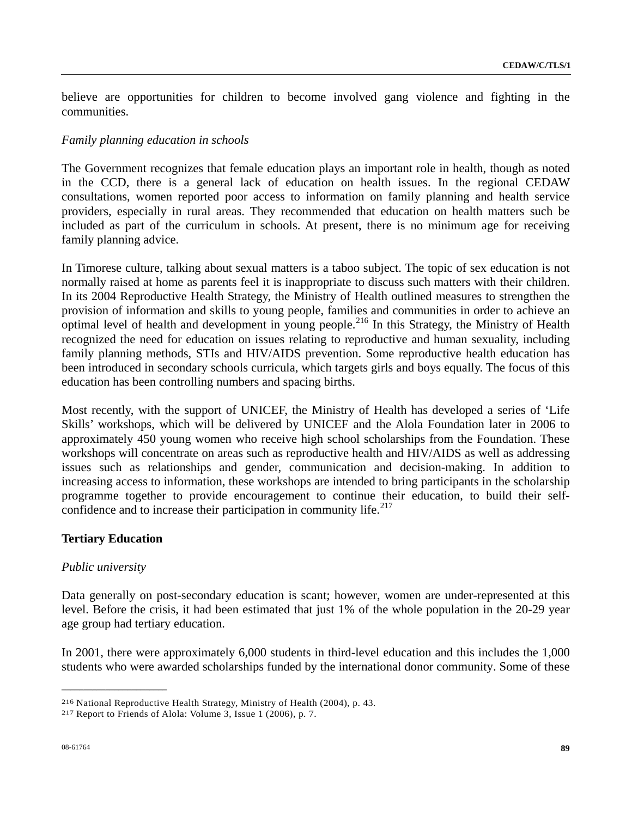believe are opportunities for children to become involved gang violence and fighting in the communities.

## *Family planning education in schools*

The Government recognizes that female education plays an important role in health, though as noted in the CCD, there is a general lack of education on health issues. In the regional CEDAW consultations, women reported poor access to information on family planning and health service providers, especially in rural areas. They recommended that education on health matters such be included as part of the curriculum in schools. At present, there is no minimum age for receiving family planning advice.

In Timorese culture, talking about sexual matters is a taboo subject. The topic of sex education is not normally raised at home as parents feel it is inappropriate to discuss such matters with their children. In its 2004 Reproductive Health Strategy, the Ministry of Health outlined measures to strengthen the provision of information and skills to young people, families and communities in order to achieve an optimal level of health and development in young people.<sup>[2](#page-88-0)16</sup> In this Strategy, the Ministry of Health recognized the need for education on issues relating to reproductive and human sexuality, including family planning methods, STIs and HIV/AIDS prevention. Some reproductive health education has been introduced in secondary schools curricula, which targets girls and boys equally. The focus of this education has been controlling numbers and spacing births.

Most recently, with the support of UNICEF, the Ministry of Health has developed a series of 'Life Skills' workshops, which will be delivered by UNICEF and the Alola Foundation later in 2006 to approximately 450 young women who receive high school scholarships from the Foundation. These workshops will concentrate on areas such as reproductive health and HIV/AIDS as well as addressing issues such as relationships and gender, communication and decision-making. In addition to increasing access to information, these workshops are intended to bring participants in the scholarship programme together to provide encouragement to continue their education, to build their selfconfidence and to increase their participation in community life. $217$  $217$ 

# **Tertiary Education**

**\_\_\_\_\_\_\_\_\_\_\_\_\_\_\_\_\_\_\_\_\_\_\_\_** 

## *Public university*

Data generally on post-secondary education is scant; however, women are under-represented at this level. Before the crisis, it had been estimated that just 1% of the whole population in the 20-29 year age group had tertiary education.

In 2001, there were approximately 6,000 students in third-level education and this includes the 1,000 students who were awarded scholarships funded by the international donor community. Some of these

<span id="page-88-0"></span><sup>216</sup> National Reproductive Health Strategy, Ministry of Health (2004), p. 43. 217 Report to Friends of Alola: Volume 3, Issue 1 (2006), p. 7.

<span id="page-88-1"></span>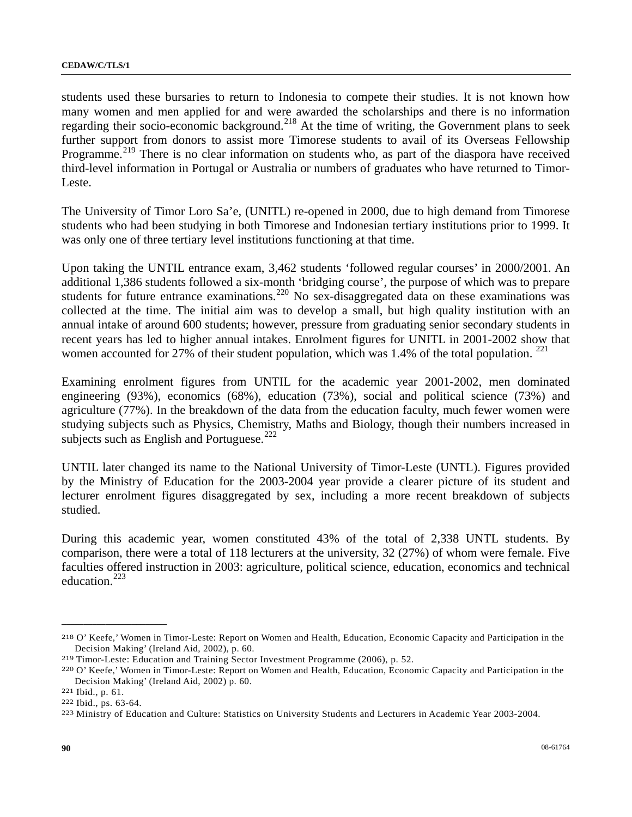students used these bursaries to return to Indonesia to compete their studies. It is not known how many women and men applied for and were awarded the scholarships and there is no information regarding their socio-economic background.<sup>[2](#page-89-0)18</sup> At the time of writing, the Government plans to seek further support from donors to assist more Timorese students to avail of its Overseas Fellowship Programme.<sup>[2](#page-89-1)19</sup> There is no clear information on students who, as part of the diaspora have received third-level information in Portugal or Australia or numbers of graduates who have returned to Timor-Leste.

The University of Timor Loro Sa'e, (UNITL) re-opened in 2000, due to high demand from Timorese students who had been studying in both Timorese and Indonesian tertiary institutions prior to 1999. It was only one of three tertiary level institutions functioning at that time.

Upon taking the UNTIL entrance exam, 3,462 students 'followed regular courses' in 2000/2001. An additional 1,386 students followed a six-month 'bridging course', the purpose of which was to prepare students for future entrance examinations.<sup>[22](#page-89-2)0</sup> No sex-disaggregated data on these examinations was collected at the time. The initial aim was to develop a small, but high quality institution with an annual intake of around 600 students; however, pressure from graduating senior secondary students in recent years has led to higher annual intakes. Enrolment figures for UNITL in 2001-2002 show that women accounted for 27% of their student population, which was 1.4% of the total population.  $^{221}$  $^{221}$  $^{221}$ 

Examining enrolment figures from UNTIL for the academic year 2001-2002, men dominated engineering (93%), economics (68%), education (73%), social and political science (73%) and agriculture (77%). In the breakdown of the data from the education faculty, much fewer women were studying subjects such as Physics, Chemistry, Maths and Biology, though their numbers increased in subjects such as English and Portuguese.<sup>[2](#page-89-4)22</sup>

UNTIL later changed its name to the National University of Timor-Leste (UNTL). Figures provided by the Ministry of Education for the 2003-2004 year provide a clearer picture of its student and lecturer enrolment figures disaggregated by sex, including a more recent breakdown of subjects studied.

During this academic year, women constituted 43% of the total of 2,338 UNTL students. By comparison, there were a total of 118 lecturers at the university, 32 (27%) of whom were female. Five faculties offered instruction in 2003: agriculture, political science, education, economics and technical education.[22](#page-89-5)3

<span id="page-89-0"></span><sup>218</sup> O' Keefe,' Women in Timor-Leste: Report on Women and Health, Education, Economic Capacity and Participation in the Decision Making' (Ireland Aid, 2002), p. 60.<br><sup>219</sup> Timor-Leste: Education and Training Sector Investment Programme (2006), p. 52.<br><sup>220</sup> O' Keefe,' Women in Timor-Leste: Report on Women and Health, Education, Economic Capac

<span id="page-89-1"></span>

<span id="page-89-2"></span>Decision Making' (Ireland Aid, 2002) p. 60.<br><sup>221</sup> Ibid., p. 61.<br><sup>222</sup> Ibid., ps. 63-64.<br><sup>223</sup> Ministry of Education and Culture: Statistics on University Students and Lecturers in Academic Year 2003-2004.

<span id="page-89-3"></span>

<span id="page-89-4"></span>

<span id="page-89-5"></span>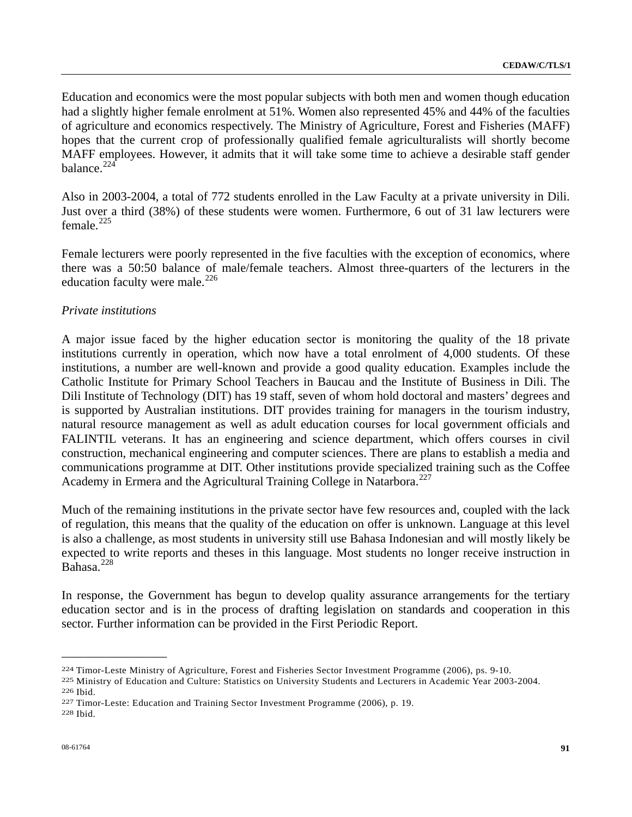Education and economics were the most popular subjects with both men and women though education had a slightly higher female enrolment at 51%. Women also represented 45% and 44% of the faculties of agriculture and economics respectively. The Ministry of Agriculture, Forest and Fisheries (MAFF) hopes that the current crop of professionally qualified female agriculturalists will shortly become MAFF employees. However, it admits that it will take some time to achieve a desirable staff gender balance. $224$  $224$ 

Also in 2003-2004, a total of 772 students enrolled in the Law Faculty at a private university in Dili. Just over a third (38%) of these students were women. Furthermore, 6 out of 31 law lecturers were female $^{225}$  $^{225}$  $^{225}$ 

Female lecturers were poorly represented in the five faculties with the exception of economics, where there was a 50:50 balance of male/female teachers. Almost three-quarters of the lecturers in the education faculty were male. $^{226}$  $^{226}$  $^{226}$ 

## *Private institutions*

A major issue faced by the higher education sector is monitoring the quality of the 18 private institutions currently in operation, which now have a total enrolment of 4,000 students. Of these institutions, a number are well-known and provide a good quality education. Examples include the Catholic Institute for Primary School Teachers in Baucau and the Institute of Business in Dili. The Dili Institute of Technology (DIT) has 19 staff, seven of whom hold doctoral and masters' degrees and is supported by Australian institutions. DIT provides training for managers in the tourism industry, natural resource management as well as adult education courses for local government officials and FALINTIL veterans. It has an engineering and science department, which offers courses in civil construction, mechanical engineering and computer sciences. There are plans to establish a media and communications programme at DIT. Other institutions provide specialized training such as the Coffee Academy in Ermera and the Agricultural Training College in Natarbora.<sup>[2](#page-90-3)27</sup>

Much of the remaining institutions in the private sector have few resources and, coupled with the lack of regulation, this means that the quality of the education on offer is unknown. Language at this level is also a challenge, as most students in university still use Bahasa Indonesian and will mostly likely be expected to write reports and theses in this language. Most students no longer receive instruction in Bahasa.[22](#page-90-4)8

In response, the Government has begun to develop quality assurance arrangements for the tertiary education sector and is in the process of drafting legislation on standards and cooperation in this sector. Further information can be provided in the First Periodic Report.

<span id="page-90-1"></span>

<span id="page-90-0"></span><sup>&</sup>lt;sup>224</sup> Timor-Leste Ministry of Agriculture, Forest and Fisheries Sector Investment Programme (2006), ps. 9-10.<br><sup>225</sup> Ministry of Education and Culture: Statistics on University Students and Lecturers in Academic Year 2003-2

<span id="page-90-2"></span>

<span id="page-90-3"></span>

<span id="page-90-4"></span>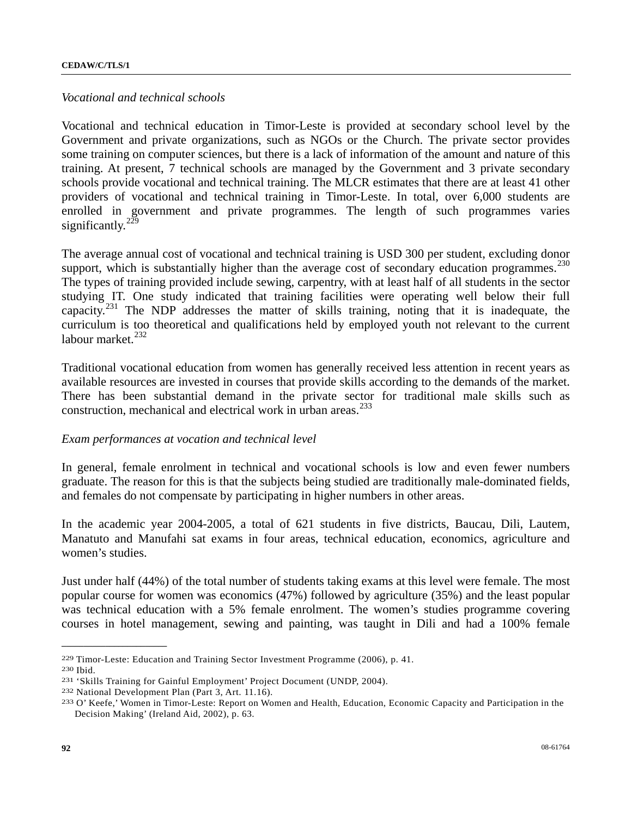## *Vocational and technical schools*

Vocational and technical education in Timor-Leste is provided at secondary school level by the Government and private organizations, such as NGOs or the Church. The private sector provides some training on computer sciences, but there is a lack of information of the amount and nature of this training. At present, 7 technical schools are managed by the Government and 3 private secondary schools provide vocational and technical training. The MLCR estimates that there are at least 41 other providers of vocational and technical training in Timor-Leste. In total, over 6,000 students are enrolled in government and private programmes. The length of such programmes varies significantly.<sup>[22](#page-91-0)9</sup>

The average annual cost of vocational and technical training is USD 300 per student, excluding donor support, which is substantially higher than the average cost of secondary education programmes.<sup>[2](#page-91-1)30</sup> The types of training provided include sewing, carpentry, with at least half of all students in the sector studying IT. One study indicated that training facilities were operating well below their full capacity.[2](#page-91-2)31 The NDP addresses the matter of skills training, noting that it is inadequate, the curriculum is too theoretical and qualifications held by employed youth not relevant to the current labour market. $^{232}$  $^{232}$  $^{232}$ 

Traditional vocational education from women has generally received less attention in recent years as available resources are invested in courses that provide skills according to the demands of the market. There has been substantial demand in the private sector for traditional male skills such as construction, mechanical and electrical work in urban areas.<sup>[23](#page-91-4)3</sup>

#### *Exam performances at vocation and technical level*

In general, female enrolment in technical and vocational schools is low and even fewer numbers graduate. The reason for this is that the subjects being studied are traditionally male-dominated fields, and females do not compensate by participating in higher numbers in other areas.

In the academic year 2004-2005, a total of 621 students in five districts, Baucau, Dili, Lautem, Manatuto and Manufahi sat exams in four areas, technical education, economics, agriculture and women's studies.

Just under half (44%) of the total number of students taking exams at this level were female. The most popular course for women was economics (47%) followed by agriculture (35%) and the least popular was technical education with a 5% female enrolment. The women's studies programme covering courses in hotel management, sewing and painting, was taught in Dili and had a 100% female

<span id="page-91-2"></span>

<span id="page-91-4"></span><span id="page-91-3"></span>

<span id="page-91-1"></span><span id="page-91-0"></span><sup>&</sup>lt;sup>229</sup> Timor-Leste: Education and Training Sector Investment Programme (2006), p. 41.<br><sup>230</sup> Ibid.<br><sup>231</sup> 'Skills Training for Gainful Employment' Project Document (UNDP, 2004).<br><sup>232</sup> National Development Plan (Part 3, Art. 1 Decision Making' (Ireland Aid, 2002), p. 63.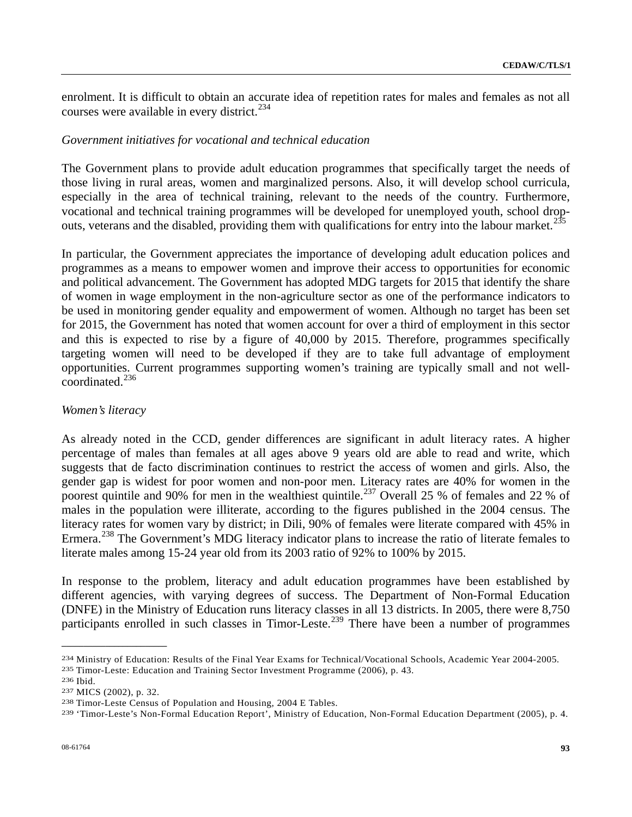enrolment. It is difficult to obtain an accurate idea of repetition rates for males and females as not all courses were available in every district.<sup>[2](#page-92-0)34</sup>

## *Government initiatives for vocational and technical education*

The Government plans to provide adult education programmes that specifically target the needs of those living in rural areas, women and marginalized persons. Also, it will develop school curricula, especially in the area of technical training, relevant to the needs of the country. Furthermore, vocational and technical training programmes will be developed for unemployed youth, school drop-outs, veterans and the disabled, providing them with qualifications for entry into the labour market.<sup>[23](#page-92-1)5</sup>

In particular, the Government appreciates the importance of developing adult education polices and programmes as a means to empower women and improve their access to opportunities for economic and political advancement. The Government has adopted MDG targets for 2015 that identify the share of women in wage employment in the non-agriculture sector as one of the performance indicators to be used in monitoring gender equality and empowerment of women. Although no target has been set for 2015, the Government has noted that women account for over a third of employment in this sector and this is expected to rise by a figure of 40,000 by 2015. Therefore, programmes specifically targeting women will need to be developed if they are to take full advantage of employment opportunities. Current programmes supporting women's training are typically small and not wellcoordinated.[23](#page-92-2)6

## *Women's literacy*

As already noted in the CCD, gender differences are significant in adult literacy rates. A higher percentage of males than females at all ages above 9 years old are able to read and write, which suggests that de facto discrimination continues to restrict the access of women and girls. Also, the gender gap is widest for poor women and non-poor men. Literacy rates are 40% for women in the poorest quintile and 90% for men in the wealthiest quintile.<sup>[2](#page-92-3)37</sup> Overall 25 % of females and 22 % of males in the population were illiterate, according to the figures published in the 2004 census. The literacy rates for women vary by district; in Dili, 90% of females were literate compared with 45% in Ermera.<sup>[23](#page-92-4)8</sup> The Government's MDG literacy indicator plans to increase the ratio of literate females to literate males among 15-24 year old from its 2003 ratio of 92% to 100% by 2015.

In response to the problem, literacy and adult education programmes have been established by different agencies, with varying degrees of success. The Department of Non-Formal Education (DNFE) in the Ministry of Education runs literacy classes in all 13 districts. In 2005, there were 8,750 participants enrolled in such classes in Timor-Leste.<sup>[23](#page-92-5)9</sup> There have been a number of programmes

<span id="page-92-1"></span><span id="page-92-0"></span><sup>&</sup>lt;sup>234</sup> Ministry of Education: Results of the Final Year Exams for Technical/Vocational Schools, Academic Year 2004-2005.<br><sup>235</sup> Timor-Leste: Education and Training Sector Investment Programme (2006), p. 43.<br><sup>236</sup> Ibid.<br><sup>237</sup>

<span id="page-92-2"></span>

<span id="page-92-3"></span>

<span id="page-92-4"></span>

<span id="page-92-5"></span>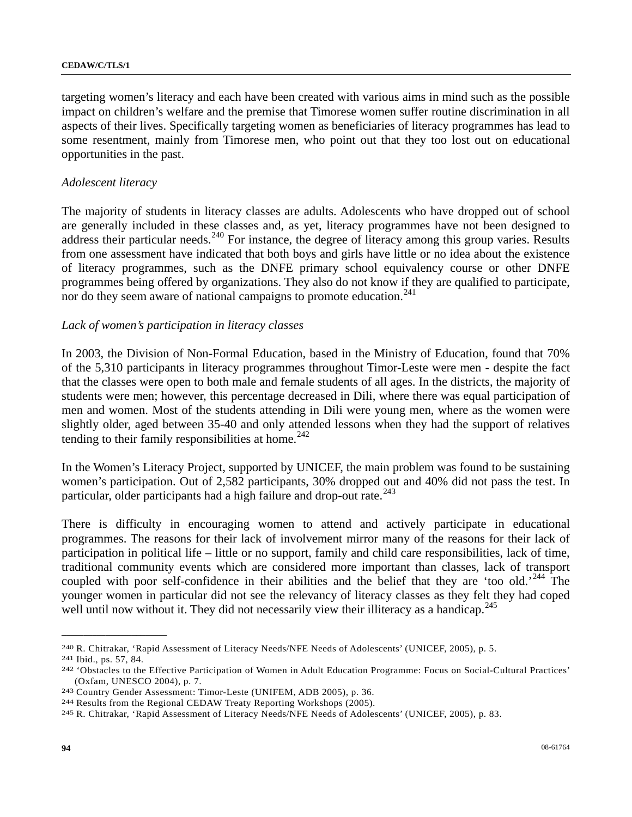targeting women's literacy and each have been created with various aims in mind such as the possible impact on children's welfare and the premise that Timorese women suffer routine discrimination in all aspects of their lives. Specifically targeting women as beneficiaries of literacy programmes has lead to some resentment, mainly from Timorese men, who point out that they too lost out on educational opportunities in the past.

## *Adolescent literacy*

The majority of students in literacy classes are adults. Adolescents who have dropped out of school are generally included in these classes and, as yet, literacy programmes have not been designed to address their particular needs.<sup>[2](#page-93-0)40</sup> For instance, the degree of literacy among this group varies. Results from one assessment have indicated that both boys and girls have little or no idea about the existence of literacy programmes, such as the DNFE primary school equivalency course or other DNFE programmes being offered by organizations. They also do not know if they are qualified to participate, nor do they seem aware of national campaigns to promote education.<sup>[2](#page-93-1)41</sup>

## *Lack of women's participation in literacy classes*

In 2003, the Division of Non-Formal Education, based in the Ministry of Education, found that 70% of the 5,310 participants in literacy programmes throughout Timor-Leste were men - despite the fact that the classes were open to both male and female students of all ages. In the districts, the majority of students were men; however, this percentage decreased in Dili, where there was equal participation of men and women. Most of the students attending in Dili were young men, where as the women were slightly older, aged between 35-40 and only attended lessons when they had the support of relatives tending to their family responsibilities at home.<sup>[24](#page-93-2)2</sup>

In the Women's Literacy Project, supported by UNICEF, the main problem was found to be sustaining women's participation. Out of 2,582 participants, 30% dropped out and 40% did not pass the test. In particular, older participants had a high failure and drop-out rate. $^{243}$  $^{243}$  $^{243}$ 

There is difficulty in encouraging women to attend and actively participate in educational programmes. The reasons for their lack of involvement mirror many of the reasons for their lack of participation in political life – little or no support, family and child care responsibilities, lack of time, traditional community events which are considered more important than classes, lack of transport coupled with poor self-confidence in their abilities and the belief that they are 'too old.'<sup>[2](#page-93-4)44</sup> The younger women in particular did not see the relevancy of literacy classes as they felt they had coped well until now without it. They did not necessarily view their illiteracy as a handicap.<sup>[24](#page-93-5)5</sup>

<span id="page-93-2"></span><span id="page-93-1"></span>

<span id="page-93-0"></span><sup>&</sup>lt;sup>240</sup> R. Chitrakar, 'Rapid Assessment of Literacy Needs/NFE Needs of Adolescents' (UNICEF, 2005), p. 5.<br><sup>241</sup> Ibid., ps. 57, 84.<br><sup>242</sup> 'Obstacles to the Effective Participation of Women in Adult Education Programme: Focus (Oxfam, UNESCO 2004), p. 7.<br>
243 Country Gender Assessment: Timor-Leste (UNIFEM, ADB 2005), p. 36.<br>
244 Results from the Regional CEDAW Treaty Reporting Workshops (2005).<br>
245 R. Chitrakar, 'Rapid Assessment of Literacy Ne

<span id="page-93-3"></span>

<span id="page-93-4"></span>

<span id="page-93-5"></span>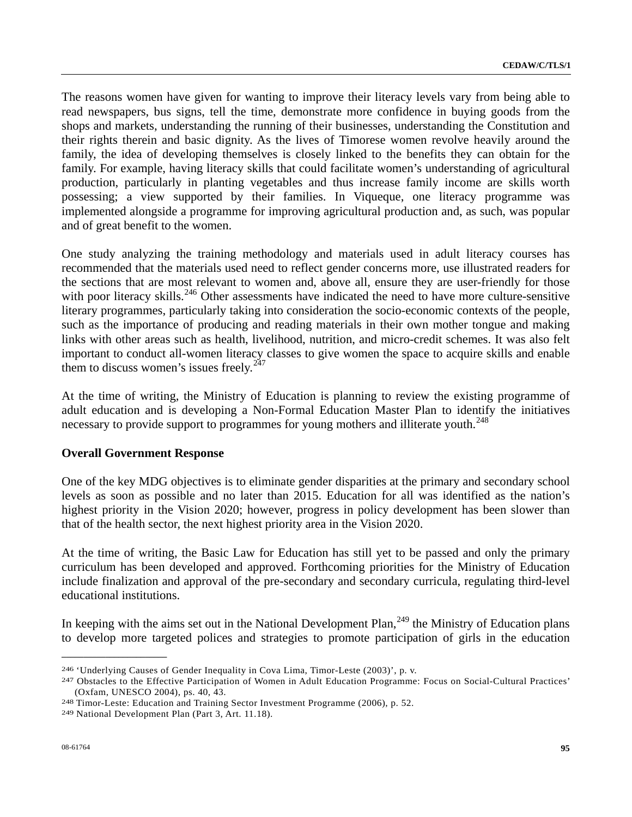The reasons women have given for wanting to improve their literacy levels vary from being able to read newspapers, bus signs, tell the time, demonstrate more confidence in buying goods from the shops and markets, understanding the running of their businesses, understanding the Constitution and their rights therein and basic dignity. As the lives of Timorese women revolve heavily around the family, the idea of developing themselves is closely linked to the benefits they can obtain for the family. For example, having literacy skills that could facilitate women's understanding of agricultural production, particularly in planting vegetables and thus increase family income are skills worth possessing; a view supported by their families. In Viqueque, one literacy programme was implemented alongside a programme for improving agricultural production and, as such, was popular and of great benefit to the women.

One study analyzing the training methodology and materials used in adult literacy courses has recommended that the materials used need to reflect gender concerns more, use illustrated readers for the sections that are most relevant to women and, above all, ensure they are user-friendly for those with poor literacy skills.<sup>[24](#page-94-0)6</sup> Other assessments have indicated the need to have more culture-sensitive literary programmes, particularly taking into consideration the socio-economic contexts of the people, such as the importance of producing and reading materials in their own mother tongue and making links with other areas such as health, livelihood, nutrition, and micro-credit schemes. It was also felt important to conduct all-women literacy classes to give women the space to acquire skills and enable them to discuss women's issues freely. $2^{247}$  $2^{247}$  $2^{247}$ 

At the time of writing, the Ministry of Education is planning to review the existing programme of adult education and is developing a Non-Formal Education Master Plan to identify the initiatives necessary to provide support to programmes for young mothers and illiterate youth.<sup>[24](#page-94-2)8</sup>

## **Overall Government Response**

One of the key MDG objectives is to eliminate gender disparities at the primary and secondary school levels as soon as possible and no later than 2015. Education for all was identified as the nation's highest priority in the Vision 2020; however, progress in policy development has been slower than that of the health sector, the next highest priority area in the Vision 2020.

At the time of writing, the Basic Law for Education has still yet to be passed and only the primary curriculum has been developed and approved. Forthcoming priorities for the Ministry of Education include finalization and approval of the pre-secondary and secondary curricula, regulating third-level educational institutions.

In keeping with the aims set out in the National Development Plan, $^{249}$  $^{249}$  $^{249}$  the Ministry of Education plans to develop more targeted polices and strategies to promote participation of girls in the education

<span id="page-94-1"></span><span id="page-94-0"></span><sup>&</sup>lt;sup>246</sup> 'Underlying Causes of Gender Inequality in Cova Lima, Timor-Leste (2003)', p. v.<br><sup>247</sup> Obstacles to the Effective Participation of Women in Adult Education Programme: Focus on Social-Cultural Practices' (Oxfam, UNESCO 2004), ps. 40, 43. 248 Timor-Leste: Education and Training Sector Investment Programme (2006), p. 52. 249 National Development Plan (Part 3, Art. 11.18).

<span id="page-94-3"></span><span id="page-94-2"></span>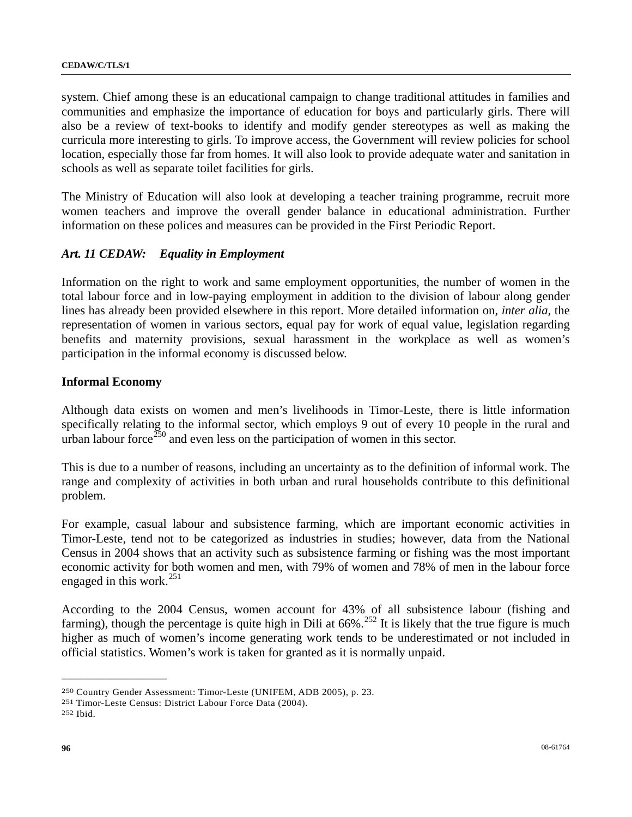system. Chief among these is an educational campaign to change traditional attitudes in families and communities and emphasize the importance of education for boys and particularly girls. There will also be a review of text-books to identify and modify gender stereotypes as well as making the curricula more interesting to girls. To improve access, the Government will review policies for school location, especially those far from homes. It will also look to provide adequate water and sanitation in schools as well as separate toilet facilities for girls.

The Ministry of Education will also look at developing a teacher training programme, recruit more women teachers and improve the overall gender balance in educational administration. Further information on these polices and measures can be provided in the First Periodic Report.

# *Art. 11 CEDAW: Equality in Employment*

Information on the right to work and same employment opportunities, the number of women in the total labour force and in low-paying employment in addition to the division of labour along gender lines has already been provided elsewhere in this report. More detailed information on, *inter alia,* the representation of women in various sectors, equal pay for work of equal value, legislation regarding benefits and maternity provisions, sexual harassment in the workplace as well as women's participation in the informal economy is discussed below.

## **Informal Economy**

Although data exists on women and men's livelihoods in Timor-Leste, there is little information specifically relating to the informal sector, which employs 9 out of every 10 people in the rural and urban labour force  $\frac{250}{250}$  $\frac{250}{250}$  $\frac{250}{250}$  and even less on the participation of women in this sector.

This is due to a number of reasons, including an uncertainty as to the definition of informal work. The range and complexity of activities in both urban and rural households contribute to this definitional problem.

For example, casual labour and subsistence farming, which are important economic activities in Timor-Leste, tend not to be categorized as industries in studies; however, data from the National Census in 2004 shows that an activity such as subsistence farming or fishing was the most important economic activity for both women and men, with 79% of women and 78% of men in the labour force engaged in this work. $^{251}$  $^{251}$  $^{251}$ 

According to the 2004 Census, women account for 43% of all subsistence labour (fishing and farming), though the percentage is quite high in Dili at  $66\%$ .<sup>[2](#page-95-2)52</sup> It is likely that the true figure is much higher as much of women's income generating work tends to be underestimated or not included in official statistics. Women's work is taken for granted as it is normally unpaid.

<span id="page-95-0"></span><sup>250</sup> Country Gender Assessment: Timor-Leste (UNIFEM, ADB 2005), p. 23. 251 Timor-Leste Census: District Labour Force Data (2004). 252 Ibid.

<span id="page-95-1"></span>

<span id="page-95-2"></span>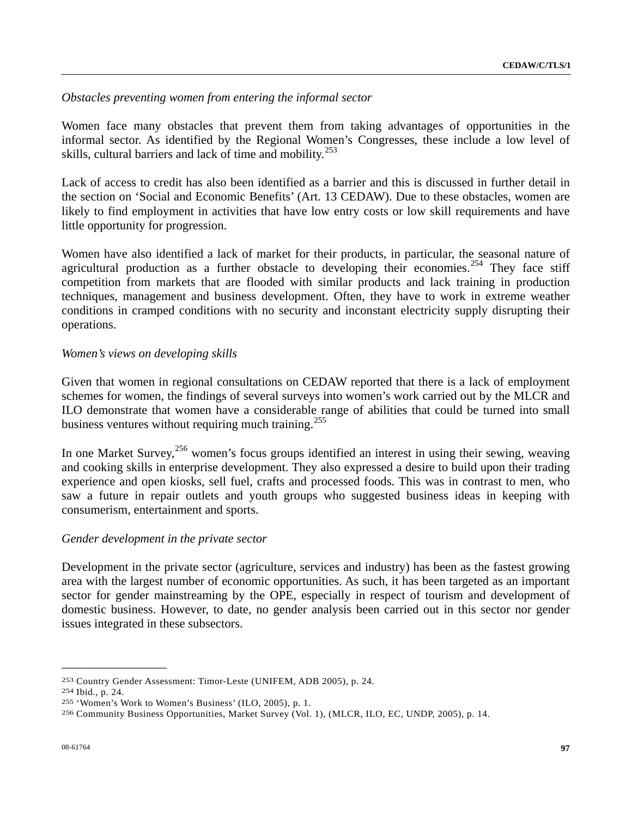*Obstacles preventing women from entering the informal sector* 

Women face many obstacles that prevent them from taking advantages of opportunities in the informal sector. As identified by the Regional Women's Congresses, these include a low level of skills, cultural barriers and lack of time and mobility.<sup>[25](#page-96-0)3</sup>

Lack of access to credit has also been identified as a barrier and this is discussed in further detail in the section on 'Social and Economic Benefits' (Art. 13 CEDAW). Due to these obstacles, women are likely to find employment in activities that have low entry costs or low skill requirements and have little opportunity for progression.

Women have also identified a lack of market for their products, in particular, the seasonal nature of agricultural production as a further obstacle to developing their economies.<sup>[2](#page-96-1)54</sup> They face stiff competition from markets that are flooded with similar products and lack training in production techniques, management and business development. Often, they have to work in extreme weather conditions in cramped conditions with no security and inconstant electricity supply disrupting their operations.

## *Women's views on developing skills*

Given that women in regional consultations on CEDAW reported that there is a lack of employment schemes for women, the findings of several surveys into women's work carried out by the MLCR and ILO demonstrate that women have a considerable range of abilities that could be turned into small business ventures without requiring much training.<sup>[2](#page-96-2)55</sup>

In one Market Survey,<sup>[25](#page-96-3)6</sup> women's focus groups identified an interest in using their sewing, weaving and cooking skills in enterprise development. They also expressed a desire to build upon their trading experience and open kiosks, sell fuel, crafts and processed foods. This was in contrast to men, who saw a future in repair outlets and youth groups who suggested business ideas in keeping with consumerism, entertainment and sports.

## *Gender development in the private sector*

Development in the private sector (agriculture, services and industry) has been as the fastest growing area with the largest number of economic opportunities. As such, it has been targeted as an important sector for gender mainstreaming by the OPE, especially in respect of tourism and development of domestic business. However, to date, no gender analysis been carried out in this sector nor gender issues integrated in these subsectors.

<span id="page-96-3"></span><span id="page-96-2"></span>

<span id="page-96-1"></span><span id="page-96-0"></span><sup>253</sup> Country Gender Assessment: Timor-Leste (UNIFEM, ADB 2005), p. 24.<br>254 Ibid., p. 24.<br>255 'Women's Work to Women's Business' (ILO, 2005), p. 1.<br>256 Community Business Opportunities, Market Survey (Vol. 1), (MLCR, ILO, EC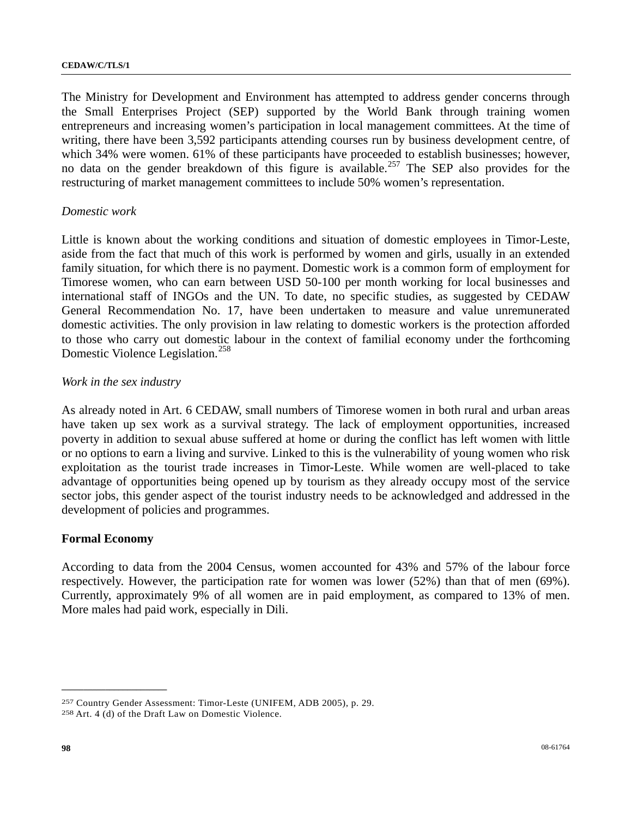The Ministry for Development and Environment has attempted to address gender concerns through the Small Enterprises Project (SEP) supported by the World Bank through training women entrepreneurs and increasing women's participation in local management committees. At the time of writing, there have been 3,592 participants attending courses run by business development centre, of which 34% were women. 61% of these participants have proceeded to establish businesses; however, no data on the gender breakdown of this figure is available.<sup>[25](#page-97-0)7</sup> The SEP also provides for the restructuring of market management committees to include 50% women's representation.

## *Domestic work*

Little is known about the working conditions and situation of domestic employees in Timor-Leste, aside from the fact that much of this work is performed by women and girls, usually in an extended family situation, for which there is no payment. Domestic work is a common form of employment for Timorese women, who can earn between USD 50-100 per month working for local businesses and international staff of INGOs and the UN. To date, no specific studies, as suggested by CEDAW General Recommendation No. 17, have been undertaken to measure and value unremunerated domestic activities. The only provision in law relating to domestic workers is the protection afforded to those who carry out domestic labour in the context of familial economy under the forthcoming Domestic Violence Legislation.<sup>[25](#page-97-1)8</sup>

#### *Work in the sex industry*

As already noted in Art. 6 CEDAW, small numbers of Timorese women in both rural and urban areas have taken up sex work as a survival strategy. The lack of employment opportunities, increased poverty in addition to sexual abuse suffered at home or during the conflict has left women with little or no options to earn a living and survive. Linked to this is the vulnerability of young women who risk exploitation as the tourist trade increases in Timor-Leste. While women are well-placed to take advantage of opportunities being opened up by tourism as they already occupy most of the service sector jobs, this gender aspect of the tourist industry needs to be acknowledged and addressed in the development of policies and programmes.

## **Formal Economy**

**\_\_\_\_\_\_\_\_\_\_\_\_\_\_\_\_\_\_\_\_\_\_\_\_** 

According to data from the 2004 Census, women accounted for 43% and 57% of the labour force respectively. However, the participation rate for women was lower (52%) than that of men (69%). Currently, approximately 9% of all women are in paid employment, as compared to 13% of men. More males had paid work, especially in Dili.

<span id="page-97-1"></span><span id="page-97-0"></span><sup>257</sup> Country Gender Assessment: Timor-Leste (UNIFEM, ADB 2005), p. 29. 258 Art. 4 (d) of the Draft Law on Domestic Violence.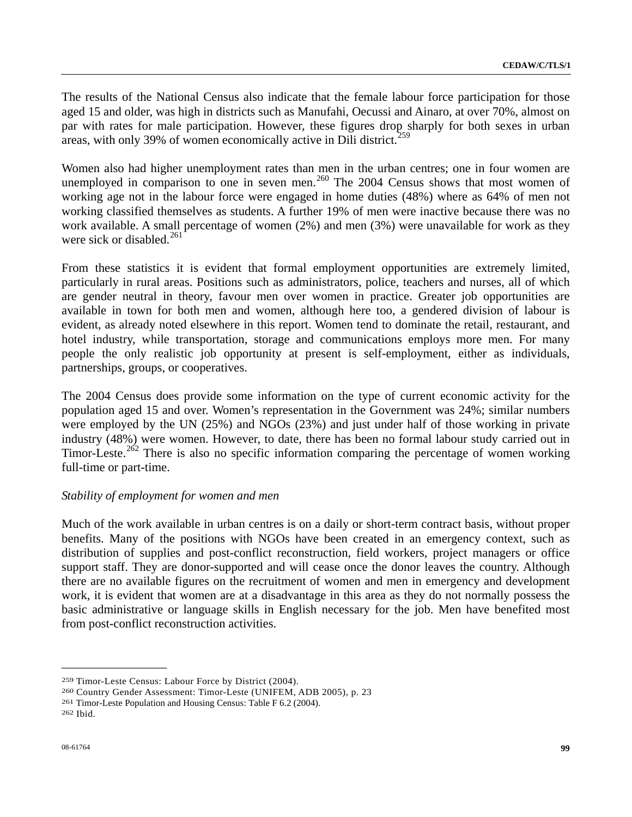The results of the National Census also indicate that the female labour force participation for those aged 15 and older, was high in districts such as Manufahi, Oecussi and Ainaro, at over 70%, almost on par with rates for male participation. However, these figures drop sharply for both sexes in urban areas, with only 39% of women economically active in Dili district.<sup>[25](#page-98-0)9</sup>

Women also had higher unemployment rates than men in the urban centres; one in four women are unemployed in comparison to one in seven men.<sup>[26](#page-98-1)0</sup> The 2004 Census shows that most women of working age not in the labour force were engaged in home duties (48%) where as 64% of men not working classified themselves as students. A further 19% of men were inactive because there was no work available. A small percentage of women (2%) and men (3%) were unavailable for work as they were sick or disabled.<sup>[26](#page-98-2)1</sup>

From these statistics it is evident that formal employment opportunities are extremely limited, particularly in rural areas. Positions such as administrators, police, teachers and nurses, all of which are gender neutral in theory, favour men over women in practice. Greater job opportunities are available in town for both men and women, although here too, a gendered division of labour is evident, as already noted elsewhere in this report. Women tend to dominate the retail, restaurant, and hotel industry, while transportation, storage and communications employs more men. For many people the only realistic job opportunity at present is self-employment, either as individuals, partnerships, groups, or cooperatives.

The 2004 Census does provide some information on the type of current economic activity for the population aged 15 and over. Women's representation in the Government was 24%; similar numbers were employed by the UN (25%) and NGOs (23%) and just under half of those working in private industry (48%) were women. However, to date, there has been no formal labour study carried out in Timor-Leste.<sup>[26](#page-98-3)2</sup> There is also no specific information comparing the percentage of women working full-time or part-time.

## *Stability of employment for women and men*

Much of the work available in urban centres is on a daily or short-term contract basis, without proper benefits. Many of the positions with NGOs have been created in an emergency context, such as distribution of supplies and post-conflict reconstruction, field workers, project managers or office support staff. They are donor-supported and will cease once the donor leaves the country. Although there are no available figures on the recruitment of women and men in emergency and development work, it is evident that women are at a disadvantage in this area as they do not normally possess the basic administrative or language skills in English necessary for the job. Men have benefited most from post-conflict reconstruction activities.

<span id="page-98-1"></span><span id="page-98-0"></span><sup>&</sup>lt;sup>259</sup> Timor-Leste Census: Labour Force by District (2004).<br><sup>260</sup> Country Gender Assessment: Timor-Leste (UNIFEM, ADB 2005), p. 23<br><sup>261</sup> Timor-Leste Population and Housing Census: Table F 6.2 (2004).

<span id="page-98-2"></span>

<span id="page-98-3"></span><sup>262</sup> Ibid.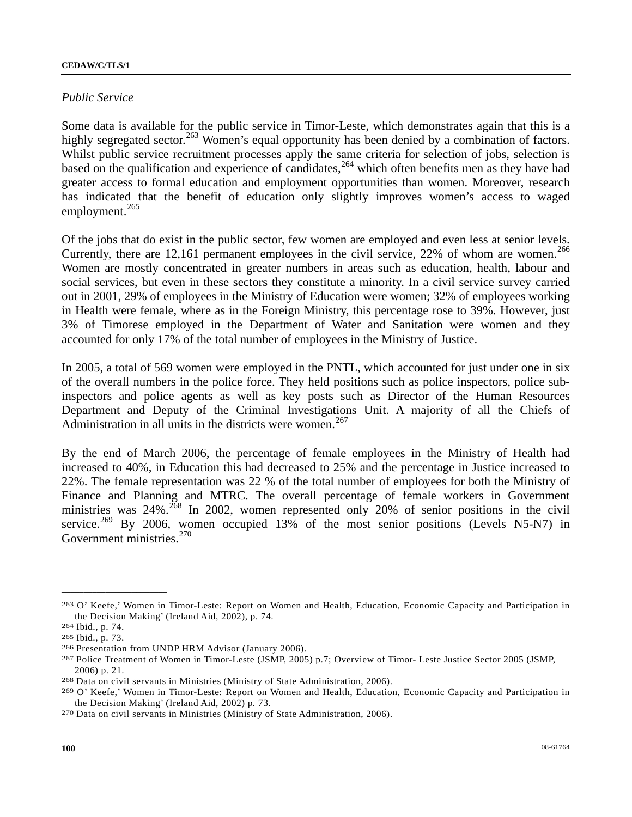#### *Public Service*

Some data is available for the public service in Timor-Leste, which demonstrates again that this is a highly segregated sector.<sup>[2](#page-99-0)63</sup> Women's equal opportunity has been denied by a combination of factors. Whilst public service recruitment processes apply the same criteria for selection of jobs, selection is based on the qualification and experience of candidates,  $264$  $264$  which often benefits men as they have had greater access to formal education and employment opportunities than women. Moreover, research has indicated that the benefit of education only slightly improves women's access to waged employment. $265$  $265$ 

Of the jobs that do exist in the public sector, few women are employed and even less at senior levels. Currently, there are 1[2](#page-99-3),161 permanent employees in the civil service,  $22\%$  of whom are women.<sup>266</sup> Women are mostly concentrated in greater numbers in areas such as education, health, labour and social services, but even in these sectors they constitute a minority. In a civil service survey carried out in 2001, 29% of employees in the Ministry of Education were women; 32% of employees working in Health were female, where as in the Foreign Ministry, this percentage rose to 39%. However, just 3% of Timorese employed in the Department of Water and Sanitation were women and they accounted for only 17% of the total number of employees in the Ministry of Justice.

In 2005, a total of 569 women were employed in the PNTL, which accounted for just under one in six of the overall numbers in the police force. They held positions such as police inspectors, police subinspectors and police agents as well as key posts such as Director of the Human Resources Department and Deputy of the Criminal Investigations Unit. A majority of all the Chiefs of Administration in all units in the districts were women.<sup>[2](#page-99-4)67</sup>

By the end of March 2006, the percentage of female employees in the Ministry of Health had increased to 40%, in Education this had decreased to 25% and the percentage in Justice increased to 22%. The female representation was 22 % of the total number of employees for both the Ministry of Finance and Planning and MTRC. The overall percentage of female workers in Government ministries was  $24\%$  $24\%$ .<sup>268</sup> In 2002, women represented only 20% of senior positions in the civil service.<sup>[2](#page-99-6)69</sup> By 2006, women occupied 13% of the most senior positions (Levels N5-N7) in Government ministries.<sup>[27](#page-99-7)0</sup>

<span id="page-99-0"></span><sup>263</sup> O' Keefe,' Women in Timor-Leste: Report on Women and Health, Education, Economic Capacity and Participation in the Decision Making' (Ireland Aid, 2002), p. 74.<br>
<sup>264</sup> Ibid., p. 74.<br>
<sup>265</sup> Ibid., p. 73.<br>
<sup>266</sup> Presentation from UNDP HRM Advisor (January 2006).<br>
<sup>267</sup> Police Treatment of Women in Timor-Leste (JSMP, 2005) p.7; Overvie

<span id="page-99-2"></span><span id="page-99-1"></span>

<span id="page-99-3"></span>

<span id="page-99-4"></span><sup>2006)</sup> p. 21.<br><sup>268</sup> Data on civil servants in Ministries (Ministry of State Administration, 2006).<br><sup>269</sup> O' Keefe,' Women in Timor-Leste: Report on Women and Health, Education, Economic Capacity and Participation in

<span id="page-99-5"></span>

<span id="page-99-6"></span>the Decision Making' (Ireland Aid, 2002) p. 73. 270 Data on civil servants in Ministries (Ministry of State Administration, 2006).

<span id="page-99-7"></span>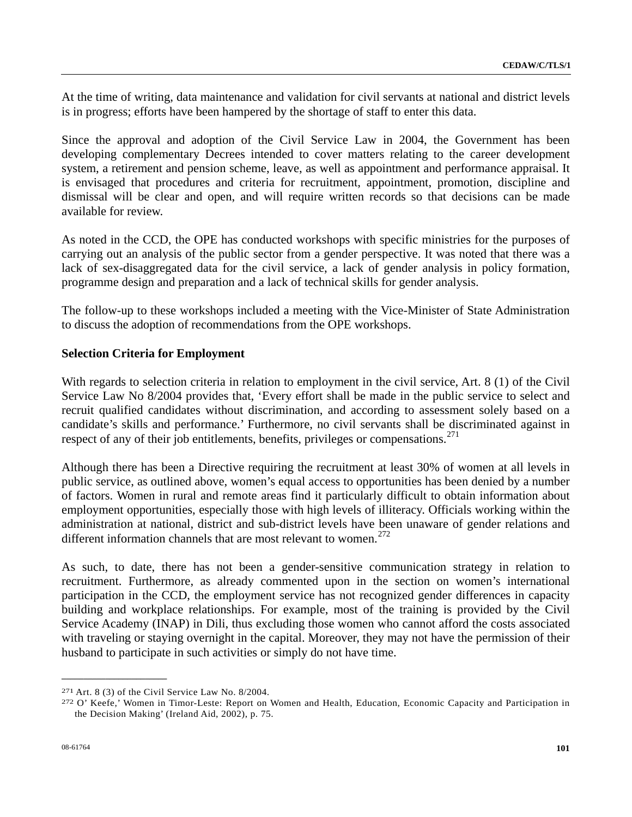At the time of writing, data maintenance and validation for civil servants at national and district levels is in progress; efforts have been hampered by the shortage of staff to enter this data.

Since the approval and adoption of the Civil Service Law in 2004, the Government has been developing complementary Decrees intended to cover matters relating to the career development system, a retirement and pension scheme, leave, as well as appointment and performance appraisal. It is envisaged that procedures and criteria for recruitment, appointment, promotion, discipline and dismissal will be clear and open, and will require written records so that decisions can be made available for review.

As noted in the CCD, the OPE has conducted workshops with specific ministries for the purposes of carrying out an analysis of the public sector from a gender perspective. It was noted that there was a lack of sex-disaggregated data for the civil service, a lack of gender analysis in policy formation, programme design and preparation and a lack of technical skills for gender analysis.

The follow-up to these workshops included a meeting with the Vice-Minister of State Administration to discuss the adoption of recommendations from the OPE workshops.

#### **Selection Criteria for Employment**

With regards to selection criteria in relation to employment in the civil service, Art. 8 (1) of the Civil Service Law No 8/2004 provides that, 'Every effort shall be made in the public service to select and recruit qualified candidates without discrimination, and according to assessment solely based on a candidate's skills and performance.' Furthermore, no civil servants shall be discriminated against in respect of any of their job entitlements, benefits, privileges or compensations.<sup>[2](#page-100-0)71</sup>

Although there has been a Directive requiring the recruitment at least 30% of women at all levels in public service, as outlined above, women's equal access to opportunities has been denied by a number of factors. Women in rural and remote areas find it particularly difficult to obtain information about employment opportunities, especially those with high levels of illiteracy. Officials working within the administration at national, district and sub-district levels have been unaware of gender relations and different information channels that are most relevant to women.<sup>[2](#page-100-1)72</sup>

As such, to date, there has not been a gender-sensitive communication strategy in relation to recruitment. Furthermore, as already commented upon in the section on women's international participation in the CCD, the employment service has not recognized gender differences in capacity building and workplace relationships. For example, most of the training is provided by the Civil Service Academy (INAP) in Dili, thus excluding those women who cannot afford the costs associated with traveling or staying overnight in the capital. Moreover, they may not have the permission of their husband to participate in such activities or simply do not have time.

<span id="page-100-1"></span><span id="page-100-0"></span><sup>271</sup> Art. 8 (3) of the Civil Service Law No. 8/2004.<br>272 O' Keefe,' Women in Timor-Leste: Report on Women and Health, Education, Economic Capacity and Participation in the Decision Making' (Ireland Aid, 2002), p. 75.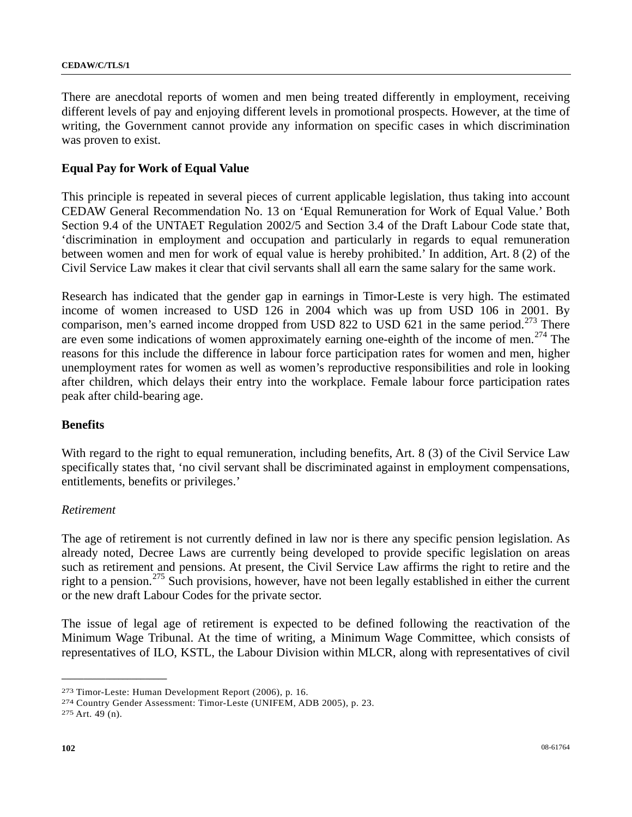There are anecdotal reports of women and men being treated differently in employment, receiving different levels of pay and enjoying different levels in promotional prospects. However, at the time of writing, the Government cannot provide any information on specific cases in which discrimination was proven to exist.

## **Equal Pay for Work of Equal Value**

This principle is repeated in several pieces of current applicable legislation, thus taking into account CEDAW General Recommendation No. 13 on 'Equal Remuneration for Work of Equal Value.' Both Section 9.4 of the UNTAET Regulation 2002/5 and Section 3.4 of the Draft Labour Code state that, 'discrimination in employment and occupation and particularly in regards to equal remuneration between women and men for work of equal value is hereby prohibited.' In addition, Art. 8 (2) of the Civil Service Law makes it clear that civil servants shall all earn the same salary for the same work.

Research has indicated that the gender gap in earnings in Timor-Leste is very high. The estimated income of women increased to USD 126 in 2004 which was up from USD 106 in 2001. By comparison, men's earned income dropped from USD 822 to USD 621 in the same period.<sup>[27](#page-101-0)3</sup> There are even some indications of women approximately earning one-eighth of the income of men.<sup>[2](#page-101-1)74</sup> The reasons for this include the difference in labour force participation rates for women and men, higher unemployment rates for women as well as women's reproductive responsibilities and role in looking after children, which delays their entry into the workplace. Female labour force participation rates peak after child-bearing age.

## **Benefits**

With regard to the right to equal remuneration, including benefits, Art. 8 (3) of the Civil Service Law specifically states that, 'no civil servant shall be discriminated against in employment compensations, entitlements, benefits or privileges.'

#### *Retirement*

The age of retirement is not currently defined in law nor is there any specific pension legislation. As already noted, Decree Laws are currently being developed to provide specific legislation on areas such as retirement and pensions. At present, the Civil Service Law affirms the right to retire and the right to a pension.[27](#page-101-2)5 Such provisions, however, have not been legally established in either the current or the new draft Labour Codes for the private sector.

The issue of legal age of retirement is expected to be defined following the reactivation of the Minimum Wage Tribunal. At the time of writing, a Minimum Wage Committee, which consists of representatives of ILO, KSTL, the Labour Division within MLCR, along with representatives of civil

<span id="page-101-1"></span>

<span id="page-101-0"></span><sup>273</sup> Timor-Leste: Human Development Report (2006), p. 16. 274 Country Gender Assessment: Timor-Leste (UNIFEM, ADB 2005), p. 23. 275 Art. 49 (n).

<span id="page-101-2"></span>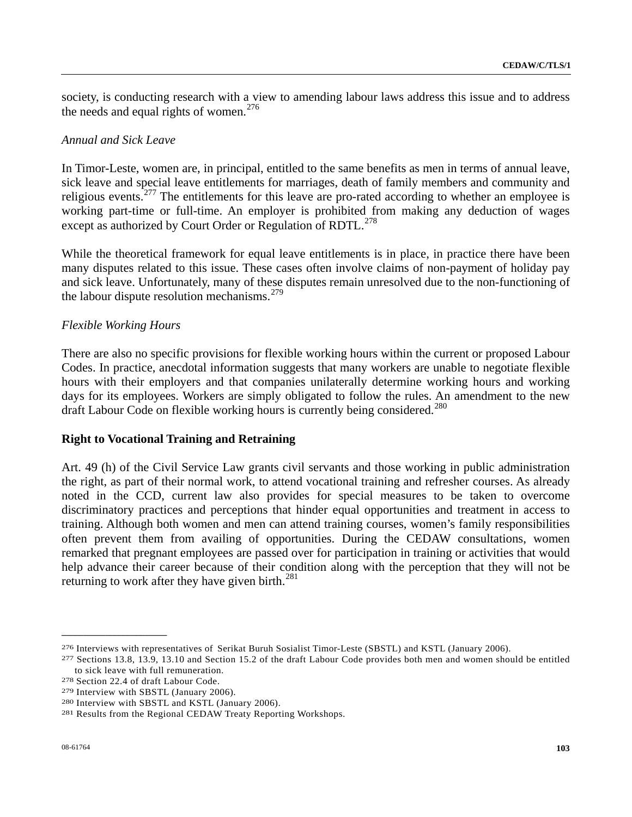society, is conducting research with a view to amending labour laws address this issue and to address the needs and equal rights of women.<sup>[2](#page-102-0)76</sup>

## *Annual and Sick Leave*

In Timor-Leste, women are, in principal, entitled to the same benefits as men in terms of annual leave, sick leave and special leave entitlements for marriages, death of family members and community and religious events.[27](#page-102-1)7 The entitlements for this leave are pro-rated according to whether an employee is working part-time or full-time. An employer is prohibited from making any deduction of wages except as authorized by Court Order or Regulation of RDTL.<sup>[2](#page-102-2)78</sup>

While the theoretical framework for equal leave entitlements is in place, in practice there have been many disputes related to this issue. These cases often involve claims of non-payment of holiday pay and sick leave. Unfortunately, many of these disputes remain unresolved due to the non-functioning of the labour dispute resolution mechanisms. $279$  $279$ 

## *Flexible Working Hours*

There are also no specific provisions for flexible working hours within the current or proposed Labour Codes. In practice, anecdotal information suggests that many workers are unable to negotiate flexible hours with their employers and that companies unilaterally determine working hours and working days for its employees. Workers are simply obligated to follow the rules. An amendment to the new draft Labour Code on flexible working hours is currently being considered.<sup>[2](#page-102-4)80</sup>

## **Right to Vocational Training and Retraining**

Art. 49 (h) of the Civil Service Law grants civil servants and those working in public administration the right, as part of their normal work, to attend vocational training and refresher courses. As already noted in the CCD, current law also provides for special measures to be taken to overcome discriminatory practices and perceptions that hinder equal opportunities and treatment in access to training. Although both women and men can attend training courses, women's family responsibilities often prevent them from availing of opportunities. During the CEDAW consultations, women remarked that pregnant employees are passed over for participation in training or activities that would help advance their career because of their condition along with the perception that they will not be returning to work after they have given birth. $^{281}$  $^{281}$  $^{281}$ 

<span id="page-102-0"></span><sup>276</sup> Interviews with representatives of Serikat Buruh Sosialist Timor-Leste (SBSTL) and KSTL (January 2006).<br>277 Sections 13.8, 13.9, 13.10 and Section 15.2 of the draft Labour Code provides both men and women should be ent

<span id="page-102-1"></span>to sick leave with full remuneration.<br>
278 Section 22.4 of draft Labour Code.<br>
279 Interview with SBSTL (January 2006).<br>
280 Interview with SBSTL and KSTL (January 2006).<br>
281 Results from the Regional CEDAW Treaty Reporti

<span id="page-102-2"></span>

<span id="page-102-3"></span>

<span id="page-102-4"></span>

<span id="page-102-5"></span>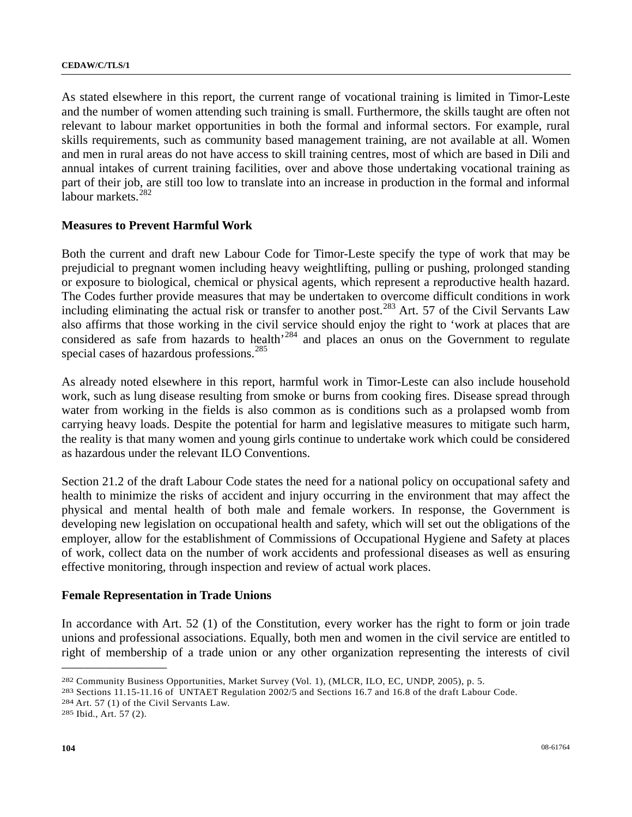As stated elsewhere in this report, the current range of vocational training is limited in Timor-Leste and the number of women attending such training is small. Furthermore, the skills taught are often not relevant to labour market opportunities in both the formal and informal sectors. For example, rural skills requirements, such as community based management training, are not available at all. Women and men in rural areas do not have access to skill training centres, most of which are based in Dili and annual intakes of current training facilities, over and above those undertaking vocational training as part of their job, are still too low to translate into an increase in production in the formal and informal labour markets.<sup>[28](#page-103-0)2</sup>

## **Measures to Prevent Harmful Work**

Both the current and draft new Labour Code for Timor-Leste specify the type of work that may be prejudicial to pregnant women including heavy weightlifting, pulling or pushing, prolonged standing or exposure to biological, chemical or physical agents, which represent a reproductive health hazard. The Codes further provide measures that may be undertaken to overcome difficult conditions in work including eliminating the actual risk or transfer to another post.<sup>[2](#page-103-1)83</sup> Art. 57 of the Civil Servants Law also affirms that those working in the civil service should enjoy the right to 'work at places that are considered as safe from hazards to health<sup>[2](#page-103-2)84</sup> and places an onus on the Government to regulate special cases of hazardous professions.<sup>[2](#page-103-3)85</sup>

As already noted elsewhere in this report, harmful work in Timor-Leste can also include household work, such as lung disease resulting from smoke or burns from cooking fires. Disease spread through water from working in the fields is also common as is conditions such as a prolapsed womb from carrying heavy loads. Despite the potential for harm and legislative measures to mitigate such harm, the reality is that many women and young girls continue to undertake work which could be considered as hazardous under the relevant ILO Conventions.

Section 21.2 of the draft Labour Code states the need for a national policy on occupational safety and health to minimize the risks of accident and injury occurring in the environment that may affect the physical and mental health of both male and female workers. In response, the Government is developing new legislation on occupational health and safety, which will set out the obligations of the employer, allow for the establishment of Commissions of Occupational Hygiene and Safety at places of work, collect data on the number of work accidents and professional diseases as well as ensuring effective monitoring, through inspection and review of actual work places.

## **Female Representation in Trade Unions**

In accordance with Art. 52 (1) of the Constitution, every worker has the right to form or join trade unions and professional associations. Equally, both men and women in the civil service are entitled to right of membership of a trade union or any other organization representing the interests of civil

<span id="page-103-0"></span><sup>&</sup>lt;sup>282</sup> Community Business Opportunities, Market Survey (Vol. 1), (MLCR, ILO, EC, UNDP, 2005), p. 5.<br><sup>283</sup> Sections 11.15-11.16 of UNTAET Regulation 2002/5 and Sections 16.7 and 16.8 of the draft Labour Code.<br><sup>284</sup> Art. 57 (

<span id="page-103-1"></span>

<span id="page-103-2"></span>

<span id="page-103-3"></span>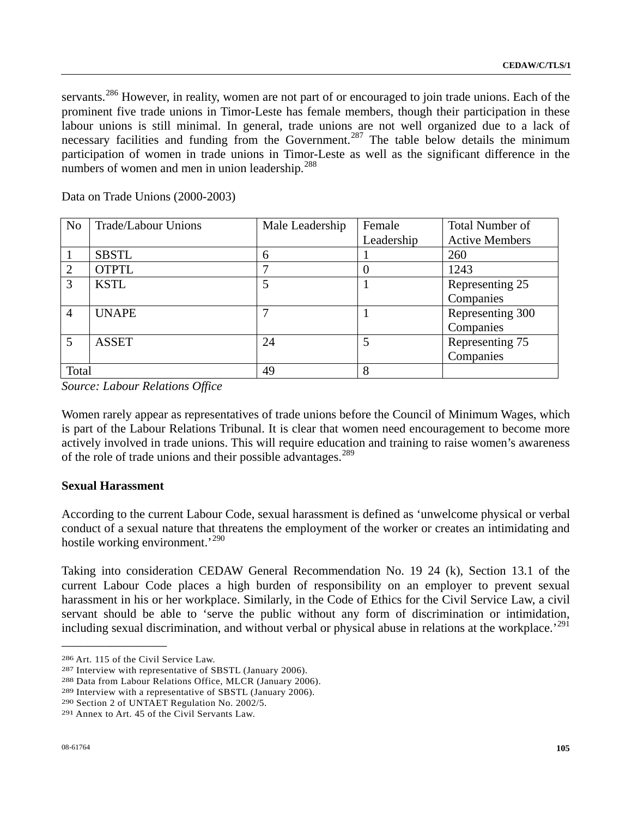servants.<sup>[28](#page-104-0)6</sup> However, in reality, women are not part of or encouraged to join trade unions. Each of the prominent five trade unions in Timor-Leste has female members, though their participation in these labour unions is still minimal. In general, trade unions are not well organized due to a lack of necessary facilities and funding from the Government.<sup>[2](#page-104-1)87</sup> The table below details the minimum participation of women in trade unions in Timor-Leste as well as the significant difference in the numbers of women and men in union leadership.<sup>[28](#page-104-2)8</sup>

Data on Trade Unions (2000-2003)

| N <sub>o</sub> | Trade/Labour Unions | Male Leadership | Female     | <b>Total Number of</b> |
|----------------|---------------------|-----------------|------------|------------------------|
|                |                     |                 | Leadership | <b>Active Members</b>  |
|                | <b>SBSTL</b>        | $\mathfrak b$   |            | 260                    |
|                | <b>OTPTL</b>        |                 |            | 1243                   |
| 3              | <b>KSTL</b>         |                 |            | Representing 25        |
|                |                     |                 |            | Companies              |
| 4              | <b>UNAPE</b>        |                 |            | Representing 300       |
|                |                     |                 |            | Companies              |
| 5              | <b>ASSET</b>        | 24              | 5          | Representing 75        |
|                |                     |                 |            | Companies              |
| Total          |                     | 49              | 8          |                        |

*Source: Labour Relations Office* 

Women rarely appear as representatives of trade unions before the Council of Minimum Wages, which is part of the Labour Relations Tribunal. It is clear that women need encouragement to become more actively involved in trade unions. This will require education and training to raise women's awareness of the role of trade unions and their possible advantages.<sup>[28](#page-104-3)9</sup>

## **Sexual Harassment**

According to the current Labour Code, sexual harassment is defined as 'unwelcome physical or verbal conduct of a sexual nature that threatens the employment of the worker or creates an intimidating and hostile working environment.<sup>'[29](#page-104-4)0</sup>

Taking into consideration CEDAW General Recommendation No. 19 24 (k), Section 13.1 of the current Labour Code places a high burden of responsibility on an employer to prevent sexual harassment in his or her workplace. Similarly, in the Code of Ethics for the Civil Service Law, a civil servant should be able to 'serve the public without any form of discrimination or intimidation, including sexual discrimination, and without verbal or physical abuse in relations at the workplace.<sup>[2](#page-104-5)91</sup>

<span id="page-104-1"></span><span id="page-104-0"></span><sup>&</sup>lt;sup>286</sup> Art. 115 of the Civil Service Law.<br><sup>287</sup> Interview with representative of SBSTL (January 2006).<br><sup>288</sup> Data from Labour Relations Office, MLCR (January 2006).<br><sup>289</sup> Interview with a representative of SBSTL (January 20

<span id="page-104-2"></span>

<span id="page-104-3"></span>

<span id="page-104-4"></span>

<span id="page-104-5"></span>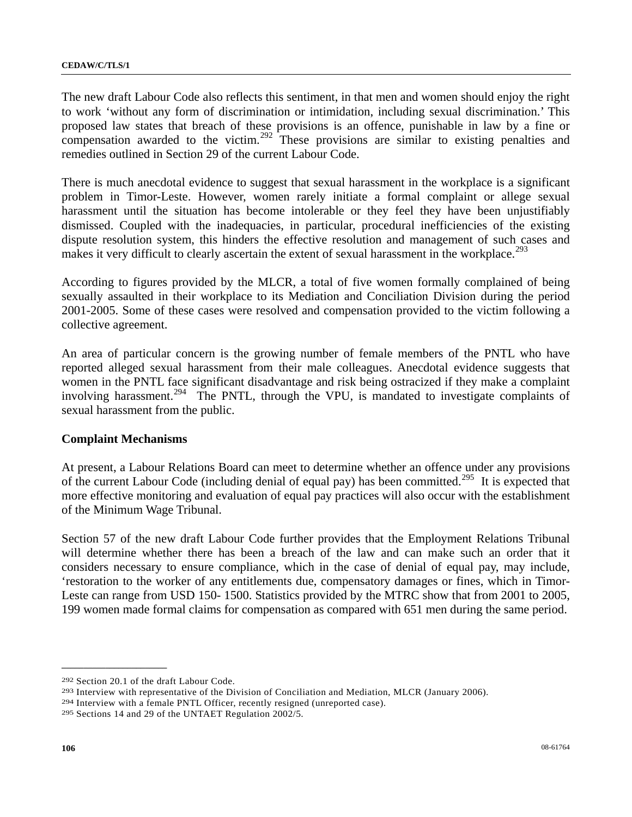The new draft Labour Code also reflects this sentiment, in that men and women should enjoy the right to work 'without any form of discrimination or intimidation, including sexual discrimination.' This proposed law states that breach of these provisions is an offence, punishable in law by a fine or compensation awarded to the victim.<sup>[2](#page-105-0)92</sup> These provisions are similar to existing penalties and remedies outlined in Section 29 of the current Labour Code.

There is much anecdotal evidence to suggest that sexual harassment in the workplace is a significant problem in Timor-Leste. However, women rarely initiate a formal complaint or allege sexual harassment until the situation has become intolerable or they feel they have been unjustifiably dismissed. Coupled with the inadequacies, in particular, procedural inefficiencies of the existing dispute resolution system, this hinders the effective resolution and management of such cases and makes it very difficult to clearly ascertain the extent of sexual harassment in the workplace.<sup>[29](#page-105-1)3</sup>

According to figures provided by the MLCR, a total of five women formally complained of being sexually assaulted in their workplace to its Mediation and Conciliation Division during the period 2001-2005. Some of these cases were resolved and compensation provided to the victim following a collective agreement.

An area of particular concern is the growing number of female members of the PNTL who have reported alleged sexual harassment from their male colleagues. Anecdotal evidence suggests that women in the PNTL face significant disadvantage and risk being ostracized if they make a complaint involving harassment.<sup>[2](#page-105-2)94</sup> The PNTL, through the VPU, is mandated to investigate complaints of sexual harassment from the public.

## **Complaint Mechanisms**

At present, a Labour Relations Board can meet to determine whether an offence under any provisions of the current Labour Code (including denial of equal pay) has been committed.<sup>[29](#page-105-3)5</sup> It is expected that more effective monitoring and evaluation of equal pay practices will also occur with the establishment of the Minimum Wage Tribunal.

Section 57 of the new draft Labour Code further provides that the Employment Relations Tribunal will determine whether there has been a breach of the law and can make such an order that it considers necessary to ensure compliance, which in the case of denial of equal pay, may include, 'restoration to the worker of any entitlements due, compensatory damages or fines, which in Timor-Leste can range from USD 150- 1500. Statistics provided by the MTRC show that from 2001 to 2005, 199 women made formal claims for compensation as compared with 651 men during the same period.

<span id="page-105-1"></span><span id="page-105-0"></span><sup>&</sup>lt;sup>292</sup> Section 20.1 of the draft Labour Code.<br><sup>293</sup> Interview with representative of the Division of Conciliation and Mediation, MLCR (January 2006).<br><sup>294</sup> Interview with a female PNTL Officer, recently resigned (unreported

<span id="page-105-3"></span><span id="page-105-2"></span>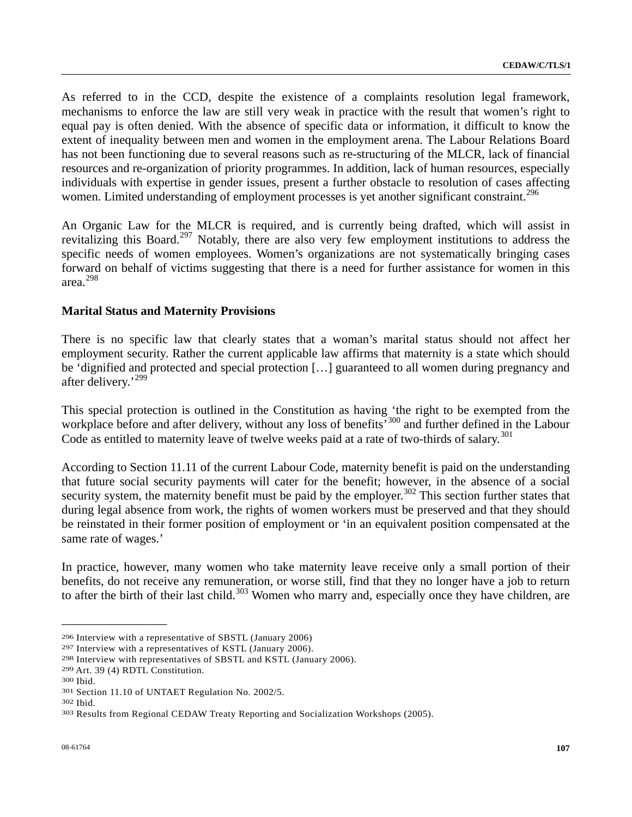As referred to in the CCD, despite the existence of a complaints resolution legal framework, mechanisms to enforce the law are still very weak in practice with the result that women's right to equal pay is often denied. With the absence of specific data or information, it difficult to know the extent of inequality between men and women in the employment arena. The Labour Relations Board has not been functioning due to several reasons such as re-structuring of the MLCR, lack of financial resources and re-organization of priority programmes. In addition, lack of human resources, especially individuals with expertise in gender issues, present a further obstacle to resolution of cases affecting women. Limited understanding of employment processes is yet another significant constraint.<sup>[2](#page-106-0)96</sup>

An Organic Law for the MLCR is required, and is currently being drafted, which will assist in revitalizing this Board.<sup>[2](#page-106-1)97</sup> Notably, there are also very few employment institutions to address the specific needs of women employees. Women's organizations are not systematically bringing cases forward on behalf of victims suggesting that there is a need for further assistance for women in this area.[2](#page-106-2)98

# **Marital Status and Maternity Provisions**

There is no specific law that clearly states that a woman's marital status should not affect her employment security. Rather the current applicable law affirms that maternity is a state which should be 'dignified and protected and special protection […] guaranteed to all women during pregnancy and after delivery.'[29](#page-106-3)9

This special protection is outlined in the Constitution as having the right to be exempted from the workplace before and after delivery, without any loss of benefits<sup>500</sup> and further defined in the Labour Code as entitled to maternity leave of twelve weeks paid at a rate of two-thirds of salary.<sup>[3](#page-106-5)01</sup>

According to Section 11.11 of the current Labour Code, maternity benefit is paid on the understanding that future social security payments will cater for the benefit; however, in the absence of a social security system, the maternity benefit must be paid by the employer.<sup>[3](#page-106-6)02</sup> This section further states that during legal absence from work, the rights of women workers must be preserved and that they should be reinstated in their former position of employment or 'in an equivalent position compensated at the same rate of wages.'

In practice, however, many women who take maternity leave receive only a small portion of their benefits, do not receive any remuneration, or worse still, find that they no longer have a job to return to after the birth of their last child.<sup>[30](#page-106-7)3</sup> Women who marry and, especially once they have children, are

<span id="page-106-1"></span>

<span id="page-106-2"></span>

<span id="page-106-3"></span>

<span id="page-106-4"></span>

<span id="page-106-5"></span>

<span id="page-106-7"></span><span id="page-106-6"></span>

<span id="page-106-0"></span><sup>&</sup>lt;sup>296</sup> Interview with a representative of SBSTL (January 2006)<br><sup>297</sup> Interview with a representatives of KSTL (January 2006).<br><sup>298</sup> Interview with representatives of SBSTL and KSTL (January 2006).<br><sup>299</sup> Art. 39 (4) RDTL Con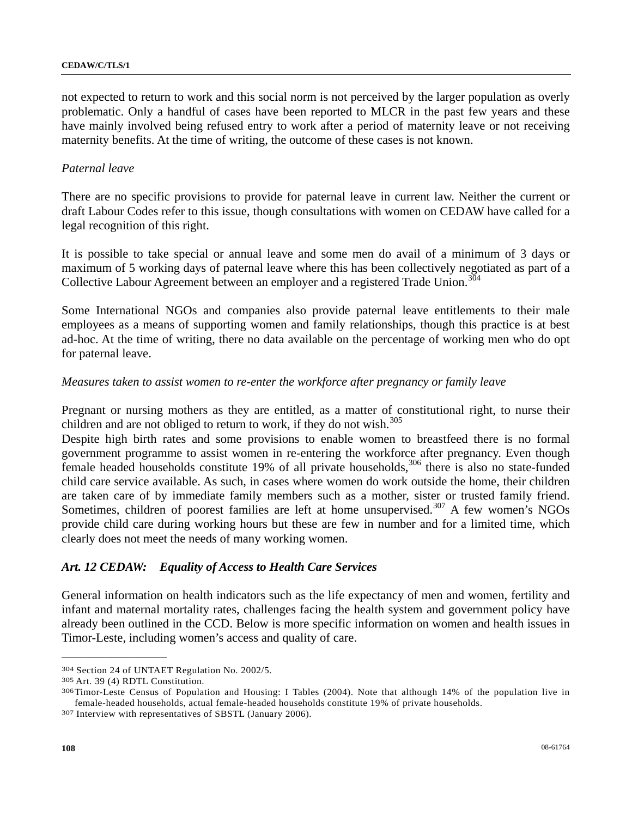not expected to return to work and this social norm is not perceived by the larger population as overly problematic. Only a handful of cases have been reported to MLCR in the past few years and these have mainly involved being refused entry to work after a period of maternity leave or not receiving maternity benefits. At the time of writing, the outcome of these cases is not known.

#### *Paternal leave*

There are no specific provisions to provide for paternal leave in current law. Neither the current or draft Labour Codes refer to this issue, though consultations with women on CEDAW have called for a legal recognition of this right.

It is possible to take special or annual leave and some men do avail of a minimum of 3 days or maximum of 5 working days of paternal leave where this has been collectively negotiated as part of a Collective Labour Agreement between an employer and a registered Trade Union.<sup>[30](#page-107-0)4</sup>

Some International NGOs and companies also provide paternal leave entitlements to their male employees as a means of supporting women and family relationships, though this practice is at best ad-hoc. At the time of writing, there no data available on the percentage of working men who do opt for paternal leave.

#### *Measures taken to assist women to re-enter the workforce after pregnancy or family leave*

Pregnant or nursing mothers as they are entitled, as a matter of constitutional right, to nurse their children and are not obliged to return to work, if they do not wish. $305$  $305$ 

Despite high birth rates and some provisions to enable women to breastfeed there is no formal government programme to assist women in re-entering the workforce after pregnancy. Even though female headed households constitute 19% of all private households,<sup>[3](#page-107-2)06</sup> there is also no state-funded child care service available. As such, in cases where women do work outside the home, their children are taken care of by immediate family members such as a mother, sister or trusted family friend. Sometimes, children of poorest families are left at home unsupervised.<sup>[30](#page-107-3)7</sup> A few women's NGOs provide child care during working hours but these are few in number and for a limited time, which clearly does not meet the needs of many working women.

## *Art. 12 CEDAW: Equality of Access to Health Care Services*

General information on health indicators such as the life expectancy of men and women, fertility and infant and maternal mortality rates, challenges facing the health system and government policy have already been outlined in the CCD. Below is more specific information on women and health issues in Timor-Leste, including women's access and quality of care.

<span id="page-107-2"></span><span id="page-107-1"></span>

<span id="page-107-0"></span><sup>&</sup>lt;sup>304</sup> Section 24 of UNTAET Regulation No. 2002/5.<br><sup>305</sup> Art. 39 (4) RDTL Constitution.<br><sup>306</sup> Timor-Leste Census of Population and Housing: I Tables (2004). Note that although 14% of the population live in female-headed households, actual female-headed households constitute 19% of private households. 307 Interview with representatives of SBSTL (January 2006).

<span id="page-107-3"></span>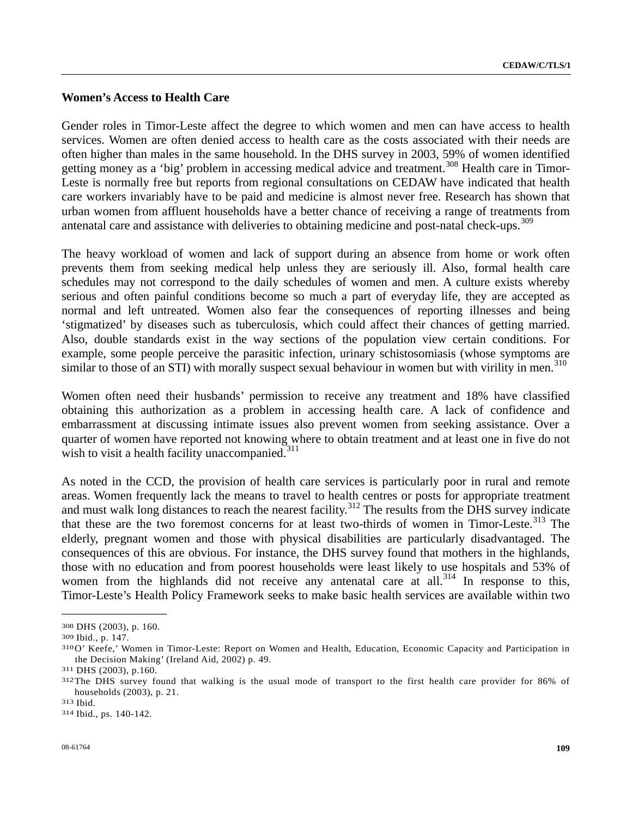# **Women's Access to Health Care**

Gender roles in Timor-Leste affect the degree to which women and men can have access to health services. Women are often denied access to health care as the costs associated with their needs are often higher than males in the same household. In the DHS survey in 2003, 59% of women identified getting money as a 'big' problem in accessing medical advice and treatment.<sup>[3](#page-108-0)08</sup> Health care in Timor-Leste is normally free but reports from regional consultations on CEDAW have indicated that health care workers invariably have to be paid and medicine is almost never free. Research has shown that urban women from affluent households have a better chance of receiving a range of treatments from antenatal care and assistance with deliveries to obtaining medicine and post-natal check-ups.<sup>[30](#page-108-1)9</sup>

The heavy workload of women and lack of support during an absence from home or work often prevents them from seeking medical help unless they are seriously ill. Also, formal health care schedules may not correspond to the daily schedules of women and men. A culture exists whereby serious and often painful conditions become so much a part of everyday life, they are accepted as normal and left untreated. Women also fear the consequences of reporting illnesses and being 'stigmatized' by diseases such as tuberculosis, which could affect their chances of getting married. Also, double standards exist in the way sections of the population view certain conditions. For example, some people perceive the parasitic infection, urinary schistosomiasis (whose symptoms are similar to those of an STI) with morally suspect sexual behaviour in women but with virility in men.<sup>[3](#page-108-2)10</sup>

Women often need their husbands' permission to receive any treatment and 18% have classified obtaining this authorization as a problem in accessing health care. A lack of confidence and embarrassment at discussing intimate issues also prevent women from seeking assistance. Over a quarter of women have reported not knowing where to obtain treatment and at least one in five do not wish to visit a health facility unaccompanied. $311$  $311$ 

As noted in the CCD, the provision of health care services is particularly poor in rural and remote areas. Women frequently lack the means to travel to health centres or posts for appropriate treatment and must walk long distances to reach the nearest facility.<sup>[3](#page-108-4)12</sup> The results from the DHS survey indicate that these are the two foremost concerns for at least two-thirds of women in Timor-Leste.<sup>[31](#page-108-5)3</sup> The elderly, pregnant women and those with physical disabilities are particularly disadvantaged. The consequences of this are obvious. For instance, the DHS survey found that mothers in the highlands, those with no education and from poorest households were least likely to use hospitals and 53% of women from the highlands did not receive any antenatal care at all.<sup>[31](#page-108-6)4</sup> In response to this, Timor-Leste's Health Policy Framework seeks to make basic health services are available within two

**\_\_\_\_\_\_\_\_\_\_\_\_\_\_\_\_\_\_\_\_\_\_\_\_** 

<span id="page-108-2"></span><span id="page-108-1"></span>

<span id="page-108-0"></span><sup>308</sup> DHS (2003), p. 160.<br>309 Ibid., p. 147.<br>310 O' Keefe,' Women in Timor-Leste: Report on Women and Health, Education, Economic Capacity and Participation in the Decision Making' (Ireland Aid, 2002) p. 49.<br><sup>311</sup> DHS (2003), p.160.<br><sup>312</sup>The DHS survey found that walking is the usual mode of transport to the first health care provider for 86% of

<span id="page-108-3"></span>

<span id="page-108-4"></span>households (2003), p. 21. 313 Ibid. 314 Ibid., ps. 140-142.

<span id="page-108-6"></span><span id="page-108-5"></span>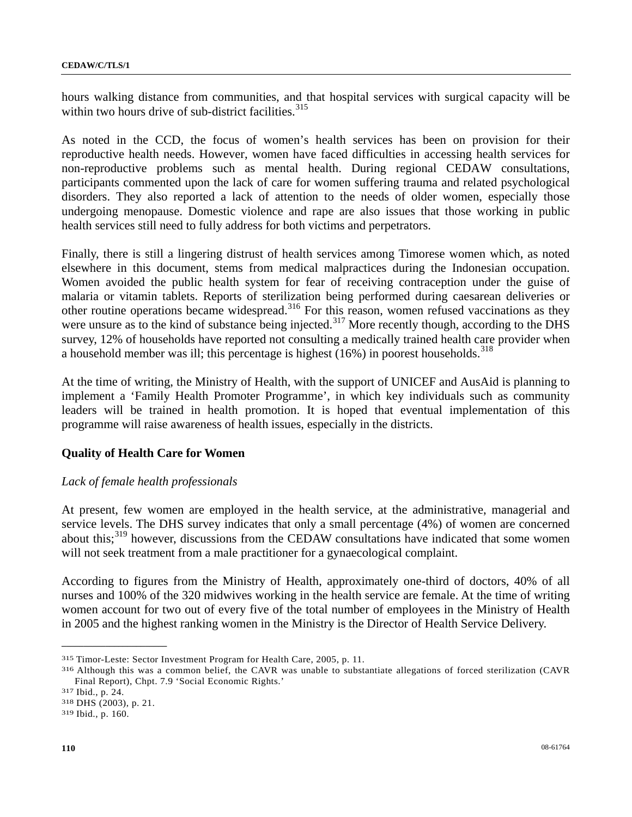hours walking distance from communities, and that hospital services with surgical capacity will be within two hours drive of sub-district facilities. $315$  $315$ 

As noted in the CCD, the focus of women's health services has been on provision for their reproductive health needs. However, women have faced difficulties in accessing health services for non-reproductive problems such as mental health. During regional CEDAW consultations, participants commented upon the lack of care for women suffering trauma and related psychological disorders. They also reported a lack of attention to the needs of older women, especially those undergoing menopause. Domestic violence and rape are also issues that those working in public health services still need to fully address for both victims and perpetrators.

Finally, there is still a lingering distrust of health services among Timorese women which, as noted elsewhere in this document, stems from medical malpractices during the Indonesian occupation. Women avoided the public health system for fear of receiving contraception under the guise of malaria or vitamin tablets. Reports of sterilization being performed during caesarean deliveries or other routine operations became widespread.<sup>[3](#page-109-1)16</sup> For this reason, women refused vaccinations as they were unsure as to the kind of substance being injected.<sup>[31](#page-109-2)7</sup> More recently though, according to the DHS survey, 12% of households have reported not consulting a medically trained health care provider when a household member was ill; this percentage is highest  $(16%)$  in poorest households.<sup>[31](#page-109-3)8</sup>

At the time of writing, the Ministry of Health, with the support of UNICEF and AusAid is planning to implement a 'Family Health Promoter Programme', in which key individuals such as community leaders will be trained in health promotion. It is hoped that eventual implementation of this programme will raise awareness of health issues, especially in the districts.

### **Quality of Health Care for Women**

### *Lack of female health professionals*

At present, few women are employed in the health service, at the administrative, managerial and service levels. The DHS survey indicates that only a small percentage (4%) of women are concerned about this;<sup>[3](#page-109-4)19</sup> however, discussions from the CEDAW consultations have indicated that some women will not seek treatment from a male practitioner for a gynaecological complaint.

According to figures from the Ministry of Health, approximately one-third of doctors, 40% of all nurses and 100% of the 320 midwives working in the health service are female. At the time of writing women account for two out of every five of the total number of employees in the Ministry of Health in 2005 and the highest ranking women in the Ministry is the Director of Health Service Delivery.

<span id="page-109-1"></span><span id="page-109-0"></span>

<sup>315</sup> Timor-Leste: Sector Investment Program for Health Care, 2005, p. 11. 316 Although this was a common belief, the CAVR was unable to substantiate allegations of forced sterilization (CAVR Final Report), Chpt. 7.9 'Social Economic Rights.'<br>
<sup>317</sup> Ibid., p. 24.<br>
<sup>318</sup> DHS (2003), p. 21.<br>
<sup>319</sup> Ibid., p. 160.

<span id="page-109-2"></span>

<span id="page-109-3"></span>

<span id="page-109-4"></span>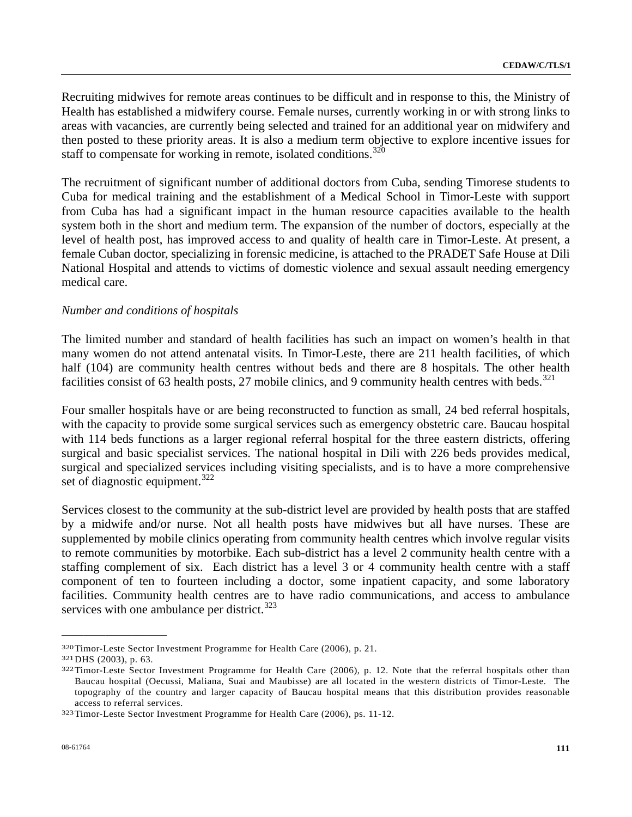Recruiting midwives for remote areas continues to be difficult and in response to this, the Ministry of Health has established a midwifery course. Female nurses, currently working in or with strong links to areas with vacancies, are currently being selected and trained for an additional year on midwifery and then posted to these priority areas. It is also a medium term objective to explore incentive issues for staff to compensate for working in remote, isolated conditions. $320$  $320$ 

The recruitment of significant number of additional doctors from Cuba, sending Timorese students to Cuba for medical training and the establishment of a Medical School in Timor-Leste with support from Cuba has had a significant impact in the human resource capacities available to the health system both in the short and medium term. The expansion of the number of doctors, especially at the level of health post, has improved access to and quality of health care in Timor-Leste. At present, a female Cuban doctor, specializing in forensic medicine, is attached to the PRADET Safe House at Dili National Hospital and attends to victims of domestic violence and sexual assault needing emergency medical care.

### *Number and conditions of hospitals*

The limited number and standard of health facilities has such an impact on women's health in that many women do not attend antenatal visits. In Timor-Leste, there are 211 health facilities, of which half (104) are community health centres without beds and there are 8 hospitals. The other health facilities consist of 6[3](#page-110-1) health posts, 27 mobile clinics, and 9 community health centres with beds.<sup>321</sup>

Four smaller hospitals have or are being reconstructed to function as small, 24 bed referral hospitals, with the capacity to provide some surgical services such as emergency obstetric care. Baucau hospital with 114 beds functions as a larger regional referral hospital for the three eastern districts, offering surgical and basic specialist services. The national hospital in Dili with 226 beds provides medical, surgical and specialized services including visiting specialists, and is to have a more comprehensive set of diagnostic equipment. $322$  $322$ 

Services closest to the community at the sub-district level are provided by health posts that are staffed by a midwife and/or nurse. Not all health posts have midwives but all have nurses. These are supplemented by mobile clinics operating from community health centres which involve regular visits to remote communities by motorbike. Each sub-district has a level 2 community health centre with a staffing complement of six. Each district has a level 3 or 4 community health centre with a staff component of ten to fourteen including a doctor, some inpatient capacity, and some laboratory facilities. Community health centres are to have radio communications, and access to ambulance services with one ambulance per district.<sup>[3](#page-110-3)23</sup>

<span id="page-110-2"></span><span id="page-110-1"></span>

<span id="page-110-0"></span><sup>320</sup> Timor-Leste Sector Investment Programme for Health Care (2006), p. 21.<br>321 DHS (2003), p. 63.<br>322 Timor-Leste Sector Investment Programme for Health Care (2006), p. 12. Note that the referral hospitals other than Baucau hospital (Oecussi, Maliana, Suai and Maubisse) are all located in the western districts of Timor-Leste. The topography of the country and larger capacity of Baucau hospital means that this distribution provides reasonable access to referral services. 323 Timor-Leste Sector Investment Programme for Health Care (2006), ps. 11-12.

<span id="page-110-3"></span>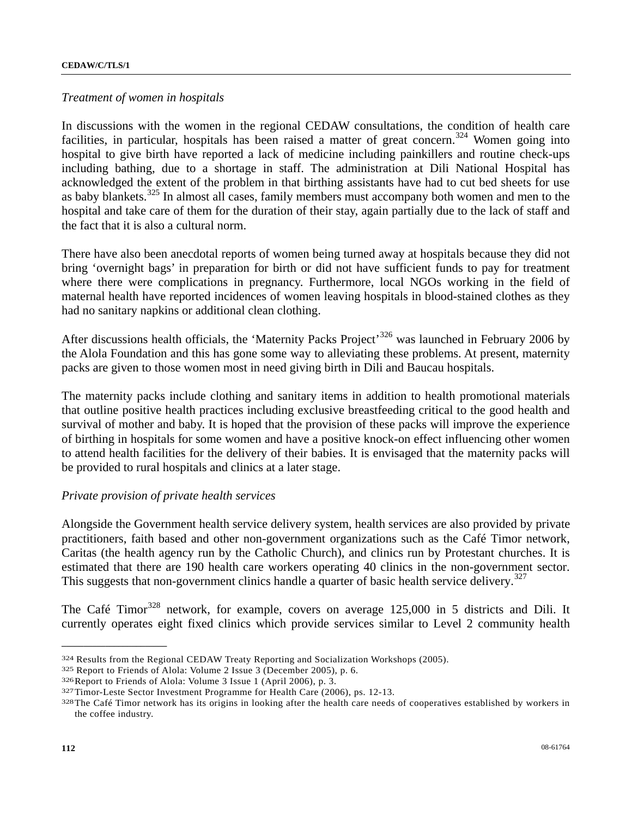#### *Treatment of women in hospitals*

In discussions with the women in the regional CEDAW consultations, the condition of health care facilities, in particular, hospitals has been raised a matter of great concern.<sup>[32](#page-111-0)4</sup> Women going into hospital to give birth have reported a lack of medicine including painkillers and routine check-ups including bathing, due to a shortage in staff. The administration at Dili National Hospital has acknowledged the extent of the problem in that birthing assistants have had to cut bed sheets for use as baby blankets.<sup>[32](#page-111-1)5</sup> In almost all cases, family members must accompany both women and men to the hospital and take care of them for the duration of their stay, again partially due to the lack of staff and the fact that it is also a cultural norm.

There have also been anecdotal reports of women being turned away at hospitals because they did not bring 'overnight bags' in preparation for birth or did not have sufficient funds to pay for treatment where there were complications in pregnancy. Furthermore, local NGOs working in the field of maternal health have reported incidences of women leaving hospitals in blood-stained clothes as they had no sanitary napkins or additional clean clothing.

After discussions health officials, the 'Maternity Packs Project'<sup>[3](#page-111-2)26</sup> was launched in February 2006 by the Alola Foundation and this has gone some way to alleviating these problems. At present, maternity packs are given to those women most in need giving birth in Dili and Baucau hospitals.

The maternity packs include clothing and sanitary items in addition to health promotional materials that outline positive health practices including exclusive breastfeeding critical to the good health and survival of mother and baby. It is hoped that the provision of these packs will improve the experience of birthing in hospitals for some women and have a positive knock-on effect influencing other women to attend health facilities for the delivery of their babies. It is envisaged that the maternity packs will be provided to rural hospitals and clinics at a later stage.

#### *Private provision of private health services*

Alongside the Government health service delivery system, health services are also provided by private practitioners, faith based and other non-government organizations such as the Café Timor network, Caritas (the health agency run by the Catholic Church), and clinics run by Protestant churches. It is estimated that there are 190 health care workers operating 40 clinics in the non-government sector. This suggests that non-government clinics handle a quarter of basic health service delivery.<sup>[3](#page-111-3)27</sup>

The Café Timor<sup>[3](#page-111-4)28</sup> network, for example, covers on average 125,000 in 5 districts and Dili. It currently operates eight fixed clinics which provide services similar to Level 2 community health

<span id="page-111-0"></span><sup>&</sup>lt;sup>324</sup> Results from the Regional CEDAW Treaty Reporting and Socialization Workshops (2005).<br><sup>325</sup> Report to Friends of Alola: Volume 2 Issue 3 (December 2005), p. 6.<br><sup>326</sup> Report to Friends of Alola: Volume 3 Issue 1 (Apri

<span id="page-111-1"></span>

<span id="page-111-2"></span>

<span id="page-111-3"></span>

<span id="page-111-4"></span>the coffee industry.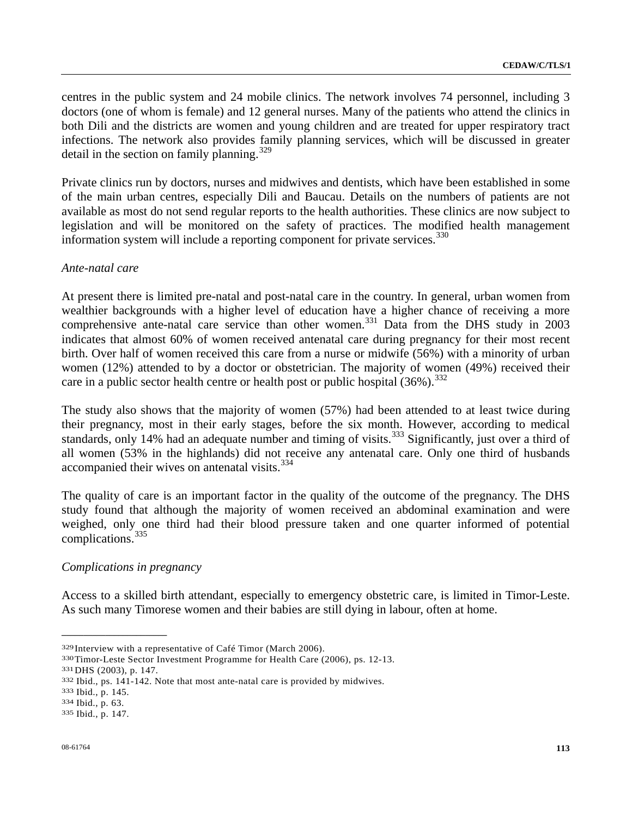centres in the public system and 24 mobile clinics. The network involves 74 personnel, including 3 doctors (one of whom is female) and 12 general nurses. Many of the patients who attend the clinics in both Dili and the districts are women and young children and are treated for upper respiratory tract infections. The network also provides family planning services, which will be discussed in greater detail in the section on family planning.<sup>[3](#page-112-0)29</sup>

Private clinics run by doctors, nurses and midwives and dentists, which have been established in some of the main urban centres, especially Dili and Baucau. Details on the numbers of patients are not available as most do not send regular reports to the health authorities. These clinics are now subject to legislation and will be monitored on the safety of practices. The modified health management information system will include a reporting component for private services.<sup>[33](#page-112-1)0</sup>

### *Ante-natal care*

At present there is limited pre-natal and post-natal care in the country. In general, urban women from wealthier backgrounds with a higher level of education have a higher chance of receiving a more comprehensive ante-natal care service than other women.<sup>[3](#page-112-2)31</sup> Data from the DHS study in 2003 indicates that almost 60% of women received antenatal care during pregnancy for their most recent birth. Over half of women received this care from a nurse or midwife (56%) with a minority of urban women (12%) attended to by a doctor or obstetrician. The majority of women (49%) received their care in a public sector health centre or health post or public hospital  $(36\%)$  $(36\%)$  $(36\%)$ .<sup>332</sup>

The study also shows that the majority of women (57%) had been attended to at least twice during their pregnancy, most in their early stages, before the six month. However, according to medical standards, only 14% had an adequate number and timing of visits.<sup>[33](#page-112-4)3</sup> Significantly, just over a third of all women (53% in the highlands) did not receive any antenatal care. Only one third of husbands accompanied their wives on antenatal visits.<sup>[3](#page-112-5)34</sup>

The quality of care is an important factor in the quality of the outcome of the pregnancy. The DHS study found that although the majority of women received an abdominal examination and were weighed, only one third had their blood pressure taken and one quarter informed of potential complications.[33](#page-112-6)5

# *Complications in pregnancy*

Access to a skilled birth attendant, especially to emergency obstetric care, is limited in Timor-Leste. As such many Timorese women and their babies are still dying in labour, often at home.

<span id="page-112-1"></span><span id="page-112-0"></span><sup>&</sup>lt;sup>329</sup>Interview with a representative of Café Timor (March 2006).<br><sup>330</sup>Timor-Leste Sector Investment Programme for Health Care (2006), ps. 12-13.<br><sup>331</sup>DHS (2003), p. 147.<br><sup>332</sup> Ibid., ps. 141-142. Note that most ante-natal

<span id="page-112-2"></span>

<span id="page-112-3"></span>

<span id="page-112-4"></span>

<span id="page-112-5"></span>

<span id="page-112-6"></span>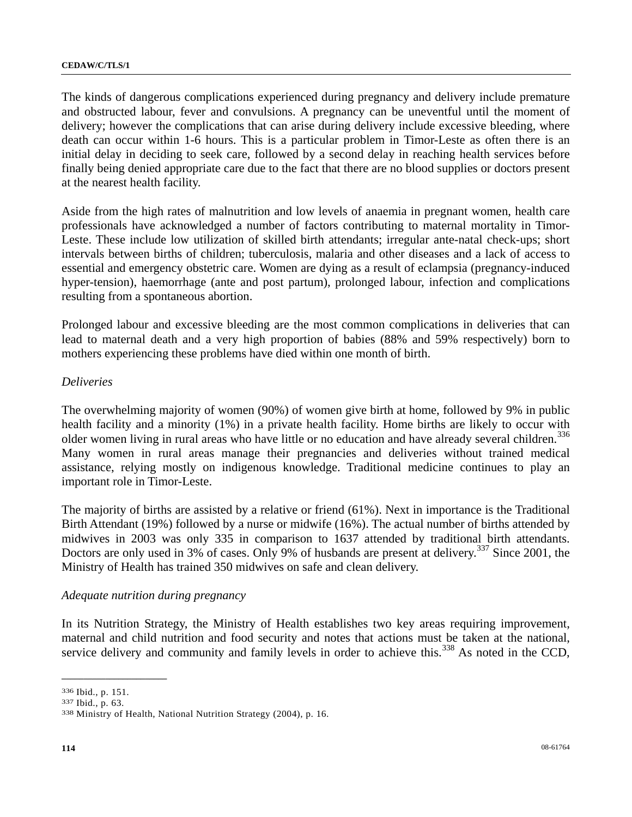The kinds of dangerous complications experienced during pregnancy and delivery include premature and obstructed labour, fever and convulsions. A pregnancy can be uneventful until the moment of delivery; however the complications that can arise during delivery include excessive bleeding, where death can occur within 1-6 hours. This is a particular problem in Timor-Leste as often there is an initial delay in deciding to seek care, followed by a second delay in reaching health services before finally being denied appropriate care due to the fact that there are no blood supplies or doctors present at the nearest health facility.

Aside from the high rates of malnutrition and low levels of anaemia in pregnant women, health care professionals have acknowledged a number of factors contributing to maternal mortality in Timor-Leste. These include low utilization of skilled birth attendants; irregular ante-natal check-ups; short intervals between births of children; tuberculosis, malaria and other diseases and a lack of access to essential and emergency obstetric care. Women are dying as a result of eclampsia (pregnancy-induced hyper-tension), haemorrhage (ante and post partum), prolonged labour, infection and complications resulting from a spontaneous abortion.

Prolonged labour and excessive bleeding are the most common complications in deliveries that can lead to maternal death and a very high proportion of babies (88% and 59% respectively) born to mothers experiencing these problems have died within one month of birth.

### *Deliveries*

The overwhelming majority of women (90%) of women give birth at home, followed by 9% in public health facility and a minority (1%) in a private health facility. Home births are likely to occur with older women living in rural areas who have little or no education and have already several children.<sup>[3](#page-113-0)36</sup> Many women in rural areas manage their pregnancies and deliveries without trained medical assistance, relying mostly on indigenous knowledge. Traditional medicine continues to play an important role in Timor-Leste.

The majority of births are assisted by a relative or friend (61%). Next in importance is the Traditional Birth Attendant (19%) followed by a nurse or midwife (16%). The actual number of births attended by midwives in 2003 was only 335 in comparison to 1637 attended by traditional birth attendants. Doctors are only used in [3](#page-113-1)% of cases. Only 9% of husbands are present at delivery.<sup>337</sup> Since 2001, the Ministry of Health has trained 350 midwives on safe and clean delivery.

### *Adequate nutrition during pregnancy*

In its Nutrition Strategy, the Ministry of Health establishes two key areas requiring improvement, maternal and child nutrition and food security and notes that actions must be taken at the national, service delivery and community and family levels in order to achieve this.<sup>[33](#page-113-2)8</sup> As noted in the CCD,

<span id="page-113-2"></span><span id="page-113-1"></span>

<span id="page-113-0"></span><sup>336</sup> Ibid., p. 151.<br>337 Ibid., p. 63.<br>338 Ministry of Health, National Nutrition Strategy (2004), p. 16.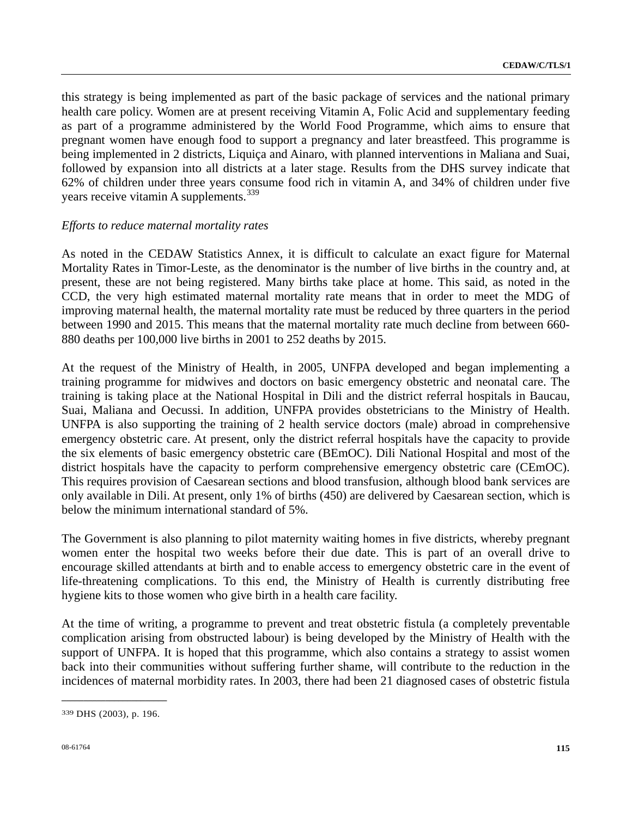this strategy is being implemented as part of the basic package of services and the national primary health care policy. Women are at present receiving Vitamin A, Folic Acid and supplementary feeding as part of a programme administered by the World Food Programme, which aims to ensure that pregnant women have enough food to support a pregnancy and later breastfeed. This programme is being implemented in 2 districts, Liquiça and Ainaro, with planned interventions in Maliana and Suai, followed by expansion into all districts at a later stage. Results from the DHS survey indicate that 62% of children under three years consume food rich in vitamin A, and 34% of children under five years receive vitamin A supplements.<sup>[3](#page-114-0)39</sup>

### *Efforts to reduce maternal mortality rates*

As noted in the CEDAW Statistics Annex, it is difficult to calculate an exact figure for Maternal Mortality Rates in Timor-Leste, as the denominator is the number of live births in the country and, at present, these are not being registered. Many births take place at home. This said, as noted in the CCD, the very high estimated maternal mortality rate means that in order to meet the MDG of improving maternal health, the maternal mortality rate must be reduced by three quarters in the period between 1990 and 2015. This means that the maternal mortality rate much decline from between 660- 880 deaths per 100,000 live births in 2001 to 252 deaths by 2015.

At the request of the Ministry of Health, in 2005, UNFPA developed and began implementing a training programme for midwives and doctors on basic emergency obstetric and neonatal care. The training is taking place at the National Hospital in Dili and the district referral hospitals in Baucau, Suai, Maliana and Oecussi. In addition, UNFPA provides obstetricians to the Ministry of Health. UNFPA is also supporting the training of 2 health service doctors (male) abroad in comprehensive emergency obstetric care. At present, only the district referral hospitals have the capacity to provide the six elements of basic emergency obstetric care (BEmOC). Dili National Hospital and most of the district hospitals have the capacity to perform comprehensive emergency obstetric care (CEmOC). This requires provision of Caesarean sections and blood transfusion, although blood bank services are only available in Dili. At present, only 1% of births (450) are delivered by Caesarean section, which is below the minimum international standard of 5%.

The Government is also planning to pilot maternity waiting homes in five districts, whereby pregnant women enter the hospital two weeks before their due date. This is part of an overall drive to encourage skilled attendants at birth and to enable access to emergency obstetric care in the event of life-threatening complications. To this end, the Ministry of Health is currently distributing free hygiene kits to those women who give birth in a health care facility.

At the time of writing, a programme to prevent and treat obstetric fistula (a completely preventable complication arising from obstructed labour) is being developed by the Ministry of Health with the support of UNFPA. It is hoped that this programme, which also contains a strategy to assist women back into their communities without suffering further shame, will contribute to the reduction in the incidences of maternal morbidity rates. In 2003, there had been 21 diagnosed cases of obstetric fistula

<span id="page-114-0"></span>**\_\_\_\_\_\_\_\_\_\_\_\_\_\_\_\_\_\_\_\_\_\_\_\_**  339 DHS (2003), p. 196.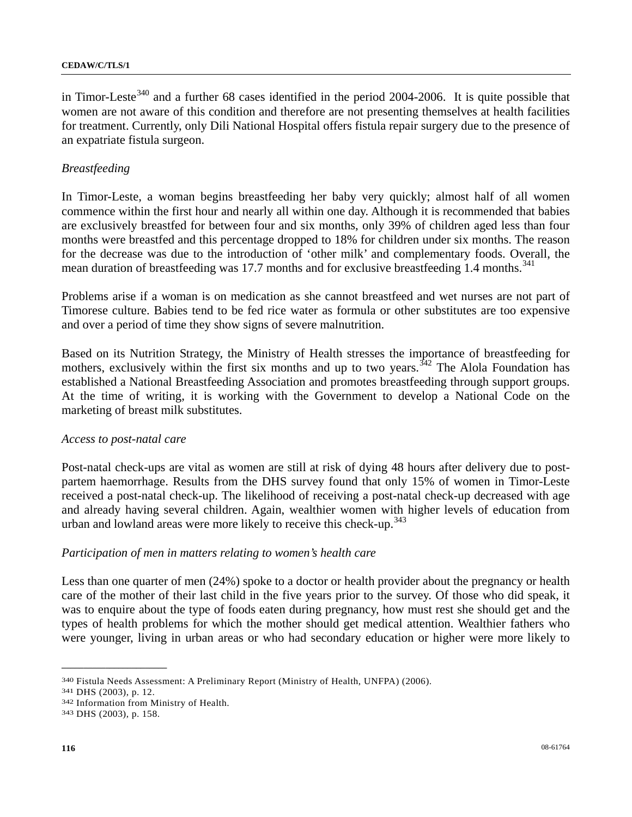in Timor-Leste<sup>[34](#page-115-0)0</sup> and a further 68 cases identified in the period 2004-2006. It is quite possible that women are not aware of this condition and therefore are not presenting themselves at health facilities for treatment. Currently, only Dili National Hospital offers fistula repair surgery due to the presence of an expatriate fistula surgeon.

# *Breastfeeding*

In Timor-Leste, a woman begins breastfeeding her baby very quickly; almost half of all women commence within the first hour and nearly all within one day. Although it is recommended that babies are exclusively breastfed for between four and six months, only 39% of children aged less than four months were breastfed and this percentage dropped to 18% for children under six months. The reason for the decrease was due to the introduction of 'other milk' and complementary foods. Overall, the mean duration of breastfeeding was 17.7 months and for exclusive breastfeeding 1.4 months.<sup>[3](#page-115-1)41</sup>

Problems arise if a woman is on medication as she cannot breastfeed and wet nurses are not part of Timorese culture. Babies tend to be fed rice water as formula or other substitutes are too expensive and over a period of time they show signs of severe malnutrition.

Based on its Nutrition Strategy, the Ministry of Health stresses the importance of breastfeeding for mothers, exclusively within the first six months and up to two years.<sup> $342$  $342$ </sup> The Alola Foundation has established a National Breastfeeding Association and promotes breastfeeding through support groups. At the time of writing, it is working with the Government to develop a National Code on the marketing of breast milk substitutes.

### *Access to post-natal care*

Post-natal check-ups are vital as women are still at risk of dying 48 hours after delivery due to postpartem haemorrhage. Results from the DHS survey found that only 15% of women in Timor-Leste received a post-natal check-up. The likelihood of receiving a post-natal check-up decreased with age and already having several children. Again, wealthier women with higher levels of education from urban and lowland areas were more likely to receive this check-up.<sup>[34](#page-115-3)3</sup>

### *Participation of men in matters relating to women's health care*

Less than one quarter of men (24%) spoke to a doctor or health provider about the pregnancy or health care of the mother of their last child in the five years prior to the survey. Of those who did speak, it was to enquire about the type of foods eaten during pregnancy, how must rest she should get and the types of health problems for which the mother should get medical attention. Wealthier fathers who were younger, living in urban areas or who had secondary education or higher were more likely to

<span id="page-115-0"></span><sup>340</sup> Fistula Needs Assessment: A Preliminary Report (Ministry of Health, UNFPA) (2006).<br>341 DHS (2003), p. 12.<br>342 Information from Ministry of Health. 343 DHS (2003), p. 158.

<span id="page-115-1"></span>

<span id="page-115-2"></span>

<span id="page-115-3"></span>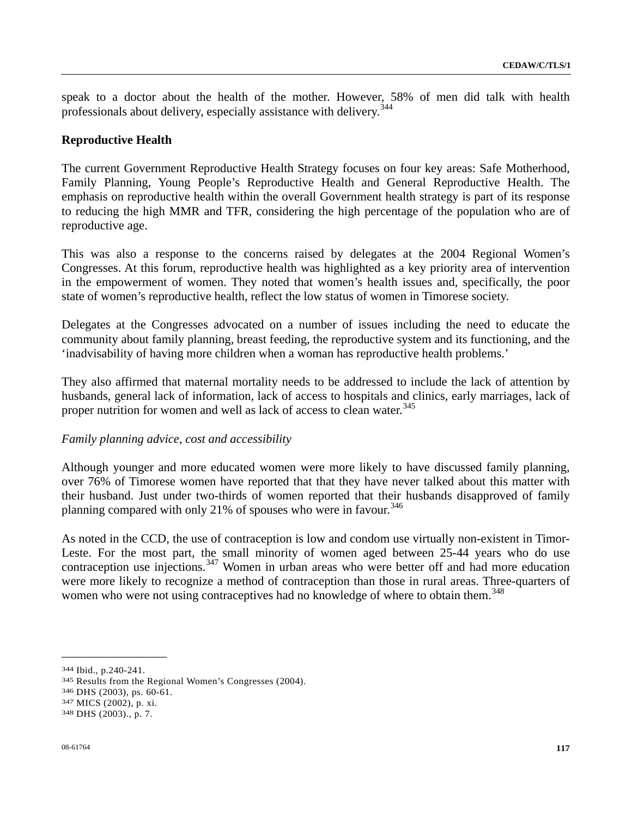speak to a doctor about the health of the mother. However, 58% of men did talk with health professionals about delivery, especially assistance with delivery.<sup>[34](#page-116-0)4</sup>

### **Reproductive Health**

The current Government Reproductive Health Strategy focuses on four key areas: Safe Motherhood, Family Planning, Young People's Reproductive Health and General Reproductive Health. The emphasis on reproductive health within the overall Government health strategy is part of its response to reducing the high MMR and TFR, considering the high percentage of the population who are of reproductive age.

This was also a response to the concerns raised by delegates at the 2004 Regional Women's Congresses. At this forum, reproductive health was highlighted as a key priority area of intervention in the empowerment of women. They noted that women's health issues and, specifically, the poor state of women's reproductive health, reflect the low status of women in Timorese society.

Delegates at the Congresses advocated on a number of issues including the need to educate the community about family planning, breast feeding, the reproductive system and its functioning, and the 'inadvisability of having more children when a woman has reproductive health problems.'

They also affirmed that maternal mortality needs to be addressed to include the lack of attention by husbands, general lack of information, lack of access to hospitals and clinics, early marriages, lack of proper nutrition for women and well as lack of access to clean water.<sup>[34](#page-116-1)5</sup>

### *Family planning advice, cost and accessibility*

Although younger and more educated women were more likely to have discussed family planning, over 76% of Timorese women have reported that that they have never talked about this matter with their husband. Just under two-thirds of women reported that their husbands disapproved of family planning compared with only 21% of spouses who were in favour.<sup>[34](#page-116-2)6</sup>

As noted in the CCD, the use of contraception is low and condom use virtually non-existent in Timor-Leste. For the most part, the small minority of women aged between 25-44 years who do use contraception use injections.<sup>[34](#page-116-3)7</sup> Women in urban areas who were better off and had more education were more likely to recognize a method of contraception than those in rural areas. Three-quarters of women who were not using contraceptives had no knowledge of where to obtain them.<sup>[34](#page-116-4)8</sup>

<span id="page-116-1"></span><span id="page-116-0"></span><sup>344</sup> Ibid., p.240-241.<br>
345 Results from the Regional Women's Congresses (2004).<br>
346 DHS (2003), ps. 60-61.<br>
347 MICS (2002), p. xi.<br>
348 DHS (2003)., p. 7.

<span id="page-116-2"></span>

<span id="page-116-3"></span>

<span id="page-116-4"></span>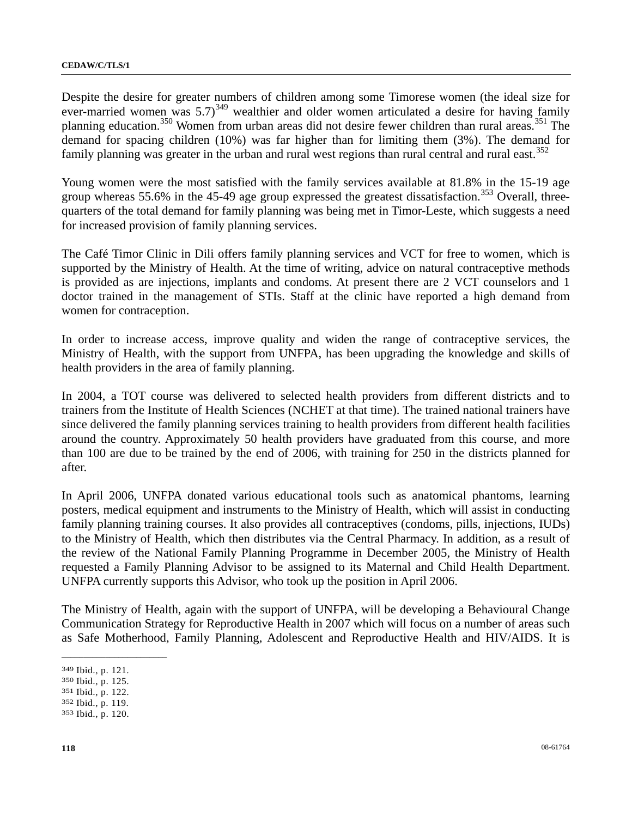Despite the desire for greater numbers of children among some Timorese women (the ideal size for ever-married women was  $5.7$ <sup>[3](#page-117-0)49</sup> wealthier and older women articulated a desire for having family planning education.<sup>[3](#page-117-1)50</sup> Women from urban areas did not desire fewer children than rural areas.<sup>351</sup> The demand for spacing children (10%) was far higher than for limiting them (3%). The demand for family planning was greater in the urban and rural west regions than rural central and rural east.<sup>[35](#page-117-3)2</sup>

Young women were the most satisfied with the family services available at 81.8% in the 15-19 age group whereas 55.6% in the 45-49 age group expressed the greatest dissatisfaction.<sup>[3](#page-117-4)53</sup> Overall, threequarters of the total demand for family planning was being met in Timor-Leste, which suggests a need for increased provision of family planning services.

The Café Timor Clinic in Dili offers family planning services and VCT for free to women, which is supported by the Ministry of Health. At the time of writing, advice on natural contraceptive methods is provided as are injections, implants and condoms. At present there are 2 VCT counselors and 1 doctor trained in the management of STIs. Staff at the clinic have reported a high demand from women for contraception.

In order to increase access, improve quality and widen the range of contraceptive services, the Ministry of Health, with the support from UNFPA, has been upgrading the knowledge and skills of health providers in the area of family planning.

In 2004, a TOT course was delivered to selected health providers from different districts and to trainers from the Institute of Health Sciences (NCHET at that time). The trained national trainers have since delivered the family planning services training to health providers from different health facilities around the country. Approximately 50 health providers have graduated from this course, and more than 100 are due to be trained by the end of 2006, with training for 250 in the districts planned for after.

In April 2006, UNFPA donated various educational tools such as anatomical phantoms, learning posters, medical equipment and instruments to the Ministry of Health, which will assist in conducting family planning training courses. It also provides all contraceptives (condoms, pills, injections, IUDs) to the Ministry of Health, which then distributes via the Central Pharmacy. In addition, as a result of the review of the National Family Planning Programme in December 2005, the Ministry of Health requested a Family Planning Advisor to be assigned to its Maternal and Child Health Department. UNFPA currently supports this Advisor, who took up the position in April 2006.

The Ministry of Health, again with the support of UNFPA, will be developing a Behavioural Change Communication Strategy for Reproductive Health in 2007 which will focus on a number of areas such as Safe Motherhood, Family Planning, Adolescent and Reproductive Health and HIV/AIDS. It is

**\_\_\_\_\_\_\_\_\_\_\_\_\_\_\_\_\_\_\_\_\_\_\_\_** 

<span id="page-117-1"></span><span id="page-117-0"></span>349 Ibid., p. 121. 350 Ibid., p. 125. 351 Ibid., p. 122. 352 Ibid., p. 119. 353 Ibid., p. 120.

<span id="page-117-3"></span><span id="page-117-2"></span>

<span id="page-117-4"></span>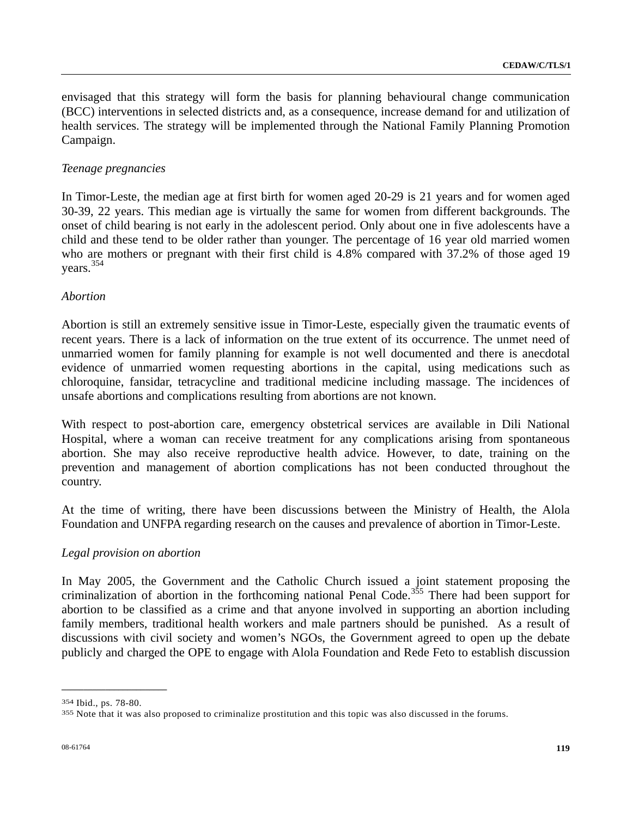envisaged that this strategy will form the basis for planning behavioural change communication (BCC) interventions in selected districts and, as a consequence, increase demand for and utilization of health services. The strategy will be implemented through the National Family Planning Promotion Campaign.

### *Teenage pregnancies*

In Timor-Leste, the median age at first birth for women aged 20-29 is 21 years and for women aged 30-39, 22 years. This median age is virtually the same for women from different backgrounds. The onset of child bearing is not early in the adolescent period. Only about one in five adolescents have a child and these tend to be older rather than younger. The percentage of 16 year old married women who are mothers or pregnant with their first child is 4.8% compared with 37.2% of those aged 19 years.[35](#page-118-0)4

### *Abortion*

Abortion is still an extremely sensitive issue in Timor-Leste, especially given the traumatic events of recent years. There is a lack of information on the true extent of its occurrence. The unmet need of unmarried women for family planning for example is not well documented and there is anecdotal evidence of unmarried women requesting abortions in the capital, using medications such as chloroquine, fansidar, tetracycline and traditional medicine including massage. The incidences of unsafe abortions and complications resulting from abortions are not known.

With respect to post-abortion care, emergency obstetrical services are available in Dili National Hospital, where a woman can receive treatment for any complications arising from spontaneous abortion. She may also receive reproductive health advice. However, to date, training on the prevention and management of abortion complications has not been conducted throughout the country.

At the time of writing, there have been discussions between the Ministry of Health, the Alola Foundation and UNFPA regarding research on the causes and prevalence of abortion in Timor-Leste.

### *Legal provision on abortion*

In May 2005, the Government and the Catholic Church issued a joint statement proposing the criminalization of abortion in the forthcoming national Penal Code.<sup>[3](#page-118-1)55</sup> There had been support for abortion to be classified as a crime and that anyone involved in supporting an abortion including family members, traditional health workers and male partners should be punished. As a result of discussions with civil society and women's NGOs, the Government agreed to open up the debate publicly and charged the OPE to engage with Alola Foundation and Rede Feto to establish discussion

<span id="page-118-1"></span><span id="page-118-0"></span><sup>&</sup>lt;sup>354</sup> Ibid., ps. 78-80.<br><sup>355</sup> Note that it was also proposed to criminalize prostitution and this topic was also discussed in the forums.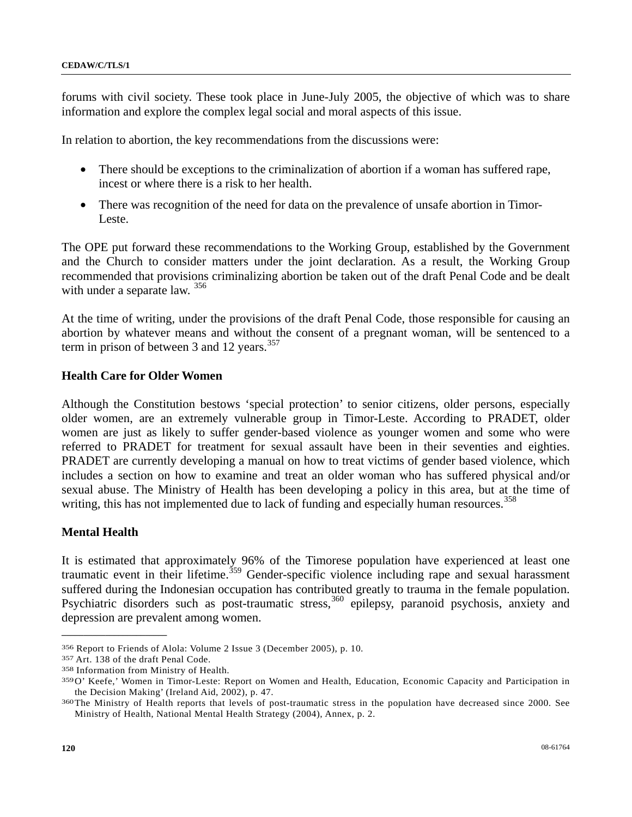forums with civil society. These took place in June-July 2005, the objective of which was to share information and explore the complex legal social and moral aspects of this issue.

In relation to abortion, the key recommendations from the discussions were:

- There should be exceptions to the criminalization of abortion if a woman has suffered rape, incest or where there is a risk to her health.
- There was recognition of the need for data on the prevalence of unsafe abortion in Timor-Leste.

The OPE put forward these recommendations to the Working Group, established by the Government and the Church to consider matters under the joint declaration. As a result, the Working Group recommended that provisions criminalizing abortion be taken out of the draft Penal Code and be dealt with under a separate law. <sup>[3](#page-119-0)56</sup>

At the time of writing, under the provisions of the draft Penal Code, those responsible for causing an abortion by whatever means and without the consent of a pregnant woman, will be sentenced to a term in prison of between [3](#page-119-1) and 12 years.<sup>357</sup>

# **Health Care for Older Women**

Although the Constitution bestows 'special protection' to senior citizens, older persons, especially older women, are an extremely vulnerable group in Timor-Leste. According to PRADET, older women are just as likely to suffer gender-based violence as younger women and some who were referred to PRADET for treatment for sexual assault have been in their seventies and eighties. PRADET are currently developing a manual on how to treat victims of gender based violence, which includes a section on how to examine and treat an older woman who has suffered physical and/or sexual abuse. The Ministry of Health has been developing a policy in this area, but at the time of writing, this has not implemented due to lack of funding and especially human resources.<sup>[35](#page-119-2)8</sup>

### **Mental Health**

It is estimated that approximately 96% of the Timorese population have experienced at least one traumatic event in their lifetime.<sup>[3](#page-119-3)59</sup> Gender-specific violence including rape and sexual harassment suffered during the Indonesian occupation has contributed greatly to trauma in the female population. Psychiatric disorders such as post-traumatic stress,<sup>[3](#page-119-4)60</sup> epilepsy, paranoid psychosis, anxiety and depression are prevalent among women.

<span id="page-119-1"></span>

<span id="page-119-3"></span><span id="page-119-2"></span>

<span id="page-119-0"></span><sup>356</sup> Report to Friends of Alola: Volume 2 Issue 3 (December 2005), p. 10.<br>357 Art. 138 of the draft Penal Code.<br>358 Information from Ministry of Health.<br>359 O' Keefe,' Women in Timor-Leste: Report on Women and Health, Educa the Decision Making' (Ireland Aid, 2002), p. 47.<br><sup>360</sup> The Ministry of Health reports that levels of post-traumatic stress in the population have decreased since 2000. See

<span id="page-119-4"></span>Ministry of Health, National Mental Health Strategy (2004), Annex, p. 2.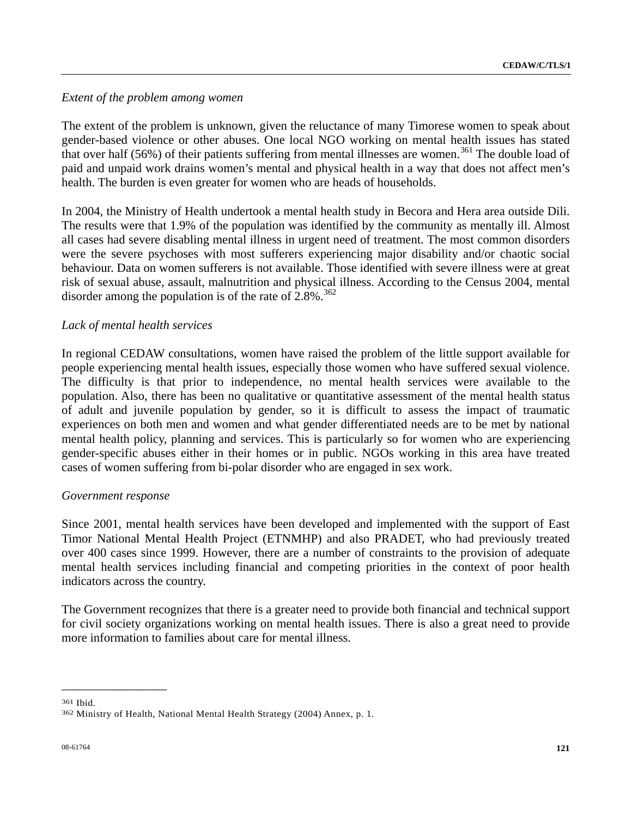### *Extent of the problem among women*

The extent of the problem is unknown, given the reluctance of many Timorese women to speak about gender-based violence or other abuses. One local NGO working on mental health issues has stated that over half (56%) of their patients suffering from mental illnesses are women.<sup>[3](#page-120-0)61</sup> The double load of paid and unpaid work drains women's mental and physical health in a way that does not affect men's health. The burden is even greater for women who are heads of households.

In 2004, the Ministry of Health undertook a mental health study in Becora and Hera area outside Dili. The results were that 1.9% of the population was identified by the community as mentally ill. Almost all cases had severe disabling mental illness in urgent need of treatment. The most common disorders were the severe psychoses with most sufferers experiencing major disability and/or chaotic social behaviour. Data on women sufferers is not available. Those identified with severe illness were at great risk of sexual abuse, assault, malnutrition and physical illness. According to the Census 2004, mental disorder among the population is of the rate of  $2.8\%$ .<sup>[36](#page-120-1)2</sup>

# *Lack of mental health services*

In regional CEDAW consultations, women have raised the problem of the little support available for people experiencing mental health issues, especially those women who have suffered sexual violence. The difficulty is that prior to independence, no mental health services were available to the population. Also, there has been no qualitative or quantitative assessment of the mental health status of adult and juvenile population by gender, so it is difficult to assess the impact of traumatic experiences on both men and women and what gender differentiated needs are to be met by national mental health policy, planning and services. This is particularly so for women who are experiencing gender-specific abuses either in their homes or in public. NGOs working in this area have treated cases of women suffering from bi-polar disorder who are engaged in sex work.

### *Government response*

**\_\_\_\_\_\_\_\_\_\_\_\_\_\_\_\_\_\_\_\_\_\_\_\_** 

Since 2001, mental health services have been developed and implemented with the support of East Timor National Mental Health Project (ETNMHP) and also PRADET, who had previously treated over 400 cases since 1999. However, there are a number of constraints to the provision of adequate mental health services including financial and competing priorities in the context of poor health indicators across the country.

The Government recognizes that there is a greater need to provide both financial and technical support for civil society organizations working on mental health issues. There is also a great need to provide more information to families about care for mental illness.

<span id="page-120-1"></span><span id="page-120-0"></span><sup>361</sup> Ibid. 362 Ministry of Health, National Mental Health Strategy (2004) Annex, p. 1.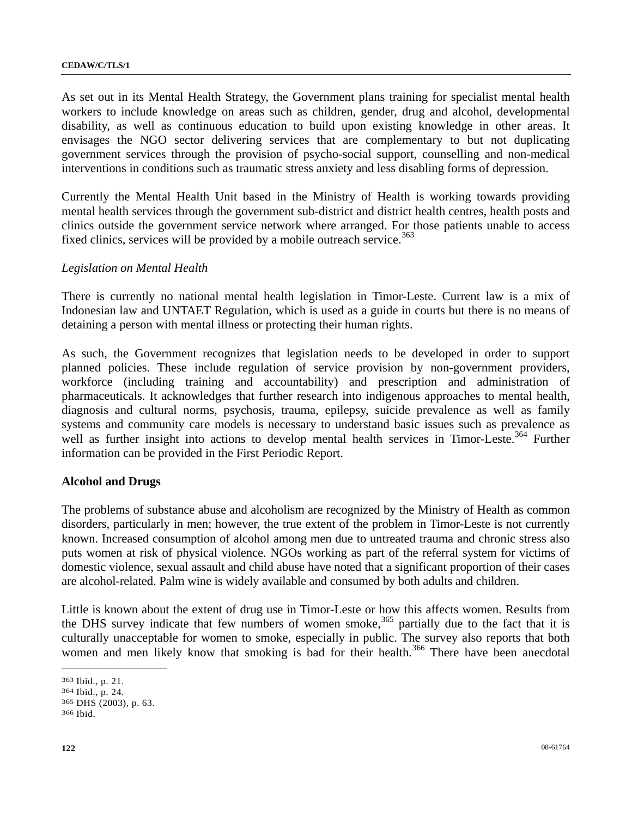As set out in its Mental Health Strategy, the Government plans training for specialist mental health workers to include knowledge on areas such as children, gender, drug and alcohol, developmental disability, as well as continuous education to build upon existing knowledge in other areas. It envisages the NGO sector delivering services that are complementary to but not duplicating government services through the provision of psycho-social support, counselling and non-medical interventions in conditions such as traumatic stress anxiety and less disabling forms of depression.

Currently the Mental Health Unit based in the Ministry of Health is working towards providing mental health services through the government sub-district and district health centres, health posts and clinics outside the government service network where arranged. For those patients unable to access fixed clinics, services will be provided by a mobile outreach service.<sup>[3](#page-121-0)63</sup>

# *Legislation on Mental Health*

There is currently no national mental health legislation in Timor-Leste. Current law is a mix of Indonesian law and UNTAET Regulation, which is used as a guide in courts but there is no means of detaining a person with mental illness or protecting their human rights.

As such, the Government recognizes that legislation needs to be developed in order to support planned policies. These include regulation of service provision by non-government providers, workforce (including training and accountability) and prescription and administration of pharmaceuticals. It acknowledges that further research into indigenous approaches to mental health, diagnosis and cultural norms, psychosis, trauma, epilepsy, suicide prevalence as well as family systems and community care models is necessary to understand basic issues such as prevalence as well as further insight into actions to develop mental health services in Timor-Leste.<sup>[3](#page-121-1)64</sup> Further information can be provided in the First Periodic Report.

### **Alcohol and Drugs**

The problems of substance abuse and alcoholism are recognized by the Ministry of Health as common disorders, particularly in men; however, the true extent of the problem in Timor-Leste is not currently known. Increased consumption of alcohol among men due to untreated trauma and chronic stress also puts women at risk of physical violence. NGOs working as part of the referral system for victims of domestic violence, sexual assault and child abuse have noted that a significant proportion of their cases are alcohol-related. Palm wine is widely available and consumed by both adults and children.

Little is known about the extent of drug use in Timor-Leste or how this affects women. Results from the DHS survey indicate that few numbers of women smoke,<sup>[36](#page-121-2)5</sup> partially due to the fact that it is culturally unacceptable for women to smoke, especially in public. The survey also reports that both women and men likely know that smoking is bad for their health.<sup>[36](#page-121-3)6</sup> There have been anecdotal

<span id="page-121-1"></span><span id="page-121-0"></span><sup>363</sup> Ibid., p. 21. 364 Ibid., p. 24. 365 DHS (2003), p. 63. 366 Ibid.

<span id="page-121-3"></span><span id="page-121-2"></span>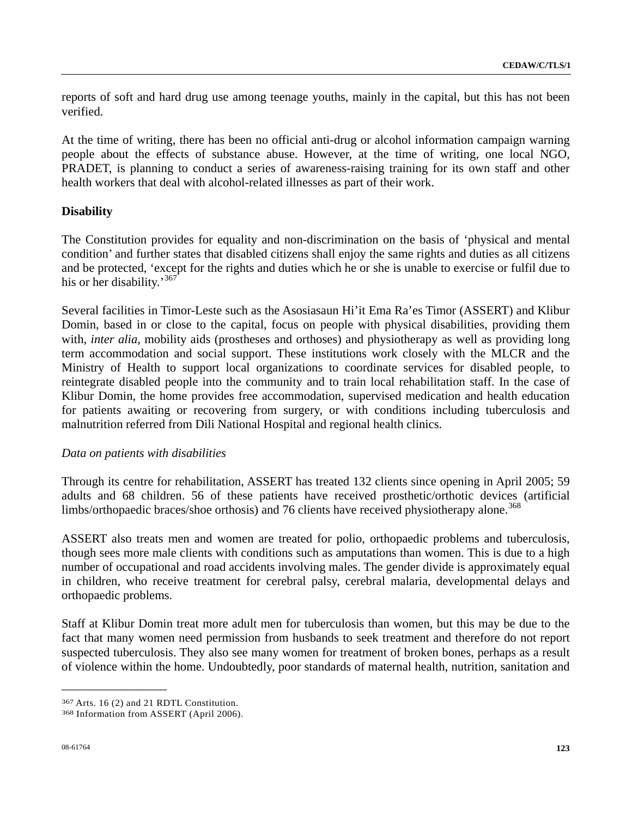reports of soft and hard drug use among teenage youths, mainly in the capital, but this has not been verified.

At the time of writing, there has been no official anti-drug or alcohol information campaign warning people about the effects of substance abuse. However, at the time of writing, one local NGO, PRADET, is planning to conduct a series of awareness-raising training for its own staff and other health workers that deal with alcohol-related illnesses as part of their work.

### **Disability**

The Constitution provides for equality and non-discrimination on the basis of 'physical and mental condition' and further states that disabled citizens shall enjoy the same rights and duties as all citizens and be protected, 'except for the rights and duties which he or she is unable to exercise or fulfil due to his or her disability.<sup>[36](#page-122-0)7</sup>

Several facilities in Timor-Leste such as the Asosiasaun Hi'it Ema Ra'es Timor (ASSERT) and Klibur Domin, based in or close to the capital, focus on people with physical disabilities, providing them with, *inter alia*, mobility aids (prostheses and orthoses) and physiotherapy as well as providing long term accommodation and social support. These institutions work closely with the MLCR and the Ministry of Health to support local organizations to coordinate services for disabled people, to reintegrate disabled people into the community and to train local rehabilitation staff. In the case of Klibur Domin, the home provides free accommodation, supervised medication and health education for patients awaiting or recovering from surgery, or with conditions including tuberculosis and malnutrition referred from Dili National Hospital and regional health clinics.

### *Data on patients with disabilities*

Through its centre for rehabilitation, ASSERT has treated 132 clients since opening in April 2005; 59 adults and 68 children. 56 of these patients have received prosthetic/orthotic devices (artificial limbs/orthopaedic braces/shoe orthosis) and 76 clients have received physiotherapy alone.<sup>[36](#page-122-1)8</sup>

ASSERT also treats men and women are treated for polio, orthopaedic problems and tuberculosis, though sees more male clients with conditions such as amputations than women. This is due to a high number of occupational and road accidents involving males. The gender divide is approximately equal in children, who receive treatment for cerebral palsy, cerebral malaria, developmental delays and orthopaedic problems.

Staff at Klibur Domin treat more adult men for tuberculosis than women, but this may be due to the fact that many women need permission from husbands to seek treatment and therefore do not report suspected tuberculosis. They also see many women for treatment of broken bones, perhaps as a result of violence within the home. Undoubtedly, poor standards of maternal health, nutrition, sanitation and

<span id="page-122-1"></span><span id="page-122-0"></span><sup>367</sup> Arts. 16 (2) and 21 RDTL Constitution. 368 Information from ASSERT (April 2006).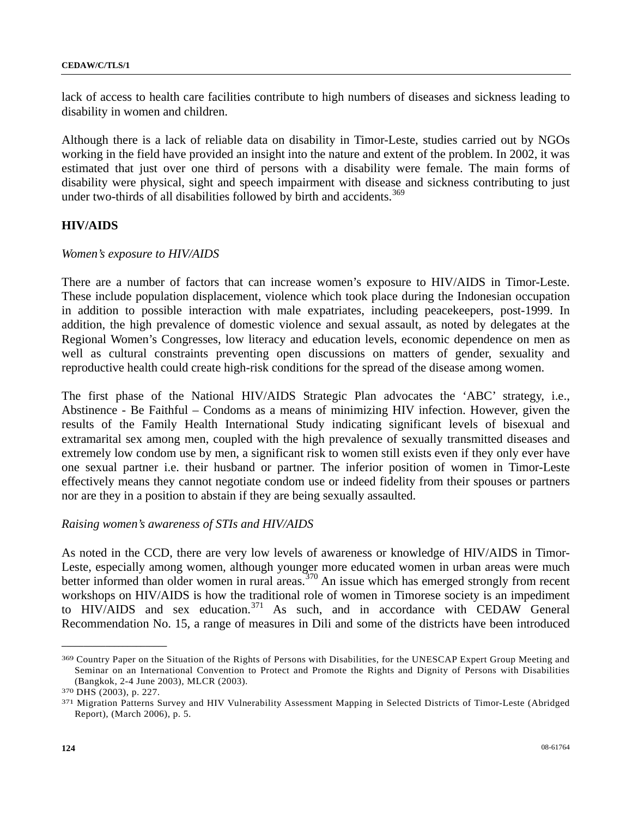lack of access to health care facilities contribute to high numbers of diseases and sickness leading to disability in women and children.

Although there is a lack of reliable data on disability in Timor-Leste, studies carried out by NGOs working in the field have provided an insight into the nature and extent of the problem. In 2002, it was estimated that just over one third of persons with a disability were female. The main forms of disability were physical, sight and speech impairment with disease and sickness contributing to just under two-thirds of all disabilities followed by birth and accidents.<sup>[3](#page-123-0)69</sup>

# **HIV/AIDS**

### *Women's exposure to HIV/AIDS*

There are a number of factors that can increase women's exposure to HIV/AIDS in Timor-Leste. These include population displacement, violence which took place during the Indonesian occupation in addition to possible interaction with male expatriates, including peacekeepers, post-1999. In addition, the high prevalence of domestic violence and sexual assault, as noted by delegates at the Regional Women's Congresses, low literacy and education levels, economic dependence on men as well as cultural constraints preventing open discussions on matters of gender, sexuality and reproductive health could create high-risk conditions for the spread of the disease among women.

The first phase of the National HIV/AIDS Strategic Plan advocates the 'ABC' strategy, i.e., Abstinence - Be Faithful – Condoms as a means of minimizing HIV infection. However, given the results of the Family Health International Study indicating significant levels of bisexual and extramarital sex among men, coupled with the high prevalence of sexually transmitted diseases and extremely low condom use by men, a significant risk to women still exists even if they only ever have one sexual partner i.e. their husband or partner. The inferior position of women in Timor-Leste effectively means they cannot negotiate condom use or indeed fidelity from their spouses or partners nor are they in a position to abstain if they are being sexually assaulted.

### *Raising women's awareness of STIs and HIV/AIDS*

As noted in the CCD, there are very low levels of awareness or knowledge of HIV/AIDS in Timor-Leste, especially among women, although younger more educated women in urban areas were much better informed than older women in rural areas.<sup>[3](#page-123-1)70</sup> An issue which has emerged strongly from recent workshops on HIV/AIDS is how the traditional role of women in Timorese society is an impediment to  $HIV/AIDS$  and sex education.<sup>[37](#page-123-2)1</sup> As such, and in accordance with CEDAW General Recommendation No. 15, a range of measures in Dili and some of the districts have been introduced

<span id="page-123-0"></span><sup>369</sup> Country Paper on the Situation of the Rights of Persons with Disabilities, for the UNESCAP Expert Group Meeting and Seminar on an International Convention to Protect and Promote the Rights and Dignity of Persons with Disabilities (Bangkok, 2-4 June 2003), MLCR (2003).<br><sup>370</sup> DHS (2003), p. 227.<br><sup>371</sup> Migration Patterns Survey and HIV Vulnerability Assessment Mapping in Selected Districts of Timor-Leste (Abridged

<span id="page-123-1"></span>

<span id="page-123-2"></span>Report), (March 2006), p. 5.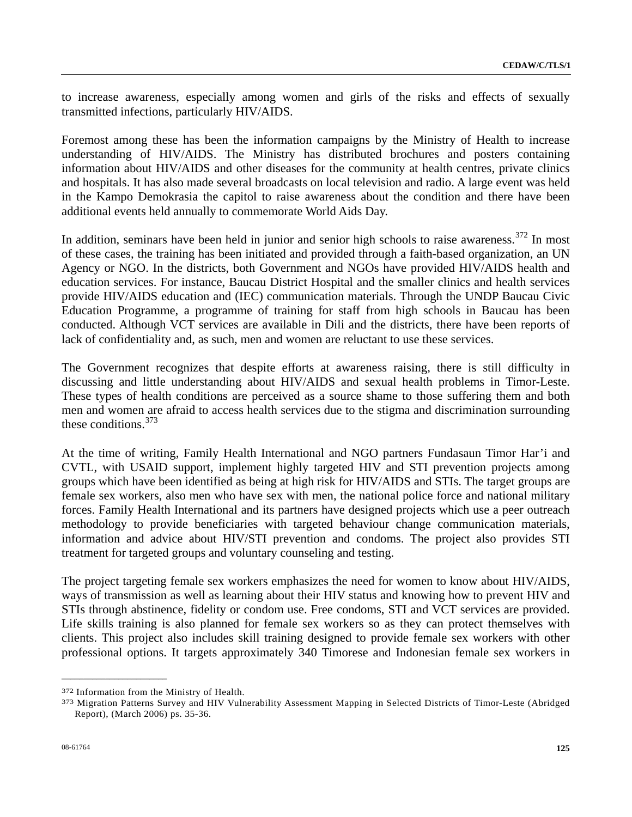to increase awareness, especially among women and girls of the risks and effects of sexually transmitted infections, particularly HIV/AIDS.

Foremost among these has been the information campaigns by the Ministry of Health to increase understanding of HIV/AIDS. The Ministry has distributed brochures and posters containing information about HIV/AIDS and other diseases for the community at health centres, private clinics and hospitals. It has also made several broadcasts on local television and radio. A large event was held in the Kampo Demokrasia the capitol to raise awareness about the condition and there have been additional events held annually to commemorate World Aids Day.

In addition, seminars have been held in junior and senior high schools to raise awareness.<sup>[37](#page-124-0)2</sup> In most of these cases, the training has been initiated and provided through a faith-based organization, an UN Agency or NGO. In the districts, both Government and NGOs have provided HIV/AIDS health and education services. For instance, Baucau District Hospital and the smaller clinics and health services provide HIV/AIDS education and (IEC) communication materials. Through the UNDP Baucau Civic Education Programme, a programme of training for staff from high schools in Baucau has been conducted. Although VCT services are available in Dili and the districts, there have been reports of lack of confidentiality and, as such, men and women are reluctant to use these services.

The Government recognizes that despite efforts at awareness raising, there is still difficulty in discussing and little understanding about HIV/AIDS and sexual health problems in Timor-Leste. These types of health conditions are perceived as a source shame to those suffering them and both men and women are afraid to access health services due to the stigma and discrimination surrounding these conditions.[37](#page-124-1)3

At the time of writing, Family Health International and NGO partners Fundasaun Timor Har'i and CVTL, with USAID support, implement highly targeted HIV and STI prevention projects among groups which have been identified as being at high risk for HIV/AIDS and STIs. The target groups are female sex workers, also men who have sex with men, the national police force and national military forces. Family Health International and its partners have designed projects which use a peer outreach methodology to provide beneficiaries with targeted behaviour change communication materials, information and advice about HIV/STI prevention and condoms. The project also provides STI treatment for targeted groups and voluntary counseling and testing.

The project targeting female sex workers emphasizes the need for women to know about HIV/AIDS, ways of transmission as well as learning about their HIV status and knowing how to prevent HIV and STIs through abstinence, fidelity or condom use. Free condoms, STI and VCT services are provided. Life skills training is also planned for female sex workers so as they can protect themselves with clients. This project also includes skill training designed to provide female sex workers with other professional options. It targets approximately 340 Timorese and Indonesian female sex workers in

<span id="page-124-1"></span><span id="page-124-0"></span><sup>372</sup> Information from the Ministry of Health.<br>373 Migration Patterns Survey and HIV Vulnerability Assessment Mapping in Selected Districts of Timor-Leste (Abridged Report), (March 2006) ps. 35-36.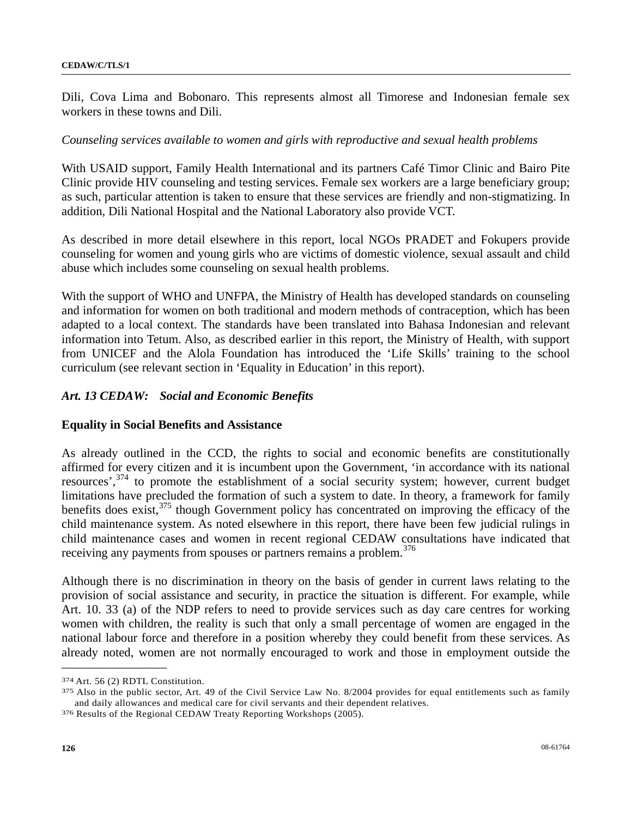Dili, Cova Lima and Bobonaro. This represents almost all Timorese and Indonesian female sex workers in these towns and Dili.

# *Counseling services available to women and girls with reproductive and sexual health problems*

With USAID support, Family Health International and its partners Café Timor Clinic and Bairo Pite Clinic provide HIV counseling and testing services. Female sex workers are a large beneficiary group; as such, particular attention is taken to ensure that these services are friendly and non-stigmatizing. In addition, Dili National Hospital and the National Laboratory also provide VCT.

As described in more detail elsewhere in this report, local NGOs PRADET and Fokupers provide counseling for women and young girls who are victims of domestic violence, sexual assault and child abuse which includes some counseling on sexual health problems.

With the support of WHO and UNFPA, the Ministry of Health has developed standards on counseling and information for women on both traditional and modern methods of contraception, which has been adapted to a local context. The standards have been translated into Bahasa Indonesian and relevant information into Tetum. Also, as described earlier in this report, the Ministry of Health, with support from UNICEF and the Alola Foundation has introduced the 'Life Skills' training to the school curriculum (see relevant section in 'Equality in Education' in this report).

# *Art. 13 CEDAW: Social and Economic Benefits*

### **Equality in Social Benefits and Assistance**

As already outlined in the CCD, the rights to social and economic benefits are constitutionally affirmed for every citizen and it is incumbent upon the Government, 'in accordance with its national resources',<sup>[37](#page-125-0)4</sup> to promote the establishment of a social security system; however, current budget limitations have precluded the formation of such a system to date. In theory, a framework for family benefits does exist, $3^{75}$  $3^{75}$  though Government policy has concentrated on improving the efficacy of the child maintenance system. As noted elsewhere in this report, there have been few judicial rulings in child maintenance cases and women in recent regional CEDAW consultations have indicated that receiving any payments from spouses or partners remains a problem.<sup>[37](#page-125-2)6</sup>

Although there is no discrimination in theory on the basis of gender in current laws relating to the provision of social assistance and security, in practice the situation is different. For example, while Art. 10. 33 (a) of the NDP refers to need to provide services such as day care centres for working women with children, the reality is such that only a small percentage of women are engaged in the national labour force and therefore in a position whereby they could benefit from these services. As already noted, women are not normally encouraged to work and those in employment outside the

<span id="page-125-1"></span><span id="page-125-0"></span> $374$  Art. 56 (2) RDTL Constitution.<br> $375$  Also in the public sector, Art. 49 of the Civil Service Law No. 8/2004 provides for equal entitlements such as family and daily allowances and medical care for civil servants and their dependent relatives. 376 Results of the Regional CEDAW Treaty Reporting Workshops (2005).

<span id="page-125-2"></span>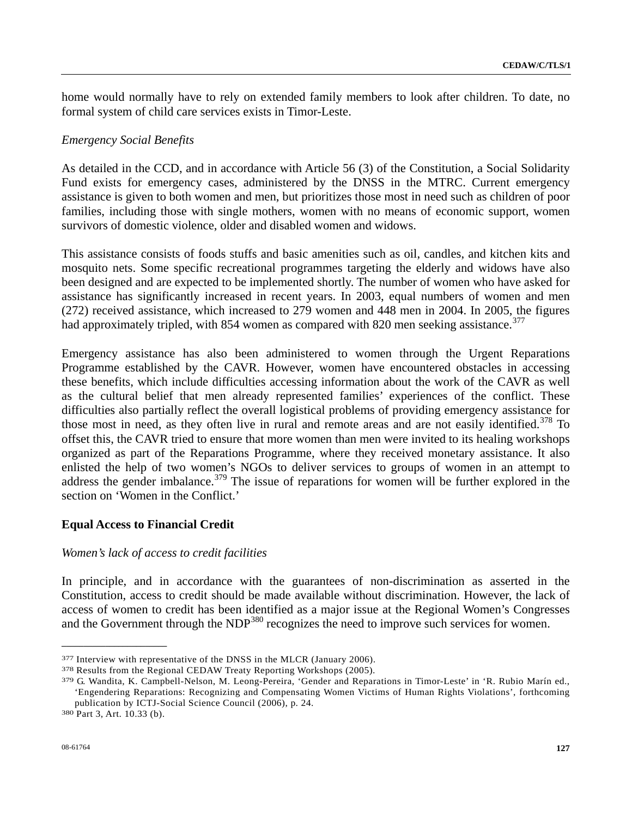home would normally have to rely on extended family members to look after children. To date, no formal system of child care services exists in Timor-Leste.

### *Emergency Social Benefits*

As detailed in the CCD, and in accordance with Article 56 (3) of the Constitution, a Social Solidarity Fund exists for emergency cases, administered by the DNSS in the MTRC. Current emergency assistance is given to both women and men, but prioritizes those most in need such as children of poor families, including those with single mothers, women with no means of economic support, women survivors of domestic violence, older and disabled women and widows.

This assistance consists of foods stuffs and basic amenities such as oil, candles, and kitchen kits and mosquito nets. Some specific recreational programmes targeting the elderly and widows have also been designed and are expected to be implemented shortly. The number of women who have asked for assistance has significantly increased in recent years. In 2003, equal numbers of women and men (272) received assistance, which increased to 279 women and 448 men in 2004. In 2005, the figures had approximately tripled, with 854 women as compared with 820 men seeking assistance.<sup>[37](#page-126-0)7</sup>

Emergency assistance has also been administered to women through the Urgent Reparations Programme established by the CAVR. However, women have encountered obstacles in accessing these benefits, which include difficulties accessing information about the work of the CAVR as well as the cultural belief that men already represented families' experiences of the conflict. These difficulties also partially reflect the overall logistical problems of providing emergency assistance for those most in need, as they often live in rural and remote areas and are not easily identified.<sup>[37](#page-126-1)8</sup> To offset this, the CAVR tried to ensure that more women than men were invited to its healing workshops organized as part of the Reparations Programme, where they received monetary assistance. It also enlisted the help of two women's NGOs to deliver services to groups of women in an attempt to address the gender imbalance.<sup>[37](#page-126-2)9</sup> The issue of reparations for women will be further explored in the section on 'Women in the Conflict.'

### **Equal Access to Financial Credit**

### *Women's lack of access to credit facilities*

In principle, and in accordance with the guarantees of non-discrimination as asserted in the Constitution, access to credit should be made available without discrimination. However, the lack of access of women to credit has been identified as a major issue at the Regional Women's Congresses and the Government through the  $NDP<sup>380</sup>$  $NDP<sup>380</sup>$  $NDP<sup>380</sup>$  recognizes the need to improve such services for women.

<span id="page-126-2"></span>

<span id="page-126-1"></span><span id="page-126-0"></span><sup>&</sup>lt;sup>377</sup> Interview with representative of the DNSS in the MLCR (January 2006).<br><sup>378</sup> Results from the Regional CEDAW Treaty Reporting Workshops (2005).<br><sup>379</sup> G. Wandita, K. Campbell-Nelson, M. Leong-Pereira, 'Gender and Repar 'Engendering Reparations: Recognizing and Compensating Women Victims of Human Rights Violations', forthcoming publication by ICTJ-Social Science Council (2006), p. 24. 380 Part 3, Art. 10.33 (b).

<span id="page-126-3"></span>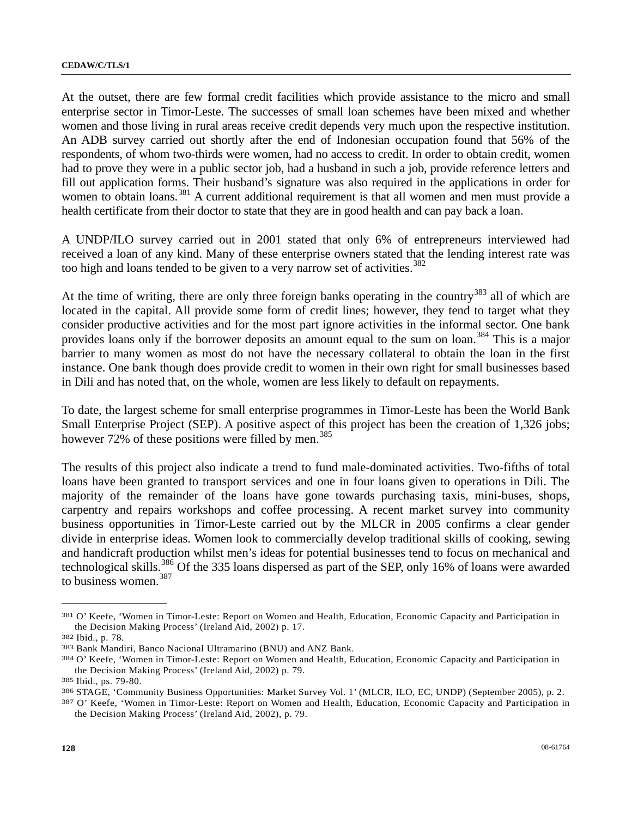At the outset, there are few formal credit facilities which provide assistance to the micro and small enterprise sector in Timor-Leste. The successes of small loan schemes have been mixed and whether women and those living in rural areas receive credit depends very much upon the respective institution. An ADB survey carried out shortly after the end of Indonesian occupation found that 56% of the respondents, of whom two-thirds were women, had no access to credit. In order to obtain credit, women had to prove they were in a public sector job, had a husband in such a job, provide reference letters and fill out application forms. Their husband's signature was also required in the applications in order for women to obtain loans.<sup>[38](#page-127-0)1</sup> A current additional requirement is that all women and men must provide a health certificate from their doctor to state that they are in good health and can pay back a loan.

A UNDP/ILO survey carried out in 2001 stated that only 6% of entrepreneurs interviewed had received a loan of any kind. Many of these enterprise owners stated that the lending interest rate was too high and loans tended to be given to a very narrow set of activities.<sup>[38](#page-127-1)2</sup>

At the time of writing, there are only three foreign banks operating in the country<sup>[38](#page-127-2)3</sup> all of which are located in the capital. All provide some form of credit lines; however, they tend to target what they consider productive activities and for the most part ignore activities in the informal sector. One bank provides loans only if the borrower deposits an amount equal to the sum on loan.<sup>[38](#page-127-3)4</sup> This is a major barrier to many women as most do not have the necessary collateral to obtain the loan in the first instance. One bank though does provide credit to women in their own right for small businesses based in Dili and has noted that, on the whole, women are less likely to default on repayments.

To date, the largest scheme for small enterprise programmes in Timor-Leste has been the World Bank Small Enterprise Project (SEP). A positive aspect of this project has been the creation of 1,326 jobs; however  $72\%$  of these positions were filled by men.<sup>[38](#page-127-4)5</sup>

The results of this project also indicate a trend to fund male-dominated activities. Two-fifths of total loans have been granted to transport services and one in four loans given to operations in Dili. The majority of the remainder of the loans have gone towards purchasing taxis, mini-buses, shops, carpentry and repairs workshops and coffee processing. A recent market survey into community business opportunities in Timor-Leste carried out by the MLCR in 2005 confirms a clear gender divide in enterprise ideas. Women look to commercially develop traditional skills of cooking, sewing and handicraft production whilst men's ideas for potential businesses tend to focus on mechanical and technological skills.<sup>[3](#page-127-5)86</sup> Of the 335 loans dispersed as part of the SEP, only 16% of loans were awarded to business women.<sup>[38](#page-127-6)7</sup>

<span id="page-127-0"></span><sup>381</sup> O' Keefe, 'Women in Timor-Leste: Report on Women and Health, Education, Economic Capacity and Participation in the Decision Making Process' (Ireland Aid, 2002) p. 17.<br>
382 Ibid., p. 78.<br>
383 Bank Mandiri, Banco Nacional Ultramarino (BNU) and ANZ Bank.<br>
384 O' Keefe, 'Women in Timor-Leste: Report on Women and Health, Education, Econ

<span id="page-127-1"></span>

<span id="page-127-2"></span>

<span id="page-127-3"></span>the Decision Making Process' (Ireland Aid, 2002) p. 79.<br>
385 Ibid., ps. 79-80.<br>
386 STAGE, 'Community Business Opportunities: Market Survey Vol. 1' (MLCR, ILO, EC, UNDP) (September 2005), p. 2.<br>
387 O' Keefe, 'Women in Tim

<span id="page-127-4"></span>

<span id="page-127-5"></span>

<span id="page-127-6"></span>the Decision Making Process' (Ireland Aid, 2002), p. 79.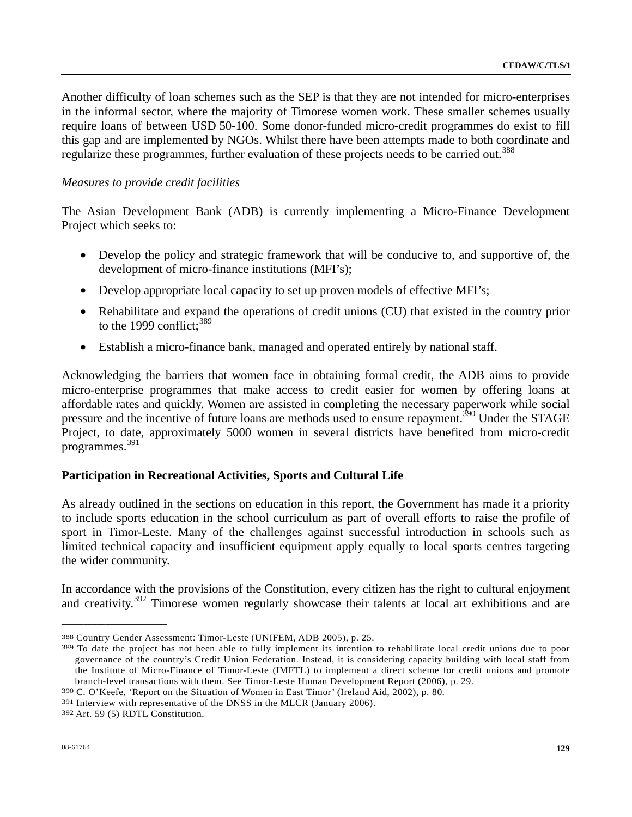Another difficulty of loan schemes such as the SEP is that they are not intended for micro-enterprises in the informal sector, where the majority of Timorese women work. These smaller schemes usually require loans of between USD 50-100. Some donor-funded micro-credit programmes do exist to fill this gap and are implemented by NGOs. Whilst there have been attempts made to both coordinate and regularize these programmes, further evaluation of these projects needs to be carried out.<sup>[38](#page-128-0)8</sup>

### *Measures to provide credit facilities*

The Asian Development Bank (ADB) is currently implementing a Micro-Finance Development Project which seeks to:

- Develop the policy and strategic framework that will be conducive to, and supportive of, the development of micro-finance institutions (MFI's);
- Develop appropriate local capacity to set up proven models of effective MFI's;
- Rehabilitate and expand the operations of credit unions (CU) that existed in the country prior to the 1999 conflict;  $389$  $389$
- Establish a micro-finance bank, managed and operated entirely by national staff.

Acknowledging the barriers that women face in obtaining formal credit, the ADB aims to provide micro-enterprise programmes that make access to credit easier for women by offering loans at affordable rates and quickly. Women are assisted in completing the necessary paperwork while social pressure and the incentive of future loans are methods used to ensure repayment.<sup>[39](#page-128-2)0</sup> Under the STAGE Project, to date, approximately 5000 women in several districts have benefited from micro-credit programmes.[3](#page-128-3)91

# **Participation in Recreational Activities, Sports and Cultural Life**

As already outlined in the sections on education in this report, the Government has made it a priority to include sports education in the school curriculum as part of overall efforts to raise the profile of sport in Timor-Leste. Many of the challenges against successful introduction in schools such as limited technical capacity and insufficient equipment apply equally to local sports centres targeting the wider community.

In accordance with the provisions of the Constitution, every citizen has the right to cultural enjoyment and creativity.<sup>[39](#page-128-4)2</sup> Timorese women regularly showcase their talents at local art exhibitions and are

<span id="page-128-1"></span><span id="page-128-0"></span><sup>&</sup>lt;sup>388</sup> Country Gender Assessment: Timor-Leste (UNIFEM, ADB 2005), p. 25.<br><sup>389</sup> To date the project has not been able to fully implement its intention to rehabilitate local credit unions due to poor governance of the country's Credit Union Federation. Instead, it is considering capacity building with local staff from the Institute of Micro-Finance of Timor-Leste (IMFTL) to implement a direct scheme for credit unions and promote branch-level transactions with them. See Timor-Leste Human Development Report (2006), p. 29.<br><sup>390</sup> C. O'Keefe, 'Report on the Situation of Women in East Timor' (Ireland Aid, 2002), p. 80.<br><sup>391</sup> Interview with representativ

<span id="page-128-2"></span>

<span id="page-128-3"></span>

<span id="page-128-4"></span>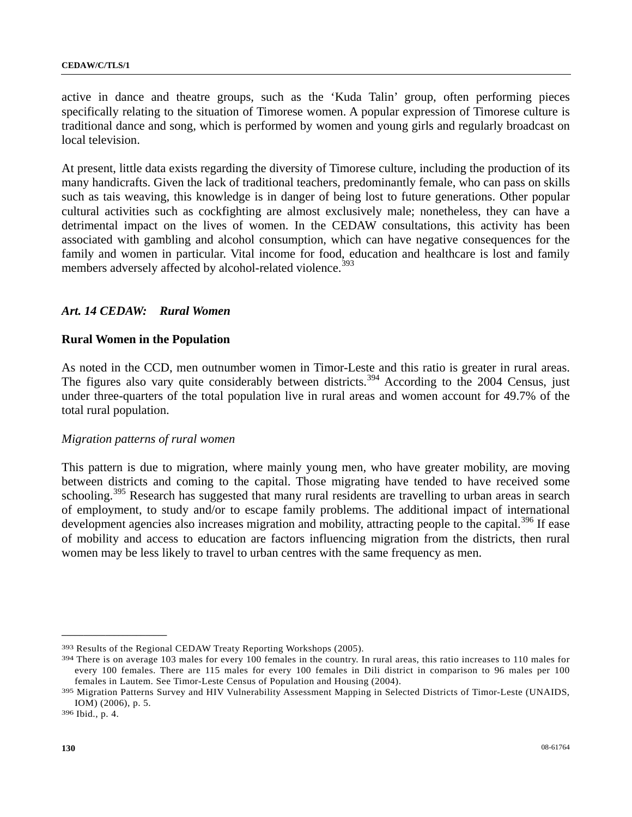active in dance and theatre groups, such as the 'Kuda Talin' group, often performing pieces specifically relating to the situation of Timorese women. A popular expression of Timorese culture is traditional dance and song, which is performed by women and young girls and regularly broadcast on local television.

At present, little data exists regarding the diversity of Timorese culture, including the production of its many handicrafts. Given the lack of traditional teachers, predominantly female, who can pass on skills such as tais weaving, this knowledge is in danger of being lost to future generations. Other popular cultural activities such as cockfighting are almost exclusively male; nonetheless, they can have a detrimental impact on the lives of women. In the CEDAW consultations, this activity has been associated with gambling and alcohol consumption, which can have negative consequences for the family and women in particular. Vital income for food, education and healthcare is lost and family members adversely affected by alcohol-related violence.<sup>[3](#page-129-0)93</sup>

# *Art. 14 CEDAW: Rural Women*

### **Rural Women in the Population**

As noted in the CCD, men outnumber women in Timor-Leste and this ratio is greater in rural areas. The figures also vary quite considerably between districts.<sup>[39](#page-129-1)4</sup> According to the 2004 Census, just under three-quarters of the total population live in rural areas and women account for 49.7% of the total rural population.

#### *Migration patterns of rural women*

This pattern is due to migration, where mainly young men, who have greater mobility, are moving between districts and coming to the capital. Those migrating have tended to have received some schooling.<sup>[39](#page-129-2)5</sup> Research has suggested that many rural residents are travelling to urban areas in search of employment, to study and/or to escape family problems. The additional impact of international development agencies also increases migration and mobility, attracting people to the capital.<sup>[3](#page-129-3)96</sup> If ease of mobility and access to education are factors influencing migration from the districts, then rural women may be less likely to travel to urban centres with the same frequency as men.

<span id="page-129-1"></span><span id="page-129-0"></span>

<sup>&</sup>lt;sup>393</sup> Results of the Regional CEDAW Treaty Reporting Workshops (2005).<br><sup>394</sup> There is on average 103 males for every 100 females in the country. In rural areas, this ratio increases to 110 males for every 100 females. There are 115 males for every 100 females in Dili district in comparison to 96 males per 100 females in Lautem. See Timor-Leste Census of Population and Housing (2004). 395 Migration Patterns Survey and HIV Vulnerability Assessment Mapping in Selected Districts of Timor-Leste (UNAIDS,

<span id="page-129-2"></span>IOM) (2006), p. 5. 396 Ibid., p. 4.

<span id="page-129-3"></span>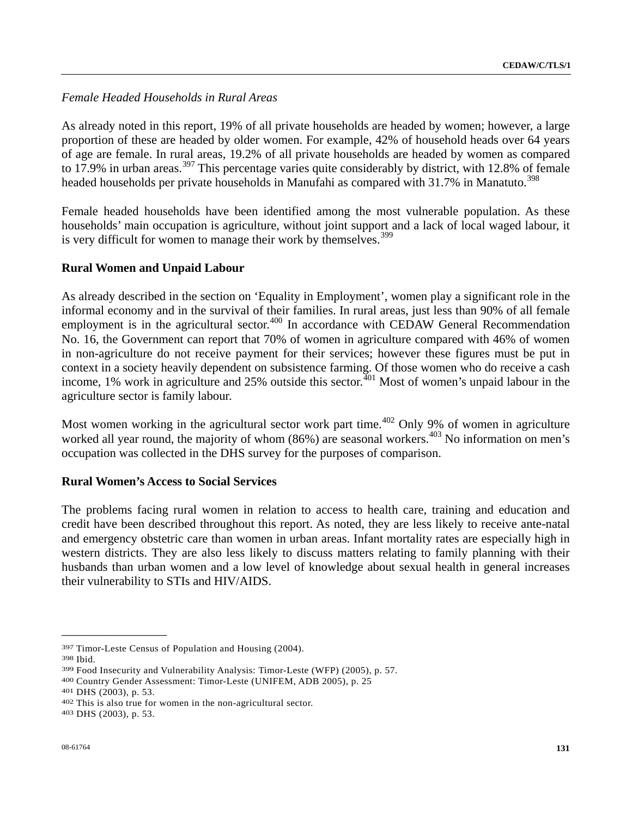# *Female Headed Households in Rural Areas*

As already noted in this report, 19% of all private households are headed by women; however, a large proportion of these are headed by older women. For example, 42% of household heads over 64 years of age are female. In rural areas, 19.2% of all private households are headed by women as compared to 17.9% in urban areas.<sup>[39](#page-130-0)7</sup> This percentage varies quite considerably by district, with 12.8% of female headed households per private households in Manufahi as compared with  $31.7\%$  in Manatuto.<sup>[39](#page-130-1)8</sup>

Female headed households have been identified among the most vulnerable population. As these households' main occupation is agriculture, without joint support and a lack of local waged labour, it is very difficult for women to manage their work by themselves.<sup>[39](#page-130-2)9</sup>

# **Rural Women and Unpaid Labour**

As already described in the section on 'Equality in Employment', women play a significant role in the informal economy and in the survival of their families. In rural areas, just less than 90% of all female employment is in the agricultural sector.<sup> $400$  $400$ </sup> In accordance with CEDAW General Recommendation No. 16, the Government can report that 70% of women in agriculture compared with 46% of women in non-agriculture do not receive payment for their services; however these figures must be put in context in a society heavily dependent on subsistence farming. Of those women who do receive a cash income, 1% work in agriculture and 25% outside this sector.<sup> $401$  $401$ </sup> Most of women's unpaid labour in the agriculture sector is family labour.

Most women working in the agricultural sector work part time.<sup> $402$  $402$ </sup> Only 9% of women in agriculture worked all year round, the majority of whom (86%) are seasonal workers.<sup>[4](#page-130-6)03</sup> No information on men's occupation was collected in the DHS survey for the purposes of comparison.

### **Rural Women's Access to Social Services**

The problems facing rural women in relation to access to health care, training and education and credit have been described throughout this report. As noted, they are less likely to receive ante-natal and emergency obstetric care than women in urban areas. Infant mortality rates are especially high in western districts. They are also less likely to discuss matters relating to family planning with their husbands than urban women and a low level of knowledge about sexual health in general increases their vulnerability to STIs and HIV/AIDS.

<span id="page-130-1"></span><span id="page-130-0"></span><sup>&</sup>lt;sup>397</sup> Timor-Leste Census of Population and Housing (2004).<br><sup>398</sup> Ibid.<br><sup>399</sup> Food Insecurity and Vulnerability Analysis: Timor-Leste (WFP) (2005), p. 57.<br><sup>400</sup> Country Gender Assessment: Timor-Leste (UNIFEM, ADB 2005), p.

<span id="page-130-3"></span><span id="page-130-2"></span>

<span id="page-130-4"></span>

<span id="page-130-5"></span>

<span id="page-130-6"></span>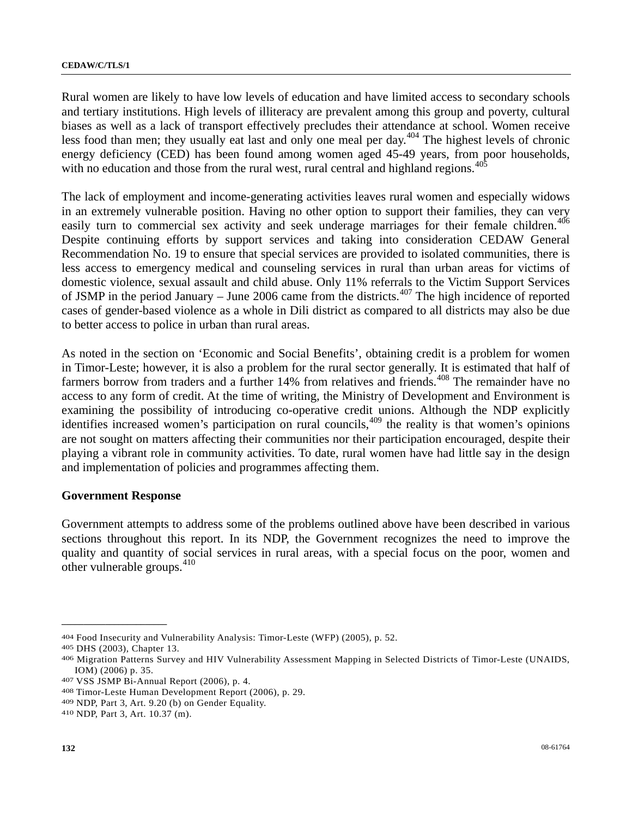Rural women are likely to have low levels of education and have limited access to secondary schools and tertiary institutions. High levels of illiteracy are prevalent among this group and poverty, cultural biases as well as a lack of transport effectively precludes their attendance at school. Women receive less food than men; they usually eat last and only one meal per day.<sup>[4](#page-131-0)04</sup> The highest levels of chronic energy deficiency (CED) has been found among women aged 45-49 years, from poor households, with no education and those from the rural west, rural central and highland regions.<sup>[40](#page-131-1)5</sup>

The lack of employment and income-generating activities leaves rural women and especially widows in an extremely vulnerable position. Having no other option to support their families, they can very easily turn to commercial sex activity and seek underage marriages for their female children.<sup>[4](#page-131-2)06</sup> Despite continuing efforts by support services and taking into consideration CEDAW General Recommendation No. 19 to ensure that special services are provided to isolated communities, there is less access to emergency medical and counseling services in rural than urban areas for victims of domestic violence, sexual assault and child abuse. Only 11% referrals to the Victim Support Services of JSMP in the period January – June 2006 came from the districts.<sup>[40](#page-131-3)7</sup> The high incidence of reported cases of gender-based violence as a whole in Dili district as compared to all districts may also be due to better access to police in urban than rural areas.

As noted in the section on 'Economic and Social Benefits', obtaining credit is a problem for women in Timor-Leste; however, it is also a problem for the rural sector generally. It is estimated that half of farmers borrow from traders and a further 14% from relatives and friends.<sup>[40](#page-131-4)8</sup> The remainder have no access to any form of credit. At the time of writing, the Ministry of Development and Environment is examining the possibility of introducing co-operative credit unions. Although the NDP explicitly identifies increased women's participation on rural councils,<sup>[4](#page-131-5)09</sup> the reality is that women's opinions are not sought on matters affecting their communities nor their participation encouraged, despite their playing a vibrant role in community activities. To date, rural women have had little say in the design and implementation of policies and programmes affecting them.

#### **Government Response**

Government attempts to address some of the problems outlined above have been described in various sections throughout this report. In its NDP, the Government recognizes the need to improve the quality and quantity of social services in rural areas, with a special focus on the poor, women and other vulnerable groups. $410$  $410$ 

<span id="page-131-2"></span>

<span id="page-131-1"></span><span id="page-131-0"></span><sup>&</sup>lt;sup>404</sup> Food Insecurity and Vulnerability Analysis: Timor-Leste (WFP) (2005), p. 52.<br><sup>405</sup> DHS (2003), Chapter 13.<br><sup>406</sup> Migration Patterns Survey and HIV Vulnerability Assessment Mapping in Selected Districts of Timor-Leste IOM) (2006) p. 35.<br>
407 VSS JSMP Bi-Annual Report (2006), p. 4.<br>
408 Timor-Leste Human Development Report (2006), p. 29.<br>
409 NDP, Part 3, Art. 9.20 (b) on Gender Equality.<br>
410 NDP, Part 3, Art. 10.37 (m).

<span id="page-131-3"></span>

<span id="page-131-4"></span>

<span id="page-131-5"></span>

<span id="page-131-6"></span>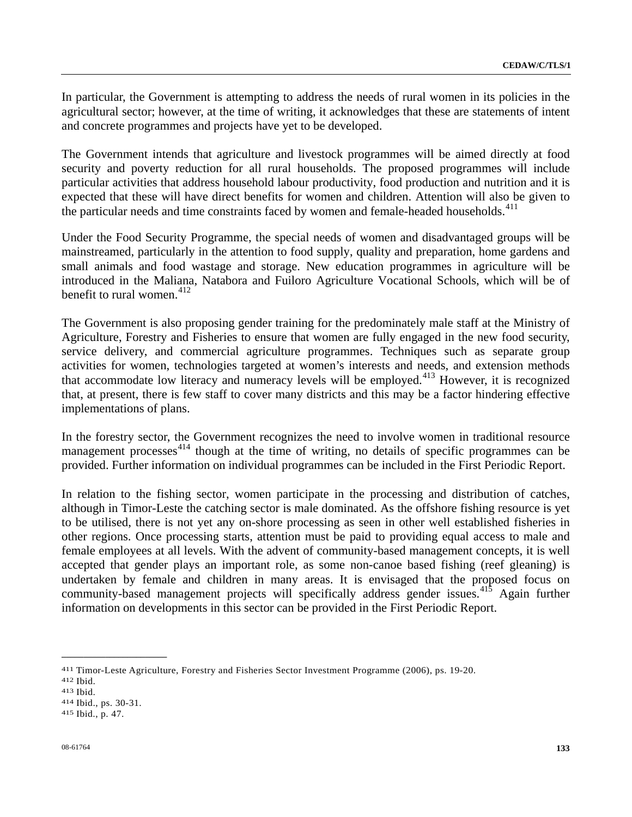In particular, the Government is attempting to address the needs of rural women in its policies in the agricultural sector; however, at the time of writing, it acknowledges that these are statements of intent and concrete programmes and projects have yet to be developed.

The Government intends that agriculture and livestock programmes will be aimed directly at food security and poverty reduction for all rural households. The proposed programmes will include particular activities that address household labour productivity, food production and nutrition and it is expected that these will have direct benefits for women and children. Attention will also be given to the particular needs and time constraints faced by women and female-headed households.<sup>[4](#page-132-0)11</sup>

Under the Food Security Programme, the special needs of women and disadvantaged groups will be mainstreamed, particularly in the attention to food supply, quality and preparation, home gardens and small animals and food wastage and storage. New education programmes in agriculture will be introduced in the Maliana, Natabora and Fuiloro Agriculture Vocational Schools, which will be of benefit to rural women.  $412$  $412$ 

The Government is also proposing gender training for the predominately male staff at the Ministry of Agriculture, Forestry and Fisheries to ensure that women are fully engaged in the new food security, service delivery, and commercial agriculture programmes. Techniques such as separate group activities for women, technologies targeted at women's interests and needs, and extension methods that accommodate low literacy and numeracy levels will be employed.<sup>[41](#page-132-2)3</sup> However, it is recognized that, at present, there is few staff to cover many districts and this may be a factor hindering effective implementations of plans.

In the forestry sector, the Government recognizes the need to involve women in traditional resource management processes<sup> $414$  $414$ </sup> though at the time of writing, no details of specific programmes can be provided. Further information on individual programmes can be included in the First Periodic Report.

In relation to the fishing sector, women participate in the processing and distribution of catches, although in Timor-Leste the catching sector is male dominated. As the offshore fishing resource is yet to be utilised, there is not yet any on-shore processing as seen in other well established fisheries in other regions. Once processing starts, attention must be paid to providing equal access to male and female employees at all levels. With the advent of community-based management concepts, it is well accepted that gender plays an important role, as some non-canoe based fishing (reef gleaning) is undertaken by female and children in many areas. It is envisaged that the proposed focus on community-based management projects will specifically address gender issues.<sup>[4](#page-132-4)15</sup> Again further information on developments in this sector can be provided in the First Periodic Report.

<span id="page-132-1"></span><span id="page-132-0"></span><sup>411</sup> Timor-Leste Agriculture, Forestry and Fisheries Sector Investment Programme (2006), ps. 19-20.<br>412 Ibid. 413 Ibid. 413 Ibid., ps. 30-31.<br><sup>414</sup> Ibid., p. 47.

<span id="page-132-2"></span>

<span id="page-132-3"></span>

<span id="page-132-4"></span>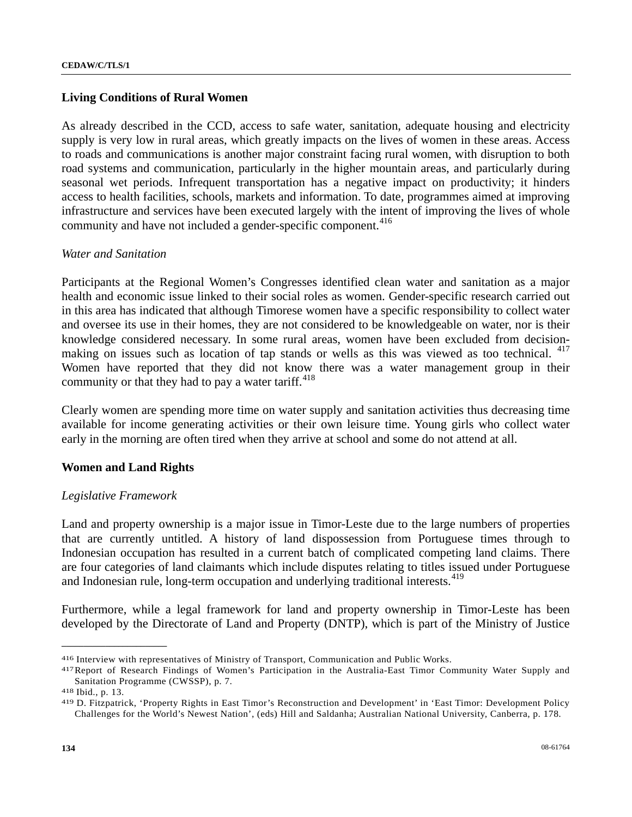## **Living Conditions of Rural Women**

As already described in the CCD, access to safe water, sanitation, adequate housing and electricity supply is very low in rural areas, which greatly impacts on the lives of women in these areas. Access to roads and communications is another major constraint facing rural women, with disruption to both road systems and communication, particularly in the higher mountain areas, and particularly during seasonal wet periods. Infrequent transportation has a negative impact on productivity; it hinders access to health facilities, schools, markets and information. To date, programmes aimed at improving infrastructure and services have been executed largely with the intent of improving the lives of whole community and have not included a gender-specific component.<sup>[41](#page-133-0)6</sup>

### *Water and Sanitation*

Participants at the Regional Women's Congresses identified clean water and sanitation as a major health and economic issue linked to their social roles as women. Gender-specific research carried out in this area has indicated that although Timorese women have a specific responsibility to collect water and oversee its use in their homes, they are not considered to be knowledgeable on water, nor is their knowledge considered necessary. In some rural areas, women have been excluded from decision-making on issues such as location of tap stands or wells as this was viewed as too technical. <sup>[4](#page-133-1)17</sup> Women have reported that they did not know there was a water management group in their community or that they had to pay a water tariff. $418$  $418$ 

Clearly women are spending more time on water supply and sanitation activities thus decreasing time available for income generating activities or their own leisure time. Young girls who collect water early in the morning are often tired when they arrive at school and some do not attend at all.

### **Women and Land Rights**

### *Legislative Framework*

Land and property ownership is a major issue in Timor-Leste due to the large numbers of properties that are currently untitled. A history of land dispossession from Portuguese times through to Indonesian occupation has resulted in a current batch of complicated competing land claims. There are four categories of land claimants which include disputes relating to titles issued under Portuguese and Indonesian rule, long-term occupation and underlying traditional interests.<sup>[41](#page-133-3)9</sup>

Furthermore, while a legal framework for land and property ownership in Timor-Leste has been developed by the Directorate of Land and Property (DNTP), which is part of the Ministry of Justice

<span id="page-133-1"></span><span id="page-133-0"></span><sup>416</sup> Interview with representatives of Ministry of Transport, Communication and Public Works.<br>417 Report of Research Findings of Women's Participation in the Australia-East Timor Community Water Supply and<br>Sanitation Progra

<span id="page-133-3"></span><span id="page-133-2"></span><sup>418</sup> Ibid., p. 13.<br><sup>419</sup> D. Fitzpatrick, 'Property Rights in East Timor's Reconstruction and Development' in 'East Timor: Development Policy Challenges for the World's Newest Nation', (eds) Hill and Saldanha; Australian National University, Canberra, p. 178.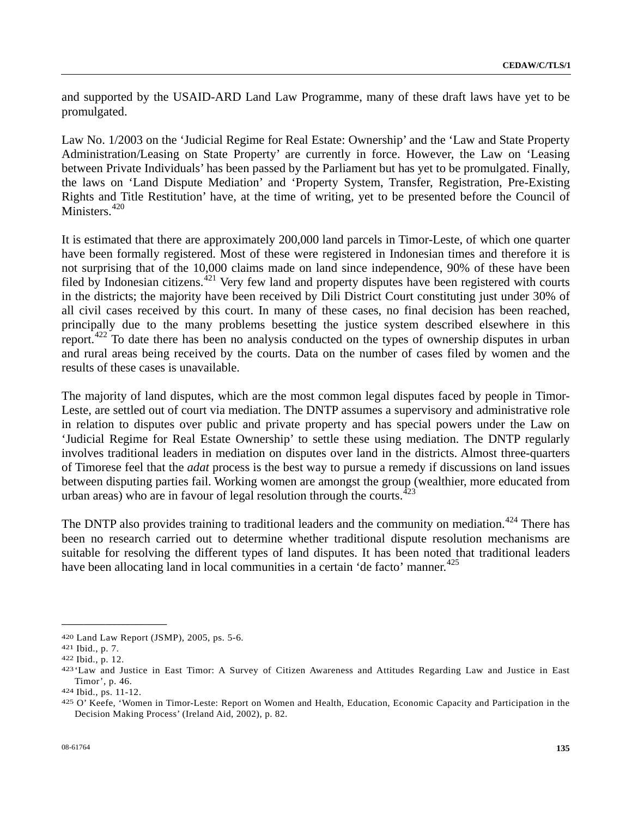and supported by the USAID-ARD Land Law Programme, many of these draft laws have yet to be promulgated.

Law No. 1/2003 on the 'Judicial Regime for Real Estate: Ownership' and the 'Law and State Property Administration/Leasing on State Property' are currently in force. However, the Law on 'Leasing between Private Individuals' has been passed by the Parliament but has yet to be promulgated. Finally, the laws on 'Land Dispute Mediation' and 'Property System, Transfer, Registration, Pre-Existing Rights and Title Restitution' have, at the time of writing, yet to be presented before the Council of Ministers.<sup>[42](#page-134-0)0</sup>

It is estimated that there are approximately 200,000 land parcels in Timor-Leste, of which one quarter have been formally registered. Most of these were registered in Indonesian times and therefore it is not surprising that of the 10,000 claims made on land since independence, 90% of these have been filed by Indonesian citizens.<sup>[42](#page-134-1)1</sup> Very few land and property disputes have been registered with courts in the districts; the majority have been received by Dili District Court constituting just under 30% of all civil cases received by this court. In many of these cases, no final decision has been reached, principally due to the many problems besetting the justice system described elsewhere in this report.[42](#page-134-2)2 To date there has been no analysis conducted on the types of ownership disputes in urban and rural areas being received by the courts. Data on the number of cases filed by women and the results of these cases is unavailable.

The majority of land disputes, which are the most common legal disputes faced by people in Timor-Leste, are settled out of court via mediation. The DNTP assumes a supervisory and administrative role in relation to disputes over public and private property and has special powers under the Law on 'Judicial Regime for Real Estate Ownership' to settle these using mediation. The DNTP regularly involves traditional leaders in mediation on disputes over land in the districts. Almost three-quarters of Timorese feel that the *adat* process is the best way to pursue a remedy if discussions on land issues between disputing parties fail. Working women are amongst the group (wealthier, more educated from urban areas) who are in favour of legal resolution through the courts. $423$  $423$ 

The DNTP also provides training to traditional leaders and the community on mediation.<sup>[42](#page-134-4)4</sup> There has been no research carried out to determine whether traditional dispute resolution mechanisms are suitable for resolving the different types of land disputes. It has been noted that traditional leaders have been allocating land in local communities in a certain 'de facto' manner.<sup>[4](#page-134-5)25</sup>

<span id="page-134-1"></span>

<span id="page-134-3"></span><span id="page-134-2"></span>

<span id="page-134-0"></span><sup>420</sup> Land Law Report (JSMP), 2005, ps. 5-6.<br>421 Ibid., p. 7.<br>422 Ibid., p. 12. 423 'Law and Justice in East Timor: A Survey of Citizen Awareness and Attitudes Regarding Law and Justice in East Timor', p. 46.<br>424 Ibid., ps. 11-12.<br>425 O' Keefe, 'Women in Timor-Leste: Report on Women and Health, Education, Economic Capacity and Participation in the

<span id="page-134-4"></span>

<span id="page-134-5"></span>Decision Making Process' (Ireland Aid, 2002), p. 82.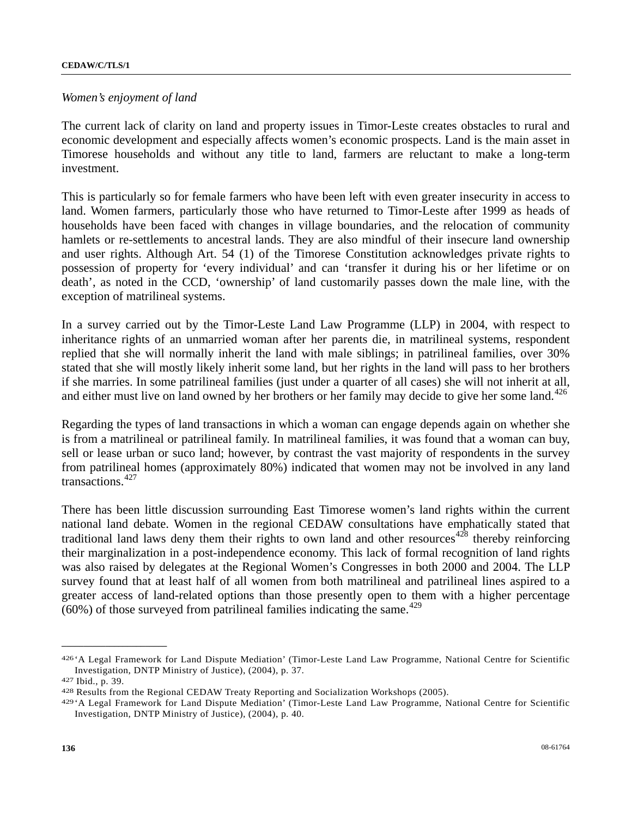#### *Women's enjoyment of land*

The current lack of clarity on land and property issues in Timor-Leste creates obstacles to rural and economic development and especially affects women's economic prospects. Land is the main asset in Timorese households and without any title to land, farmers are reluctant to make a long-term investment.

This is particularly so for female farmers who have been left with even greater insecurity in access to land. Women farmers, particularly those who have returned to Timor-Leste after 1999 as heads of households have been faced with changes in village boundaries, and the relocation of community hamlets or re-settlements to ancestral lands. They are also mindful of their insecure land ownership and user rights. Although Art. 54 (1) of the Timorese Constitution acknowledges private rights to possession of property for 'every individual' and can 'transfer it during his or her lifetime or on death', as noted in the CCD, 'ownership' of land customarily passes down the male line, with the exception of matrilineal systems.

In a survey carried out by the Timor-Leste Land Law Programme (LLP) in 2004, with respect to inheritance rights of an unmarried woman after her parents die, in matrilineal systems, respondent replied that she will normally inherit the land with male siblings; in patrilineal families, over 30% stated that she will mostly likely inherit some land, but her rights in the land will pass to her brothers if she marries. In some patrilineal families (just under a quarter of all cases) she will not inherit at all, and either must live on land owned by her brothers or her family may decide to give her some land.<sup>[42](#page-135-0)6</sup>

Regarding the types of land transactions in which a woman can engage depends again on whether she is from a matrilineal or patrilineal family. In matrilineal families, it was found that a woman can buy, sell or lease urban or suco land; however, by contrast the vast majority of respondents in the survey from patrilineal homes (approximately 80%) indicated that women may not be involved in any land transactions.<sup>[42](#page-135-1)7</sup>

There has been little discussion surrounding East Timorese women's land rights within the current national land debate. Women in the regional CEDAW consultations have emphatically stated that traditional land laws deny them their rights to own land and other resources<sup>[42](#page-135-2)8</sup> thereby reinforcing their marginalization in a post-independence economy. This lack of formal recognition of land rights was also raised by delegates at the Regional Women's Congresses in both 2000 and 2004. The LLP survey found that at least half of all women from both matrilineal and patrilineal lines aspired to a greater access of land-related options than those presently open to them with a higher percentage  $(60\%)$  of those surveyed from patrilineal families indicating the same.<sup>[42](#page-135-3)9</sup>

<span id="page-135-0"></span><sup>426 &#</sup>x27;A Legal Framework for Land Dispute Mediation' (Timor-Leste Land Law Programme, National Centre for Scientific Investigation, DNTP Ministry of Justice), (2004), p. 37.<br>
427 Ibid., p. 39.<br>
428 Results from the Regional CEDAW Treaty Reporting and Socialization Workshops (2005).<br>
429 A Legal Framework for Land Dispute Mediation' (Timo

<span id="page-135-1"></span>

<span id="page-135-3"></span><span id="page-135-2"></span>

Investigation, DNTP Ministry of Justice), (2004), p. 40.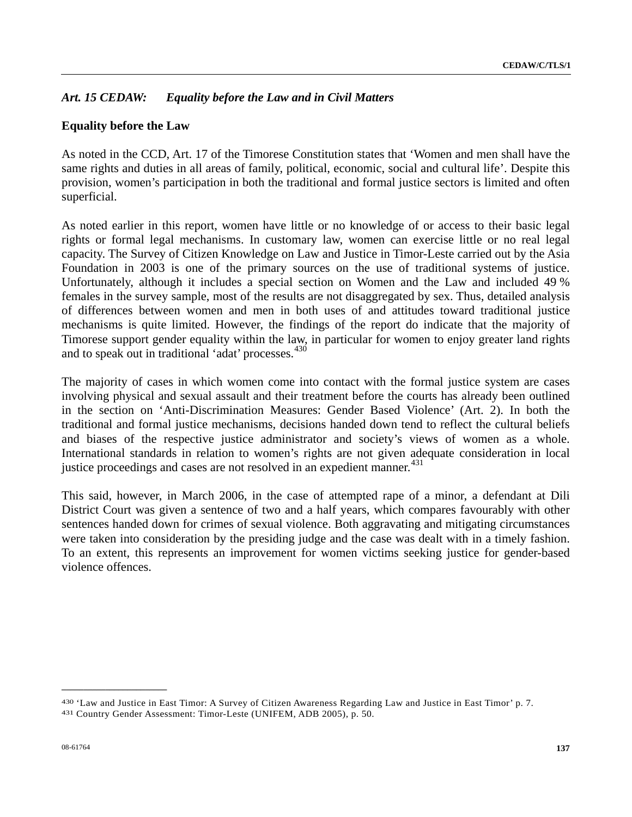# *Art. 15 CEDAW: Equality before the Law and in Civil Matters*

# **Equality before the Law**

As noted in the CCD, Art. 17 of the Timorese Constitution states that 'Women and men shall have the same rights and duties in all areas of family, political, economic, social and cultural life'. Despite this provision, women's participation in both the traditional and formal justice sectors is limited and often superficial.

As noted earlier in this report, women have little or no knowledge of or access to their basic legal rights or formal legal mechanisms. In customary law, women can exercise little or no real legal capacity. The Survey of Citizen Knowledge on Law and Justice in Timor-Leste carried out by the Asia Foundation in 2003 is one of the primary sources on the use of traditional systems of justice. Unfortunately, although it includes a special section on Women and the Law and included 49 % females in the survey sample, most of the results are not disaggregated by sex. Thus, detailed analysis of differences between women and men in both uses of and attitudes toward traditional justice mechanisms is quite limited. However, the findings of the report do indicate that the majority of Timorese support gender equality within the law, in particular for women to enjoy greater land rights and to speak out in traditional 'adat' processes.<sup>[4](#page-136-0)30</sup>

The majority of cases in which women come into contact with the formal justice system are cases involving physical and sexual assault and their treatment before the courts has already been outlined in the section on 'Anti-Discrimination Measures: Gender Based Violence' (Art. 2). In both the traditional and formal justice mechanisms, decisions handed down tend to reflect the cultural beliefs and biases of the respective justice administrator and society's views of women as a whole. International standards in relation to women's rights are not given adequate consideration in local justice proceedings and cases are not resolved in an expedient manner.<sup>[4](#page-136-1)31</sup>

This said, however, in March 2006, in the case of attempted rape of a minor, a defendant at Dili District Court was given a sentence of two and a half years, which compares favourably with other sentences handed down for crimes of sexual violence. Both aggravating and mitigating circumstances were taken into consideration by the presiding judge and the case was dealt with in a timely fashion. To an extent, this represents an improvement for women victims seeking justice for gender-based violence offences.

<span id="page-136-1"></span><span id="page-136-0"></span><sup>430 &#</sup>x27;Law and Justice in East Timor: A Survey of Citizen Awareness Regarding Law and Justice in East Timor' p. 7. 431 Country Gender Assessment: Timor-Leste (UNIFEM, ADB 2005), p. 50.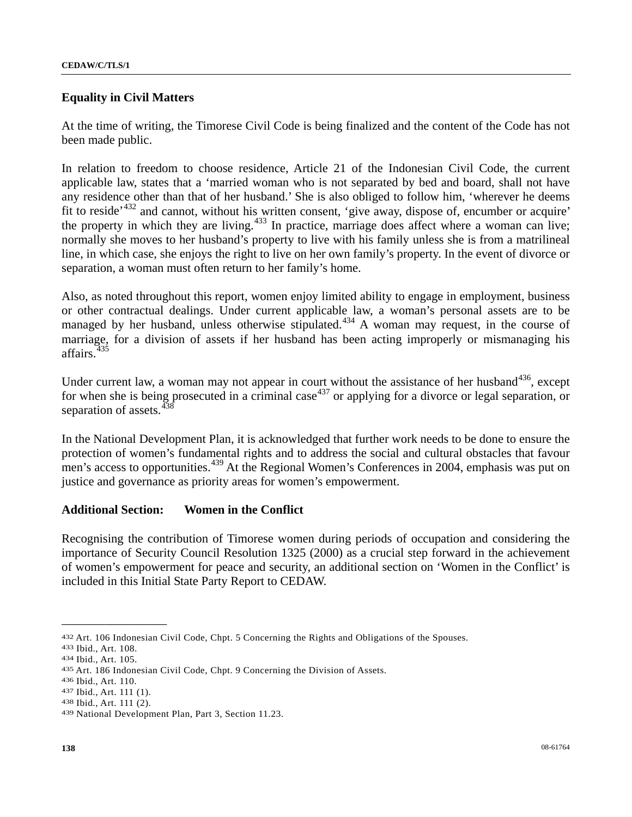# **Equality in Civil Matters**

At the time of writing, the Timorese Civil Code is being finalized and the content of the Code has not been made public.

In relation to freedom to choose residence, Article 21 of the Indonesian Civil Code, the current applicable law, states that a 'married woman who is not separated by bed and board, shall not have any residence other than that of her husband.' She is also obliged to follow him, 'wherever he deems fit to reside<sup> $432$  $432$ </sup> and cannot, without his written consent, 'give away, dispose of, encumber or acquire' the property in which they are living. $433$  $433$  In practice, marriage does affect where a woman can live; normally she moves to her husband's property to live with his family unless she is from a matrilineal line, in which case, she enjoys the right to live on her own family's property. In the event of divorce or separation, a woman must often return to her family's home.

Also, as noted throughout this report, women enjoy limited ability to engage in employment, business or other contractual dealings. Under current applicable law, a woman's personal assets are to be managed by her husband, unless otherwise stipulated.<sup>[43](#page-137-2)4</sup> A woman may request, in the course of marriage, for a division of assets if her husband has been acting improperly or mismanaging his affairs.<sup>[43](#page-137-3)5</sup>

Under current law, a woman may not appear in court without the assistance of her husband<sup>[4](#page-137-4)36</sup>, except for when she is being prosecuted in a criminal case<sup>[43](#page-137-5)7</sup> or applying for a divorce or legal separation, or separation of assets.<sup>[43](#page-137-6)</sup>

In the National Development Plan, it is acknowledged that further work needs to be done to ensure the protection of women's fundamental rights and to address the social and cultural obstacles that favour men's access to opportunities.<sup>[43](#page-137-7)9</sup> At the Regional Women's Conferences in 2004, emphasis was put on justice and governance as priority areas for women's empowerment.

# **Additional Section: Women in the Conflict**

Recognising the contribution of Timorese women during periods of occupation and considering the importance of Security Council Resolution 1325 (2000) as a crucial step forward in the achievement of women's empowerment for peace and security, an additional section on 'Women in the Conflict' is included in this Initial State Party Report to CEDAW.

<span id="page-137-1"></span><span id="page-137-0"></span><sup>432</sup> Art. 106 Indonesian Civil Code, Chpt. 5 Concerning the Rights and Obligations of the Spouses.<br>433 Ibid., Art. 108.<br>434 Ibid., Art. 105.<br>435 Art. 186 Indonesian Civil Code, Chpt. 9 Concerning the Division of Assets.<br>436

<span id="page-137-2"></span>

<span id="page-137-3"></span>

<span id="page-137-4"></span>

<span id="page-137-5"></span>

<span id="page-137-6"></span>

<span id="page-137-7"></span>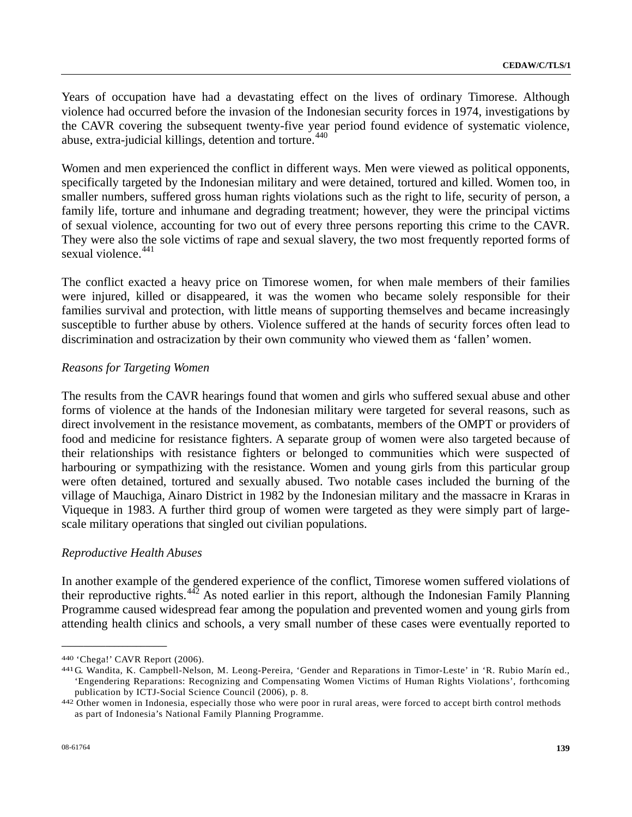Years of occupation have had a devastating effect on the lives of ordinary Timorese. Although violence had occurred before the invasion of the Indonesian security forces in 1974, investigations by the CAVR covering the subsequent twenty-five year period found evidence of systematic violence, abuse, extra-judicial killings, detention and torture.<sup>[44](#page-138-0)0</sup>

Women and men experienced the conflict in different ways. Men were viewed as political opponents, specifically targeted by the Indonesian military and were detained, tortured and killed. Women too, in smaller numbers, suffered gross human rights violations such as the right to life, security of person, a family life, torture and inhumane and degrading treatment; however, they were the principal victims of sexual violence, accounting for two out of every three persons reporting this crime to the CAVR. They were also the sole victims of rape and sexual slavery, the two most frequently reported forms of sexual violence.<sup>[44](#page-138-1)1</sup>

The conflict exacted a heavy price on Timorese women, for when male members of their families were injured, killed or disappeared, it was the women who became solely responsible for their families survival and protection, with little means of supporting themselves and became increasingly susceptible to further abuse by others. Violence suffered at the hands of security forces often lead to discrimination and ostracization by their own community who viewed them as 'fallen' women.

#### *Reasons for Targeting Women*

The results from the CAVR hearings found that women and girls who suffered sexual abuse and other forms of violence at the hands of the Indonesian military were targeted for several reasons, such as direct involvement in the resistance movement, as combatants, members of the OMPT or providers of food and medicine for resistance fighters. A separate group of women were also targeted because of their relationships with resistance fighters or belonged to communities which were suspected of harbouring or sympathizing with the resistance. Women and young girls from this particular group were often detained, tortured and sexually abused. Two notable cases included the burning of the village of Mauchiga, Ainaro District in 1982 by the Indonesian military and the massacre in Kraras in Viqueque in 1983. A further third group of women were targeted as they were simply part of largescale military operations that singled out civilian populations.

### *Reproductive Health Abuses*

In another example of the gendered experience of the conflict, Timorese women suffered violations of their reproductive rights.[4](#page-138-2)42 As noted earlier in this report, although the Indonesian Family Planning Programme caused widespread fear among the population and prevented women and young girls from attending health clinics and schools, a very small number of these cases were eventually reported to

<span id="page-138-1"></span><span id="page-138-0"></span><sup>440 &#</sup>x27;Chega!' CAVR Report (2006).<br>441 G. Wandita, K. Campbell-Nelson, M. Leong-Pereira, 'Gender and Reparations in Timor-Leste' in 'R. Rubio Marín ed., 'Engendering Reparations: Recognizing and Compensating Women Victims of Human Rights Violations', forthcoming publication by ICTJ-Social Science Council (2006), p. 8. 442 Other women in Indonesia, especially those who were poor in rural areas, were forced to accept birth control methods

<span id="page-138-2"></span>as part of Indonesia's National Family Planning Programme.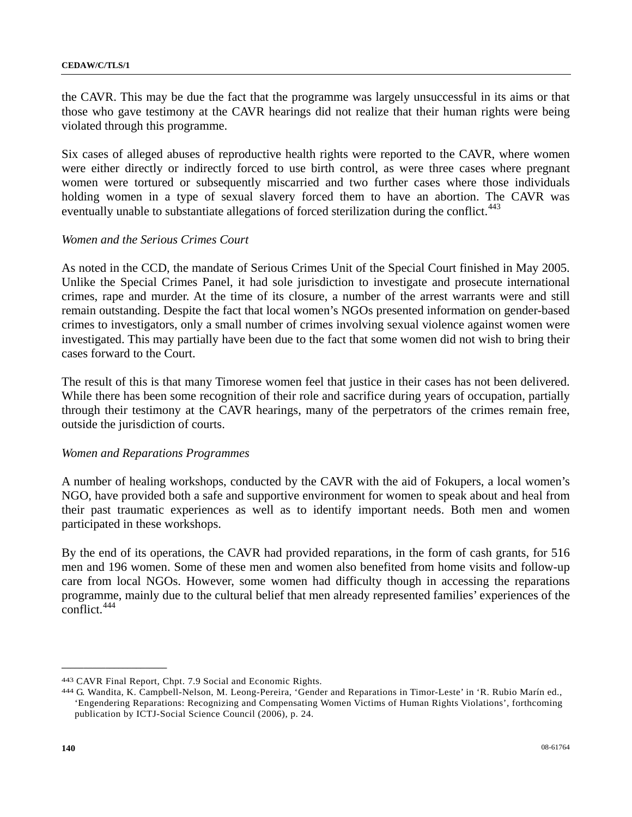the CAVR. This may be due the fact that the programme was largely unsuccessful in its aims or that those who gave testimony at the CAVR hearings did not realize that their human rights were being violated through this programme.

Six cases of alleged abuses of reproductive health rights were reported to the CAVR, where women were either directly or indirectly forced to use birth control, as were three cases where pregnant women were tortured or subsequently miscarried and two further cases where those individuals holding women in a type of sexual slavery forced them to have an abortion. The CAVR was eventually unable to substantiate allegations of forced sterilization during the conflict.<sup>[4](#page-139-0)43</sup>

### *Women and the Serious Crimes Court*

As noted in the CCD, the mandate of Serious Crimes Unit of the Special Court finished in May 2005. Unlike the Special Crimes Panel, it had sole jurisdiction to investigate and prosecute international crimes, rape and murder. At the time of its closure, a number of the arrest warrants were and still remain outstanding. Despite the fact that local women's NGOs presented information on gender-based crimes to investigators, only a small number of crimes involving sexual violence against women were investigated. This may partially have been due to the fact that some women did not wish to bring their cases forward to the Court.

The result of this is that many Timorese women feel that justice in their cases has not been delivered. While there has been some recognition of their role and sacrifice during years of occupation, partially through their testimony at the CAVR hearings, many of the perpetrators of the crimes remain free, outside the jurisdiction of courts.

#### *Women and Reparations Programmes*

A number of healing workshops, conducted by the CAVR with the aid of Fokupers, a local women's NGO, have provided both a safe and supportive environment for women to speak about and heal from their past traumatic experiences as well as to identify important needs. Both men and women participated in these workshops.

By the end of its operations, the CAVR had provided reparations, in the form of cash grants, for 516 men and 196 women. Some of these men and women also benefited from home visits and follow-up care from local NGOs. However, some women had difficulty though in accessing the reparations programme, mainly due to the cultural belief that men already represented families' experiences of the conflict.[44](#page-139-1)4

<span id="page-139-1"></span><span id="page-139-0"></span>

<sup>443</sup> CAVR Final Report, Chpt. 7.9 Social and Economic Rights.<br>444 G. Wandita, K. Campbell-Nelson, M. Leong-Pereira, 'Gender and Reparations in Timor-Leste' in 'R. Rubio Marín ed., 'Engendering Reparations: Recognizing and Compensating Women Victims of Human Rights Violations', forthcoming publication by ICTJ-Social Science Council (2006), p. 24.